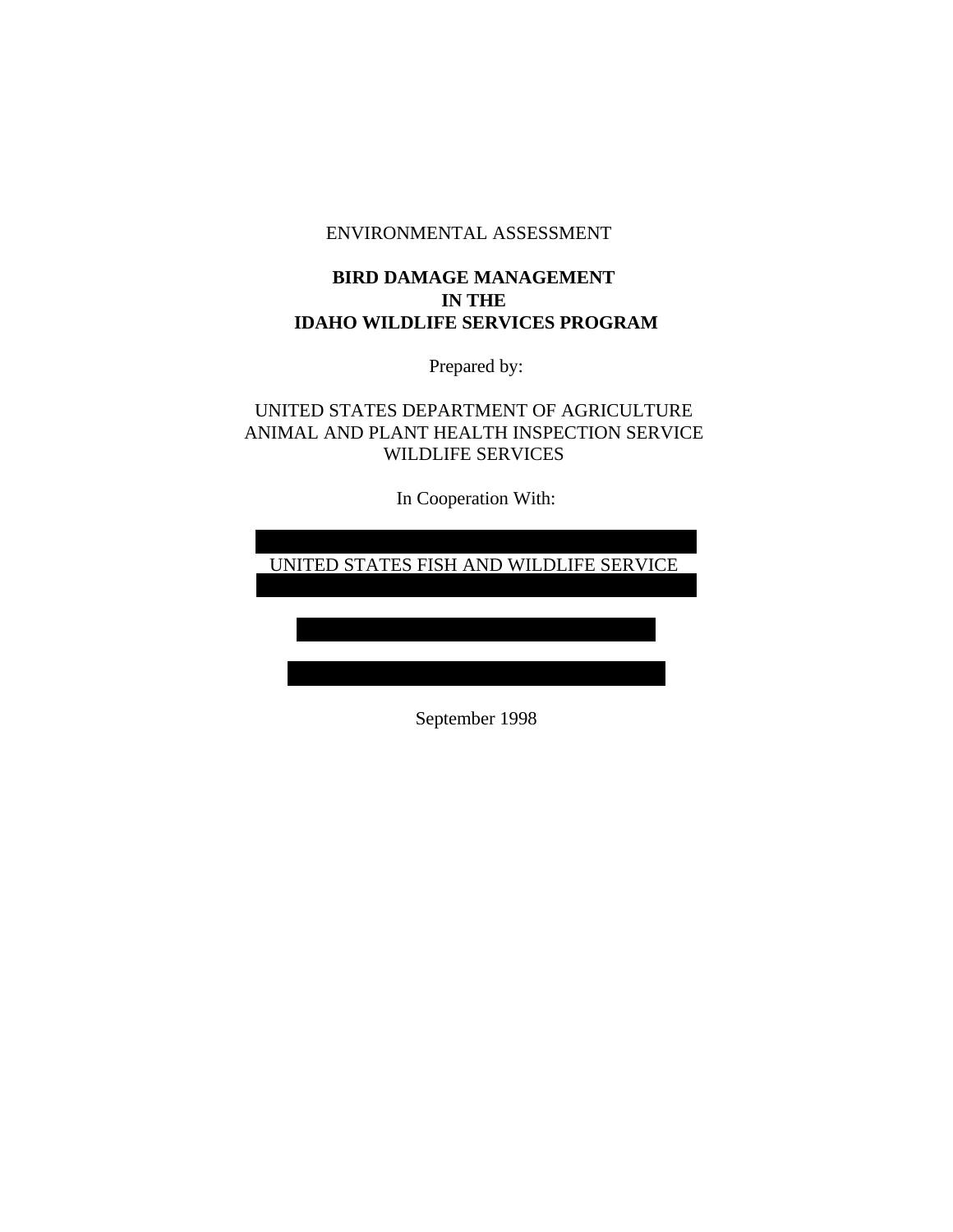## ENVIRONMENTAL ASSESSMENT

# **BIRD DAMAGE MANAGEMENT IN THE IDAHO WILDLIFE SERVICES PROGRAM**

Prepared by:

UNITED STATES DEPARTMENT OF AGRICULTURE ANIMAL AND PLANT HEALTH INSPECTION SERVICE WILDLIFE SERVICES

In Cooperation With:

UNITED STATES FISH AND WILDLIFE SERVICE

September 1998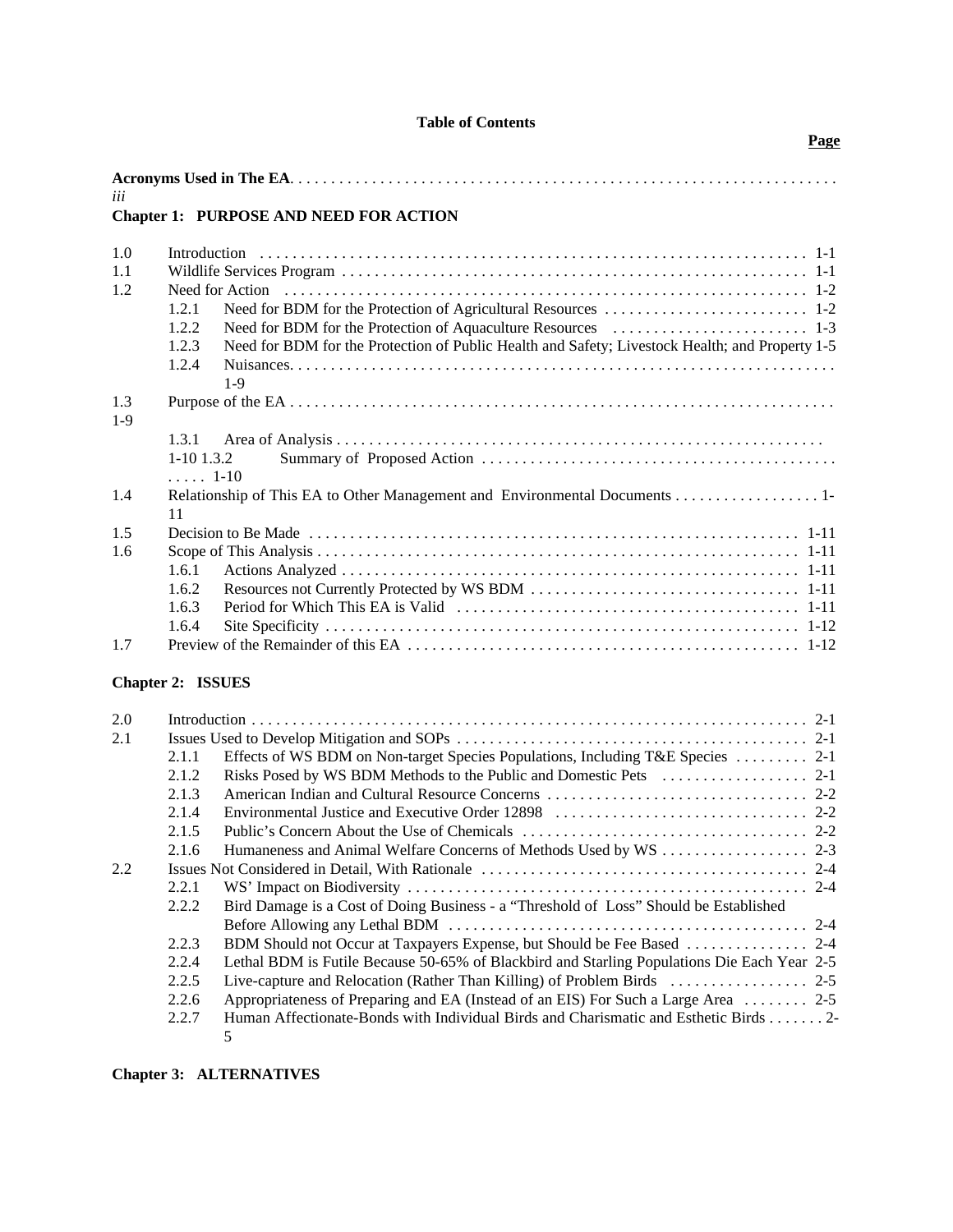|  |  | <b>Table of Contents</b> |
|--|--|--------------------------|
|--|--|--------------------------|

**Page**

| iii   |       |                                                                                                 |
|-------|-------|-------------------------------------------------------------------------------------------------|
|       |       | <b>Chapter 1: PURPOSE AND NEED FOR ACTION</b>                                                   |
| 1.0   |       |                                                                                                 |
| 1.1   |       |                                                                                                 |
| 1.2   |       |                                                                                                 |
|       | 1.2.1 |                                                                                                 |
|       | 1.2.2 |                                                                                                 |
|       | 1.2.3 | Need for BDM for the Protection of Public Health and Safety; Livestock Health; and Property 1-5 |
|       | 1.2.4 | $1-9$                                                                                           |
| 1.3   |       |                                                                                                 |
| $1-9$ |       |                                                                                                 |
|       | 1.3.1 |                                                                                                 |
|       |       | $1-10$ 1.3.2<br>$\ldots$ 1-10                                                                   |
| 1.4   | 11    | Relationship of This EA to Other Management and Environmental Documents 1-                      |
| 1.5   |       |                                                                                                 |
| 1.6   |       |                                                                                                 |
|       | 1.6.1 |                                                                                                 |
|       | 1.6.2 |                                                                                                 |
|       | 1.6.3 |                                                                                                 |
|       | 1.6.4 |                                                                                                 |
| 1.7   |       |                                                                                                 |

# **Chapter 2: ISSUES**

| 2.0 |       |                                                                                             |  |
|-----|-------|---------------------------------------------------------------------------------------------|--|
| 2.1 |       |                                                                                             |  |
|     | 2.1.1 | Effects of WS BDM on Non-target Species Populations, Including T&E Species  2-1             |  |
|     | 2.1.2 |                                                                                             |  |
|     | 2.1.3 |                                                                                             |  |
|     | 2.1.4 |                                                                                             |  |
|     | 2.1.5 |                                                                                             |  |
|     | 2.1.6 |                                                                                             |  |
| 2.2 |       |                                                                                             |  |
|     | 2.2.1 |                                                                                             |  |
|     | 2.2.2 | Bird Damage is a Cost of Doing Business - a "Threshold of Loss" Should be Established       |  |
|     |       |                                                                                             |  |
|     | 2.2.3 |                                                                                             |  |
|     | 2.2.4 | Lethal BDM is Futile Because 50-65% of Blackbird and Starling Populations Die Each Year 2-5 |  |
|     | 2.2.5 |                                                                                             |  |
|     | 2.2.6 | Appropriateness of Preparing and EA (Instead of an EIS) For Such a Large Area  2-5          |  |
|     | 2.2.7 | Human Affectionate-Bonds with Individual Birds and Charismatic and Esthetic Birds 2         |  |
|     |       | 5.                                                                                          |  |

# **Chapter 3: ALTERNATIVES**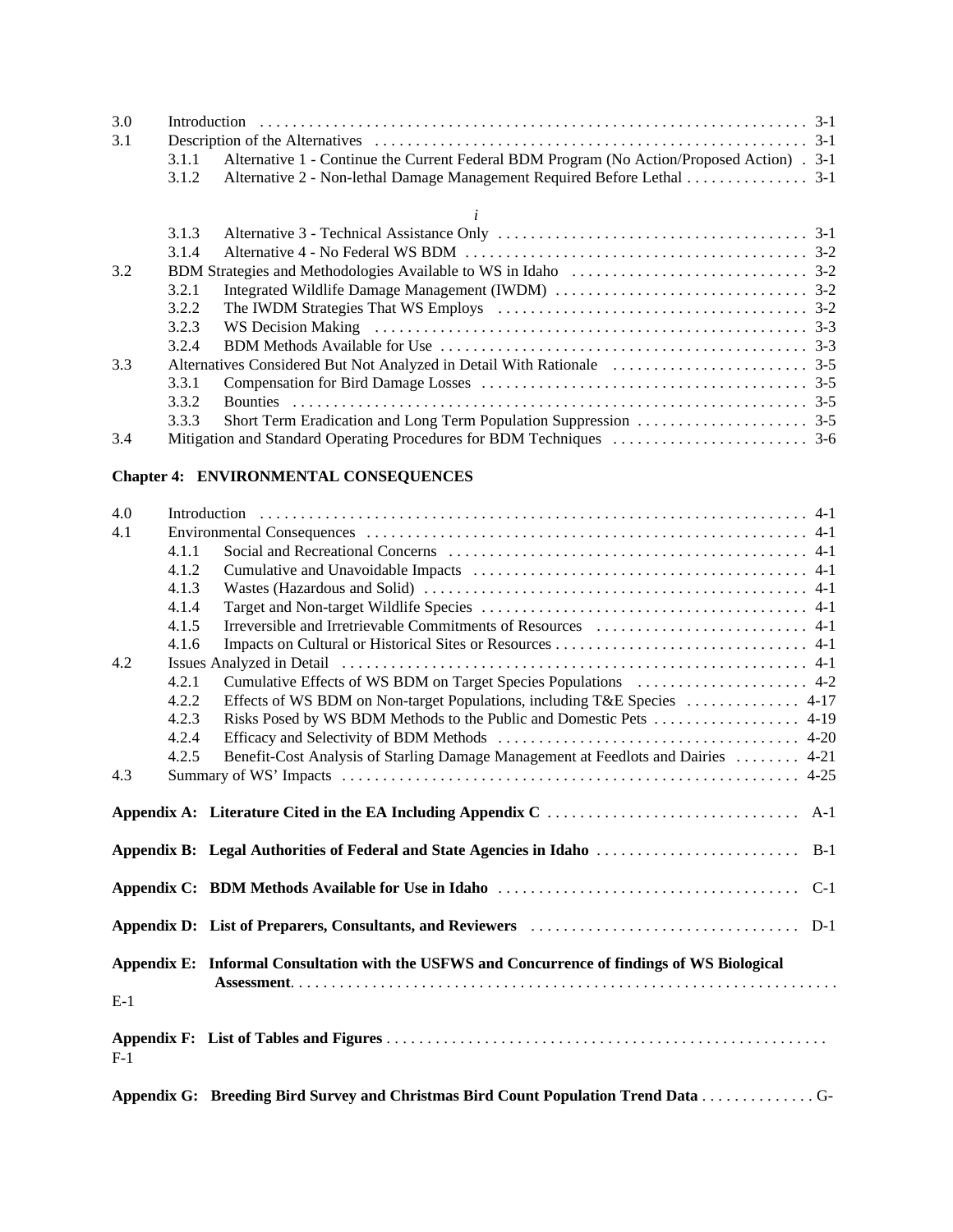| 3.0 |       |                                                                                            |  |
|-----|-------|--------------------------------------------------------------------------------------------|--|
| 3.1 |       |                                                                                            |  |
|     | 3.1.1 | Alternative 1 - Continue the Current Federal BDM Program (No Action/Proposed Action) . 3-1 |  |
|     | 3.1.2 | Alternative 2 - Non-lethal Damage Management Required Before Lethal 3-1                    |  |
|     |       |                                                                                            |  |
|     | 3.1.3 |                                                                                            |  |
|     | 3.1.4 |                                                                                            |  |
| 3.2 |       |                                                                                            |  |
|     | 3.2.1 |                                                                                            |  |
|     | 3.2.2 |                                                                                            |  |
|     | 3.2.3 |                                                                                            |  |
|     | 3.2.4 |                                                                                            |  |
| 3.3 |       |                                                                                            |  |
|     | 3.3.1 |                                                                                            |  |
|     | 3.3.2 |                                                                                            |  |
|     | 3.3.3 |                                                                                            |  |
| 3.4 |       |                                                                                            |  |

# **Chapter 4: ENVIRONMENTAL CONSEQUENCES**

| 4.0   |       |                                                                                               |
|-------|-------|-----------------------------------------------------------------------------------------------|
| 4.1   |       |                                                                                               |
|       | 4.1.1 |                                                                                               |
|       | 4.1.2 |                                                                                               |
|       | 4.1.3 |                                                                                               |
|       | 4.1.4 |                                                                                               |
|       | 4.1.5 |                                                                                               |
|       | 4.1.6 |                                                                                               |
| 4.2   |       |                                                                                               |
|       | 4.2.1 |                                                                                               |
|       | 4.2.2 |                                                                                               |
|       | 4.2.3 |                                                                                               |
|       | 4.2.4 |                                                                                               |
|       | 4.2.5 | Benefit-Cost Analysis of Starling Damage Management at Feedlots and Dairies  4-21             |
| 4.3   |       |                                                                                               |
|       |       | $A-1$                                                                                         |
|       |       |                                                                                               |
|       |       | Appendix B: Legal Authorities of Federal and State Agencies in Idaho<br>$B-1$                 |
|       |       | $C-1$                                                                                         |
|       |       | $D-1$                                                                                         |
|       |       | Appendix E: Informal Consultation with the USFWS and Concurrence of findings of WS Biological |
| $E-1$ |       |                                                                                               |
| $F-1$ |       |                                                                                               |
|       |       |                                                                                               |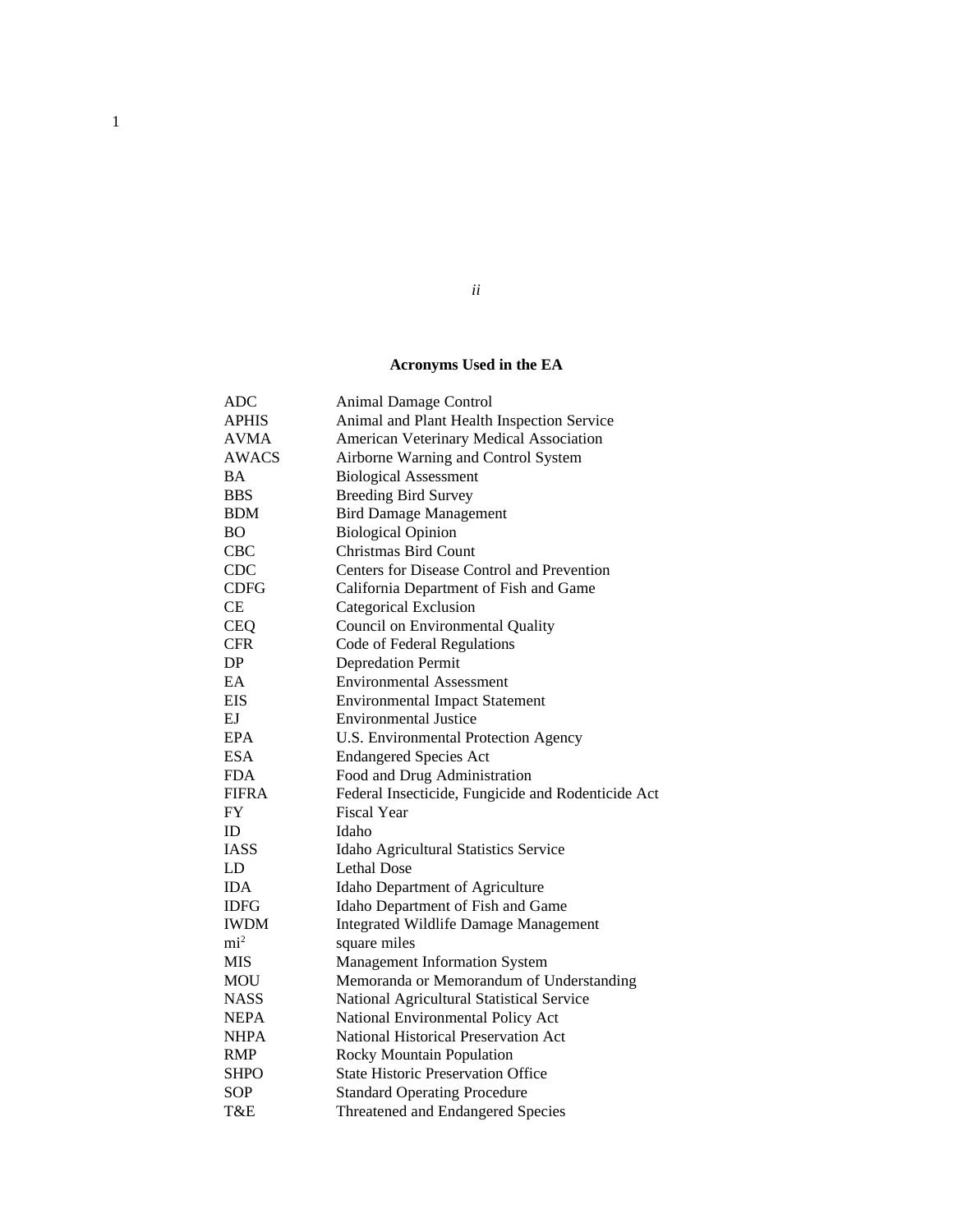## **Acronyms Used in the EA**

*ii*

| <b>ADC</b>      | Animal Damage Control                              |
|-----------------|----------------------------------------------------|
| <b>APHIS</b>    | Animal and Plant Health Inspection Service         |
| <b>AVMA</b>     | American Veterinary Medical Association            |
| AWACS           | Airborne Warning and Control System                |
| <b>BA</b>       | <b>Biological Assessment</b>                       |
| <b>BBS</b>      | <b>Breeding Bird Survey</b>                        |
| <b>BDM</b>      | <b>Bird Damage Management</b>                      |
| <b>BO</b>       | <b>Biological Opinion</b>                          |
| <b>CBC</b>      | <b>Christmas Bird Count</b>                        |
| <b>CDC</b>      | Centers for Disease Control and Prevention         |
| <b>CDFG</b>     | California Department of Fish and Game             |
| CE              | Categorical Exclusion                              |
| <b>CEQ</b>      | Council on Environmental Quality                   |
| CFR.            | Code of Federal Regulations                        |
| DP              | <b>Depredation Permit</b>                          |
| EA              | <b>Environmental Assessment</b>                    |
| <b>EIS</b>      | <b>Environmental Impact Statement</b>              |
| EJ              | <b>Environmental Justice</b>                       |
| <b>EPA</b>      | U.S. Environmental Protection Agency               |
| <b>ESA</b>      | <b>Endangered Species Act</b>                      |
| <b>FDA</b>      | Food and Drug Administration                       |
| <b>FIFRA</b>    | Federal Insecticide, Fungicide and Rodenticide Act |
| FY              | <b>Fiscal Year</b>                                 |
| ID              | Idaho                                              |
| <b>IASS</b>     | Idaho Agricultural Statistics Service              |
| LD              | <b>Lethal Dose</b>                                 |
| <b>IDA</b>      | Idaho Department of Agriculture                    |
| <b>IDFG</b>     | Idaho Department of Fish and Game                  |
| <b>IWDM</b>     | <b>Integrated Wildlife Damage Management</b>       |
| mi <sup>2</sup> | square miles                                       |
| <b>MIS</b>      | <b>Management Information System</b>               |
| <b>MOU</b>      | Memoranda or Memorandum of Understanding           |
| <b>NASS</b>     | National Agricultural Statistical Service          |
| <b>NEPA</b>     | National Environmental Policy Act                  |
| <b>NHPA</b>     | National Historical Preservation Act               |
| <b>RMP</b>      | Rocky Mountain Population                          |
| SHPO            | <b>State Historic Preservation Office</b>          |
| <b>SOP</b>      | <b>Standard Operating Procedure</b>                |
| T&E             | Threatened and Endangered Species                  |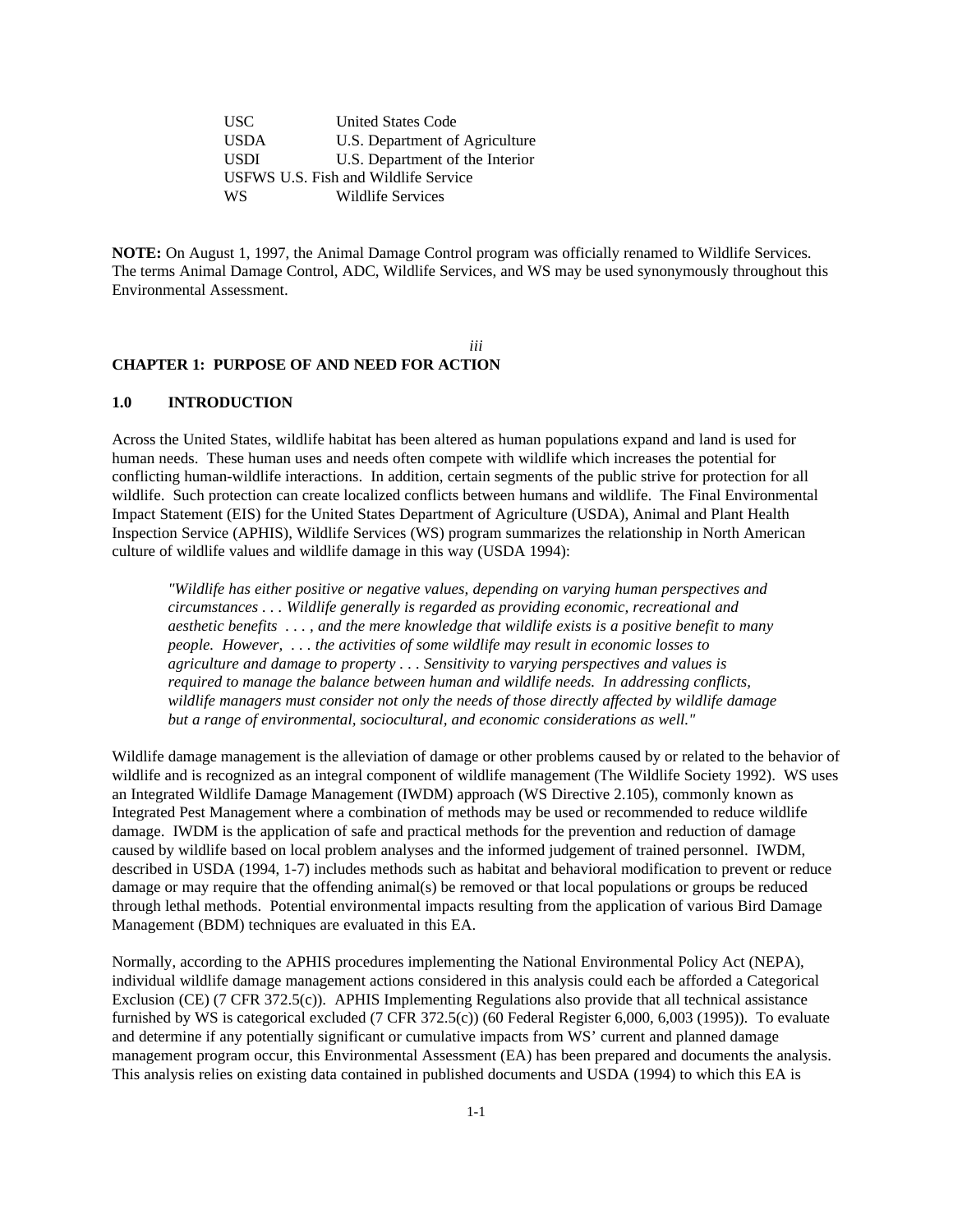USC United States Code USDA U.S. Department of Agriculture USDI U.S. Department of the Interior USFWS U.S. Fish and Wildlife Service WS Wildlife Services

**NOTE:** On August 1, 1997, the Animal Damage Control program was officially renamed to Wildlife Services. The terms Animal Damage Control, ADC, Wildlife Services, and WS may be used synonymously throughout this Environmental Assessment.

*iii*

## **CHAPTER 1: PURPOSE OF AND NEED FOR ACTION**

## **1.0 INTRODUCTION**

Across the United States, wildlife habitat has been altered as human populations expand and land is used for human needs. These human uses and needs often compete with wildlife which increases the potential for conflicting human-wildlife interactions. In addition, certain segments of the public strive for protection for all wildlife. Such protection can create localized conflicts between humans and wildlife. The Final Environmental Impact Statement (EIS) for the United States Department of Agriculture (USDA), Animal and Plant Health Inspection Service (APHIS), Wildlife Services (WS) program summarizes the relationship in North American culture of wildlife values and wildlife damage in this way (USDA 1994):

*"Wildlife has either positive or negative values, depending on varying human perspectives and circumstances . . . Wildlife generally is regarded as providing economic, recreational and aesthetic benefits . . . , and the mere knowledge that wildlife exists is a positive benefit to many people. However, . . . the activities of some wildlife may result in economic losses to agriculture and damage to property . . . Sensitivity to varying perspectives and values is required to manage the balance between human and wildlife needs. In addressing conflicts, wildlife managers must consider not only the needs of those directly affected by wildlife damage but a range of environmental, sociocultural, and economic considerations as well."*

Wildlife damage management is the alleviation of damage or other problems caused by or related to the behavior of wildlife and is recognized as an integral component of wildlife management (The Wildlife Society 1992). WS uses an Integrated Wildlife Damage Management (IWDM) approach (WS Directive 2.105), commonly known as Integrated Pest Management where a combination of methods may be used or recommended to reduce wildlife damage. IWDM is the application of safe and practical methods for the prevention and reduction of damage caused by wildlife based on local problem analyses and the informed judgement of trained personnel. IWDM, described in USDA (1994, 1-7) includes methods such as habitat and behavioral modification to prevent or reduce damage or may require that the offending animal(s) be removed or that local populations or groups be reduced through lethal methods. Potential environmental impacts resulting from the application of various Bird Damage Management (BDM) techniques are evaluated in this EA.

Normally, according to the APHIS procedures implementing the National Environmental Policy Act (NEPA), individual wildlife damage management actions considered in this analysis could each be afforded a Categorical Exclusion (CE) (7 CFR 372.5(c)). APHIS Implementing Regulations also provide that all technical assistance furnished by WS is categorical excluded (7 CFR 372.5(c)) (60 Federal Register 6,000, 6,003 (1995)). To evaluate and determine if any potentially significant or cumulative impacts from WS' current and planned damage management program occur, this Environmental Assessment (EA) has been prepared and documents the analysis. This analysis relies on existing data contained in published documents and USDA (1994) to which this EA is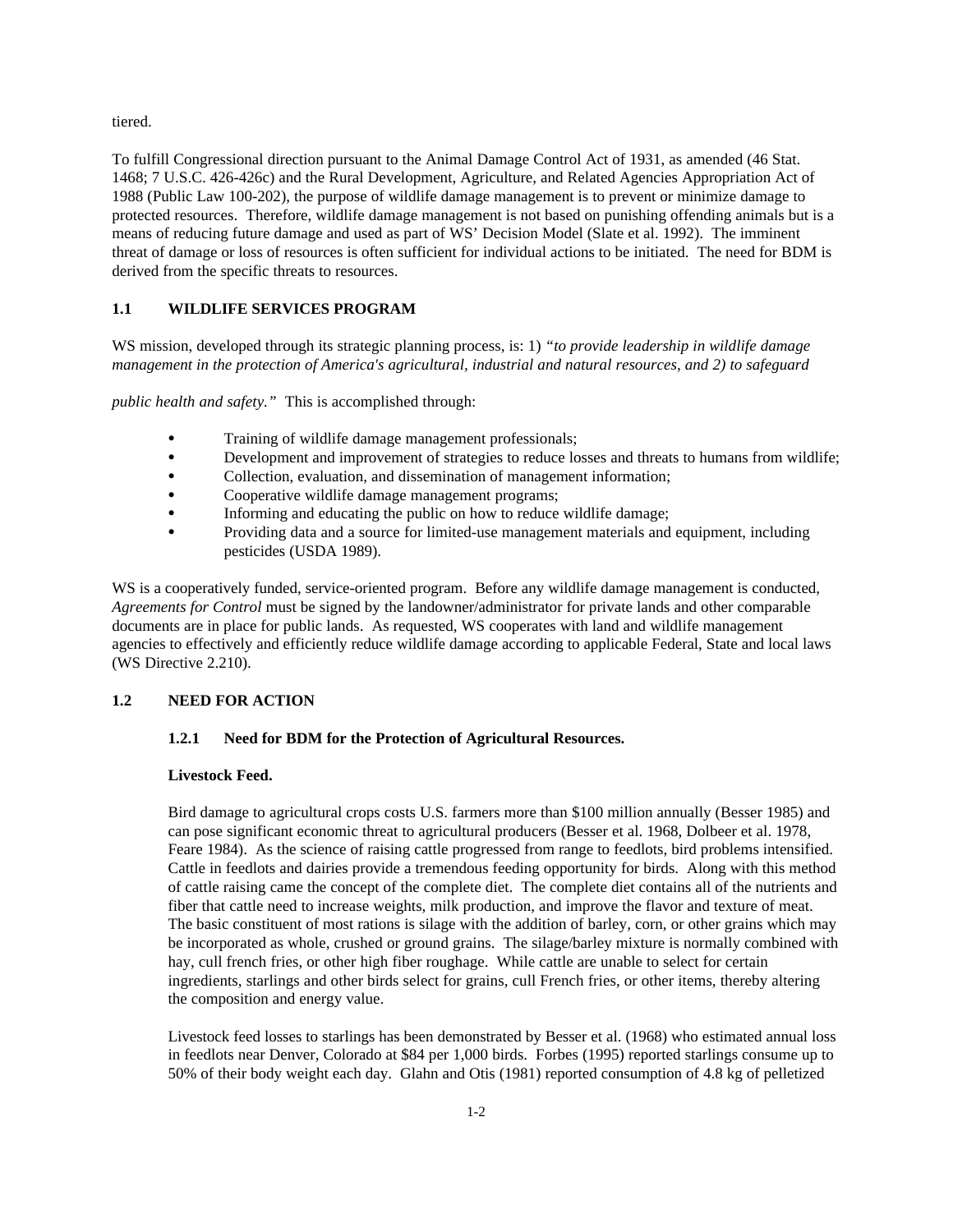tiered.

To fulfill Congressional direction pursuant to the Animal Damage Control Act of 1931, as amended (46 Stat. 1468; 7 U.S.C. 426-426c) and the Rural Development, Agriculture, and Related Agencies Appropriation Act of 1988 (Public Law 100-202), the purpose of wildlife damage management is to prevent or minimize damage to protected resources. Therefore, wildlife damage management is not based on punishing offending animals but is a means of reducing future damage and used as part of WS' Decision Model (Slate et al. 1992). The imminent threat of damage or loss of resources is often sufficient for individual actions to be initiated. The need for BDM is derived from the specific threats to resources.

## **1.1 WILDLIFE SERVICES PROGRAM**

WS mission, developed through its strategic planning process, is: 1) *"to provide leadership in wildlife damage management in the protection of America's agricultural, industrial and natural resources, and 2) to safeguard* 

*public health and safety."* This is accomplished through:

- Training of wildlife damage management professionals;
- Development and improvement of strategies to reduce losses and threats to humans from wildlife;
- Collection, evaluation, and dissemination of management information;
- Cooperative wildlife damage management programs;
- Informing and educating the public on how to reduce wildlife damage;
- Providing data and a source for limited-use management materials and equipment, including pesticides (USDA 1989).

WS is a cooperatively funded, service-oriented program. Before any wildlife damage management is conducted, *Agreements for Control* must be signed by the landowner/administrator for private lands and other comparable documents are in place for public lands. As requested, WS cooperates with land and wildlife management agencies to effectively and efficiently reduce wildlife damage according to applicable Federal, State and local laws (WS Directive 2.210).

## **1.2 NEED FOR ACTION**

#### **1.2.1 Need for BDM for the Protection of Agricultural Resources.**

#### **Livestock Feed.**

Bird damage to agricultural crops costs U.S. farmers more than \$100 million annually (Besser 1985) and can pose significant economic threat to agricultural producers (Besser et al. 1968, Dolbeer et al. 1978, Feare 1984). As the science of raising cattle progressed from range to feedlots, bird problems intensified. Cattle in feedlots and dairies provide a tremendous feeding opportunity for birds. Along with this method of cattle raising came the concept of the complete diet. The complete diet contains all of the nutrients and fiber that cattle need to increase weights, milk production, and improve the flavor and texture of meat. The basic constituent of most rations is silage with the addition of barley, corn, or other grains which may be incorporated as whole, crushed or ground grains. The silage/barley mixture is normally combined with hay, cull french fries, or other high fiber roughage. While cattle are unable to select for certain ingredients, starlings and other birds select for grains, cull French fries, or other items, thereby altering the composition and energy value.

Livestock feed losses to starlings has been demonstrated by Besser et al. (1968) who estimated annual loss in feedlots near Denver, Colorado at \$84 per 1,000 birds. Forbes (1995) reported starlings consume up to 50% of their body weight each day. Glahn and Otis (1981) reported consumption of 4.8 kg of pelletized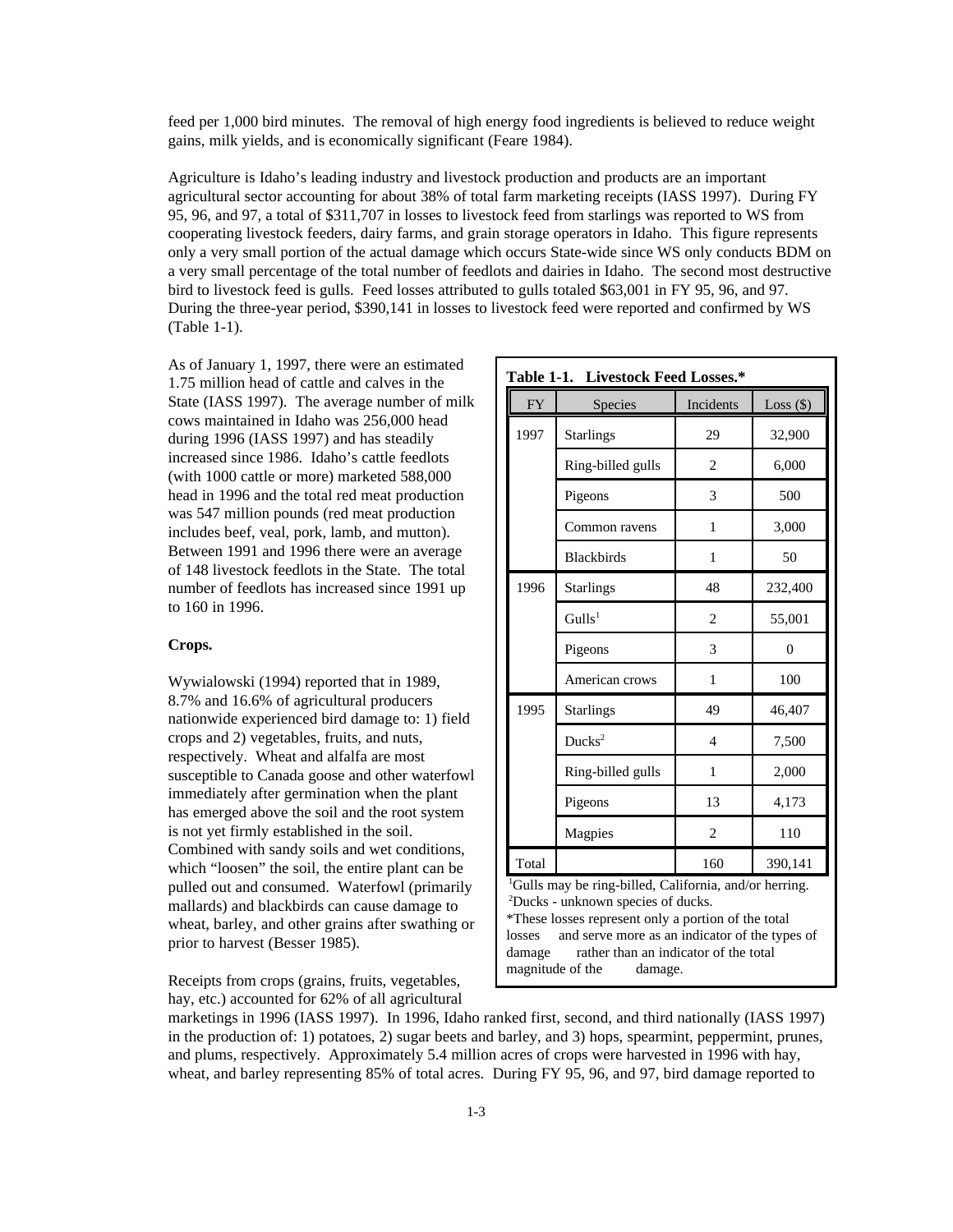feed per 1,000 bird minutes. The removal of high energy food ingredients is believed to reduce weight gains, milk yields, and is economically significant (Feare 1984).

Agriculture is Idaho's leading industry and livestock production and products are an important agricultural sector accounting for about 38% of total farm marketing receipts (IASS 1997). During FY 95, 96, and 97, a total of \$311,707 in losses to livestock feed from starlings was reported to WS from cooperating livestock feeders, dairy farms, and grain storage operators in Idaho. This figure represents only a very small portion of the actual damage which occurs State-wide since WS only conducts BDM on a very small percentage of the total number of feedlots and dairies in Idaho. The second most destructive bird to livestock feed is gulls. Feed losses attributed to gulls totaled \$63,001 in FY 95, 96, and 97. During the three-year period, \$390,141 in losses to livestock feed were reported and confirmed by WS (Table 1-1).

As of January 1, 1997, there were an estimated 1.75 million head of cattle and calves in the State (IASS 1997). The average number of milk cows maintained in Idaho was 256,000 head during 1996 (IASS 1997) and has steadily increased since 1986. Idaho's cattle feedlots (with 1000 cattle or more) marketed 588,000 head in 1996 and the total red meat production was 547 million pounds (red meat production includes beef, veal, pork, lamb, and mutton). Between 1991 and 1996 there were an average of 148 livestock feedlots in the State. The total number of feedlots has increased since 1991 up to 160 in 1996.

## **Crops.**

Wywialowski (1994) reported that in 1989, 8.7% and 16.6% of agricultural producers nationwide experienced bird damage to: 1) field crops and 2) vegetables, fruits, and nuts, respectively. Wheat and alfalfa are most susceptible to Canada goose and other waterfowl immediately after germination when the plant has emerged above the soil and the root system is not yet firmly established in the soil. Combined with sandy soils and wet conditions, which "loosen" the soil, the entire plant can be pulled out and consumed. Waterfowl (primarily mallards) and blackbirds can cause damage to wheat, barley, and other grains after swathing or prior to harvest (Besser 1985).

Receipts from crops (grains, fruits, vegetables, hay, etc.) accounted for 62% of all agricultural

| <b>FY</b>                                                                                                                                                                                                                                                                                                                 | Species            | Incidents      | Loss $(\$)$ |  |
|---------------------------------------------------------------------------------------------------------------------------------------------------------------------------------------------------------------------------------------------------------------------------------------------------------------------------|--------------------|----------------|-------------|--|
| 1997                                                                                                                                                                                                                                                                                                                      | <b>Starlings</b>   | 29             | 32,900      |  |
|                                                                                                                                                                                                                                                                                                                           | Ring-billed gulls  | $\overline{c}$ | 6,000       |  |
|                                                                                                                                                                                                                                                                                                                           | Pigeons            | 3              | 500         |  |
|                                                                                                                                                                                                                                                                                                                           | Common ravens      | $\mathbf{1}$   | 3,000       |  |
|                                                                                                                                                                                                                                                                                                                           | <b>Blackbirds</b>  | $\mathbf{1}$   | 50          |  |
| 1996                                                                                                                                                                                                                                                                                                                      | <b>Starlings</b>   | 48             | 232,400     |  |
|                                                                                                                                                                                                                                                                                                                           | Gulls <sup>1</sup> | $\overline{2}$ | 55,001      |  |
|                                                                                                                                                                                                                                                                                                                           | Pigeons            | 3              | $\theta$    |  |
|                                                                                                                                                                                                                                                                                                                           | American crows     | 1              | 100         |  |
| 1995                                                                                                                                                                                                                                                                                                                      | <b>Starlings</b>   | 49             | 46,407      |  |
|                                                                                                                                                                                                                                                                                                                           | Ducks <sup>2</sup> | 4              | 7,500       |  |
|                                                                                                                                                                                                                                                                                                                           | Ring-billed gulls  | $\mathbf{1}$   | 2,000       |  |
|                                                                                                                                                                                                                                                                                                                           | Pigeons            | 13             | 4,173       |  |
|                                                                                                                                                                                                                                                                                                                           | Magpies            | $\overline{c}$ | 110         |  |
| 160<br>Total<br>390,141                                                                                                                                                                                                                                                                                                   |                    |                |             |  |
| <sup>1</sup> Gulls may be ring-billed, California, and/or herring.<br><sup>2</sup> Ducks - unknown species of ducks.<br>*These losses represent only a portion of the total<br>and serve more as an indicator of the types of<br>losses<br>rather than an indicator of the total<br>damage<br>magnitude of the<br>damage. |                    |                |             |  |

marketings in 1996 (IASS 1997). In 1996, Idaho ranked first, second, and third nationally (IASS 1997) in the production of: 1) potatoes, 2) sugar beets and barley, and 3) hops, spearmint, peppermint, prunes, and plums, respectively. Approximately 5.4 million acres of crops were harvested in 1996 with hay, wheat, and barley representing 85% of total acres. During FY 95, 96, and 97, bird damage reported to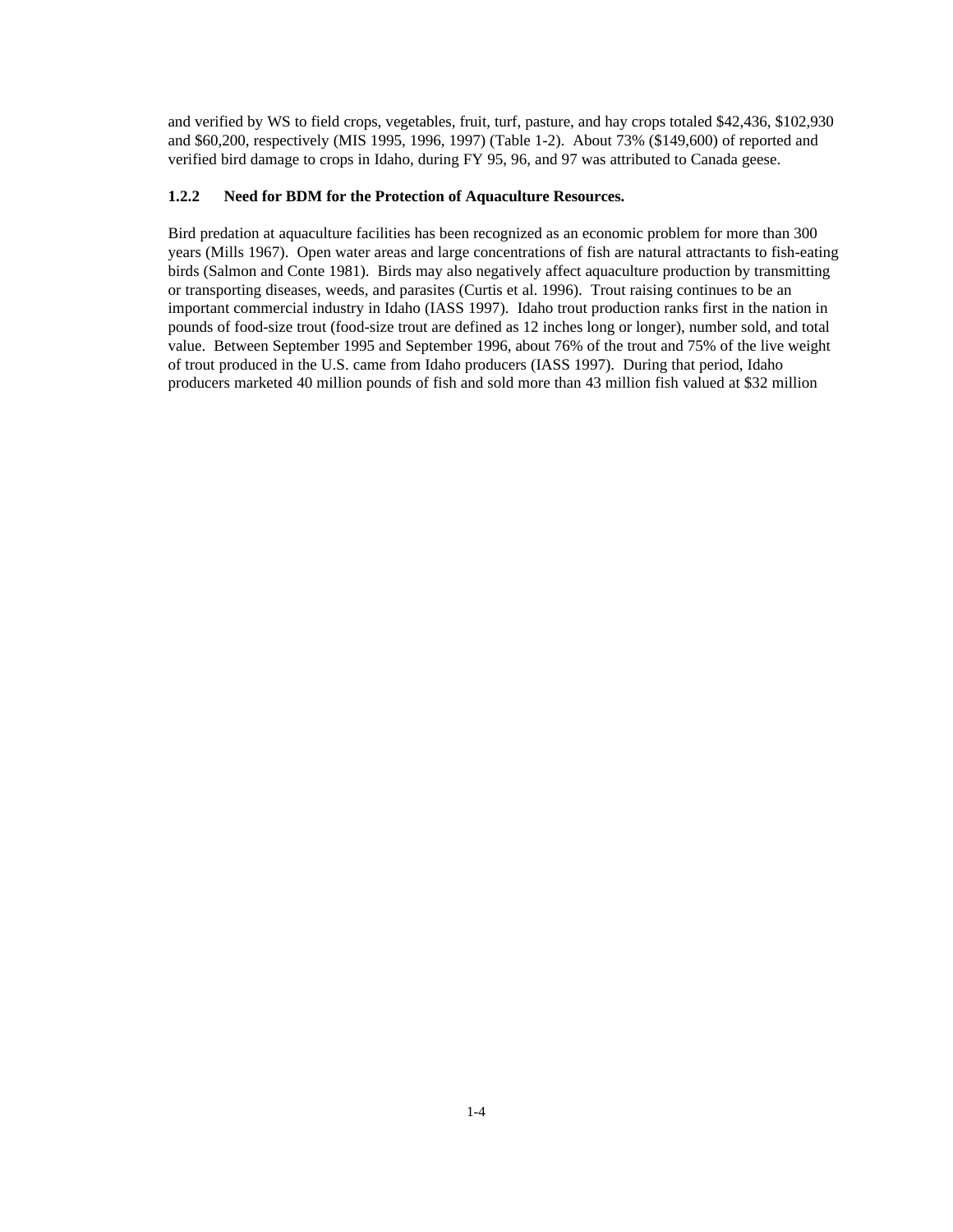and verified by WS to field crops, vegetables, fruit, turf, pasture, and hay crops totaled \$42,436, \$102,930 and \$60,200, respectively (MIS 1995, 1996, 1997) (Table 1-2). About 73% (\$149,600) of reported and verified bird damage to crops in Idaho, during FY 95, 96, and 97 was attributed to Canada geese.

## **1.2.2 Need for BDM for the Protection of Aquaculture Resources.**

Bird predation at aquaculture facilities has been recognized as an economic problem for more than 300 years (Mills 1967). Open water areas and large concentrations of fish are natural attractants to fish-eating birds (Salmon and Conte 1981). Birds may also negatively affect aquaculture production by transmitting or transporting diseases, weeds, and parasites (Curtis et al. 1996). Trout raising continues to be an important commercial industry in Idaho (IASS 1997). Idaho trout production ranks first in the nation in pounds of food-size trout (food-size trout are defined as 12 inches long or longer), number sold, and total value. Between September 1995 and September 1996, about 76% of the trout and 75% of the live weight of trout produced in the U.S. came from Idaho producers (IASS 1997). During that period, Idaho producers marketed 40 million pounds of fish and sold more than 43 million fish valued at \$32 million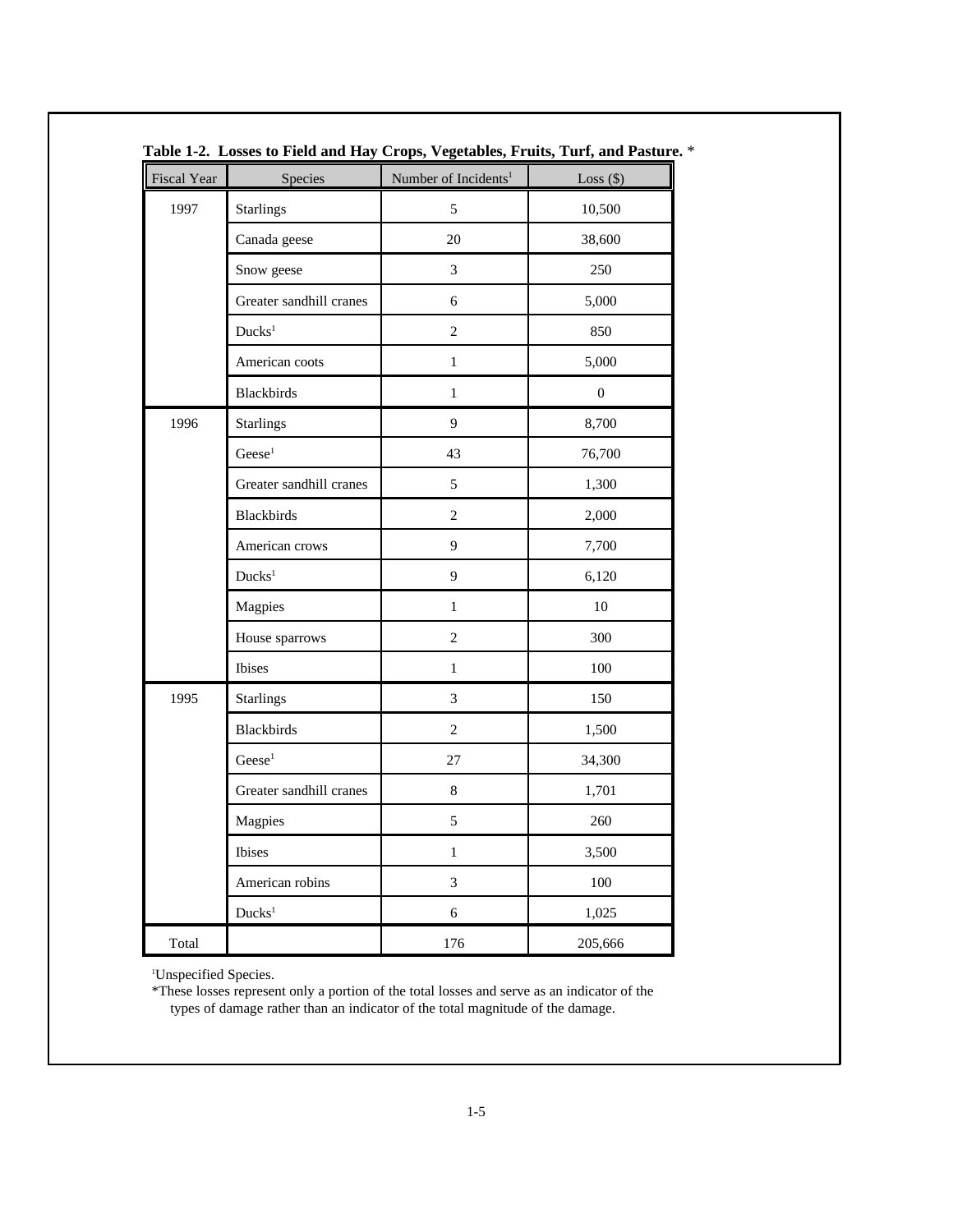| Fiscal Year | Species                 | Number of Incidents <sup>1</sup> | Loss $(\$)$      |
|-------------|-------------------------|----------------------------------|------------------|
| 1997        | <b>Starlings</b>        | 5                                | 10,500           |
|             | Canada geese            | 20                               | 38,600           |
|             | Snow geese              | 3                                | 250              |
|             | Greater sandhill cranes | 6                                | 5,000            |
|             | Ducks <sup>1</sup>      | $\overline{c}$                   | 850              |
|             | American coots          | $\,1$                            | 5,000            |
|             | <b>Blackbirds</b>       | $\,1\,$                          | $\boldsymbol{0}$ |
| 1996        | <b>Starlings</b>        | 9                                | 8,700            |
|             | $\text{Geese}^1$        | 43                               | 76,700           |
|             | Greater sandhill cranes | 5                                | 1,300            |
|             | <b>Blackbirds</b>       | $\overline{c}$                   | 2,000            |
|             | American crows          | 9                                | 7,700            |
|             | Ducks <sup>1</sup>      | 9                                | 6,120            |
|             | Magpies                 | $\mathbf{1}$                     | 10               |
|             | House sparrows          | $\overline{c}$                   | 300              |
|             | Ibises                  | $\mathbf{1}$                     | 100              |
| 1995        | <b>Starlings</b>        | 3                                | 150              |
|             | <b>Blackbirds</b>       | $\overline{c}$                   | 1,500            |
|             | Gese <sup>1</sup>       | 27                               | 34,300           |
|             | Greater sandhill cranes | 8                                | 1,701            |
|             | Magpies                 | 5                                | 260              |
|             | <b>Ibises</b>           | $\mathbf{1}$                     | 3,500            |
|             | American robins         | 3                                | 100              |
|             | Ducks <sup>1</sup>      | 6                                | 1,025            |
| Total       |                         | 176                              | 205,666          |

**Table 1-2. Losses to Field and Hay Crops, Vegetables, Fruits, Turf, and Pasture.** \*

<sup>1</sup>Unspecified Species.

\*These losses represent only a portion of the total losses and serve as an indicator of the types of damage rather than an indicator of the total magnitude of the damage.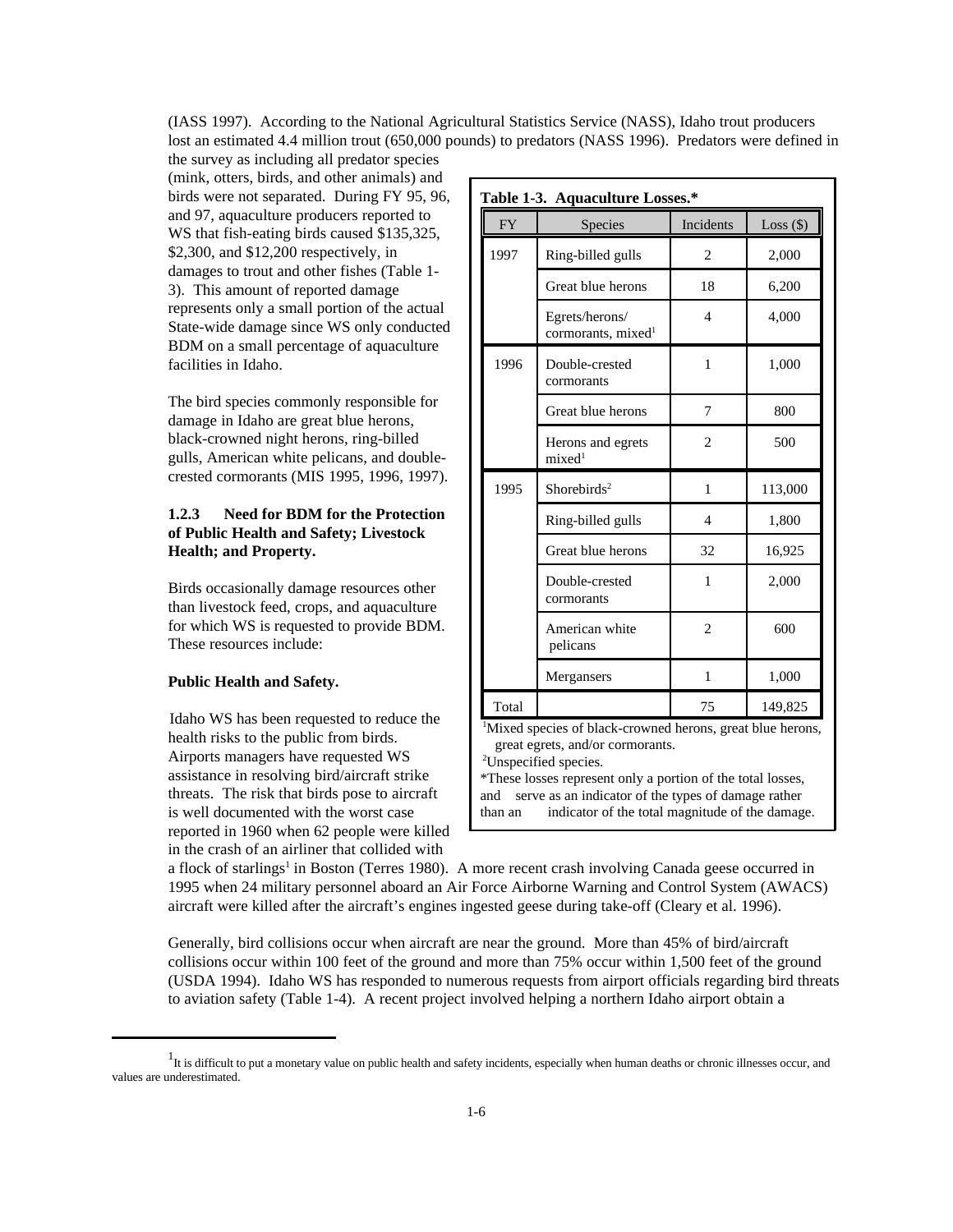(IASS 1997). According to the National Agricultural Statistics Service (NASS), Idaho trout producers lost an estimated 4.4 million trout (650,000 pounds) to predators (NASS 1996). Predators were defined in

the survey as including all predator species (mink, otters, birds, and other animals) and birds were not separated. During FY 95, 96, and 97, aquaculture producers reported to WS that fish-eating birds caused \$135,325, \$2,300, and \$12,200 respectively, in damages to trout and other fishes (Table 1- 3). This amount of reported damage represents only a small portion of the actual State-wide damage since WS only conducted BDM on a small percentage of aquaculture facilities in Idaho.

The bird species commonly responsible for damage in Idaho are great blue herons, black-crowned night herons, ring-billed gulls, American white pelicans, and doublecrested cormorants (MIS 1995, 1996, 1997).

## **1.2.3 Need for BDM for the Protection of Public Health and Safety; Livestock Health; and Property.**

Birds occasionally damage resources other than livestock feed, crops, and aquaculture for which WS is requested to provide BDM. These resources include:

## **Public Health and Safety.**

 Idaho WS has been requested to reduce the health risks to the public from birds. Airports managers have requested WS assistance in resolving bird/aircraft strike threats. The risk that birds pose to aircraft is well documented with the worst case reported in 1960 when 62 people were killed in the crash of an airliner that collided with

| Table 1-3. Aquaculture Losses.* |                                                  |                          |             |  |
|---------------------------------|--------------------------------------------------|--------------------------|-------------|--|
| <b>FY</b>                       | Species                                          | Incidents                | Loss $(\$)$ |  |
| 1997                            | Ring-billed gulls                                | $\overline{c}$           | 2,000       |  |
|                                 | Great blue herons                                | 18                       | 6,200       |  |
|                                 | Egrets/herons/<br>cormorants, mixed <sup>1</sup> | $\overline{\mathcal{L}}$ | 4,000       |  |
| 1996                            | Double-crested<br>cormorants                     | 1                        | 1,000       |  |
|                                 | Great blue herons                                | 7                        | 800         |  |
|                                 | Herons and egrets<br>mixed <sup>1</sup>          | $\overline{c}$           | 500         |  |
| 1995                            | Shorebirds <sup>2</sup>                          | 1                        | 113,000     |  |
|                                 | Ring-billed gulls                                | $\overline{\mathcal{A}}$ | 1,800       |  |
|                                 | Great blue herons                                | 32                       | 16,925      |  |
|                                 | Double-crested<br>cormorants                     | 1                        | 2,000       |  |
|                                 | American white<br>pelicans                       | $\overline{c}$           | 600         |  |
|                                 | Mergansers                                       | 1                        | 1,000       |  |
| Total                           |                                                  | 75                       | 149,825     |  |

<sup>1</sup>Mixed species of black-crowned herons, great blue herons, great egrets, and/or cormorants.

<sup>2</sup>Unspecified species.

\*These losses represent only a portion of the total losses, and serve as an indicator of the types of damage rather than an indicator of the total magnitude of the damage.

a flock of starlings<sup>1</sup> in Boston (Terres 1980). A more recent crash involving Canada geese occurred in 1995 when 24 military personnel aboard an Air Force Airborne Warning and Control System (AWACS) aircraft were killed after the aircraft's engines ingested geese during take-off (Cleary et al. 1996).

Generally, bird collisions occur when aircraft are near the ground. More than 45% of bird/aircraft collisions occur within 100 feet of the ground and more than 75% occur within 1,500 feet of the ground (USDA 1994). Idaho WS has responded to numerous requests from airport officials regarding bird threats to aviation safety (Table 1-4). A recent project involved helping a northern Idaho airport obtain a

 $1$ It is difficult to put a monetary value on public health and safety incidents, especially when human deaths or chronic illnesses occur, and values are underestimated.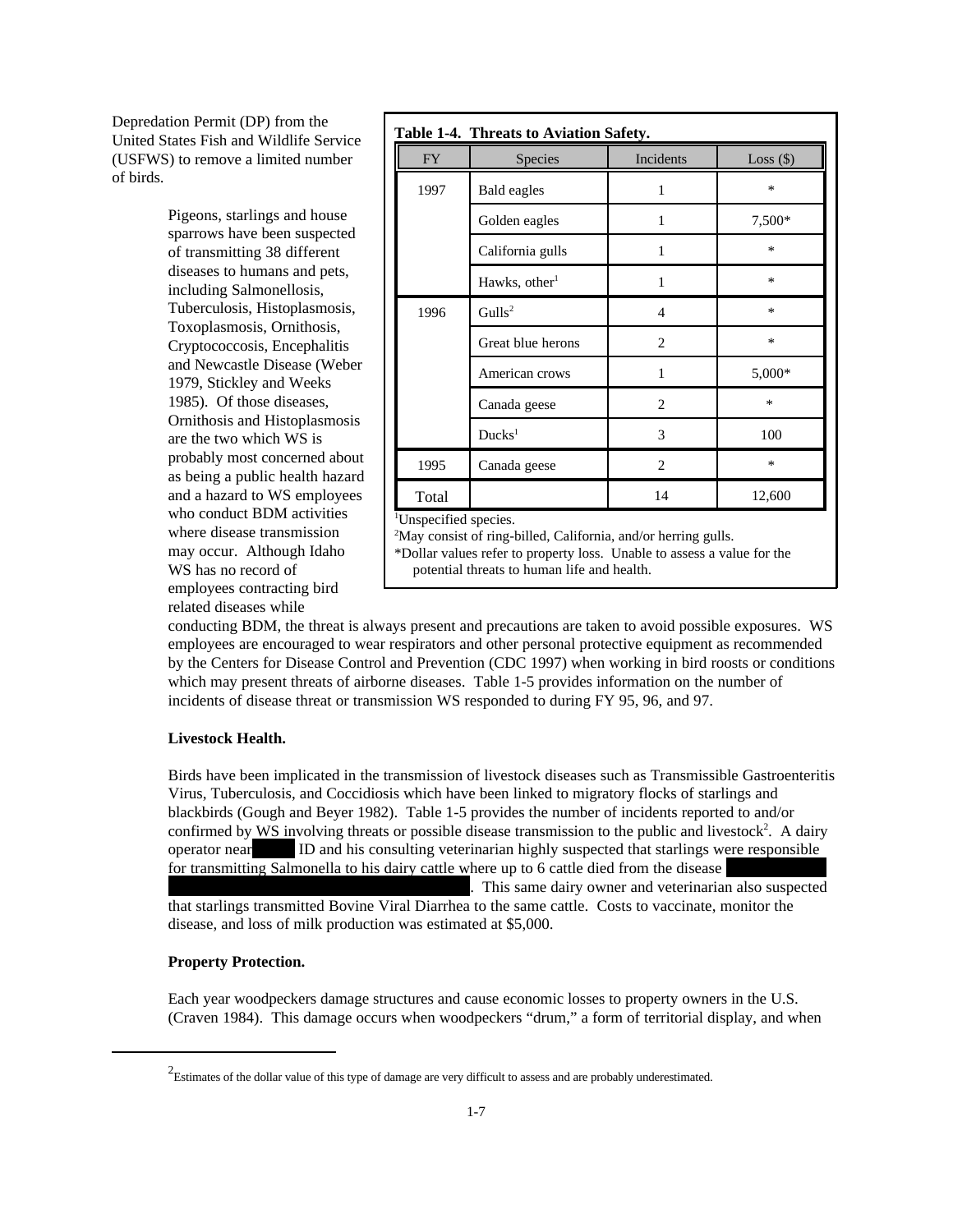Depredation Permit (DP) from the United States Fish and Wildlife Service (USFWS) to remove a limited number of birds.

> Pigeons, starlings and house sparrows have been suspected of transmitting 38 different diseases to humans and pets, including Salmonellosis, Tuberculosis, Histoplasmosis, Toxoplasmosis, Ornithosis, Cryptococcosis, Encephalitis and Newcastle Disease (Weber 1979, Stickley and Weeks 1985). Of those diseases, Ornithosis and Histoplasmosis are the two which WS is probably most concerned about as being a public health hazard and a hazard to WS employees who conduct BDM activities where disease transmission may occur. Although Idaho WS has no record of employees contracting bird related diseases while

| <b>FY</b> | Species                   | Incidents      | $Loss($ \$) |
|-----------|---------------------------|----------------|-------------|
| 1997      | Bald eagles               | 1              | *           |
|           | Golden eagles             | 1              | 7,500*      |
|           | California gulls          | 1              | *           |
|           | Hawks, other <sup>1</sup> | 1              | *           |
| 1996      | Gulls <sup>2</sup>        | 4              | *           |
|           | Great blue herons         | $\overline{2}$ | *           |
|           | American crows            | 1              | 5,000*      |
|           | Canada geese              | $\overline{2}$ | *           |
|           | Ducks <sup>1</sup>        | 3              | 100         |
| 1995      | Canada geese              | $\overline{2}$ | *           |
| Total     |                           | 14             | 12,600      |

conducting BDM, the threat is always present and precautions are taken to avoid possible exposures. WS employees are encouraged to wear respirators and other personal protective equipment as recommended by the Centers for Disease Control and Prevention (CDC 1997) when working in bird roosts or conditions which may present threats of airborne diseases. Table 1-5 provides information on the number of incidents of disease threat or transmission WS responded to during FY 95, 96, and 97.

#### **Livestock Health.**

Birds have been implicated in the transmission of livestock diseases such as Transmissible Gastroenteritis Virus, Tuberculosis, and Coccidiosis which have been linked to migratory flocks of starlings and blackbirds (Gough and Beyer 1982). Table 1-5 provides the number of incidents reported to and/or confirmed by  $\overline{WS}$  involving threats or possible disease transmission to the public and livestock<sup>2</sup>. A dairy operator near ID and his consulting veterinarian highly suspected that starlings were responsible for transmitting Salmonella to his dairy cattle where up to 6 cattle died from the disease . This same dairy owner and veterinarian also suspected. that starlings transmitted Bovine Viral Diarrhea to the same cattle. Costs to vaccinate, monitor the disease, and loss of milk production was estimated at \$5,000.

#### **Property Protection.**

Each year woodpeckers damage structures and cause economic losses to property owners in the U.S. (Craven 1984). This damage occurs when woodpeckers "drum," a form of territorial display, and when

 $2$ Estimates of the dollar value of this type of damage are very difficult to assess and are probably underestimated.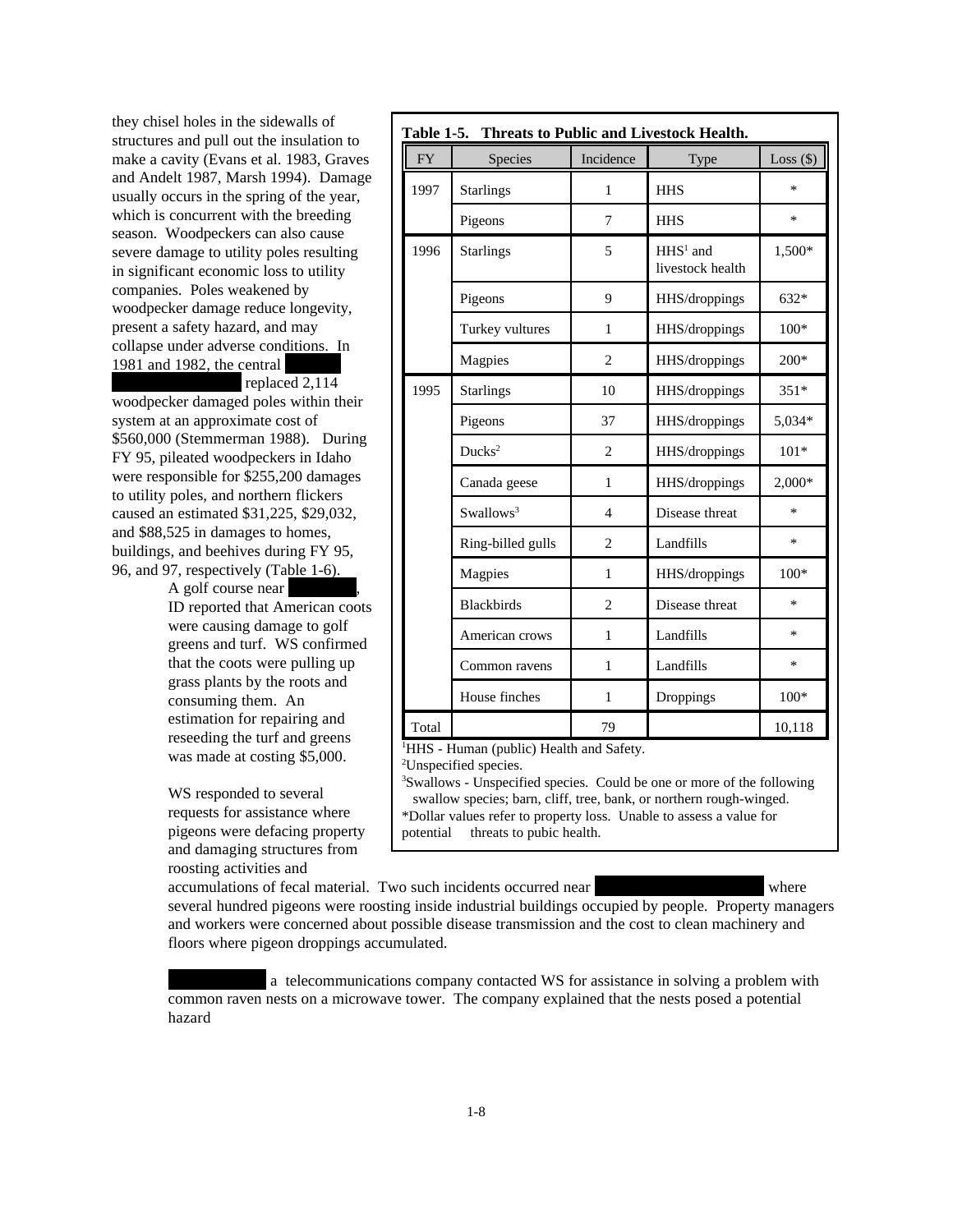they chisel holes in the sidewalls of structures and pull out the insulation to make a cavity (Evans et al. 1983, Graves and Andelt 1987, Marsh 1994). Damage usually occurs in the spring of the year, which is concurrent with the breeding season. Woodpeckers can also cause severe damage to utility poles resulting in significant economic loss to utility companies. Poles weakened by woodpecker damage reduce longevity, present a safety hazard, and may collapse under adverse conditions. In 1981 and 1982, the central

replaced 2,114 woodpecker damaged poles within their system at an approximate cost of \$560,000 (Stemmerman 1988). During FY 95, pileated woodpeckers in Idaho were responsible for \$255,200 damages to utility poles, and northern flickers caused an estimated \$31,225, \$29,032, and \$88,525 in damages to homes, buildings, and beehives during FY 95, 96, and 97, respectively (Table 1-6).

A golf course near ID reported that American coots were causing damage to golf greens and turf. WS confirmed that the coots were pulling up grass plants by the roots and consuming them. An estimation for repairing and reseeding the turf and greens was made at costing \$5,000.

WS responded to several requests for assistance where pigeons were defacing property and damaging structures from roosting activities and

|           | Table 1-5. Threats to Public and Livestock Health. |                          |                                |             |
|-----------|----------------------------------------------------|--------------------------|--------------------------------|-------------|
| <b>FY</b> | <b>Species</b>                                     | Incidence                | Type                           | $Loss($ \$) |
| 1997      | <b>Starlings</b>                                   | 1                        | <b>HHS</b>                     | $\ast$      |
|           | Pigeons                                            | 7                        | <b>HHS</b>                     | *           |
| 1996      | <b>Starlings</b>                                   | 5                        | $HHS1$ and<br>livestock health | 1,500*      |
|           | Pigeons                                            | 9                        | HHS/droppings                  | $632*$      |
|           | Turkey vultures                                    | 1                        | HHS/droppings                  | $100*$      |
|           | Magpies                                            | $\overline{c}$           | HHS/droppings                  | $200*$      |
| 1995      | <b>Starlings</b>                                   | 10                       | HHS/droppings                  | $351*$      |
|           | Pigeons                                            | 37                       | HHS/droppings                  | 5,034*      |
|           | Ducks <sup>2</sup>                                 | $\overline{c}$           | HHS/droppings                  | $101*$      |
|           | Canada geese                                       | $\mathbf{1}$             | HHS/droppings                  | $2,000*$    |
|           | Swallows <sup>3</sup>                              | $\overline{\mathcal{L}}$ | Disease threat                 | $\ast$      |
|           | Ring-billed gulls                                  | $\overline{2}$           | Landfills                      | *           |
|           | Magpies                                            | 1                        | HHS/droppings                  | $100*$      |
|           | <b>Blackbirds</b>                                  | $\overline{c}$           | Disease threat                 | *           |
|           | American crows                                     | $\mathbf{1}$             | Landfills                      | *           |
|           | Common ravens                                      | 1                        | Landfills                      | $\ast$      |
|           | House finches                                      | 1                        | Droppings                      | $100*$      |
| Total     |                                                    | 79                       |                                | 10,118      |

<sup>1</sup>HHS - Human (public) Health and Safety.

<sup>2</sup>Unspecified species.

<sup>3</sup>Swallows - Unspecified species. Could be one or more of the following swallow species; barn, cliff, tree, bank, or northern rough-winged. \*Dollar values refer to property loss. Unable to assess a value for potential threats to pubic health.

accumulations of fecal material. Two such incidents occurred near Pocatello and Pocatello and Caldwell, ID where several hundred pigeons were roosting inside industrial buildings occupied by people. Property managers and workers were concerned about possible disease transmission and the cost to clean machinery and floors where pigeon droppings accumulated.

a telecommunications company contacted WS for assistance in solving a problem with common raven nests on a microwave tower. The company explained that the nests posed a potential hazard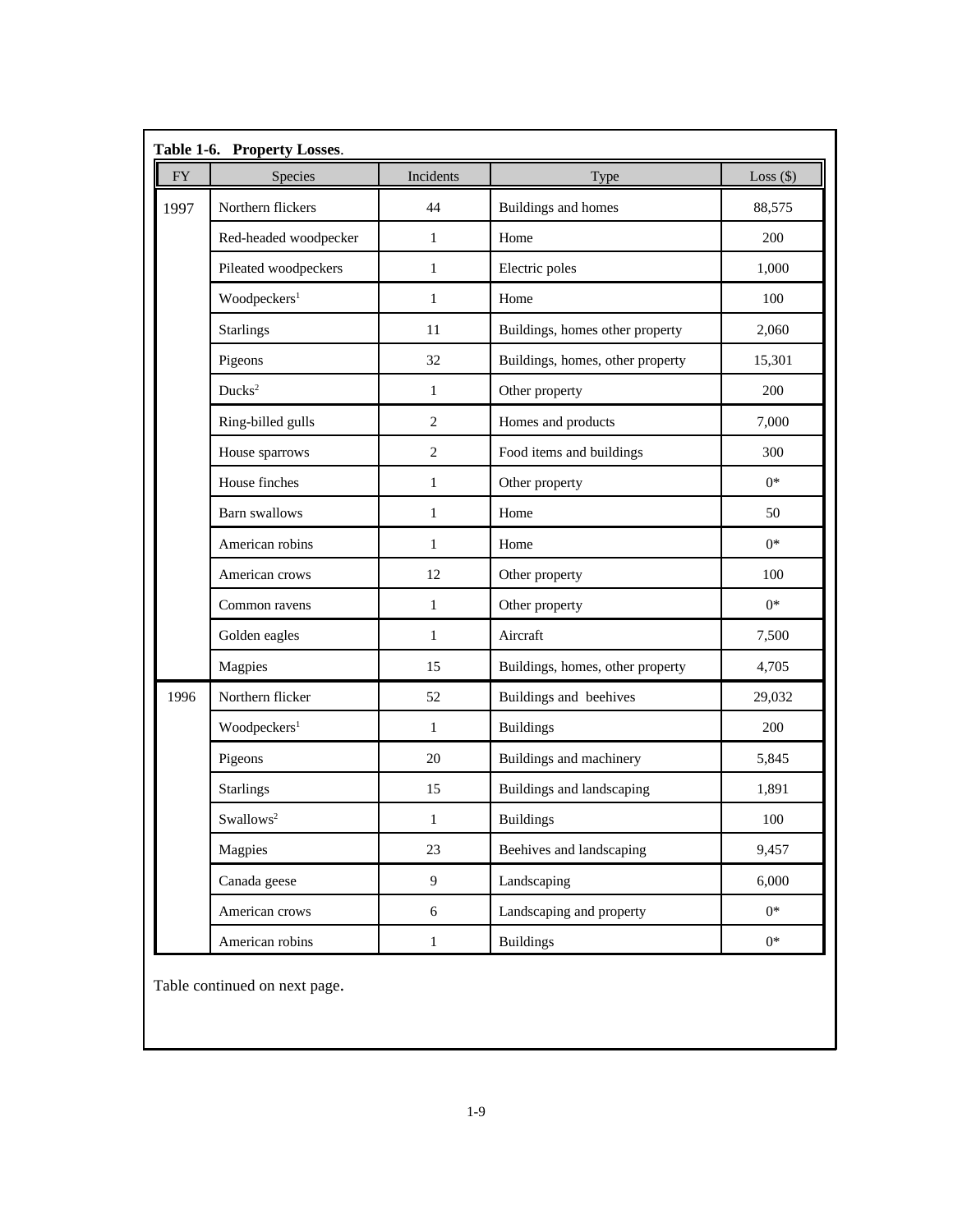| ${\rm FY}$ | Species                  | Incidents      | Type                             | Loss $(\$)$ |
|------------|--------------------------|----------------|----------------------------------|-------------|
| 1997       | Northern flickers        | 44             | Buildings and homes              | 88,575      |
|            | Red-headed woodpecker    | 1              | Home                             | 200         |
|            | Pileated woodpeckers     | $\mathbf{1}$   | Electric poles                   | 1,000       |
|            | Woodpeckers <sup>1</sup> | 1              | Home                             | 100         |
|            | <b>Starlings</b>         | 11             | Buildings, homes other property  | 2,060       |
|            | Pigeons                  | 32             | Buildings, homes, other property | 15,301      |
|            | Ducks <sup>2</sup>       | $\mathbf{1}$   | Other property                   | 200         |
|            | Ring-billed gulls        | $\mathfrak{2}$ | Homes and products               | 7,000       |
|            | House sparrows           | $\mathfrak{2}$ | Food items and buildings         | 300         |
|            | House finches            | $\mathbf{1}$   | Other property                   | $0*$        |
|            | Barn swallows            | 1              | Home                             | 50          |
|            | American robins          | $\mathbf{1}$   | Home                             | $0*$        |
|            | American crows           | 12             | Other property                   | 100         |
|            | Common ravens            | 1              | Other property                   | $0*$        |
|            | Golden eagles            | $\mathbf{1}$   | Aircraft                         | 7,500       |
|            | Magpies                  | 15             | Buildings, homes, other property | 4,705       |
| 1996       | Northern flicker         | 52             | Buildings and beehives           | 29,032      |
|            | Woodpeckers <sup>1</sup> | $\mathbf{1}$   | <b>Buildings</b>                 | 200         |
|            | Pigeons                  | 20             | Buildings and machinery          | 5,845       |
|            | <b>Starlings</b>         | 15             | Buildings and landscaping        | 1,891       |
|            | Swallows <sup>2</sup>    | 1              | <b>Buildings</b>                 | 100         |
|            | Magpies                  | 23             | Beehives and landscaping         | 9,457       |
|            | Canada geese             | 9              | Landscaping                      | 6,000       |
|            | American crows           | $\sqrt{6}$     | Landscaping and property         | $0*$        |
|            | American robins          | $\mathbf{1}$   | <b>Buildings</b>                 | $0*$        |

Table continued on next page.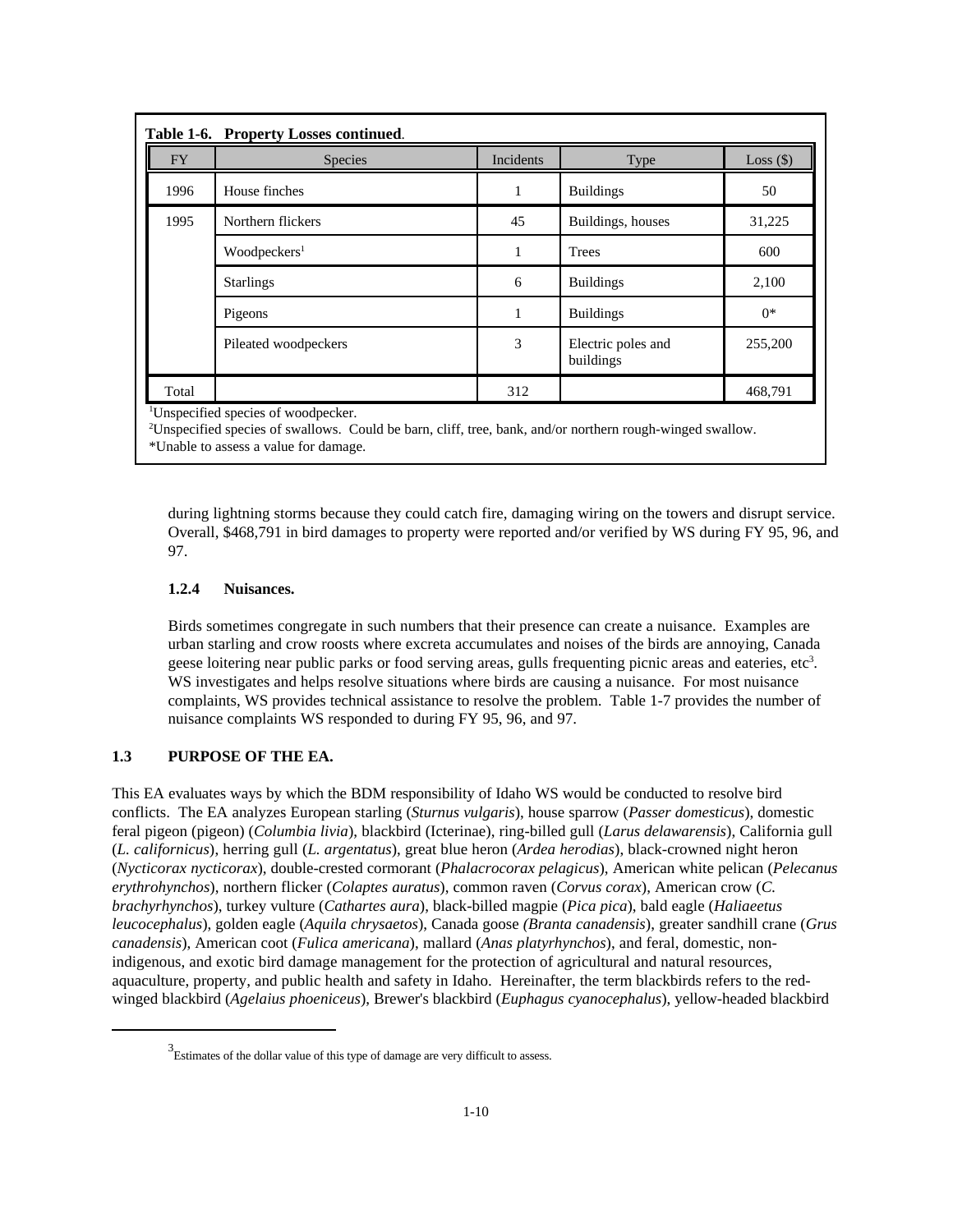|           | Table 1-6. Property Losses continued. |                  |                                 |             |  |  |
|-----------|---------------------------------------|------------------|---------------------------------|-------------|--|--|
| <b>FY</b> | Species                               | <b>Incidents</b> | Type                            | Loss $(\$)$ |  |  |
| 1996      | House finches                         | 1                | <b>Buildings</b>                | 50          |  |  |
| 1995      | Northern flickers                     | 45               | Buildings, houses               | 31,225      |  |  |
|           | Woodpeckers <sup>1</sup>              | 1                | <b>Trees</b>                    | 600         |  |  |
|           | <b>Starlings</b>                      | 6                | <b>Buildings</b>                | 2,100       |  |  |
|           | Pigeons                               |                  | <b>Buildings</b>                | $0*$        |  |  |
|           | Pileated woodpeckers                  | 3                | Electric poles and<br>buildings | 255,200     |  |  |
| Total     |                                       | 312              |                                 | 468,791     |  |  |

<sup>1</sup>Unspecified species of woodpecker.

<sup>2</sup>Unspecified species of swallows. Could be barn, cliff, tree, bank, and/or northern rough-winged swallow.

\*Unable to assess a value for damage.

during lightning storms because they could catch fire, damaging wiring on the towers and disrupt service. Overall, \$468,791 in bird damages to property were reported and/or verified by WS during FY 95, 96, and 97.

## **1.2.4 Nuisances.**

Birds sometimes congregate in such numbers that their presence can create a nuisance. Examples are urban starling and crow roosts where excreta accumulates and noises of the birds are annoying, Canada geese loitering near public parks or food serving areas, gulls frequenting picnic areas and eateries, etc<sup>3</sup>. WS investigates and helps resolve situations where birds are causing a nuisance. For most nuisance complaints, WS provides technical assistance to resolve the problem. Table 1-7 provides the number of nuisance complaints WS responded to during FY 95, 96, and 97.

## **1.3 PURPOSE OF THE EA.**

This EA evaluates ways by which the BDM responsibility of Idaho WS would be conducted to resolve bird conflicts. The EA analyzes European starling (*Sturnus vulgaris*), house sparrow (*Passer domesticus*), domestic feral pigeon (pigeon) (*Columbia livia*), blackbird (Icterinae), ring-billed gull (*Larus delawarensis*), California gull (*L. californicus*), herring gull (*L. argentatus*), great blue heron (*Ardea herodias*), black-crowned night heron (*Nycticorax nycticorax*), double-crested cormorant (*Phalacrocorax pelagicus*), American white pelican (*Pelecanus erythrohynchos*), northern flicker (*Colaptes auratus*), common raven (*Corvus corax*), American crow (*C. brachyrhynchos*), turkey vulture (*Cathartes aura*), black-billed magpie (*Pica pica*), bald eagle (*Haliaeetus leucocephalus*), golden eagle (*Aquila chrysaetos*), Canada goose *(Branta canadensis*), greater sandhill crane (*Grus canadensis*), American coot (*Fulica americana*), mallard (*Anas platyrhynchos*), and feral, domestic, nonindigenous, and exotic bird damage management for the protection of agricultural and natural resources, aquaculture, property, and public health and safety in Idaho. Hereinafter, the term blackbirds refers to the redwinged blackbird (*Agelaius phoeniceus*), Brewer's blackbird (*Euphagus cyanocephalus*), yellow-headed blackbird

 $3$  Estimates of the dollar value of this type of damage are very difficult to assess.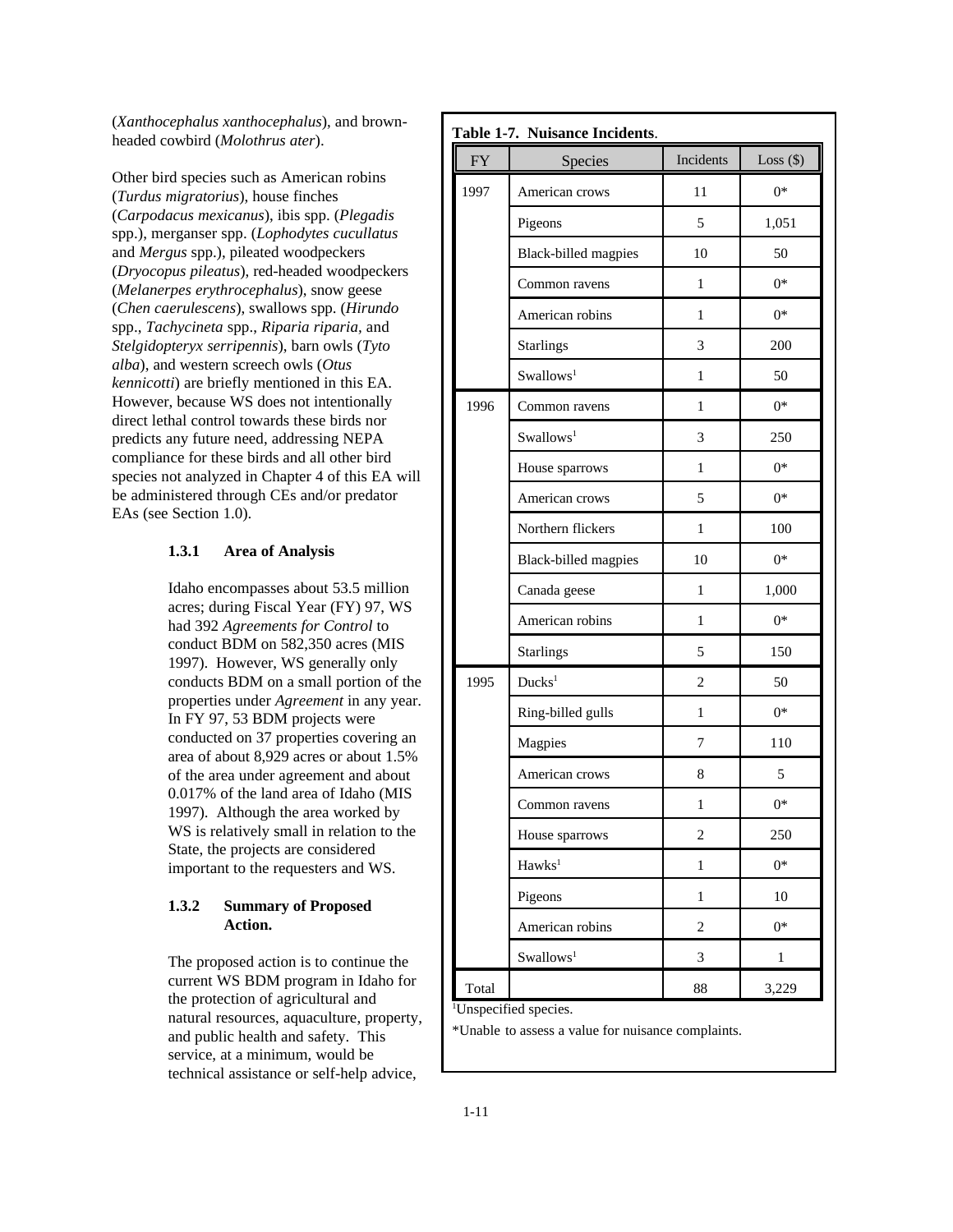(*Xanthocephalus xanthocephalus*), and brownheaded cowbird (*Molothrus ater*).

Other bird species such as American robins (*Turdus migratorius*), house finches (*Carpodacus mexicanus*), ibis spp. (*Plegadis* spp.), merganser spp. (*Lophodytes cucullatus* and *Mergus* spp.), pileated woodpeckers (*Dryocopus pileatus*), red-headed woodpeckers (*Melanerpes erythrocephalus*), snow geese (*Chen caerulescens*), swallows spp. (*Hirundo* spp., *Tachycineta* spp., *Riparia riparia,* and *Stelgidopteryx serripennis*), barn owls (*Tyto alba*), and western screech owls (*Otus kennicotti*) are briefly mentioned in this EA. However, because WS does not intentionally direct lethal control towards these birds nor predicts any future need, addressing NEPA compliance for these birds and all other bird species not analyzed in Chapter 4 of this EA will be administered through CEs and/or predator EAs (see Section 1.0).

### **1.3.1 Area of Analysis**

Idaho encompasses about 53.5 million acres; during Fiscal Year (FY) 97, WS had 392 *Agreements for Control* to conduct BDM on 582,350 acres (MIS 1997). However, WS generally only conducts BDM on a small portion of the properties under *Agreement* in any year. In FY 97, 53 BDM projects were conducted on 37 properties covering an area of about 8,929 acres or about 1.5% of the area under agreement and about 0.017% of the land area of Idaho (MIS 1997). Although the area worked by WS is relatively small in relation to the State, the projects are considered important to the requesters and WS.

## **1.3.2 Summary of Proposed Action.**

The proposed action is to continue the current WS BDM program in Idaho for the protection of agricultural and natural resources, aquaculture, property, and public health and safety. This service, at a minimum, would be technical assistance or self-help advice,

| Table 1-7. Nuisance Incidents. |                             |                             |              |  |  |
|--------------------------------|-----------------------------|-----------------------------|--------------|--|--|
| <b>FY</b>                      | Species                     | Incidents                   | Loss $(\$)$  |  |  |
| 1997                           | American crows              | 11                          | $0*$         |  |  |
|                                | Pigeons                     | 5                           | 1,051        |  |  |
|                                | <b>Black-billed magpies</b> | 10                          | 50           |  |  |
|                                | Common ravens               | 1                           | $0*$         |  |  |
|                                | American robins             | 1                           | $0^*$        |  |  |
|                                | <b>Starlings</b>            | 3                           | 200          |  |  |
|                                | Swallows <sup>1</sup>       | 1                           | 50           |  |  |
| 1996                           | Common ravens               | 1                           | $0^*$        |  |  |
|                                | Swallows <sup>1</sup>       | 3                           | 250          |  |  |
|                                | House sparrows              | 1                           | $0^*$        |  |  |
|                                | American crows              | 5                           | $0*$         |  |  |
|                                | Northern flickers           | 1                           | 100          |  |  |
|                                | Black-billed magpies        | 10                          | $0*$         |  |  |
|                                | Canada geese                | 1                           | 1,000        |  |  |
|                                | American robins             | 1                           | $0*$         |  |  |
|                                | <b>Starlings</b>            | 5                           | 150          |  |  |
| 1995                           | Ducks <sup>1</sup>          | 2                           | 50           |  |  |
|                                | Ring-billed gulls           | 1                           | $0^*$        |  |  |
|                                | Magpies                     | 7                           | 110          |  |  |
|                                | American crows              | 8                           | 5            |  |  |
|                                | Common ravens               | $\mathbf{1}$                | $0*$         |  |  |
|                                | House sparrows              | $\overline{c}$              | 250          |  |  |
|                                | Hawks <sup>1</sup>          | $\,1$                       | $0*$         |  |  |
|                                | Pigeons                     | $\mathbf{1}$                | 10           |  |  |
|                                | American robins             | $\overline{c}$              | $0*$         |  |  |
|                                | Swallows <sup>1</sup>       | $\ensuremath{\mathfrak{Z}}$ | $\mathbf{1}$ |  |  |
| Total                          |                             | 88                          | 3,229        |  |  |

\*Unable to assess a value for nuisance complaints.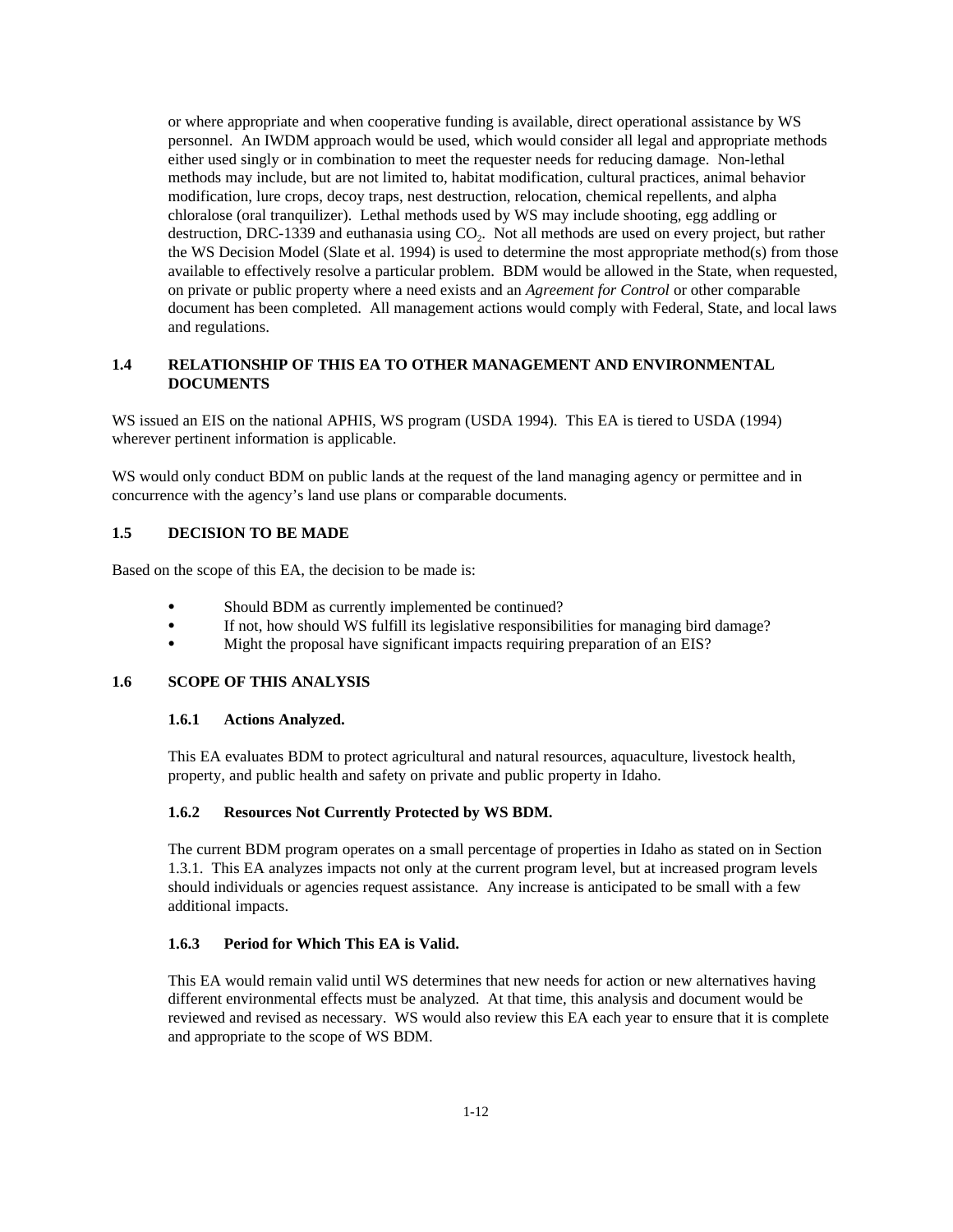or where appropriate and when cooperative funding is available, direct operational assistance by WS personnel. An IWDM approach would be used, which would consider all legal and appropriate methods either used singly or in combination to meet the requester needs for reducing damage. Non-lethal methods may include, but are not limited to, habitat modification, cultural practices, animal behavior modification, lure crops, decoy traps, nest destruction, relocation, chemical repellents, and alpha chloralose (oral tranquilizer). Lethal methods used by WS may include shooting, egg addling or destruction, DRC-1339 and euthanasia using  $CO<sub>2</sub>$ . Not all methods are used on every project, but rather the WS Decision Model (Slate et al. 1994) is used to determine the most appropriate method(s) from those available to effectively resolve a particular problem. BDM would be allowed in the State, when requested, on private or public property where a need exists and an *Agreement for Control* or other comparable document has been completed. All management actions would comply with Federal, State, and local laws and regulations.

## **1.4 RELATIONSHIP OF THIS EA TO OTHER MANAGEMENT AND ENVIRONMENTAL DOCUMENTS**

WS issued an EIS on the national APHIS, WS program (USDA 1994). This EA is tiered to USDA (1994) wherever pertinent information is applicable.

WS would only conduct BDM on public lands at the request of the land managing agency or permittee and in concurrence with the agency's land use plans or comparable documents.

## **1.5 DECISION TO BE MADE**

Based on the scope of this EA, the decision to be made is:

- Should BDM as currently implemented be continued?
- C If not, how should WS fulfill its legislative responsibilities for managing bird damage?
- Might the proposal have significant impacts requiring preparation of an EIS?

#### **1.6 SCOPE OF THIS ANALYSIS**

#### **1.6.1 Actions Analyzed.**

This EA evaluates BDM to protect agricultural and natural resources, aquaculture, livestock health, property, and public health and safety on private and public property in Idaho.

## **1.6.2 Resources Not Currently Protected by WS BDM.**

The current BDM program operates on a small percentage of properties in Idaho as stated on in Section 1.3.1. This EA analyzes impacts not only at the current program level, but at increased program levels should individuals or agencies request assistance. Any increase is anticipated to be small with a few additional impacts.

## **1.6.3 Period for Which This EA is Valid.**

This EA would remain valid until WS determines that new needs for action or new alternatives having different environmental effects must be analyzed. At that time, this analysis and document would be reviewed and revised as necessary. WS would also review this EA each year to ensure that it is complete and appropriate to the scope of WS BDM.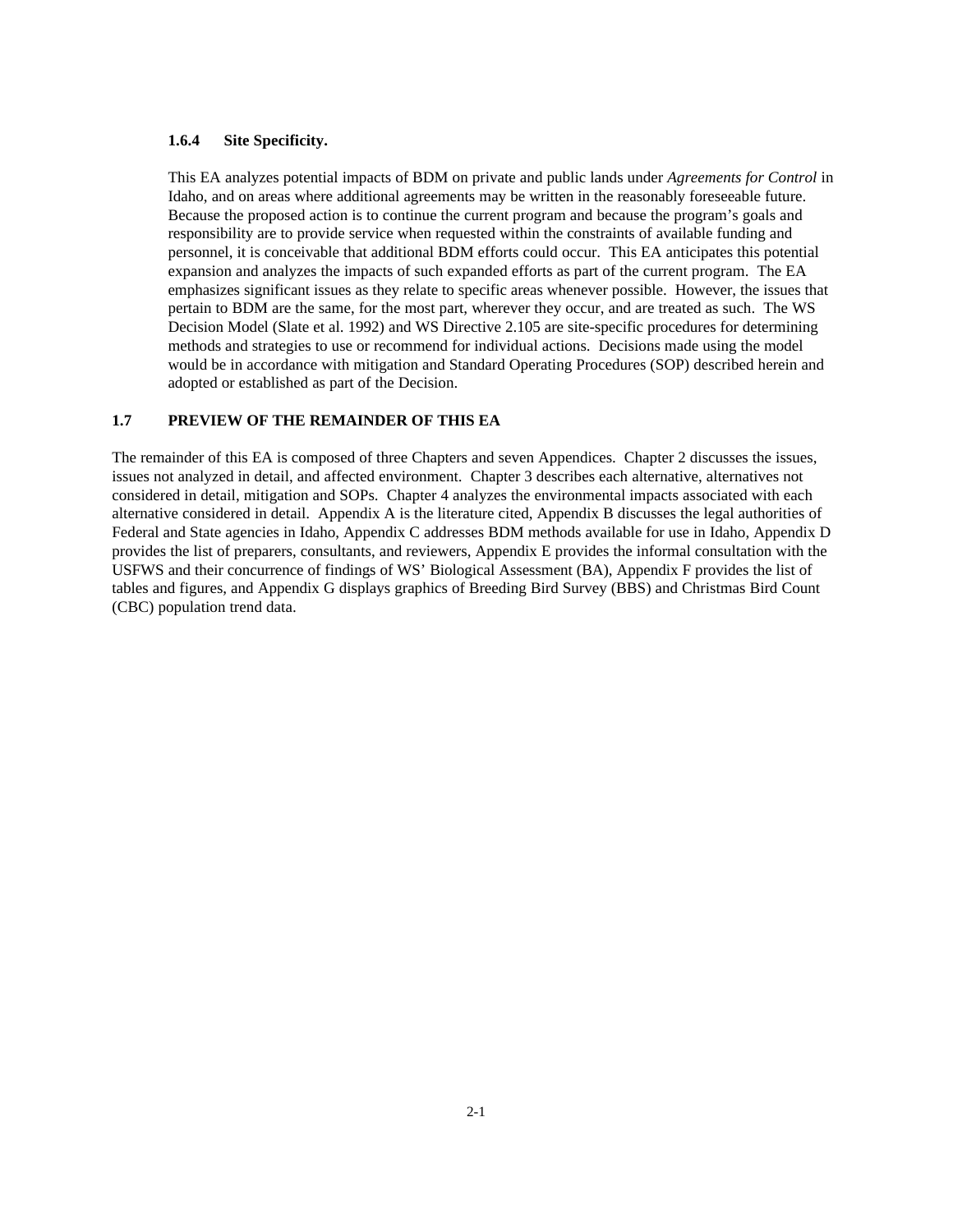## **1.6.4 Site Specificity.**

This EA analyzes potential impacts of BDM on private and public lands under *Agreements for Control* in Idaho, and on areas where additional agreements may be written in the reasonably foreseeable future. Because the proposed action is to continue the current program and because the program's goals and responsibility are to provide service when requested within the constraints of available funding and personnel, it is conceivable that additional BDM efforts could occur. This EA anticipates this potential expansion and analyzes the impacts of such expanded efforts as part of the current program. The EA emphasizes significant issues as they relate to specific areas whenever possible. However, the issues that pertain to BDM are the same, for the most part, wherever they occur, and are treated as such. The WS Decision Model (Slate et al. 1992) and WS Directive 2.105 are site-specific procedures for determining methods and strategies to use or recommend for individual actions. Decisions made using the model would be in accordance with mitigation and Standard Operating Procedures (SOP) described herein and adopted or established as part of the Decision.

## **1.7 PREVIEW OF THE REMAINDER OF THIS EA**

The remainder of this EA is composed of three Chapters and seven Appendices. Chapter 2 discusses the issues, issues not analyzed in detail, and affected environment. Chapter 3 describes each alternative, alternatives not considered in detail, mitigation and SOPs. Chapter 4 analyzes the environmental impacts associated with each alternative considered in detail. Appendix A is the literature cited, Appendix B discusses the legal authorities of Federal and State agencies in Idaho, Appendix C addresses BDM methods available for use in Idaho, Appendix D provides the list of preparers, consultants, and reviewers, Appendix E provides the informal consultation with the USFWS and their concurrence of findings of WS' Biological Assessment (BA), Appendix F provides the list of tables and figures, and Appendix G displays graphics of Breeding Bird Survey (BBS) and Christmas Bird Count (CBC) population trend data.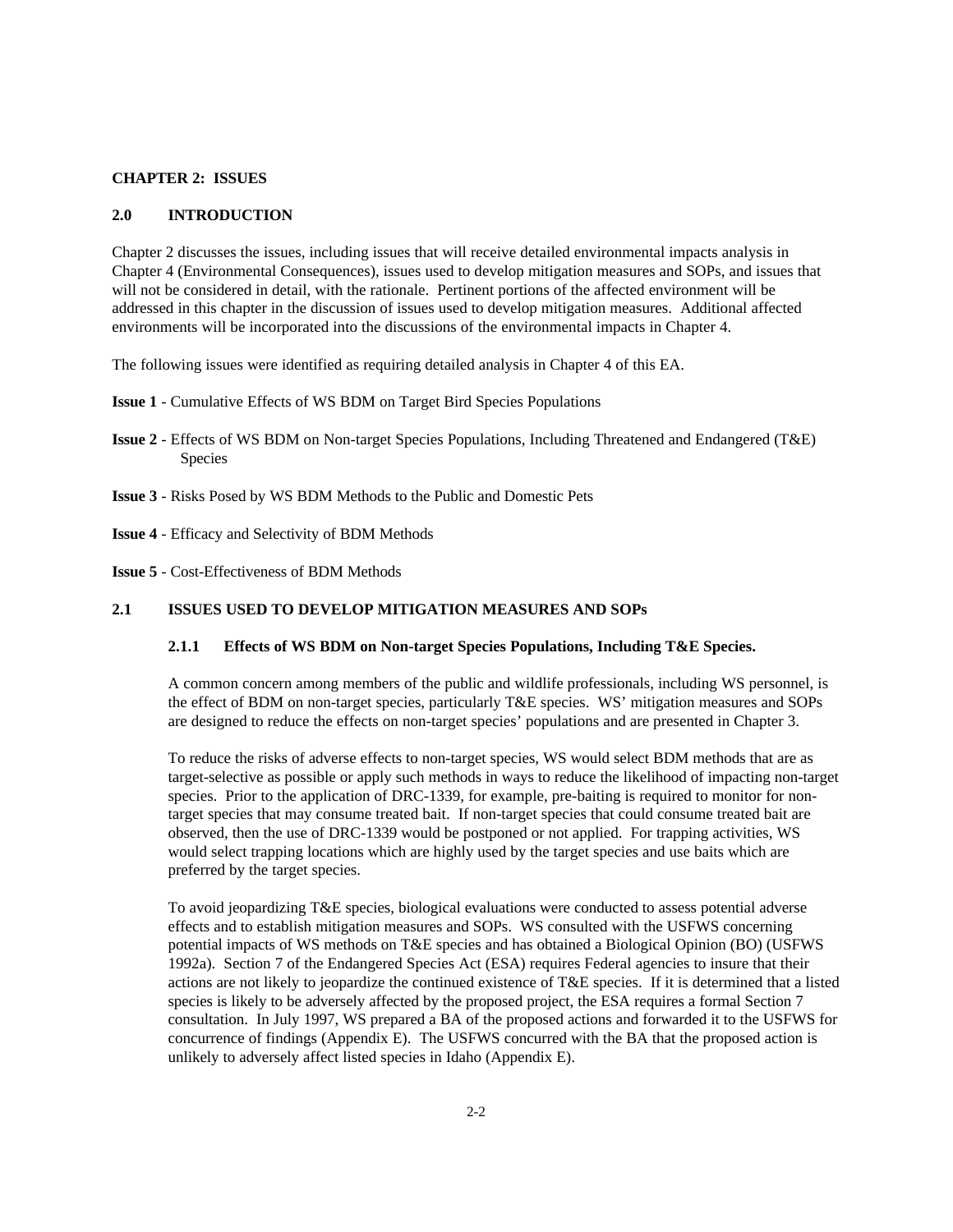#### **CHAPTER 2: ISSUES**

## **2.0 INTRODUCTION**

Chapter 2 discusses the issues, including issues that will receive detailed environmental impacts analysis in Chapter 4 (Environmental Consequences), issues used to develop mitigation measures and SOPs, and issues that will not be considered in detail, with the rationale. Pertinent portions of the affected environment will be addressed in this chapter in the discussion of issues used to develop mitigation measures. Additional affected environments will be incorporated into the discussions of the environmental impacts in Chapter 4.

The following issues were identified as requiring detailed analysis in Chapter 4 of this EA.

**Issue 1** - Cumulative Effects of WS BDM on Target Bird Species Populations

- **Issue 2** Effects of WS BDM on Non-target Species Populations, Including Threatened and Endangered (T&E) Species
- **Issue 3**  Risks Posed by WS BDM Methods to the Public and Domestic Pets
- **Issue 4** Efficacy and Selectivity of BDM Methods

**Issue 5** - Cost-Effectiveness of BDM Methods

## **2.1 ISSUES USED TO DEVELOP MITIGATION MEASURES AND SOPs**

#### **2.1.1 Effects of WS BDM on Non-target Species Populations, Including T&E Species.**

A common concern among members of the public and wildlife professionals, including WS personnel, is the effect of BDM on non-target species, particularly T&E species. WS' mitigation measures and SOPs are designed to reduce the effects on non-target species' populations and are presented in Chapter 3.

To reduce the risks of adverse effects to non-target species, WS would select BDM methods that are as target-selective as possible or apply such methods in ways to reduce the likelihood of impacting non-target species. Prior to the application of DRC-1339, for example, pre-baiting is required to monitor for nontarget species that may consume treated bait. If non-target species that could consume treated bait are observed, then the use of DRC-1339 would be postponed or not applied. For trapping activities, WS would select trapping locations which are highly used by the target species and use baits which are preferred by the target species.

To avoid jeopardizing T&E species, biological evaluations were conducted to assess potential adverse effects and to establish mitigation measures and SOPs. WS consulted with the USFWS concerning potential impacts of WS methods on T&E species and has obtained a Biological Opinion (BO) (USFWS 1992a). Section 7 of the Endangered Species Act (ESA) requires Federal agencies to insure that their actions are not likely to jeopardize the continued existence of T&E species. If it is determined that a listed species is likely to be adversely affected by the proposed project, the ESA requires a formal Section 7 consultation. In July 1997, WS prepared a BA of the proposed actions and forwarded it to the USFWS for concurrence of findings (Appendix E). The USFWS concurred with the BA that the proposed action is unlikely to adversely affect listed species in Idaho (Appendix E).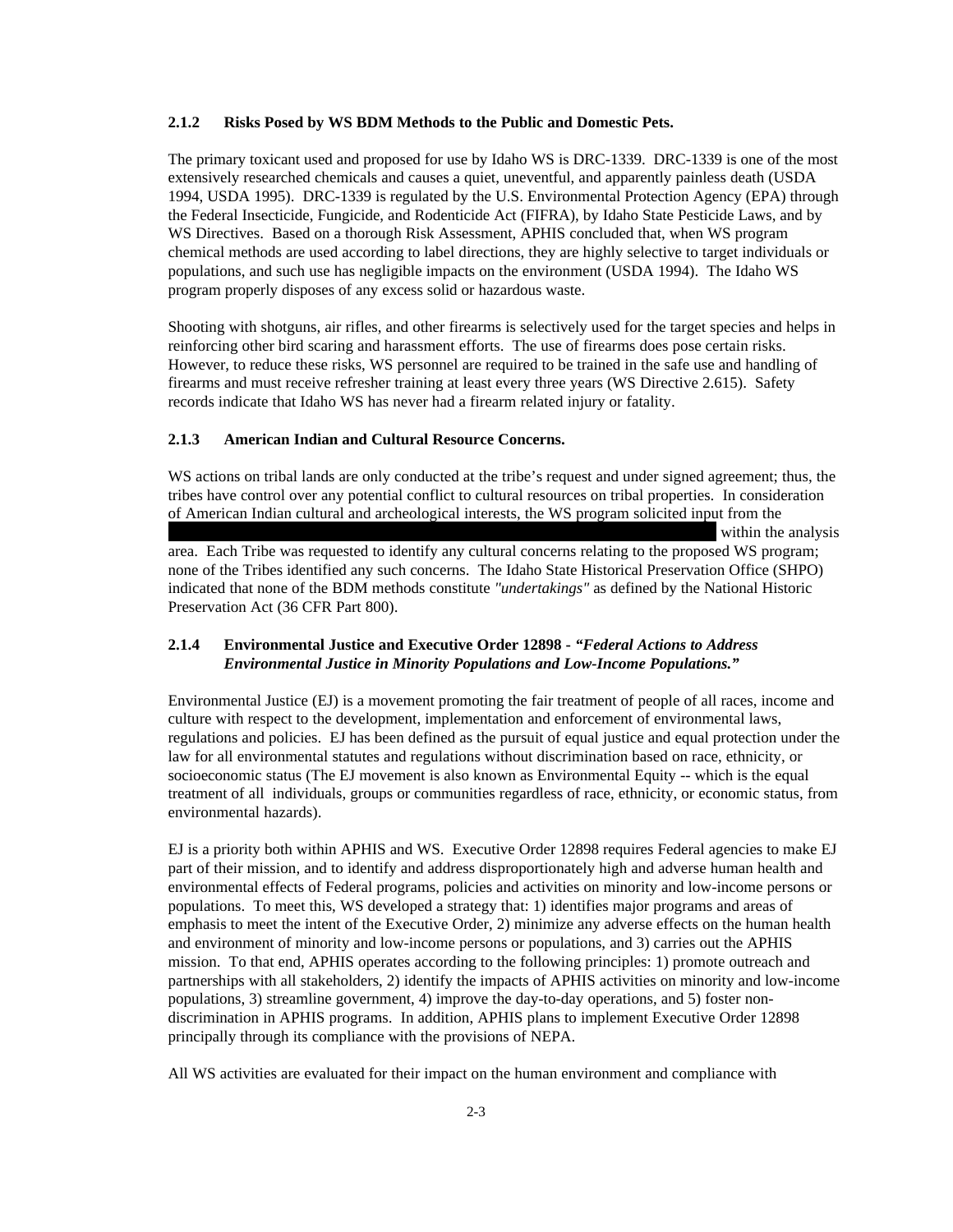#### **2.1.2 Risks Posed by WS BDM Methods to the Public and Domestic Pets.**

The primary toxicant used and proposed for use by Idaho WS is DRC-1339. DRC-1339 is one of the most extensively researched chemicals and causes a quiet, uneventful, and apparently painless death (USDA 1994, USDA 1995). DRC-1339 is regulated by the U.S. Environmental Protection Agency (EPA) through the Federal Insecticide, Fungicide, and Rodenticide Act (FIFRA), by Idaho State Pesticide Laws, and by WS Directives. Based on a thorough Risk Assessment, APHIS concluded that, when WS program chemical methods are used according to label directions, they are highly selective to target individuals or populations, and such use has negligible impacts on the environment (USDA 1994). The Idaho WS program properly disposes of any excess solid or hazardous waste.

Shooting with shotguns, air rifles, and other firearms is selectively used for the target species and helps in reinforcing other bird scaring and harassment efforts. The use of firearms does pose certain risks. However, to reduce these risks, WS personnel are required to be trained in the safe use and handling of firearms and must receive refresher training at least every three years (WS Directive 2.615). Safety records indicate that Idaho WS has never had a firearm related injury or fatality.

#### **2.1.3 American Indian and Cultural Resource Concerns.**

WS actions on tribal lands are only conducted at the tribe's request and under signed agreement; thus, the tribes have control over any potential conflict to cultural resources on tribal properties. In consideration of American Indian cultural and archeological interests, the WS program solicited input from the within the analysis area. Each Tribe was requested to identify any cultural concerns relating to the proposed WS program; none of the Tribes identified any such concerns. The Idaho State Historical Preservation Office (SHPO) indicated that none of the BDM methods constitute *"undertakings"* as defined by the National Historic Preservation Act (36 CFR Part 800).

## **2.1.4 Environmental Justice and Executive Order 12898 -** *"Federal Actions to Address Environmental Justice in Minority Populations and Low-Income Populations."*

Environmental Justice (EJ) is a movement promoting the fair treatment of people of all races, income and culture with respect to the development, implementation and enforcement of environmental laws, regulations and policies. EJ has been defined as the pursuit of equal justice and equal protection under the law for all environmental statutes and regulations without discrimination based on race, ethnicity, or socioeconomic status (The EJ movement is also known as Environmental Equity -- which is the equal treatment of all individuals, groups or communities regardless of race, ethnicity, or economic status, from environmental hazards).

EJ is a priority both within APHIS and WS. Executive Order 12898 requires Federal agencies to make EJ part of their mission, and to identify and address disproportionately high and adverse human health and environmental effects of Federal programs, policies and activities on minority and low-income persons or populations. To meet this, WS developed a strategy that: 1) identifies major programs and areas of emphasis to meet the intent of the Executive Order, 2) minimize any adverse effects on the human health and environment of minority and low-income persons or populations, and 3) carries out the APHIS mission. To that end, APHIS operates according to the following principles: 1) promote outreach and partnerships with all stakeholders, 2) identify the impacts of APHIS activities on minority and low-income populations, 3) streamline government, 4) improve the day-to-day operations, and 5) foster nondiscrimination in APHIS programs. In addition, APHIS plans to implement Executive Order 12898 principally through its compliance with the provisions of NEPA.

All WS activities are evaluated for their impact on the human environment and compliance with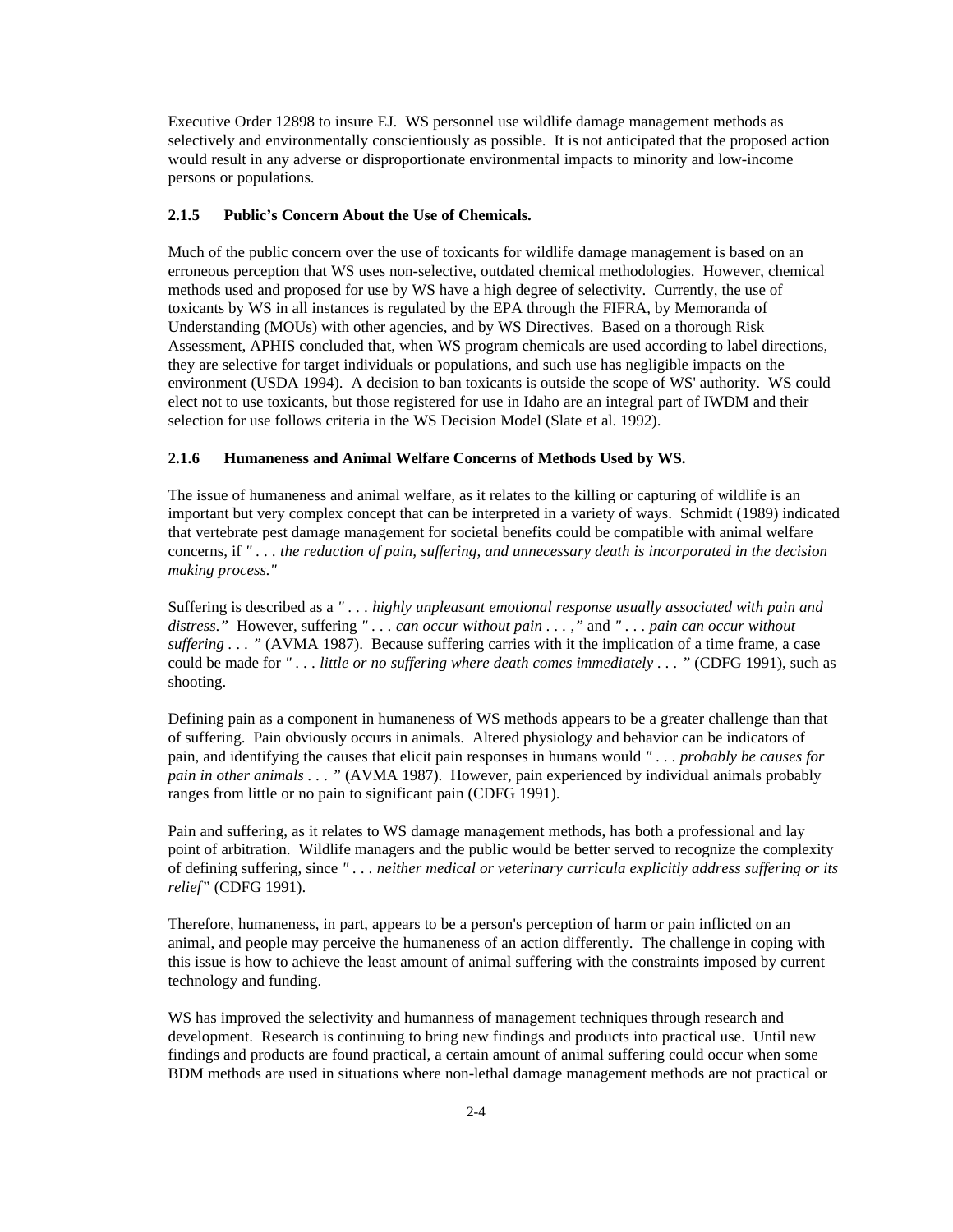Executive Order 12898 to insure EJ. WS personnel use wildlife damage management methods as selectively and environmentally conscientiously as possible. It is not anticipated that the proposed action would result in any adverse or disproportionate environmental impacts to minority and low-income persons or populations.

## **2.1.5 Public's Concern About the Use of Chemicals.**

Much of the public concern over the use of toxicants for wildlife damage management is based on an erroneous perception that WS uses non-selective, outdated chemical methodologies. However, chemical methods used and proposed for use by WS have a high degree of selectivity. Currently, the use of toxicants by WS in all instances is regulated by the EPA through the FIFRA, by Memoranda of Understanding (MOUs) with other agencies, and by WS Directives. Based on a thorough Risk Assessment, APHIS concluded that, when WS program chemicals are used according to label directions, they are selective for target individuals or populations, and such use has negligible impacts on the environment (USDA 1994). A decision to ban toxicants is outside the scope of WS' authority. WS could elect not to use toxicants, but those registered for use in Idaho are an integral part of IWDM and their selection for use follows criteria in the WS Decision Model (Slate et al. 1992).

#### **2.1.6 Humaneness and Animal Welfare Concerns of Methods Used by WS.**

The issue of humaneness and animal welfare, as it relates to the killing or capturing of wildlife is an important but very complex concept that can be interpreted in a variety of ways. Schmidt (1989) indicated that vertebrate pest damage management for societal benefits could be compatible with animal welfare concerns, if *" . . . the reduction of pain, suffering, and unnecessary death is incorporated in the decision making process."*

Suffering is described as a *" . . . highly unpleasant emotional response usually associated with pain and distress*.*"* However, suffering *" . . . can occur without pain . . .* ,*"* and *" . . . pain can occur without suffering . . . "* (AVMA 1987). Because suffering carries with it the implication of a time frame, a case could be made for *" . . . little or no suffering where death comes immediately . . . "* (CDFG 1991), such as shooting.

Defining pain as a component in humaneness of WS methods appears to be a greater challenge than that of suffering. Pain obviously occurs in animals. Altered physiology and behavior can be indicators of pain, and identifying the causes that elicit pain responses in humans would *" . . . probably be causes for pain in other animals . . . "* (AVMA 1987). However, pain experienced by individual animals probably ranges from little or no pain to significant pain (CDFG 1991).

Pain and suffering, as it relates to WS damage management methods, has both a professional and lay point of arbitration. Wildlife managers and the public would be better served to recognize the complexity of defining suffering, since *" . . . neither medical or veterinary curricula explicitly address suffering or its relief"* (CDFG 1991).

Therefore, humaneness, in part, appears to be a person's perception of harm or pain inflicted on an animal, and people may perceive the humaneness of an action differently. The challenge in coping with this issue is how to achieve the least amount of animal suffering with the constraints imposed by current technology and funding.

WS has improved the selectivity and humanness of management techniques through research and development. Research is continuing to bring new findings and products into practical use. Until new findings and products are found practical, a certain amount of animal suffering could occur when some BDM methods are used in situations where non-lethal damage management methods are not practical or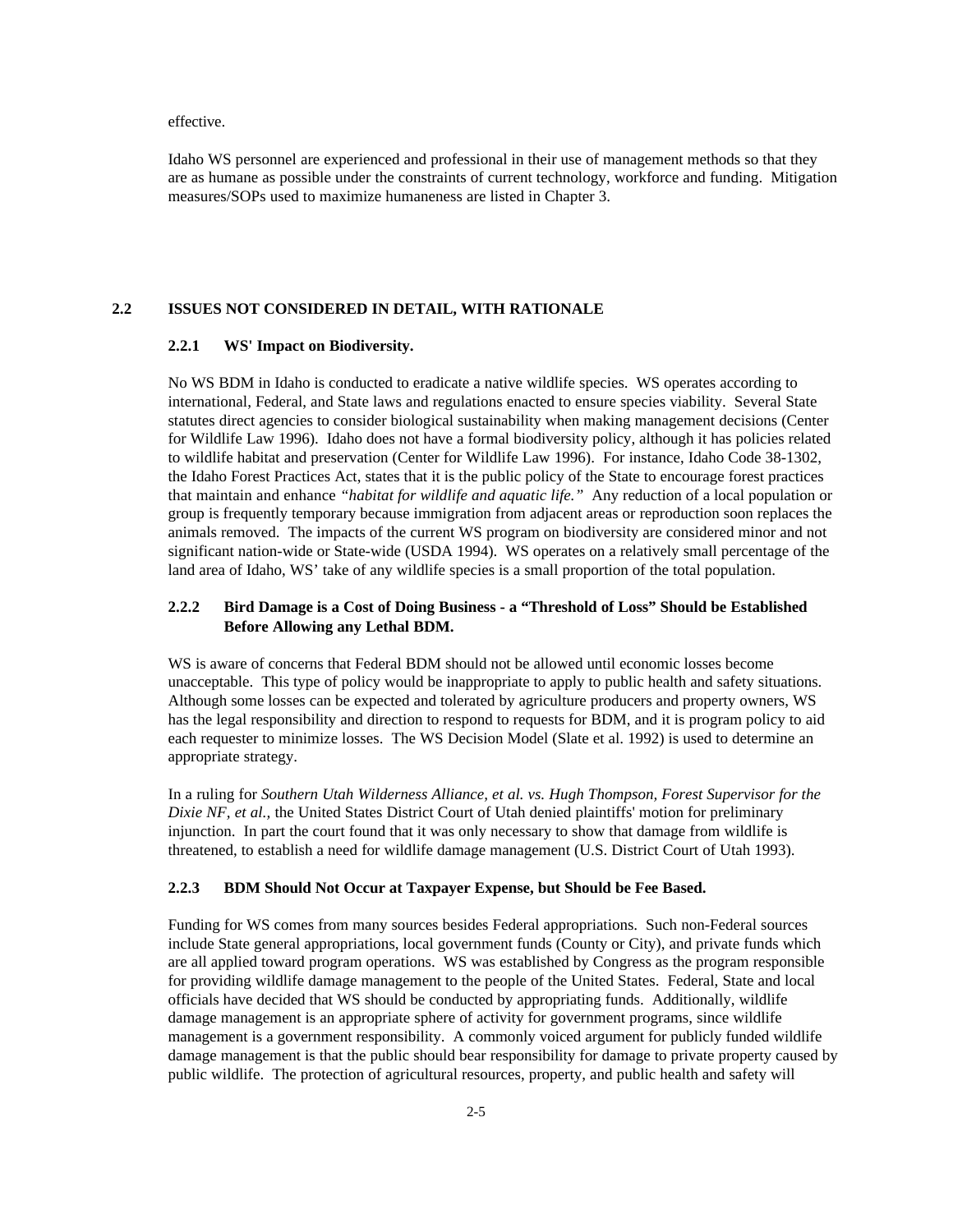effective.

Idaho WS personnel are experienced and professional in their use of management methods so that they are as humane as possible under the constraints of current technology, workforce and funding. Mitigation measures/SOPs used to maximize humaneness are listed in Chapter 3.

## **2.2 ISSUES NOT CONSIDERED IN DETAIL, WITH RATIONALE**

## **2.2.1 WS' Impact on Biodiversity.**

No WS BDM in Idaho is conducted to eradicate a native wildlife species. WS operates according to international, Federal, and State laws and regulations enacted to ensure species viability. Several State statutes direct agencies to consider biological sustainability when making management decisions (Center for Wildlife Law 1996). Idaho does not have a formal biodiversity policy, although it has policies related to wildlife habitat and preservation (Center for Wildlife Law 1996). For instance, Idaho Code 38-1302, the Idaho Forest Practices Act, states that it is the public policy of the State to encourage forest practices that maintain and enhance *"habitat for wildlife and aquatic life."* Any reduction of a local population or group is frequently temporary because immigration from adjacent areas or reproduction soon replaces the animals removed. The impacts of the current WS program on biodiversity are considered minor and not significant nation-wide or State-wide (USDA 1994). WS operates on a relatively small percentage of the land area of Idaho, WS' take of any wildlife species is a small proportion of the total population.

## **2.2.2 Bird Damage is a Cost of Doing Business - a "Threshold of Loss" Should be Established Before Allowing any Lethal BDM.**

WS is aware of concerns that Federal BDM should not be allowed until economic losses become unacceptable. This type of policy would be inappropriate to apply to public health and safety situations. Although some losses can be expected and tolerated by agriculture producers and property owners, WS has the legal responsibility and direction to respond to requests for BDM, and it is program policy to aid each requester to minimize losses. The WS Decision Model (Slate et al. 1992) is used to determine an appropriate strategy.

In a ruling for *Southern Utah Wilderness Alliance, et al. vs. Hugh Thompson, Forest Supervisor for the Dixie NF, et al.,* the United States District Court of Utah denied plaintiffs' motion for preliminary injunction. In part the court found that it was only necessary to show that damage from wildlife is threatened, to establish a need for wildlife damage management (U.S. District Court of Utah 1993).

#### **2.2.3 BDM Should Not Occur at Taxpayer Expense, but Should be Fee Based.**

Funding for WS comes from many sources besides Federal appropriations. Such non-Federal sources include State general appropriations, local government funds (County or City), and private funds which are all applied toward program operations. WS was established by Congress as the program responsible for providing wildlife damage management to the people of the United States. Federal, State and local officials have decided that WS should be conducted by appropriating funds. Additionally, wildlife damage management is an appropriate sphere of activity for government programs, since wildlife management is a government responsibility. A commonly voiced argument for publicly funded wildlife damage management is that the public should bear responsibility for damage to private property caused by public wildlife. The protection of agricultural resources, property, and public health and safety will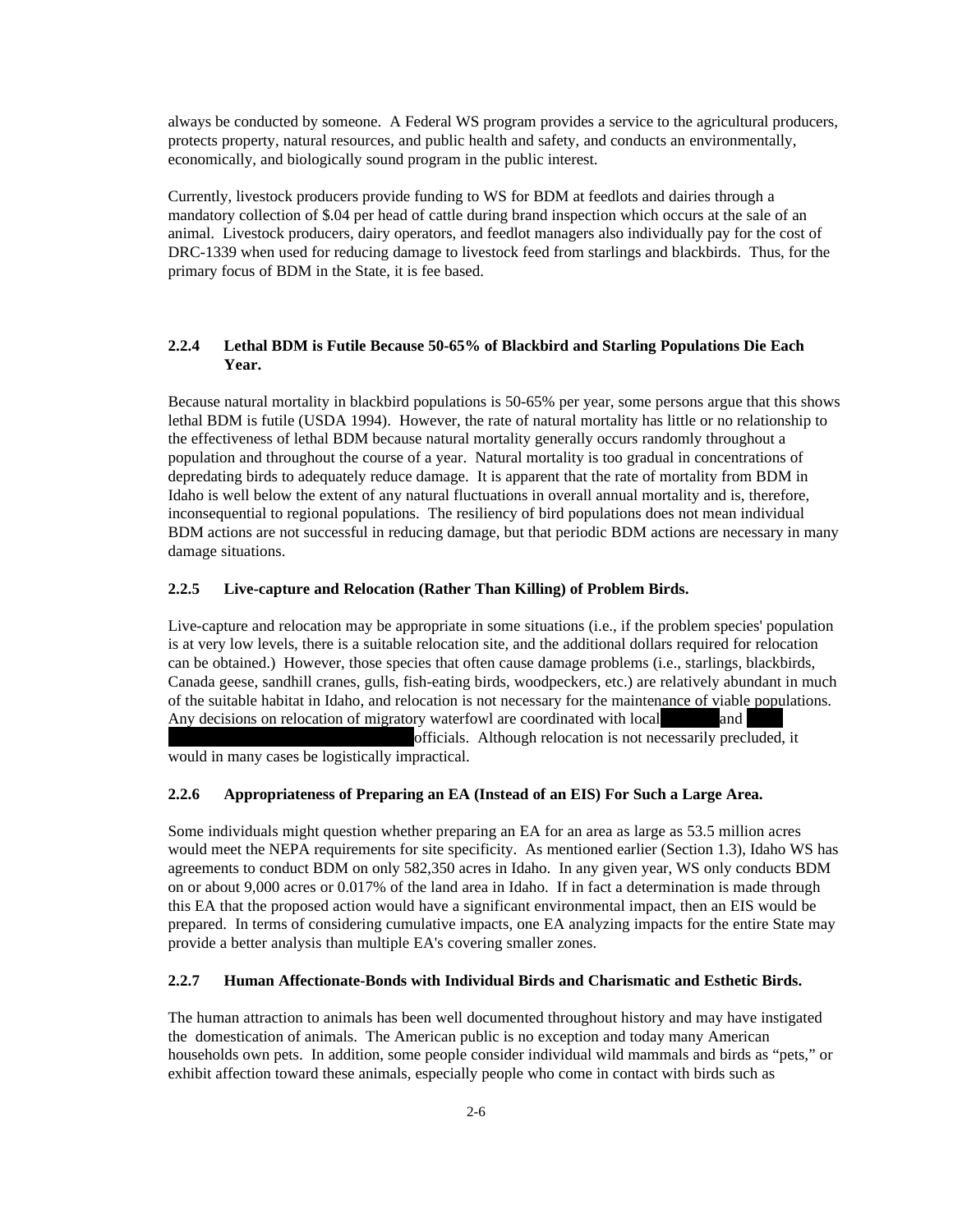always be conducted by someone. A Federal WS program provides a service to the agricultural producers, protects property, natural resources, and public health and safety, and conducts an environmentally, economically, and biologically sound program in the public interest.

Currently, livestock producers provide funding to WS for BDM at feedlots and dairies through a mandatory collection of \$.04 per head of cattle during brand inspection which occurs at the sale of an animal. Livestock producers, dairy operators, and feedlot managers also individually pay for the cost of DRC-1339 when used for reducing damage to livestock feed from starlings and blackbirds. Thus, for the primary focus of BDM in the State, it is fee based.

## **2.2.4 Lethal BDM is Futile Because 50-65% of Blackbird and Starling Populations Die Each Year.**

Because natural mortality in blackbird populations is 50-65% per year, some persons argue that this shows lethal BDM is futile (USDA 1994). However, the rate of natural mortality has little or no relationship to the effectiveness of lethal BDM because natural mortality generally occurs randomly throughout a population and throughout the course of a year. Natural mortality is too gradual in concentrations of depredating birds to adequately reduce damage. It is apparent that the rate of mortality from BDM in Idaho is well below the extent of any natural fluctuations in overall annual mortality and is, therefore, inconsequential to regional populations. The resiliency of bird populations does not mean individual BDM actions are not successful in reducing damage, but that periodic BDM actions are necessary in many damage situations.

## **2.2.5 Live-capture and Relocation (Rather Than Killing) of Problem Birds.**

Live-capture and relocation may be appropriate in some situations (i.e., if the problem species' population is at very low levels, there is a suitable relocation site, and the additional dollars required for relocation can be obtained.) However, those species that often cause damage problems (i.e., starlings, blackbirds, Canada geese, sandhill cranes, gulls, fish-eating birds, woodpeckers, etc.) are relatively abundant in much of the suitable habitat in Idaho, and relocation is not necessary for the maintenance of viable populations. Any decisions on relocation of migratory waterfowl are coordinated with local and

officials. Although relocation is not necessarily precluded, it would in many cases be logistically impractical.

## **2.2.6 Appropriateness of Preparing an EA (Instead of an EIS) For Such a Large Area.**

Some individuals might question whether preparing an EA for an area as large as 53.5 million acres would meet the NEPA requirements for site specificity. As mentioned earlier (Section 1.3), Idaho WS has agreements to conduct BDM on only 582,350 acres in Idaho. In any given year, WS only conducts BDM on or about 9,000 acres or 0.017% of the land area in Idaho. If in fact a determination is made through this EA that the proposed action would have a significant environmental impact, then an EIS would be prepared. In terms of considering cumulative impacts, one EA analyzing impacts for the entire State may provide a better analysis than multiple EA's covering smaller zones.

#### **2.2.7 Human Affectionate-Bonds with Individual Birds and Charismatic and Esthetic Birds.**

The human attraction to animals has been well documented throughout history and may have instigated the domestication of animals. The American public is no exception and today many American households own pets. In addition, some people consider individual wild mammals and birds as "pets," or exhibit affection toward these animals, especially people who come in contact with birds such as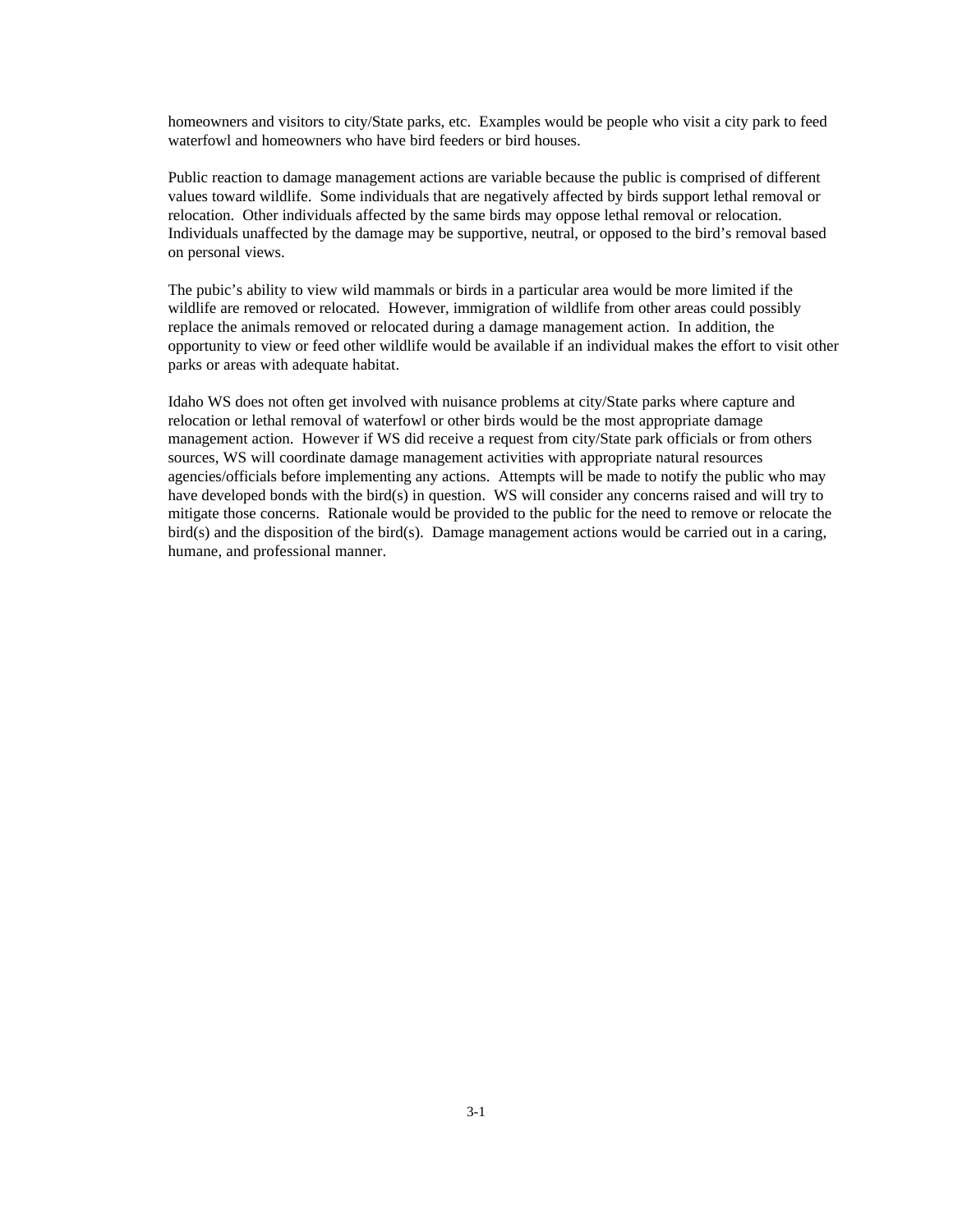homeowners and visitors to city/State parks, etc. Examples would be people who visit a city park to feed waterfowl and homeowners who have bird feeders or bird houses.

Public reaction to damage management actions are variable because the public is comprised of different values toward wildlife. Some individuals that are negatively affected by birds support lethal removal or relocation. Other individuals affected by the same birds may oppose lethal removal or relocation. Individuals unaffected by the damage may be supportive, neutral, or opposed to the bird's removal based on personal views.

The pubic's ability to view wild mammals or birds in a particular area would be more limited if the wildlife are removed or relocated. However, immigration of wildlife from other areas could possibly replace the animals removed or relocated during a damage management action. In addition, the opportunity to view or feed other wildlife would be available if an individual makes the effort to visit other parks or areas with adequate habitat.

Idaho WS does not often get involved with nuisance problems at city/State parks where capture and relocation or lethal removal of waterfowl or other birds would be the most appropriate damage management action. However if WS did receive a request from city/State park officials or from others sources, WS will coordinate damage management activities with appropriate natural resources agencies/officials before implementing any actions. Attempts will be made to notify the public who may have developed bonds with the bird(s) in question. WS will consider any concerns raised and will try to mitigate those concerns. Rationale would be provided to the public for the need to remove or relocate the bird(s) and the disposition of the bird(s). Damage management actions would be carried out in a caring, humane, and professional manner.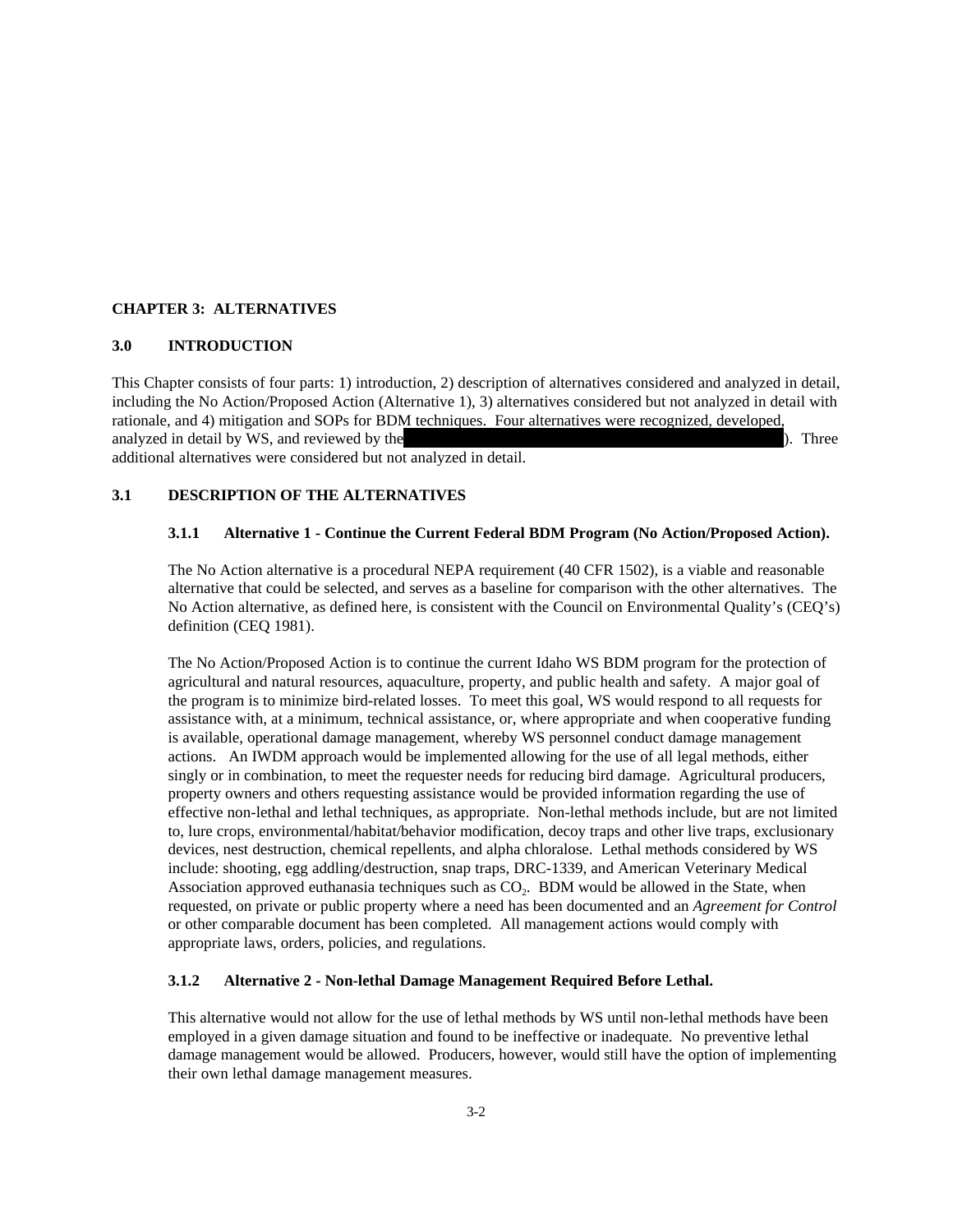## **CHAPTER 3: ALTERNATIVES**

## **3.0 INTRODUCTION**

This Chapter consists of four parts: 1) introduction, 2) description of alternatives considered and analyzed in detail, including the No Action/Proposed Action (Alternative 1), 3) alternatives considered but not analyzed in detail with rationale, and 4) mitigation and SOPs for BDM techniques. Four alternatives were recognized, developed, analyzed in detail by WS, and reviewed by the USFG, and Interviewed by the USF WS, and Interviewed by the USF WS, and Interviewed by the USF WS, and Interviewed by the USFG, and Interviewed by the USFG, and Interviewed by additional alternatives were considered but not analyzed in detail.

**3.1 DESCRIPTION OF THE ALTERNATIVES**

#### **3.1.1 Alternative 1 - Continue the Current Federal BDM Program (No Action/Proposed Action).**

The No Action alternative is a procedural NEPA requirement (40 CFR 1502), is a viable and reasonable alternative that could be selected, and serves as a baseline for comparison with the other alternatives. The No Action alternative, as defined here, is consistent with the Council on Environmental Quality's (CEQ's) definition (CEQ 1981).

The No Action/Proposed Action is to continue the current Idaho WS BDM program for the protection of agricultural and natural resources, aquaculture, property, and public health and safety. A major goal of the program is to minimize bird-related losses. To meet this goal, WS would respond to all requests for assistance with, at a minimum, technical assistance, or, where appropriate and when cooperative funding is available, operational damage management, whereby WS personnel conduct damage management actions. An IWDM approach would be implemented allowing for the use of all legal methods, either singly or in combination, to meet the requester needs for reducing bird damage. Agricultural producers, property owners and others requesting assistance would be provided information regarding the use of effective non-lethal and lethal techniques, as appropriate. Non-lethal methods include, but are not limited to, lure crops, environmental/habitat/behavior modification, decoy traps and other live traps, exclusionary devices, nest destruction, chemical repellents, and alpha chloralose. Lethal methods considered by WS include: shooting, egg addling/destruction, snap traps, DRC-1339, and American Veterinary Medical Association approved euthanasia techniques such as  $CO<sub>2</sub>$ . BDM would be allowed in the State, when requested, on private or public property where a need has been documented and an *Agreement for Control* or other comparable document has been completed. All management actions would comply with appropriate laws, orders, policies, and regulations.

#### **3.1.2 Alternative 2 - Non-lethal Damage Management Required Before Lethal.**

This alternative would not allow for the use of lethal methods by WS until non-lethal methods have been employed in a given damage situation and found to be ineffective or inadequate. No preventive lethal damage management would be allowed. Producers, however, would still have the option of implementing their own lethal damage management measures.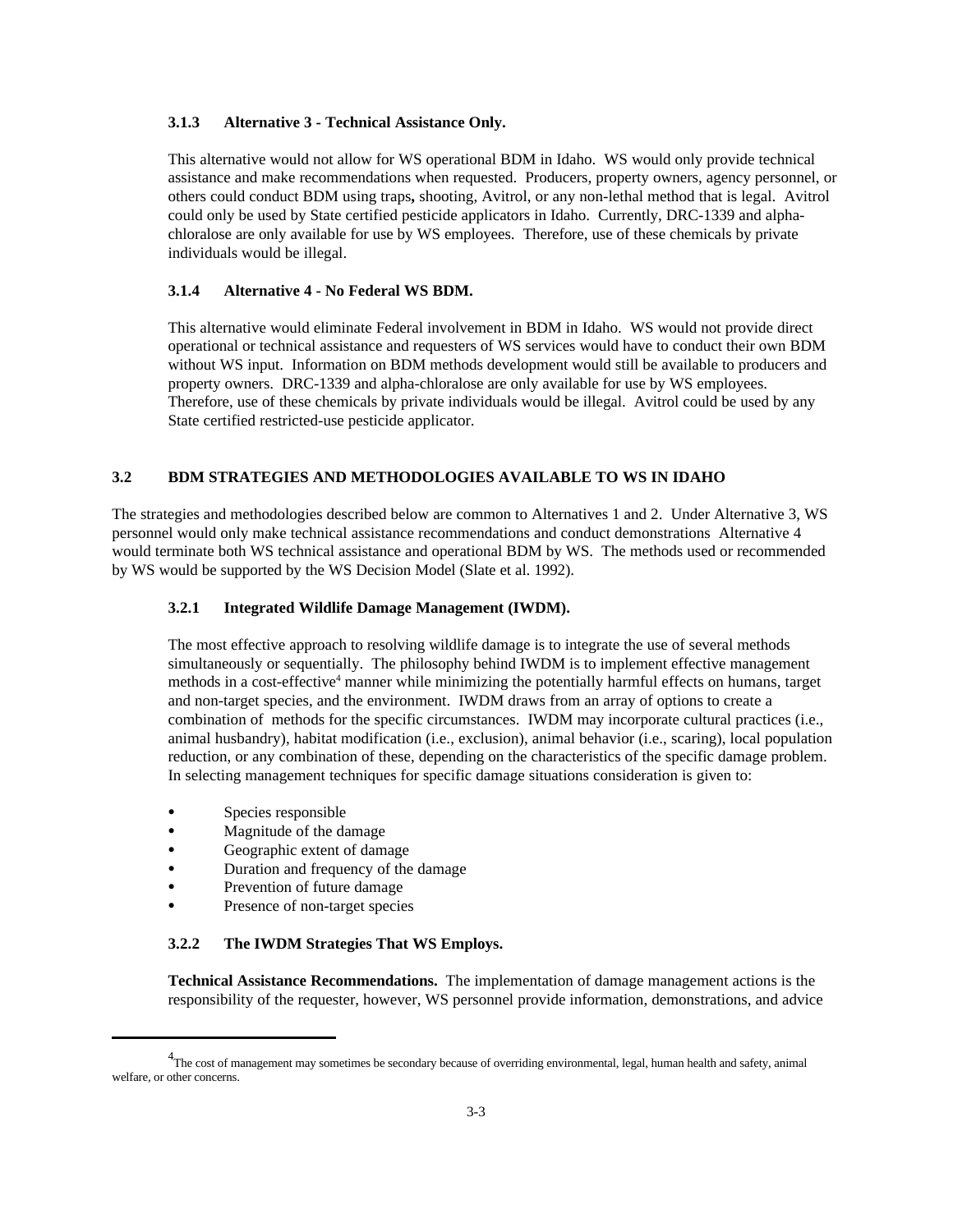#### **3.1.3 Alternative 3 - Technical Assistance Only.**

This alternative would not allow for WS operational BDM in Idaho. WS would only provide technical assistance and make recommendations when requested. Producers, property owners, agency personnel, or others could conduct BDM using traps**,** shooting, Avitrol, or any non-lethal method that is legal. Avitrol could only be used by State certified pesticide applicators in Idaho. Currently, DRC-1339 and alphachloralose are only available for use by WS employees. Therefore, use of these chemicals by private individuals would be illegal.

## **3.1.4 Alternative 4 - No Federal WS BDM.**

This alternative would eliminate Federal involvement in BDM in Idaho. WS would not provide direct operational or technical assistance and requesters of WS services would have to conduct their own BDM without WS input. Information on BDM methods development would still be available to producers and property owners. DRC-1339 and alpha-chloralose are only available for use by WS employees. Therefore, use of these chemicals by private individuals would be illegal. Avitrol could be used by any State certified restricted-use pesticide applicator.

## **3.2 BDM STRATEGIES AND METHODOLOGIES AVAILABLE TO WS IN IDAHO**

The strategies and methodologies described below are common to Alternatives 1 and 2. Under Alternative 3, WS personnel would only make technical assistance recommendations and conduct demonstrations Alternative 4 would terminate both WS technical assistance and operational BDM by WS. The methods used or recommended by WS would be supported by the WS Decision Model (Slate et al. 1992).

#### **3.2.1 Integrated Wildlife Damage Management (IWDM).**

The most effective approach to resolving wildlife damage is to integrate the use of several methods simultaneously or sequentially. The philosophy behind IWDM is to implement effective management methods in a cost-effective<sup>4</sup> manner while minimizing the potentially harmful effects on humans, target and non-target species, and the environment. IWDM draws from an array of options to create a combination of methods for the specific circumstances. IWDM may incorporate cultural practices (i.e., animal husbandry), habitat modification (i.e., exclusion), animal behavior (i.e., scaring), local population reduction, or any combination of these, depending on the characteristics of the specific damage problem. In selecting management techniques for specific damage situations consideration is given to:

- Species responsible
- Magnitude of the damage
- Geographic extent of damage
- Duration and frequency of the damage
- Prevention of future damage
- Presence of non-target species

## **3.2.2 The IWDM Strategies That WS Employs.**

**Technical Assistance Recommendations.** The implementation of damage management actions is the responsibility of the requester, however, WS personnel provide information, demonstrations, and advice

<sup>&</sup>lt;sup>4</sup>The cost of management may sometimes be secondary because of overriding environmental, legal, human health and safety, animal welfare, or other concerns.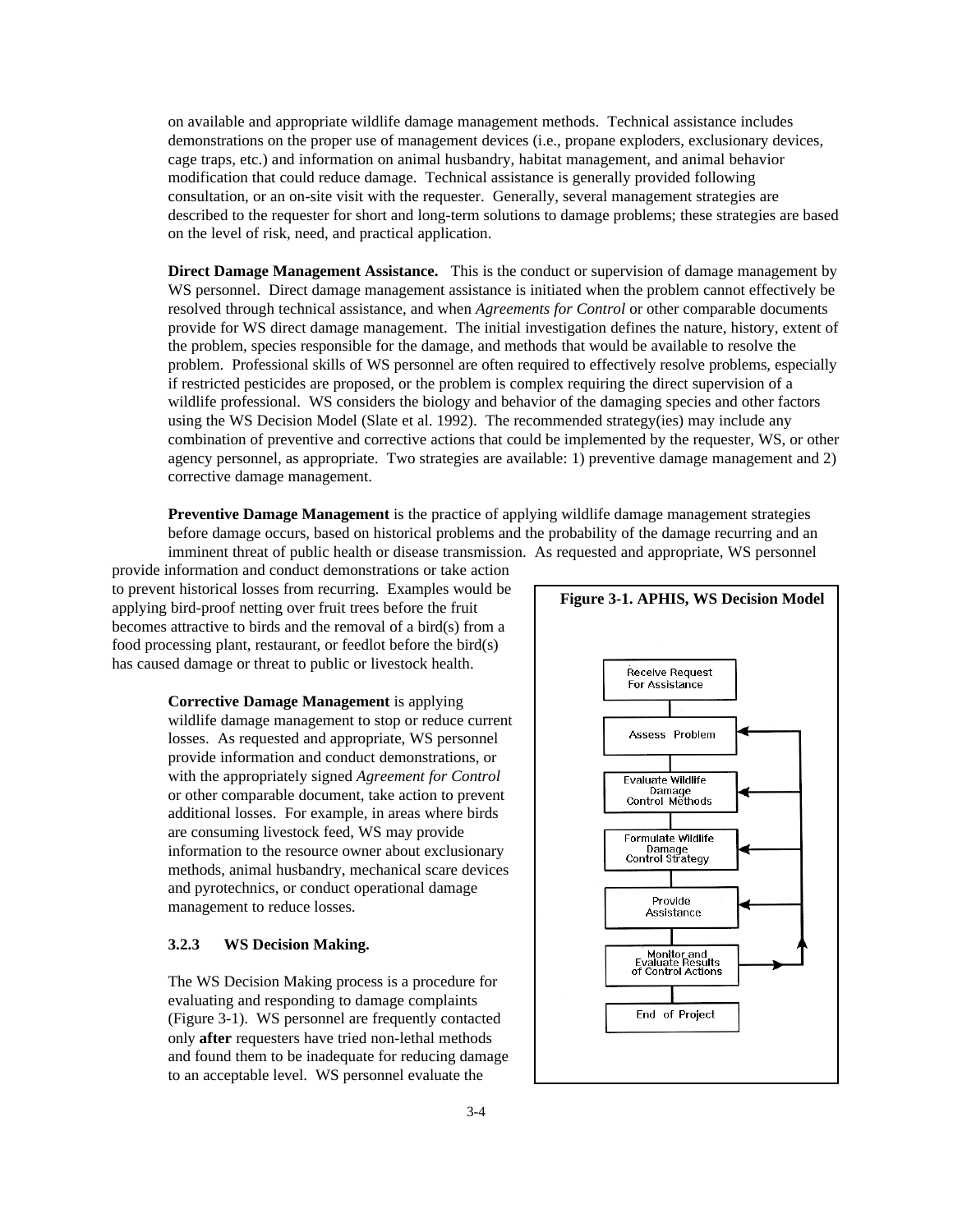on available and appropriate wildlife damage management methods. Technical assistance includes demonstrations on the proper use of management devices (i.e., propane exploders, exclusionary devices, cage traps, etc.) and information on animal husbandry, habitat management, and animal behavior modification that could reduce damage. Technical assistance is generally provided following consultation, or an on-site visit with the requester. Generally, several management strategies are described to the requester for short and long-term solutions to damage problems; these strategies are based on the level of risk, need, and practical application.

**Direct Damage Management Assistance.** This is the conduct or supervision of damage management by WS personnel. Direct damage management assistance is initiated when the problem cannot effectively be resolved through technical assistance, and when *Agreements for Control* or other comparable documents provide for WS direct damage management. The initial investigation defines the nature, history, extent of the problem, species responsible for the damage, and methods that would be available to resolve the problem. Professional skills of WS personnel are often required to effectively resolve problems, especially if restricted pesticides are proposed, or the problem is complex requiring the direct supervision of a wildlife professional. WS considers the biology and behavior of the damaging species and other factors using the WS Decision Model (Slate et al. 1992). The recommended strategy(ies) may include any combination of preventive and corrective actions that could be implemented by the requester, WS, or other agency personnel, as appropriate. Two strategies are available: 1) preventive damage management and 2) corrective damage management.

**Preventive Damage Management** is the practice of applying wildlife damage management strategies before damage occurs, based on historical problems and the probability of the damage recurring and an imminent threat of public health or disease transmission. As requested and appropriate, WS personnel

provide information and conduct demonstrations or take action to prevent historical losses from recurring. Examples would be applying bird-proof netting over fruit trees before the fruit becomes attractive to birds and the removal of a bird(s) from a food processing plant, restaurant, or feedlot before the bird(s) has caused damage or threat to public or livestock health.

> **Corrective Damage Management** is applying wildlife damage management to stop or reduce current losses. As requested and appropriate, WS personnel provide information and conduct demonstrations, or with the appropriately signed *Agreement for Control* or other comparable document, take action to prevent additional losses. For example, in areas where birds are consuming livestock feed, WS may provide information to the resource owner about exclusionary methods, animal husbandry, mechanical scare devices and pyrotechnics, or conduct operational damage management to reduce losses.

## **3.2.3 WS Decision Making.**

The WS Decision Making process is a procedure for evaluating and responding to damage complaints (Figure 3-1). WS personnel are frequently contacted only **after** requesters have tried non-lethal methods and found them to be inadequate for reducing damage to an acceptable level. WS personnel evaluate the

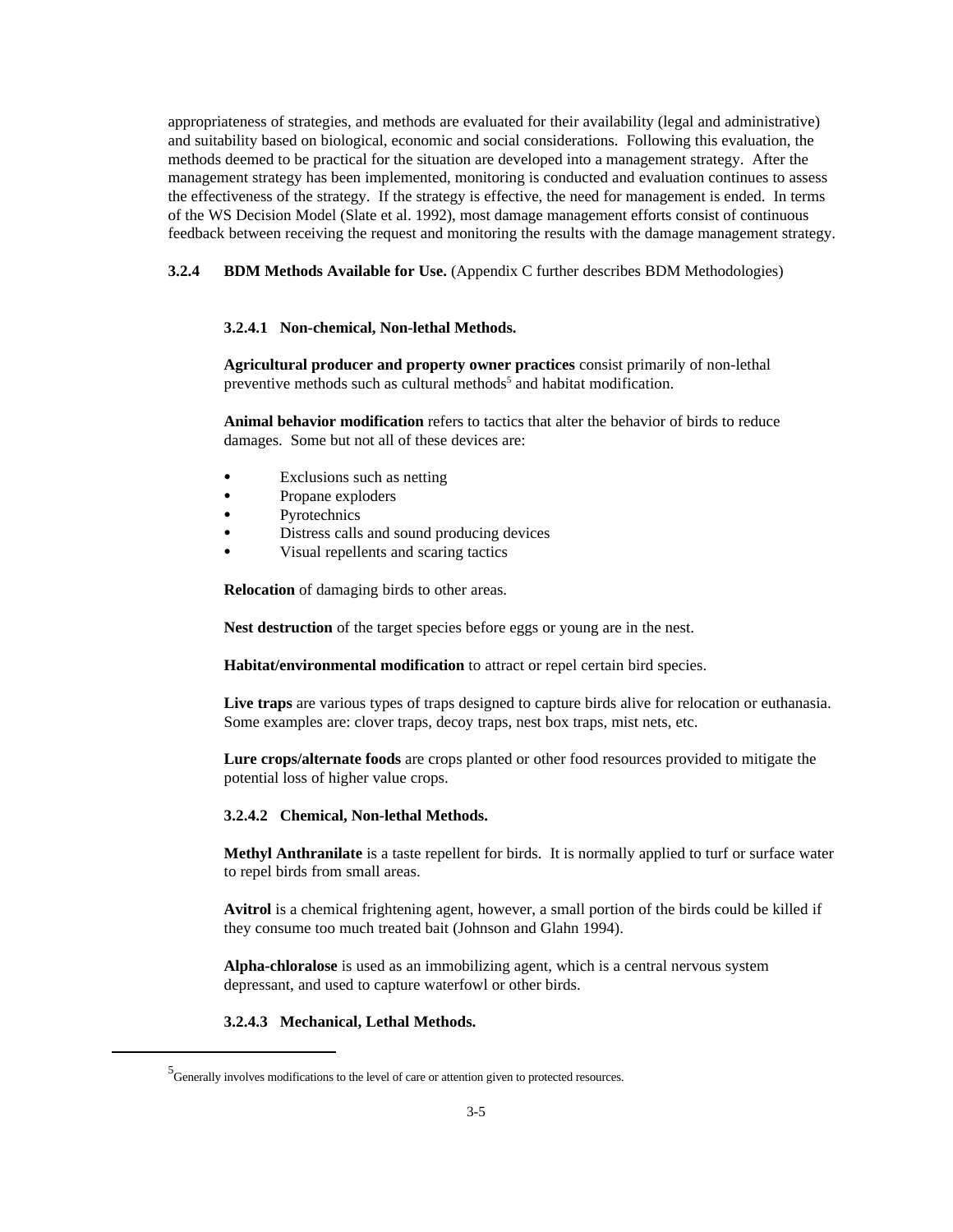appropriateness of strategies, and methods are evaluated for their availability (legal and administrative) and suitability based on biological, economic and social considerations. Following this evaluation, the methods deemed to be practical for the situation are developed into a management strategy. After the management strategy has been implemented, monitoring is conducted and evaluation continues to assess the effectiveness of the strategy. If the strategy is effective, the need for management is ended. In terms of the WS Decision Model (Slate et al. 1992), most damage management efforts consist of continuous feedback between receiving the request and monitoring the results with the damage management strategy.

## **3.2.4 BDM Methods Available for Use.** (Appendix C further describes BDM Methodologies)

#### **3.2.4.1 Non-chemical, Non-lethal Methods.**

**Agricultural producer and property owner practices** consist primarily of non-lethal preventive methods such as cultural methods<sup>5</sup> and habitat modification.

**Animal behavior modification** refers to tactics that alter the behavior of birds to reduce damages. Some but not all of these devices are:

- Exclusions such as netting
- Propane exploders
- Pyrotechnics
- Distress calls and sound producing devices
- Visual repellents and scaring tactics

**Relocation** of damaging birds to other areas.

**Nest destruction** of the target species before eggs or young are in the nest.

**Habitat/environmental modification** to attract or repel certain bird species.

**Live traps** are various types of traps designed to capture birds alive for relocation or euthanasia. Some examples are: clover traps, decoy traps, nest box traps, mist nets, etc.

**Lure crops/alternate foods** are crops planted or other food resources provided to mitigate the potential loss of higher value crops.

#### **3.2.4.2 Chemical, Non-lethal Methods.**

**Methyl Anthranilate** is a taste repellent for birds. It is normally applied to turf or surface water to repel birds from small areas.

**Avitrol** is a chemical frightening agent, however, a small portion of the birds could be killed if they consume too much treated bait (Johnson and Glahn 1994).

**Alpha-chloralose** is used as an immobilizing agent, which is a central nervous system depressant, and used to capture waterfowl or other birds.

### **3.2.4.3 Mechanical, Lethal Methods.**

<sup>5</sup> Generally involves modifications to the level of care or attention given to protected resources.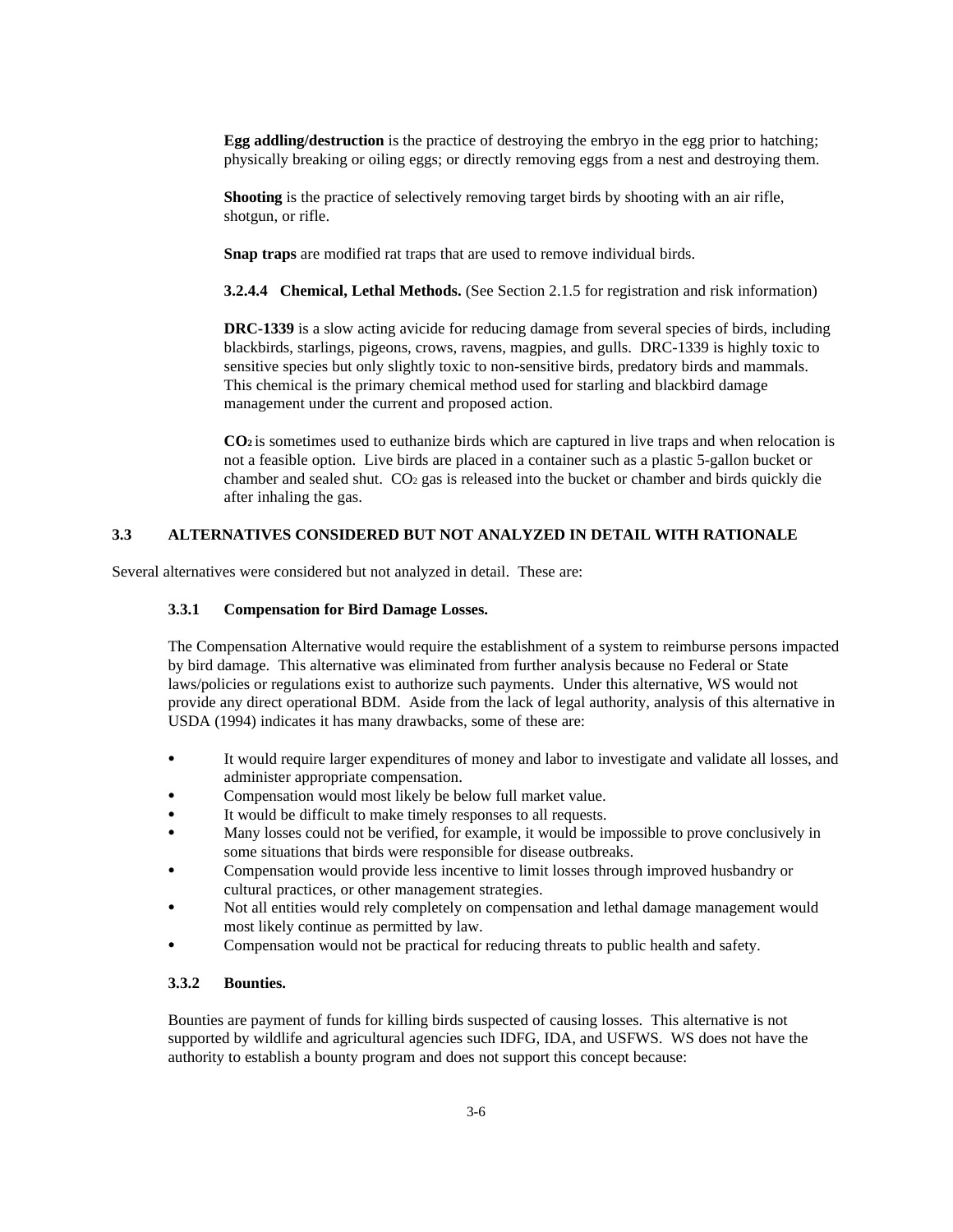**Egg addling/destruction** is the practice of destroying the embryo in the egg prior to hatching; physically breaking or oiling eggs; or directly removing eggs from a nest and destroying them.

**Shooting** is the practice of selectively removing target birds by shooting with an air rifle, shotgun, or rifle.

**Snap traps** are modified rat traps that are used to remove individual birds.

**3.2.4.4 Chemical, Lethal Methods.** (See Section 2.1.5 for registration and risk information)

**DRC-1339** is a slow acting avicide for reducing damage from several species of birds, including blackbirds, starlings, pigeons, crows, ravens, magpies, and gulls. DRC-1339 is highly toxic to sensitive species but only slightly toxic to non-sensitive birds, predatory birds and mammals. This chemical is the primary chemical method used for starling and blackbird damage management under the current and proposed action.

**CO2** is sometimes used to euthanize birds which are captured in live traps and when relocation is not a feasible option. Live birds are placed in a container such as a plastic 5-gallon bucket or chamber and sealed shut. CO2 gas is released into the bucket or chamber and birds quickly die after inhaling the gas.

## **3.3 ALTERNATIVES CONSIDERED BUT NOT ANALYZED IN DETAIL WITH RATIONALE**

Several alternatives were considered but not analyzed in detail. These are:

## **3.3.1 Compensation for Bird Damage Losses.**

The Compensation Alternative would require the establishment of a system to reimburse persons impacted by bird damage. This alternative was eliminated from further analysis because no Federal or State laws/policies or regulations exist to authorize such payments. Under this alternative, WS would not provide any direct operational BDM. Aside from the lack of legal authority, analysis of this alternative in USDA (1994) indicates it has many drawbacks, some of these are:

- C It would require larger expenditures of money and labor to investigate and validate all losses, and administer appropriate compensation.
- Compensation would most likely be below full market value.
- It would be difficult to make timely responses to all requests.
- Many losses could not be verified, for example, it would be impossible to prove conclusively in some situations that birds were responsible for disease outbreaks.
- C Compensation would provide less incentive to limit losses through improved husbandry or cultural practices, or other management strategies.
- Not all entities would rely completely on compensation and lethal damage management would most likely continue as permitted by law.
- Compensation would not be practical for reducing threats to public health and safety.

## **3.3.2 Bounties.**

Bounties are payment of funds for killing birds suspected of causing losses. This alternative is not supported by wildlife and agricultural agencies such IDFG, IDA, and USFWS. WS does not have the authority to establish a bounty program and does not support this concept because: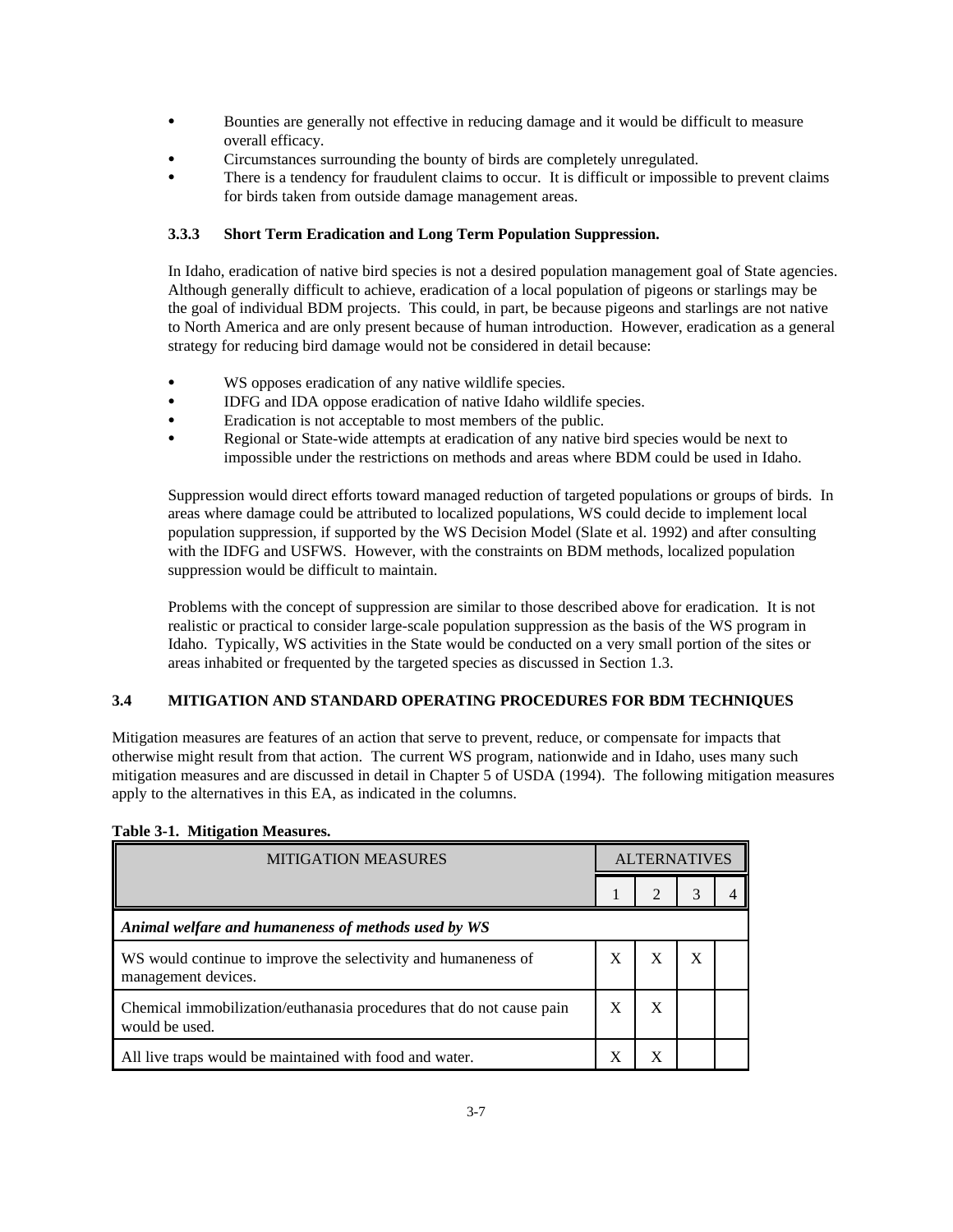- C Bounties are generally not effective in reducing damage and it would be difficult to measure overall efficacy.
- Circumstances surrounding the bounty of birds are completely unregulated.
- There is a tendency for fraudulent claims to occur. It is difficult or impossible to prevent claims for birds taken from outside damage management areas.

## **3.3.3 Short Term Eradication and Long Term Population Suppression.**

In Idaho, eradication of native bird species is not a desired population management goal of State agencies. Although generally difficult to achieve, eradication of a local population of pigeons or starlings may be the goal of individual BDM projects. This could, in part, be because pigeons and starlings are not native to North America and are only present because of human introduction. However, eradication as a general strategy for reducing bird damage would not be considered in detail because:

- WS opposes eradication of any native wildlife species.
- IDFG and IDA oppose eradication of native Idaho wildlife species.
- Eradication is not acceptable to most members of the public.
- Regional or State-wide attempts at eradication of any native bird species would be next to impossible under the restrictions on methods and areas where BDM could be used in Idaho.

Suppression would direct efforts toward managed reduction of targeted populations or groups of birds. In areas where damage could be attributed to localized populations, WS could decide to implement local population suppression, if supported by the WS Decision Model (Slate et al. 1992) and after consulting with the IDFG and USFWS. However, with the constraints on BDM methods, localized population suppression would be difficult to maintain.

Problems with the concept of suppression are similar to those described above for eradication. It is not realistic or practical to consider large-scale population suppression as the basis of the WS program in Idaho. Typically, WS activities in the State would be conducted on a very small portion of the sites or areas inhabited or frequented by the targeted species as discussed in Section 1.3.

## **3.4 MITIGATION AND STANDARD OPERATING PROCEDURES FOR BDM TECHNIQUES**

Mitigation measures are features of an action that serve to prevent, reduce, or compensate for impacts that otherwise might result from that action. The current WS program, nationwide and in Idaho, uses many such mitigation measures and are discussed in detail in Chapter 5 of USDA (1994). The following mitigation measures apply to the alternatives in this EA, as indicated in the columns.

| <b>MITIGATION MEASURES</b>                                                             |   | <b>ALTERNATIVES</b> |   |  |
|----------------------------------------------------------------------------------------|---|---------------------|---|--|
|                                                                                        |   |                     | 3 |  |
| Animal welfare and humaneness of methods used by WS                                    |   |                     |   |  |
| WS would continue to improve the selectivity and humaneness of<br>management devices.  | X | X                   | X |  |
| Chemical immobilization/euthanasia procedures that do not cause pain<br>would be used. |   |                     |   |  |
| All live traps would be maintained with food and water.                                | X |                     |   |  |

## **Table 3-1. Mitigation Measures.**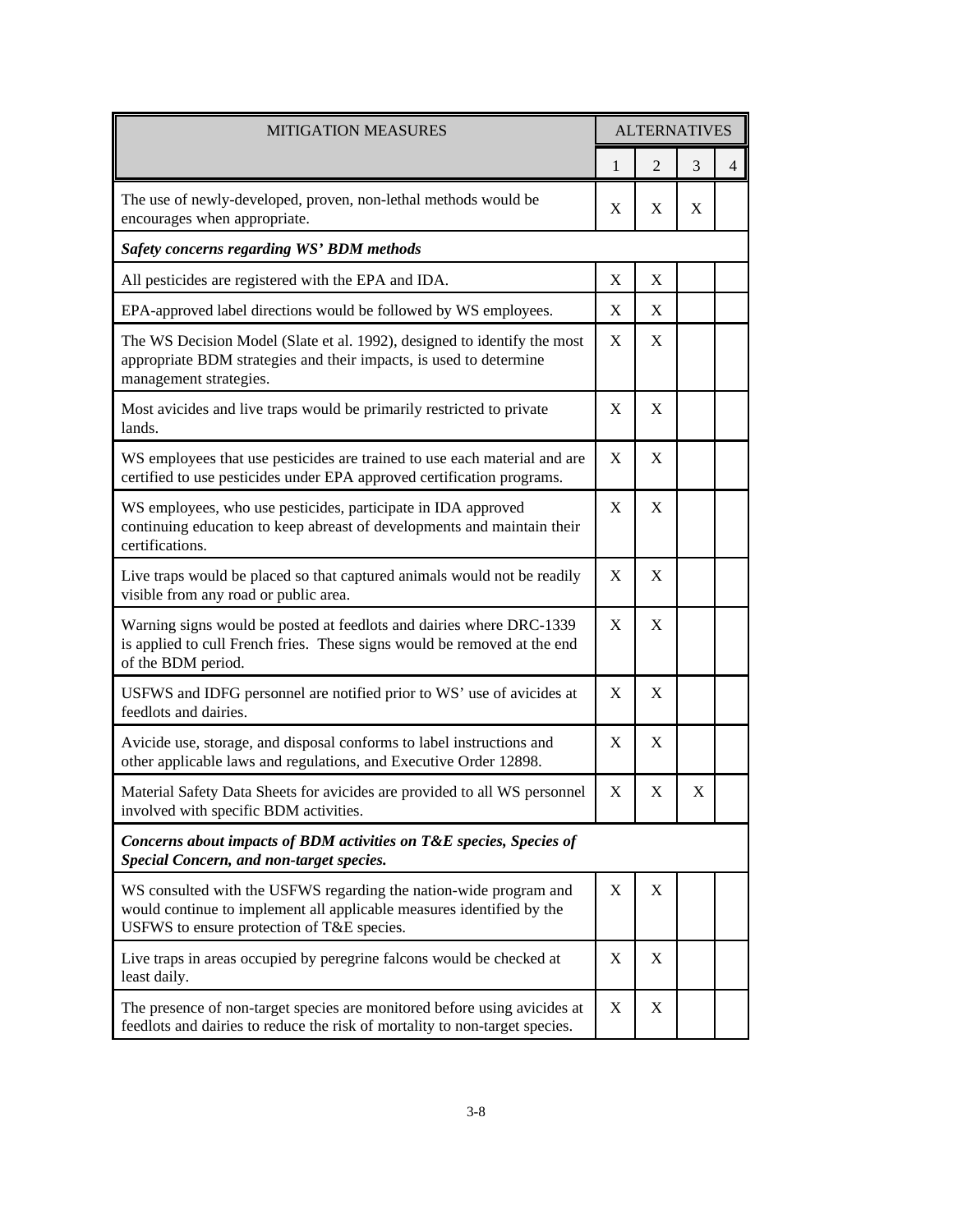| <b>MITIGATION MEASURES</b>                                                                                                                                                               |   | <b>ALTERNATIVES</b> |   |                |  |
|------------------------------------------------------------------------------------------------------------------------------------------------------------------------------------------|---|---------------------|---|----------------|--|
|                                                                                                                                                                                          | 1 | $\overline{2}$      | 3 | $\overline{4}$ |  |
| The use of newly-developed, proven, non-lethal methods would be<br>encourages when appropriate.                                                                                          | X | X                   | X |                |  |
| Safety concerns regarding WS' BDM methods                                                                                                                                                |   |                     |   |                |  |
| All pesticides are registered with the EPA and IDA.                                                                                                                                      | X | X                   |   |                |  |
| EPA-approved label directions would be followed by WS employees.                                                                                                                         | X | X                   |   |                |  |
| The WS Decision Model (Slate et al. 1992), designed to identify the most<br>appropriate BDM strategies and their impacts, is used to determine<br>management strategies.                 | X | X                   |   |                |  |
| Most avicides and live traps would be primarily restricted to private<br>lands.                                                                                                          | X | X                   |   |                |  |
| WS employees that use pesticides are trained to use each material and are<br>certified to use pesticides under EPA approved certification programs.                                      | X | X                   |   |                |  |
| WS employees, who use pesticides, participate in IDA approved<br>continuing education to keep abreast of developments and maintain their<br>certifications.                              | X | X                   |   |                |  |
| Live traps would be placed so that captured animals would not be readily<br>visible from any road or public area.                                                                        | X | X                   |   |                |  |
| Warning signs would be posted at feedlots and dairies where DRC-1339<br>is applied to cull French fries. These signs would be removed at the end<br>of the BDM period.                   |   | X                   |   |                |  |
| USFWS and IDFG personnel are notified prior to WS' use of avicides at<br>feedlots and dairies.                                                                                           |   | X                   |   |                |  |
| Avicide use, storage, and disposal conforms to label instructions and<br>other applicable laws and regulations, and Executive Order 12898.                                               |   | X                   |   |                |  |
| Material Safety Data Sheets for avicides are provided to all WS personnel<br>involved with specific BDM activities.                                                                      | X | X                   | X |                |  |
| Concerns about impacts of BDM activities on T&E species, Species of<br>Special Concern, and non-target species.                                                                          |   |                     |   |                |  |
| WS consulted with the USFWS regarding the nation-wide program and<br>would continue to implement all applicable measures identified by the<br>USFWS to ensure protection of T&E species. |   | Χ                   |   |                |  |
| Live traps in areas occupied by peregrine falcons would be checked at<br>least daily.                                                                                                    | X | X                   |   |                |  |
| The presence of non-target species are monitored before using avicides at<br>feedlots and dairies to reduce the risk of mortality to non-target species.                                 | X | X                   |   |                |  |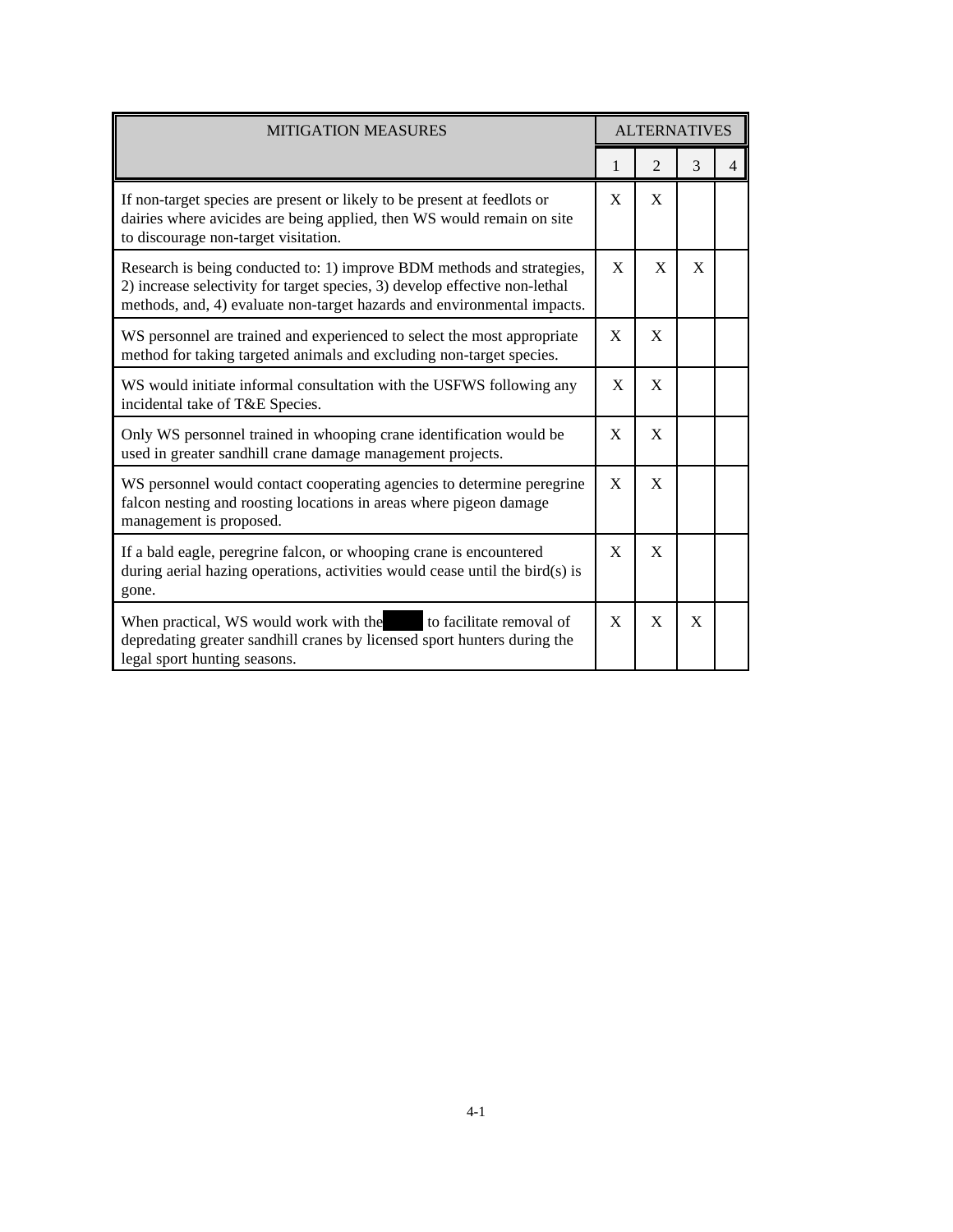| <b>MITIGATION MEASURES</b>                                                                                                                                                                                                       |              | <b>ALTERNATIVES</b> |   |                |  |
|----------------------------------------------------------------------------------------------------------------------------------------------------------------------------------------------------------------------------------|--------------|---------------------|---|----------------|--|
|                                                                                                                                                                                                                                  | 1            | $\overline{2}$      | 3 | $\overline{4}$ |  |
| If non-target species are present or likely to be present at feedlots or<br>dairies where avicides are being applied, then WS would remain on site<br>to discourage non-target visitation.                                       | X            | X                   |   |                |  |
| Research is being conducted to: 1) improve BDM methods and strategies,<br>2) increase selectivity for target species, 3) develop effective non-lethal<br>methods, and, 4) evaluate non-target hazards and environmental impacts. | X            | X                   | X |                |  |
| WS personnel are trained and experienced to select the most appropriate<br>method for taking targeted animals and excluding non-target species.                                                                                  | X            | X                   |   |                |  |
| WS would initiate informal consultation with the USFWS following any<br>incidental take of T&E Species.                                                                                                                          | $\mathbf{X}$ | X                   |   |                |  |
| Only WS personnel trained in whooping crane identification would be<br>used in greater sandhill crane damage management projects.                                                                                                | X            | X                   |   |                |  |
| WS personnel would contact cooperating agencies to determine peregrine<br>falcon nesting and roosting locations in areas where pigeon damage<br>management is proposed.                                                          | X            | X                   |   |                |  |
| If a bald eagle, peregrine falcon, or whooping crane is encountered<br>during aerial hazing operations, activities would cease until the bird(s) is<br>gone.                                                                     | X            | X                   |   |                |  |
| When practical, WS would work with the to facilitate removal of<br>depredating greater sandhill cranes by licensed sport hunters during the<br>legal sport hunting seasons.                                                      | X            | X                   | X |                |  |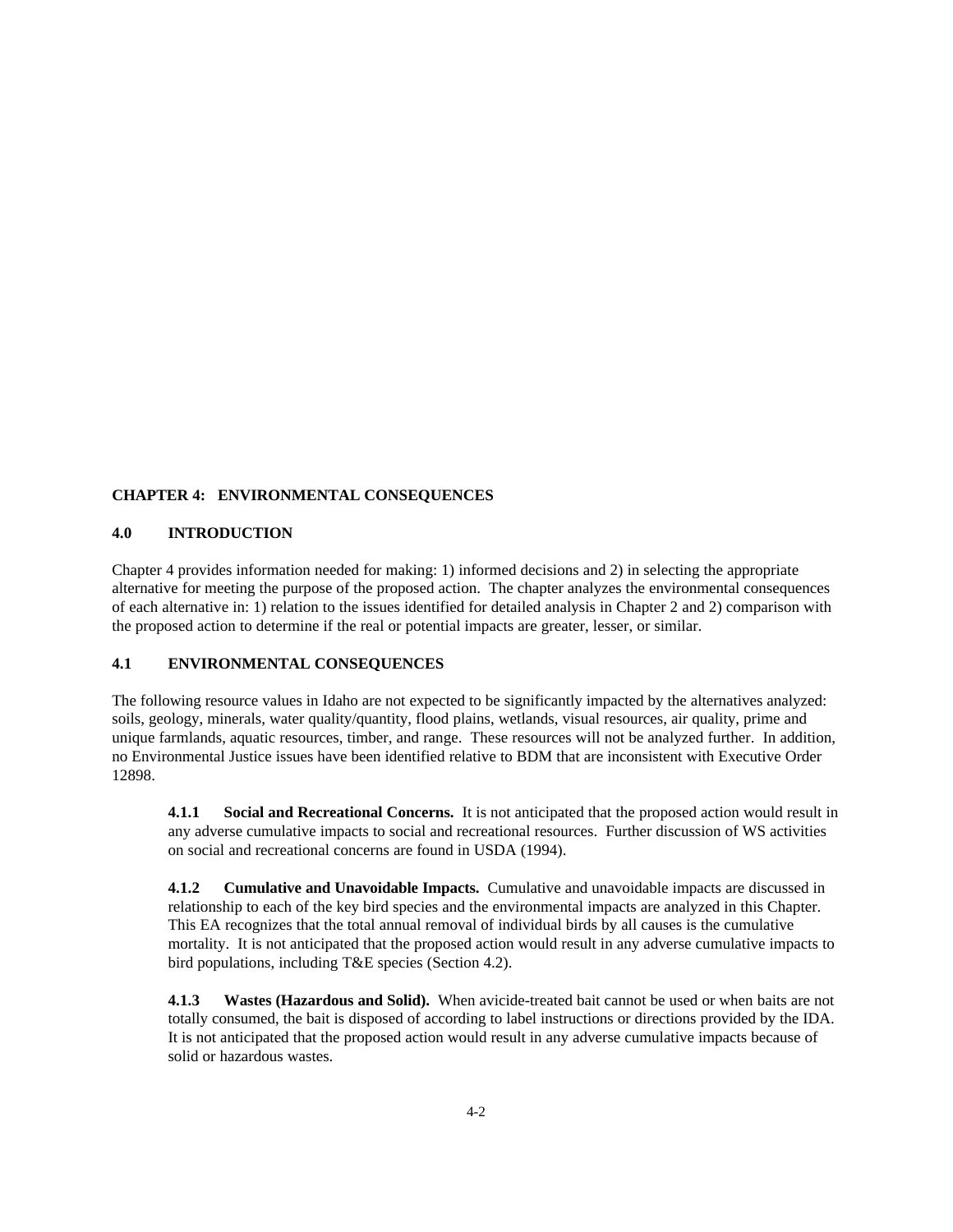## **CHAPTER 4: ENVIRONMENTAL CONSEQUENCES**

## **4.0 INTRODUCTION**

Chapter 4 provides information needed for making: 1) informed decisions and 2) in selecting the appropriate alternative for meeting the purpose of the proposed action. The chapter analyzes the environmental consequences of each alternative in: 1) relation to the issues identified for detailed analysis in Chapter 2 and 2) comparison with the proposed action to determine if the real or potential impacts are greater, lesser, or similar.

## **4.1 ENVIRONMENTAL CONSEQUENCES**

The following resource values in Idaho are not expected to be significantly impacted by the alternatives analyzed: soils, geology, minerals, water quality/quantity, flood plains, wetlands, visual resources, air quality, prime and unique farmlands, aquatic resources, timber, and range. These resources will not be analyzed further. In addition, no Environmental Justice issues have been identified relative to BDM that are inconsistent with Executive Order 12898.

**4.1.1 Social and Recreational Concerns.** It is not anticipated that the proposed action would result in any adverse cumulative impacts to social and recreational resources. Further discussion of WS activities on social and recreational concerns are found in USDA (1994).

**4.1.2 Cumulative and Unavoidable Impacts.** Cumulative and unavoidable impacts are discussed in relationship to each of the key bird species and the environmental impacts are analyzed in this Chapter. This EA recognizes that the total annual removal of individual birds by all causes is the cumulative mortality. It is not anticipated that the proposed action would result in any adverse cumulative impacts to bird populations, including T&E species (Section 4.2).

**4.1.3 Wastes (Hazardous and Solid).** When avicide-treated bait cannot be used or when baits are not totally consumed, the bait is disposed of according to label instructions or directions provided by the IDA. It is not anticipated that the proposed action would result in any adverse cumulative impacts because of solid or hazardous wastes.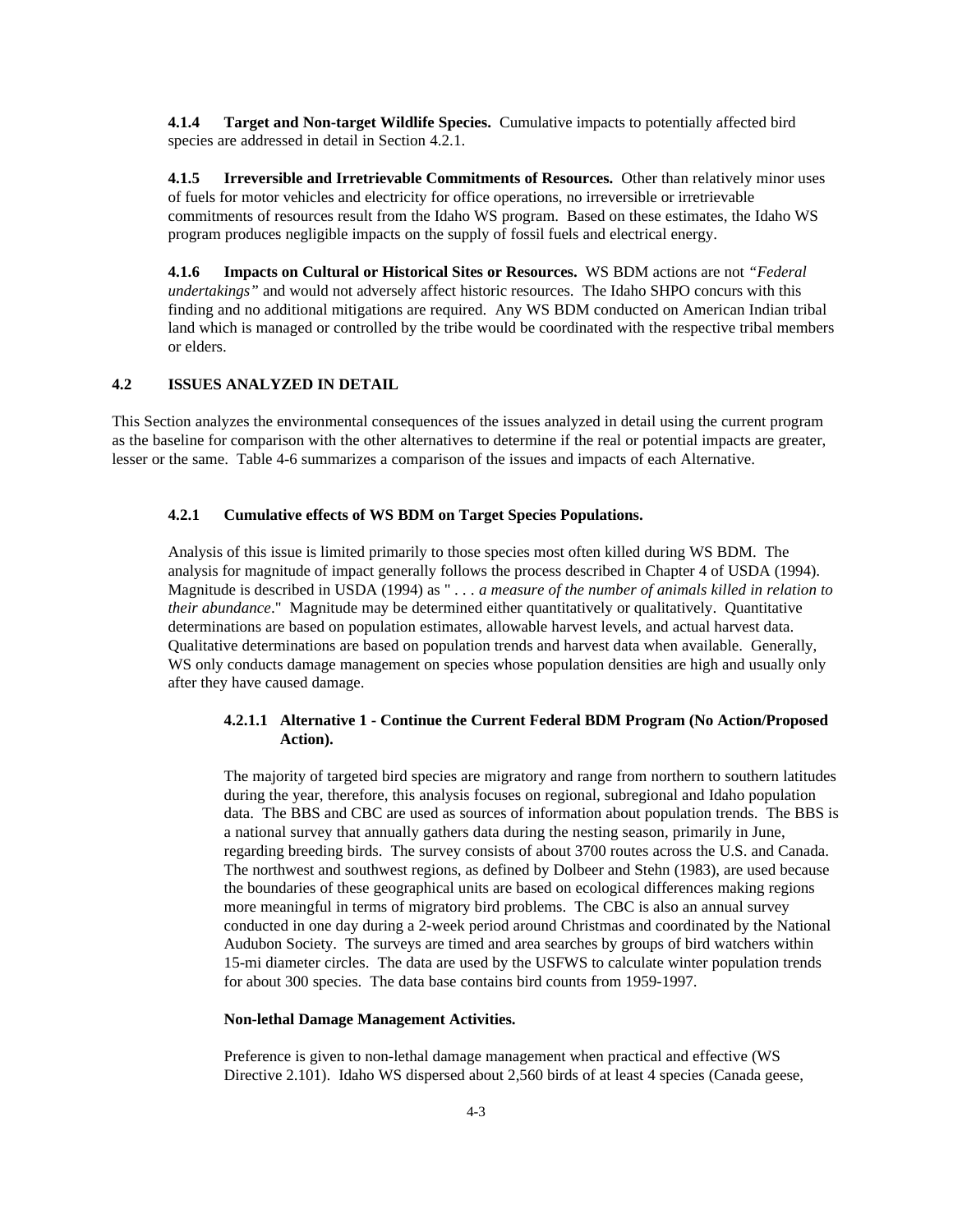**4.1.4 Target and Non-target Wildlife Species.** Cumulative impacts to potentially affected bird species are addressed in detail in Section 4.2.1.

**4.1.5 Irreversible and Irretrievable Commitments of Resources.** Other than relatively minor uses of fuels for motor vehicles and electricity for office operations, no irreversible or irretrievable commitments of resources result from the Idaho WS program. Based on these estimates, the Idaho WS program produces negligible impacts on the supply of fossil fuels and electrical energy.

**4.1.6 Impacts on Cultural or Historical Sites or Resources.** WS BDM actions are not *"Federal undertakings"* and would not adversely affect historic resources. The Idaho SHPO concurs with this finding and no additional mitigations are required. Any WS BDM conducted on American Indian tribal land which is managed or controlled by the tribe would be coordinated with the respective tribal members or elders.

## **4.2 ISSUES ANALYZED IN DETAIL**

This Section analyzes the environmental consequences of the issues analyzed in detail using the current program as the baseline for comparison with the other alternatives to determine if the real or potential impacts are greater, lesser or the same. Table 4-6 summarizes a comparison of the issues and impacts of each Alternative.

## **4.2.1 Cumulative effects of WS BDM on Target Species Populations.**

Analysis of this issue is limited primarily to those species most often killed during WS BDM. The analysis for magnitude of impact generally follows the process described in Chapter 4 of USDA (1994). Magnitude is described in USDA (1994) as " *. . . a measure of the number of animals killed in relation to their abundance*." Magnitude may be determined either quantitatively or qualitatively. Quantitative determinations are based on population estimates, allowable harvest levels, and actual harvest data. Qualitative determinations are based on population trends and harvest data when available. Generally, WS only conducts damage management on species whose population densities are high and usually only after they have caused damage.

## **4.2.1.1 Alternative 1 - Continue the Current Federal BDM Program (No Action/Proposed Action).**

The majority of targeted bird species are migratory and range from northern to southern latitudes during the year, therefore, this analysis focuses on regional, subregional and Idaho population data. The BBS and CBC are used as sources of information about population trends. The BBS is a national survey that annually gathers data during the nesting season, primarily in June, regarding breeding birds. The survey consists of about 3700 routes across the U.S. and Canada. The northwest and southwest regions, as defined by Dolbeer and Stehn (1983), are used because the boundaries of these geographical units are based on ecological differences making regions more meaningful in terms of migratory bird problems. The CBC is also an annual survey conducted in one day during a 2-week period around Christmas and coordinated by the National Audubon Society. The surveys are timed and area searches by groups of bird watchers within 15-mi diameter circles. The data are used by the USFWS to calculate winter population trends for about 300 species. The data base contains bird counts from 1959-1997.

## **Non-lethal Damage Management Activities.**

Preference is given to non-lethal damage management when practical and effective (WS Directive 2.101). Idaho WS dispersed about 2,560 birds of at least 4 species (Canada geese,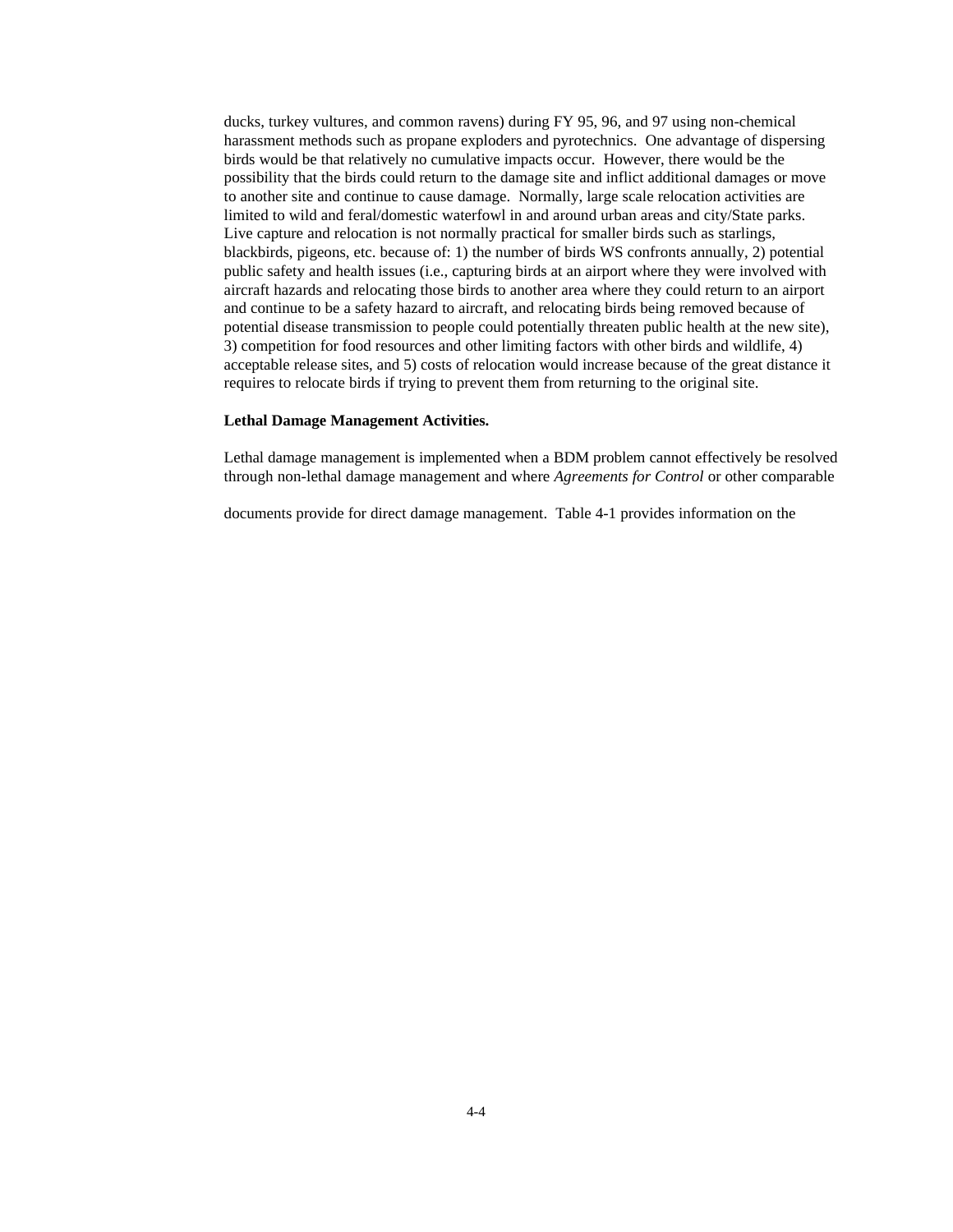ducks, turkey vultures, and common ravens) during FY 95, 96, and 97 using non-chemical harassment methods such as propane exploders and pyrotechnics. One advantage of dispersing birds would be that relatively no cumulative impacts occur. However, there would be the possibility that the birds could return to the damage site and inflict additional damages or move to another site and continue to cause damage. Normally, large scale relocation activities are limited to wild and feral/domestic waterfowl in and around urban areas and city/State parks. Live capture and relocation is not normally practical for smaller birds such as starlings, blackbirds, pigeons, etc. because of: 1) the number of birds WS confronts annually, 2) potential public safety and health issues (i.e., capturing birds at an airport where they were involved with aircraft hazards and relocating those birds to another area where they could return to an airport and continue to be a safety hazard to aircraft, and relocating birds being removed because of potential disease transmission to people could potentially threaten public health at the new site), 3) competition for food resources and other limiting factors with other birds and wildlife, 4) acceptable release sites, and 5) costs of relocation would increase because of the great distance it requires to relocate birds if trying to prevent them from returning to the original site.

#### **Lethal Damage Management Activities.**

Lethal damage management is implemented when a BDM problem cannot effectively be resolved through non-lethal damage management and where *Agreements for Control* or other comparable

documents provide for direct damage management. Table 4-1 provides information on the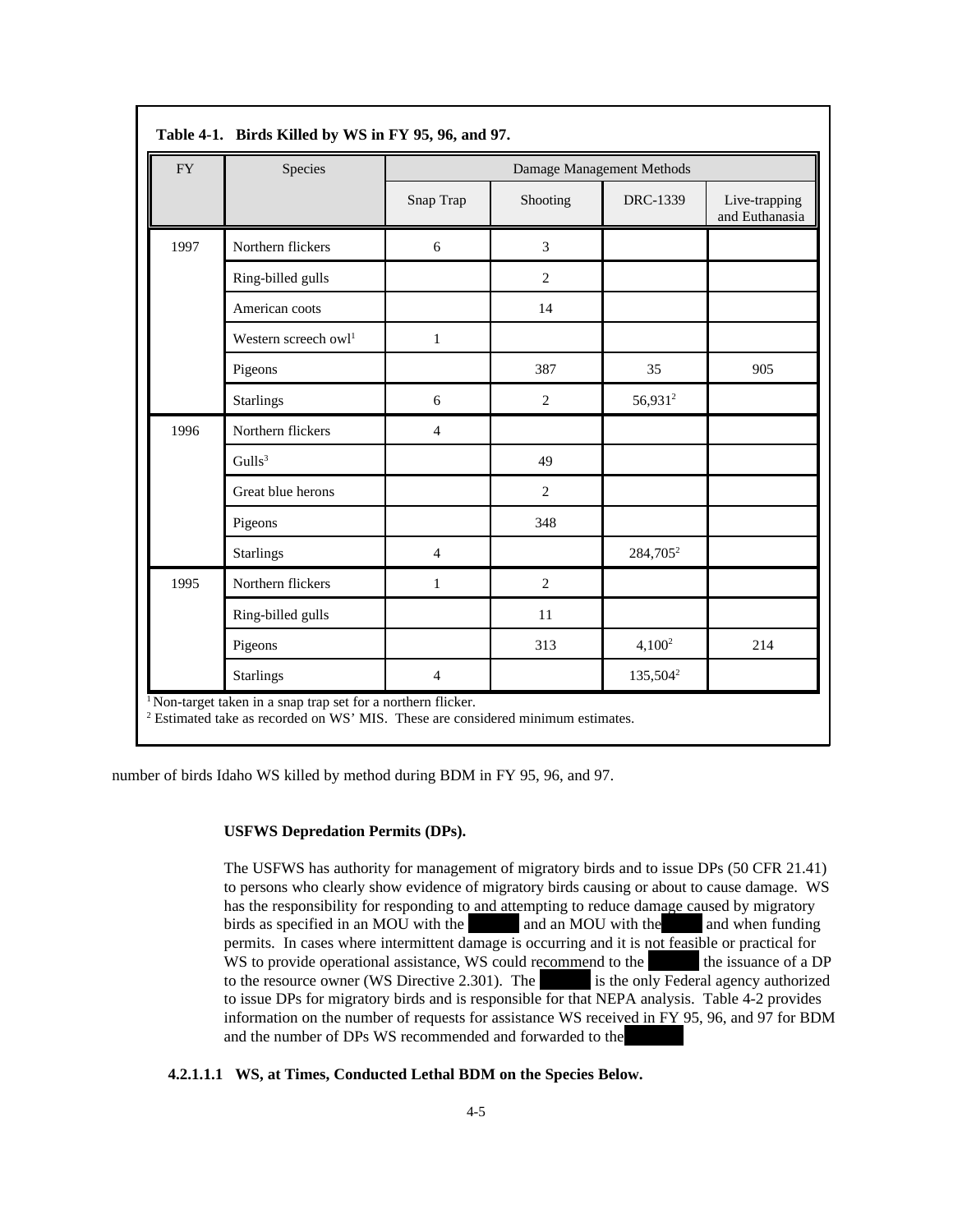| <b>FY</b> | Species                | Damage Management Methods |                |                      |                                 |  |  |
|-----------|------------------------|---------------------------|----------------|----------------------|---------------------------------|--|--|
|           |                        | Snap Trap                 | Shooting       | DRC-1339             | Live-trapping<br>and Euthanasia |  |  |
| 1997      | Northern flickers      | 6                         | 3              |                      |                                 |  |  |
|           | Ring-billed gulls      |                           | $\overline{c}$ |                      |                                 |  |  |
|           | American coots         |                           | 14             |                      |                                 |  |  |
|           | Western screech $ow11$ | $\mathbf{1}$              |                |                      |                                 |  |  |
|           | Pigeons                |                           | 387            | 35                   | 905                             |  |  |
|           | <b>Starlings</b>       | 6                         | $\overline{c}$ | 56,931 <sup>2</sup>  |                                 |  |  |
| 1996      | Northern flickers      | 4                         |                |                      |                                 |  |  |
|           | Gulls <sup>3</sup>     |                           | 49             |                      |                                 |  |  |
|           | Great blue herons      |                           | $\overline{c}$ |                      |                                 |  |  |
|           | Pigeons                |                           | 348            |                      |                                 |  |  |
|           | <b>Starlings</b>       | $\overline{4}$            |                | 284,705 <sup>2</sup> |                                 |  |  |
| 1995      | Northern flickers      | 1                         | $\overline{c}$ |                      |                                 |  |  |
|           | Ring-billed gulls      |                           | 11             |                      |                                 |  |  |
|           | Pigeons                |                           | 313            | $4,100^2$            | 214                             |  |  |
|           | <b>Starlings</b>       | $\overline{4}$            |                | 135,504 <sup>2</sup> |                                 |  |  |

number of birds Idaho WS killed by method during BDM in FY 95, 96, and 97.

## **USFWS Depredation Permits (DPs).**

The USFWS has authority for management of migratory birds and to issue DPs (50 CFR 21.41) to persons who clearly show evidence of migratory birds causing or about to cause damage. WS has the responsibility for responding to and attempting to reduce damage caused by migratory birds as specified in an MOU with the and an MOU with the and when funding permits. In cases where intermittent damage is occurring and it is not feasible or practical for WS to provide operational assistance, WS could recommend to the USF the issuance of a DP to the resource owner (WS Directive 2.301). The is the only Federal agency authorized to issue DPs for migratory birds and is responsible for that NEPA analysis. Table 4-2 provides information on the number of requests for assistance WS received in FY 95, 96, and 97 for BDM and the number of DPs WS recommended and forwarded to the

## **4.2.1.1.1 WS, at Times, Conducted Lethal BDM on the Species Below.**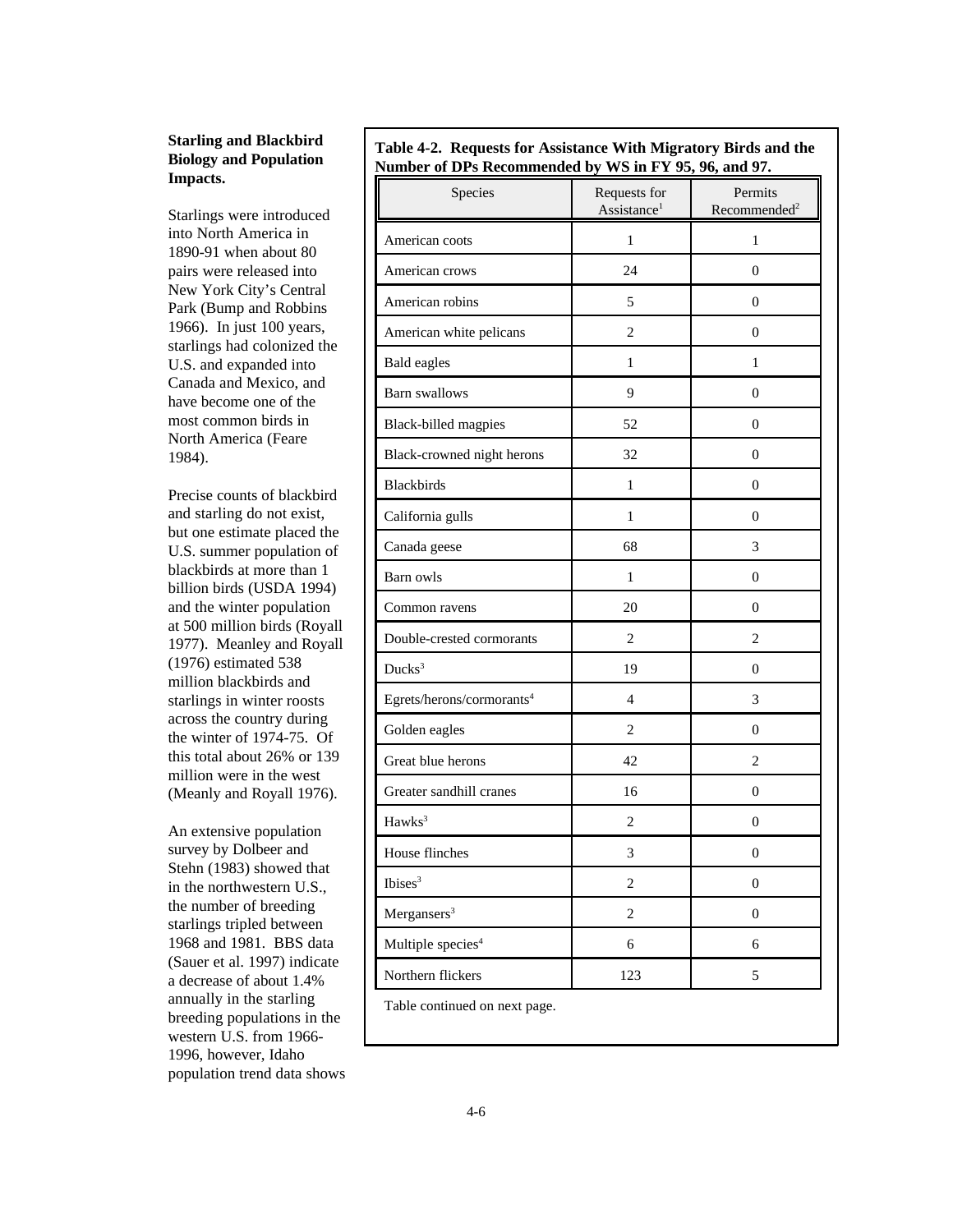## **Starling and Blackbird Biology and Population Impacts.**

Starlings were introduced into North America in 1890-91 when about 80 pairs were released into New York City's Central Park (Bump and Robbins 1966). In just 100 years, starlings had colonized the U.S. and expanded into Canada and Mexico, and have become one of the most common birds in North America (Feare 1984).

Precise counts of blackbird and starling do not exist, but one estimate placed the U.S. summer population of blackbirds at more than 1 billion birds (USDA 1994) and the winter population at 500 million birds (Royall 1977). Meanley and Royall (1976) estimated 538 million blackbirds and starlings in winter roosts across the country during the winter of 1974-75. Of this total about 26% or 139 million were in the west (Meanly and Royall 1976).

An extensive population survey by Dolbeer and Stehn (1983) showed that in the northwestern U.S., the number of breeding starlings tripled between 1968 and 1981. BBS data (Sauer et al. 1997) indicate a decrease of about 1.4% annually in the starling breeding populations in the western U.S. from 1966- 1996, however, Idaho population trend data shows

|                                                       |  | Table 4-2. Requests for Assistance With Migratory Birds and the |  |
|-------------------------------------------------------|--|-----------------------------------------------------------------|--|
| Number of DPs Recommended by WS in FY 95, 96, and 97. |  |                                                                 |  |

| Species                               | Requests for<br>Assistance <sup>1</sup> | Permits<br>Recommended <sup>2</sup> |
|---------------------------------------|-----------------------------------------|-------------------------------------|
| American coots                        | 1                                       | 1                                   |
| American crows                        | 24                                      | $\boldsymbol{0}$                    |
| American robins                       | 5                                       | $\boldsymbol{0}$                    |
| American white pelicans               | $\overline{2}$                          | $\boldsymbol{0}$                    |
| <b>Bald eagles</b>                    | $\mathbf{1}$                            | 1                                   |
| <b>Barn</b> swallows                  | 9                                       | $\boldsymbol{0}$                    |
| Black-billed magpies                  | 52                                      | $\boldsymbol{0}$                    |
| Black-crowned night herons            | 32                                      | $\theta$                            |
| Blackbirds                            | $\mathbf{1}$                            | $\boldsymbol{0}$                    |
| California gulls                      | 1                                       | 0                                   |
| Canada geese                          | 68                                      | 3                                   |
| Barn owls                             | 1                                       | $\boldsymbol{0}$                    |
| Common ravens                         | 20                                      | $\boldsymbol{0}$                    |
| Double-crested cormorants             | 2                                       | $\overline{c}$                      |
| Ducks <sup>3</sup>                    | 19                                      | $\boldsymbol{0}$                    |
| Egrets/herons/cormorants <sup>4</sup> | 4                                       | 3                                   |
| Golden eagles                         | $\overline{2}$                          | $\boldsymbol{0}$                    |
| Great blue herons                     | 42                                      | 2                                   |
| Greater sandhill cranes               | 16                                      | $\theta$                            |
| Hawks <sup>3</sup>                    | $\mathfrak{2}$                          | $\boldsymbol{0}$                    |
| House flinches                        | 3                                       | $\boldsymbol{0}$                    |
| Ibises <sup>3</sup>                   | $\overline{c}$                          | $\boldsymbol{0}$                    |
| Mergansers <sup>3</sup>               | $\overline{c}$                          | $\boldsymbol{0}$                    |
| Multiple species <sup>4</sup>         | 6                                       | 6                                   |
| Northern flickers                     | 123                                     | 5                                   |
| Table continued on next page.         |                                         |                                     |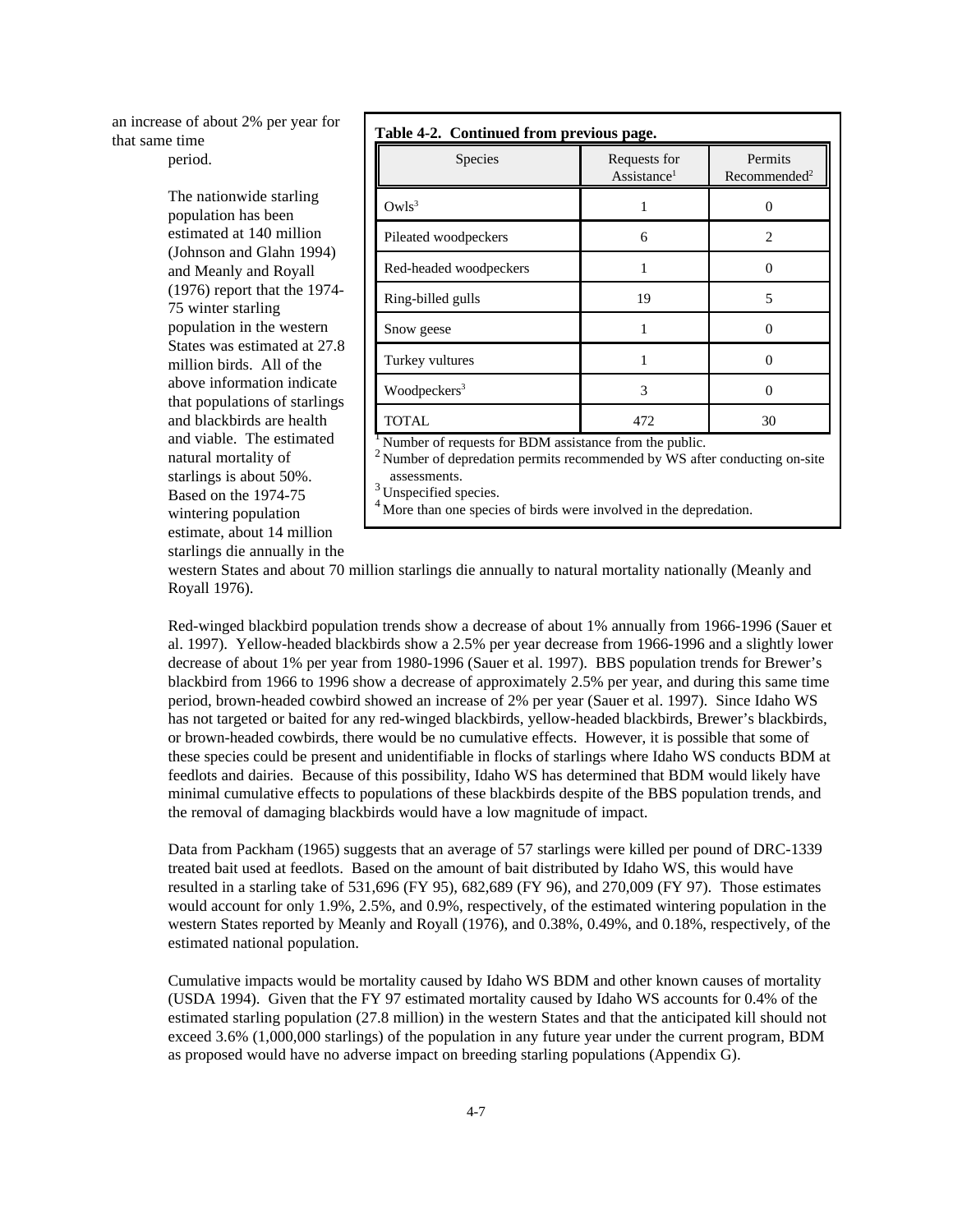an increase of about 2% per year for that same time period.

> The nationwide starling population has been estimated at 140 million (Johnson and Glahn 1994) and Meanly and Royall (1976) report that the 1974- 75 winter starling population in the western States was estimated at 27.8 million birds. All of the above information indicate that populations of starlings and blackbirds are health and viable. The estimated natural mortality of starlings is about 50%. Based on the 1974-75 wintering population estimate, about 14 million starlings die annually in the

|  | Table 4-2. Continued from previous page. |  |  |
|--|------------------------------------------|--|--|
|--|------------------------------------------|--|--|

| Species                                                     | Requests for<br>Assistance <sup>1</sup> | Permits<br>Recommended <sup>2</sup> |
|-------------------------------------------------------------|-----------------------------------------|-------------------------------------|
| Owls <sup>3</sup>                                           |                                         |                                     |
| Pileated woodpeckers                                        | 6                                       | $\overline{c}$                      |
| Red-headed woodpeckers                                      |                                         | 0                                   |
| Ring-billed gulls                                           | 19                                      | 5                                   |
| Snow geese                                                  |                                         |                                     |
| Turkey vultures                                             |                                         | 0                                   |
| Woodpeckers <sup>3</sup>                                    | 3                                       | 0                                   |
| <b>TOTAL</b>                                                | 472                                     | 30                                  |
| $\mu$ Number of requests for RDM assistance from the public |                                         |                                     |

. BDM assistance from the public.

 $2$  Number of depredation permits recommended by WS after conducting on-site assessments.

Unspecified species.

More than one species of birds were involved in the depredation.

western States and about 70 million starlings die annually to natural mortality nationally (Meanly and Royall 1976).

Red-winged blackbird population trends show a decrease of about 1% annually from 1966-1996 (Sauer et al. 1997). Yellow-headed blackbirds show a 2.5% per year decrease from 1966-1996 and a slightly lower decrease of about 1% per year from 1980-1996 (Sauer et al. 1997). BBS population trends for Brewer's blackbird from 1966 to 1996 show a decrease of approximately 2.5% per year, and during this same time period, brown-headed cowbird showed an increase of 2% per year (Sauer et al. 1997). Since Idaho WS has not targeted or baited for any red-winged blackbirds, yellow-headed blackbirds, Brewer's blackbirds, or brown-headed cowbirds, there would be no cumulative effects. However, it is possible that some of these species could be present and unidentifiable in flocks of starlings where Idaho WS conducts BDM at feedlots and dairies. Because of this possibility, Idaho WS has determined that BDM would likely have minimal cumulative effects to populations of these blackbirds despite of the BBS population trends, and the removal of damaging blackbirds would have a low magnitude of impact.

Data from Packham (1965) suggests that an average of 57 starlings were killed per pound of DRC-1339 treated bait used at feedlots. Based on the amount of bait distributed by Idaho WS, this would have resulted in a starling take of 531,696 (FY 95), 682,689 (FY 96), and 270,009 (FY 97). Those estimates would account for only 1.9%, 2.5%, and 0.9%, respectively, of the estimated wintering population in the western States reported by Meanly and Royall (1976), and 0.38%, 0.49%, and 0.18%, respectively, of the estimated national population.

Cumulative impacts would be mortality caused by Idaho WS BDM and other known causes of mortality (USDA 1994). Given that the FY 97 estimated mortality caused by Idaho WS accounts for 0.4% of the estimated starling population (27.8 million) in the western States and that the anticipated kill should not exceed 3.6% (1,000,000 starlings) of the population in any future year under the current program, BDM as proposed would have no adverse impact on breeding starling populations (Appendix G).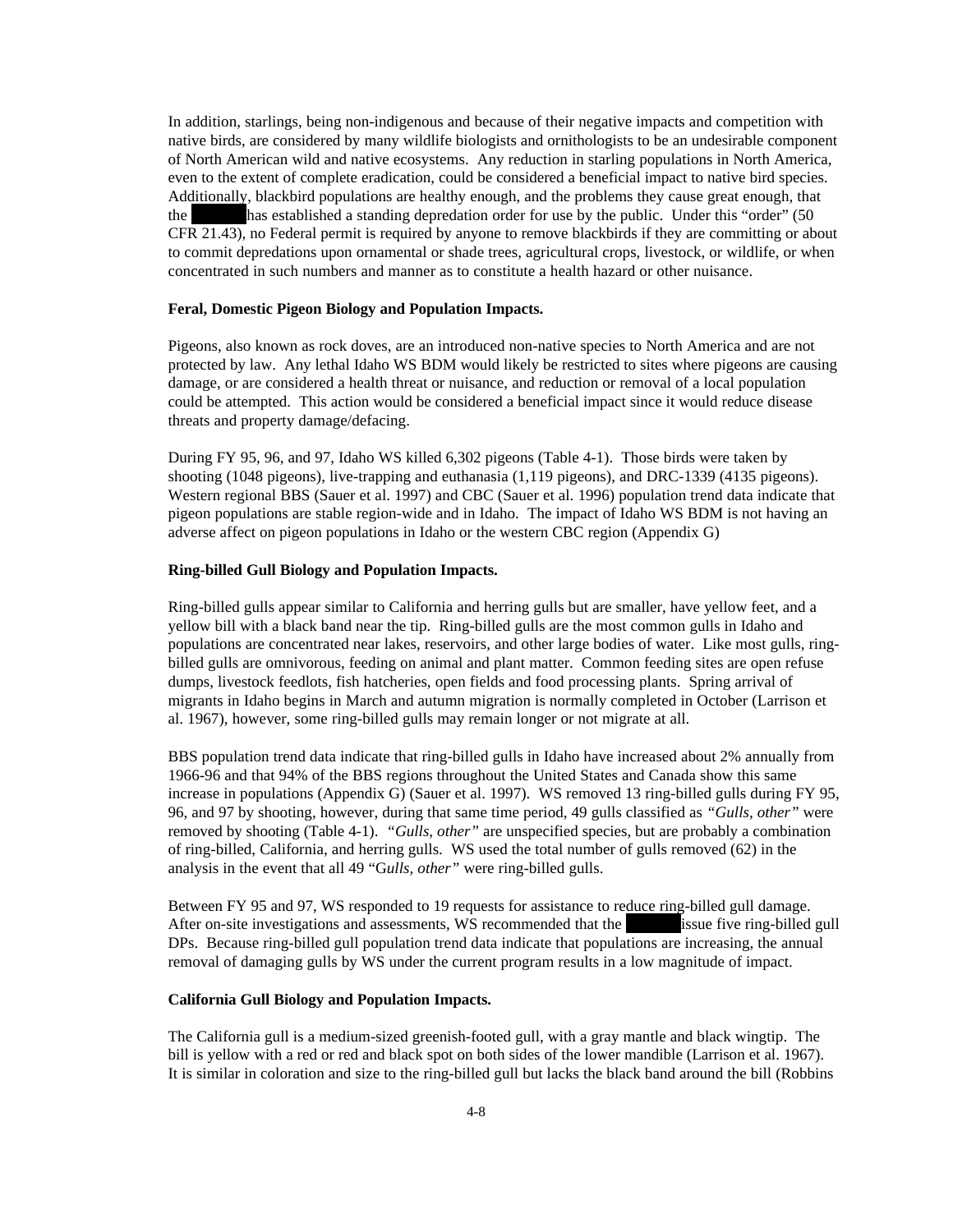In addition, starlings, being non-indigenous and because of their negative impacts and competition with native birds, are considered by many wildlife biologists and ornithologists to be an undesirable component of North American wild and native ecosystems. Any reduction in starling populations in North America, even to the extent of complete eradication, could be considered a beneficial impact to native bird species. Additionally, blackbird populations are healthy enough, and the problems they cause great enough, that the has established a standing depredation order for use by the public. Under this "order" (50 CFR 21.43), no Federal permit is required by anyone to remove blackbirds if they are committing or about to commit depredations upon ornamental or shade trees, agricultural crops, livestock, or wildlife, or when concentrated in such numbers and manner as to constitute a health hazard or other nuisance.

## **Feral, Domestic Pigeon Biology and Population Impacts.**

Pigeons, also known as rock doves, are an introduced non-native species to North America and are not protected by law. Any lethal Idaho WS BDM would likely be restricted to sites where pigeons are causing damage, or are considered a health threat or nuisance, and reduction or removal of a local population could be attempted. This action would be considered a beneficial impact since it would reduce disease threats and property damage/defacing.

During FY 95, 96, and 97, Idaho WS killed 6,302 pigeons (Table 4-1). Those birds were taken by shooting (1048 pigeons), live-trapping and euthanasia (1,119 pigeons), and DRC-1339 (4135 pigeons). Western regional BBS (Sauer et al. 1997) and CBC (Sauer et al. 1996) population trend data indicate that pigeon populations are stable region-wide and in Idaho. The impact of Idaho WS BDM is not having an adverse affect on pigeon populations in Idaho or the western CBC region (Appendix G)

#### **Ring-billed Gull Biology and Population Impacts.**

Ring-billed gulls appear similar to California and herring gulls but are smaller, have yellow feet, and a yellow bill with a black band near the tip. Ring-billed gulls are the most common gulls in Idaho and populations are concentrated near lakes, reservoirs, and other large bodies of water. Like most gulls, ringbilled gulls are omnivorous, feeding on animal and plant matter. Common feeding sites are open refuse dumps, livestock feedlots, fish hatcheries, open fields and food processing plants. Spring arrival of migrants in Idaho begins in March and autumn migration is normally completed in October (Larrison et al. 1967), however, some ring-billed gulls may remain longer or not migrate at all.

BBS population trend data indicate that ring-billed gulls in Idaho have increased about 2% annually from 1966-96 and that 94% of the BBS regions throughout the United States and Canada show this same increase in populations (Appendix G) (Sauer et al. 1997). WS removed 13 ring-billed gulls during FY 95, 96, and 97 by shooting, however, during that same time period, 49 gulls classified as *"Gulls, other"* were removed by shooting (Table 4-1). *"Gulls, other"* are unspecified species, but are probably a combination of ring-billed, California, and herring gulls. WS used the total number of gulls removed (62) in the analysis in the event that all 49 "G*ulls, other"* were ring-billed gulls.

Between FY 95 and 97, WS responded to 19 requests for assistance to reduce ring-billed gull damage. After on-site investigations and assessments, WS recommended that the ussue five ring-billed gull DPs. Because ring-billed gull population trend data indicate that populations are increasing, the annual removal of damaging gulls by WS under the current program results in a low magnitude of impact.

## **California Gull Biology and Population Impacts.**

The California gull is a medium-sized greenish-footed gull, with a gray mantle and black wingtip. The bill is yellow with a red or red and black spot on both sides of the lower mandible (Larrison et al. 1967). It is similar in coloration and size to the ring-billed gull but lacks the black band around the bill (Robbins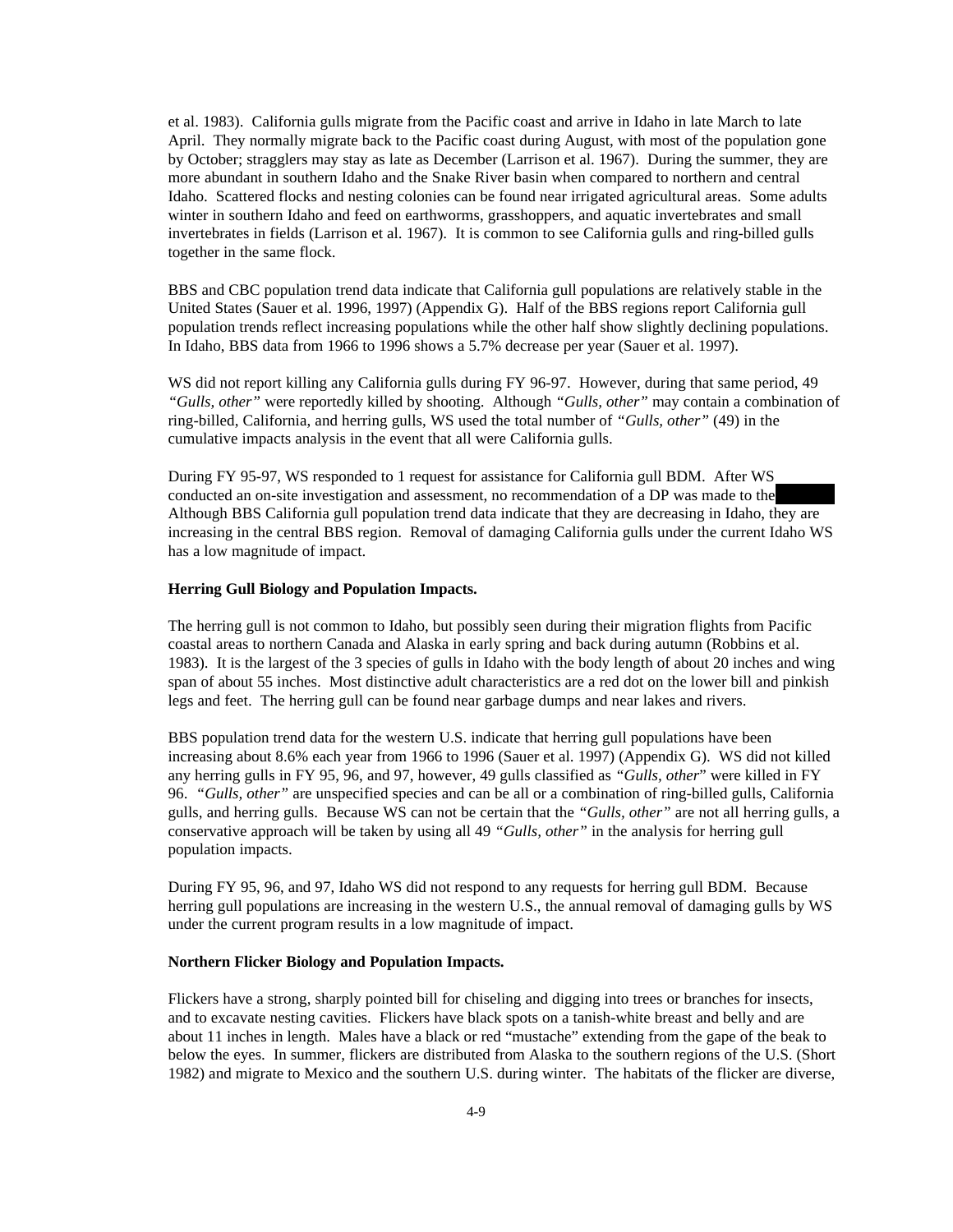et al. 1983). California gulls migrate from the Pacific coast and arrive in Idaho in late March to late April. They normally migrate back to the Pacific coast during August, with most of the population gone by October; stragglers may stay as late as December (Larrison et al. 1967). During the summer, they are more abundant in southern Idaho and the Snake River basin when compared to northern and central Idaho. Scattered flocks and nesting colonies can be found near irrigated agricultural areas. Some adults winter in southern Idaho and feed on earthworms, grasshoppers, and aquatic invertebrates and small invertebrates in fields (Larrison et al. 1967). It is common to see California gulls and ring-billed gulls together in the same flock.

BBS and CBC population trend data indicate that California gull populations are relatively stable in the United States (Sauer et al. 1996, 1997) (Appendix G). Half of the BBS regions report California gull population trends reflect increasing populations while the other half show slightly declining populations. In Idaho, BBS data from 1966 to 1996 shows a 5.7% decrease per year (Sauer et al. 1997).

WS did not report killing any California gulls during FY 96-97. However, during that same period, 49 *"Gulls, other"* were reportedly killed by shooting. Although *"Gulls, other"* may contain a combination of ring-billed, California, and herring gulls, WS used the total number of *"Gulls, other"* (49) in the cumulative impacts analysis in the event that all were California gulls.

During FY 95-97, WS responded to 1 request for assistance for California gull BDM. After WS conducted an on-site investigation and assessment, no recommendation of a DP was made to the Although BBS California gull population trend data indicate that they are decreasing in Idaho, they are increasing in the central BBS region. Removal of damaging California gulls under the current Idaho WS has a low magnitude of impact.

## **Herring Gull Biology and Population Impacts.**

The herring gull is not common to Idaho, but possibly seen during their migration flights from Pacific coastal areas to northern Canada and Alaska in early spring and back during autumn (Robbins et al. 1983). It is the largest of the 3 species of gulls in Idaho with the body length of about 20 inches and wing span of about 55 inches. Most distinctive adult characteristics are a red dot on the lower bill and pinkish legs and feet. The herring gull can be found near garbage dumps and near lakes and rivers.

BBS population trend data for the western U.S. indicate that herring gull populations have been increasing about 8.6% each year from 1966 to 1996 (Sauer et al. 1997) (Appendix G). WS did not killed any herring gulls in FY 95, 96, and 97, however, 49 gulls classified as *"Gulls, other*" were killed in FY 96. *"Gulls, other"* are unspecified species and can be all or a combination of ring-billed gulls, California gulls, and herring gulls. Because WS can not be certain that the *"Gulls, other"* are not all herring gulls, a conservative approach will be taken by using all 49 *"Gulls, other"* in the analysis for herring gull population impacts.

During FY 95, 96, and 97, Idaho WS did not respond to any requests for herring gull BDM. Because herring gull populations are increasing in the western U.S., the annual removal of damaging gulls by WS under the current program results in a low magnitude of impact.

#### **Northern Flicker Biology and Population Impacts.**

Flickers have a strong, sharply pointed bill for chiseling and digging into trees or branches for insects, and to excavate nesting cavities. Flickers have black spots on a tanish-white breast and belly and are about 11 inches in length. Males have a black or red "mustache" extending from the gape of the beak to below the eyes. In summer, flickers are distributed from Alaska to the southern regions of the U.S. (Short 1982) and migrate to Mexico and the southern U.S. during winter. The habitats of the flicker are diverse,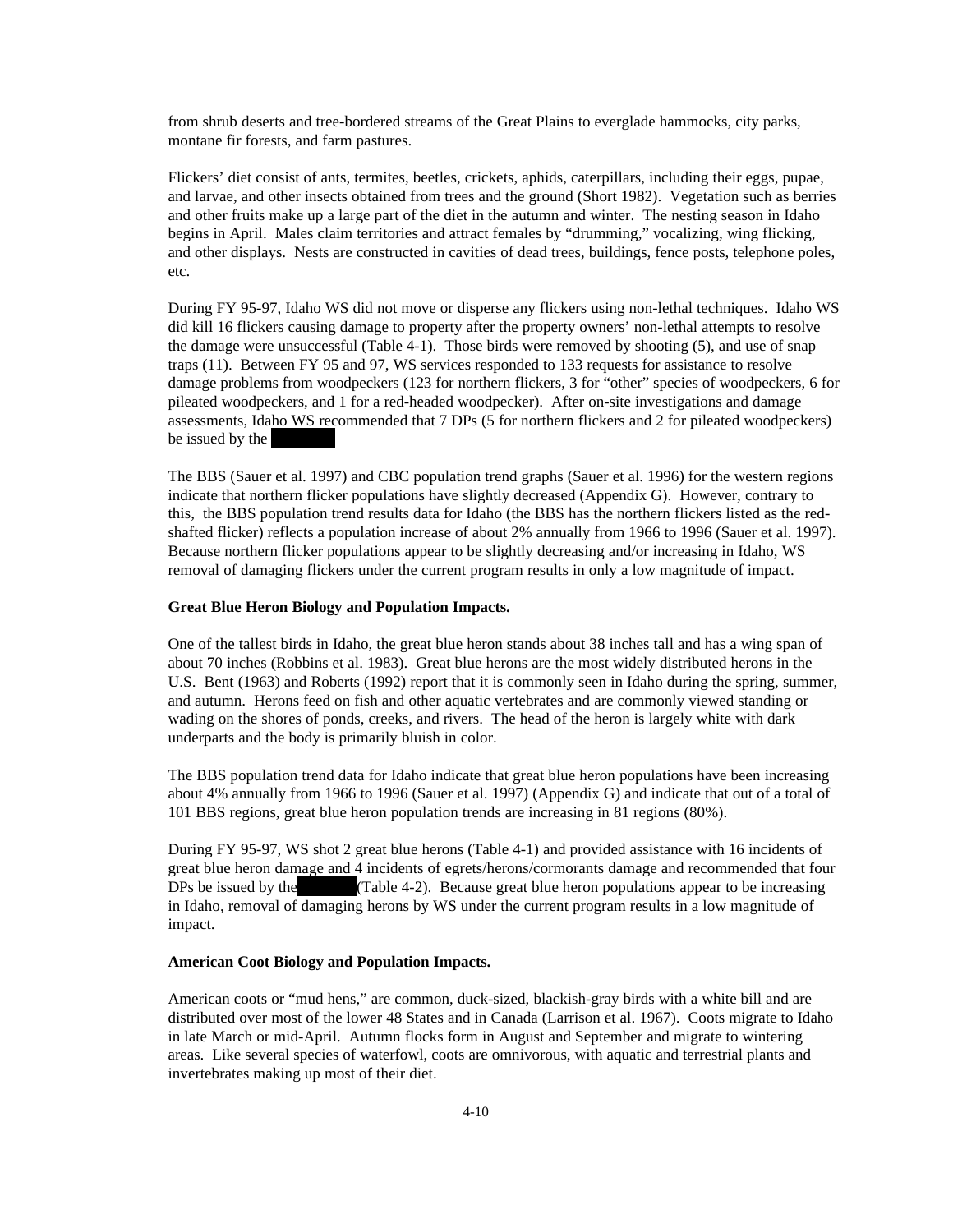from shrub deserts and tree-bordered streams of the Great Plains to everglade hammocks, city parks, montane fir forests, and farm pastures.

Flickers' diet consist of ants, termites, beetles, crickets, aphids, caterpillars, including their eggs, pupae, and larvae, and other insects obtained from trees and the ground (Short 1982). Vegetation such as berries and other fruits make up a large part of the diet in the autumn and winter. The nesting season in Idaho begins in April. Males claim territories and attract females by "drumming," vocalizing, wing flicking, and other displays. Nests are constructed in cavities of dead trees, buildings, fence posts, telephone poles, etc.

During FY 95-97, Idaho WS did not move or disperse any flickers using non-lethal techniques. Idaho WS did kill 16 flickers causing damage to property after the property owners' non-lethal attempts to resolve the damage were unsuccessful (Table 4-1). Those birds were removed by shooting (5), and use of snap traps (11). Between FY 95 and 97, WS services responded to 133 requests for assistance to resolve damage problems from woodpeckers (123 for northern flickers, 3 for "other" species of woodpeckers, 6 for pileated woodpeckers, and 1 for a red-headed woodpecker). After on-site investigations and damage assessments, Idaho WS recommended that 7 DPs (5 for northern flickers and 2 for pileated woodpeckers) be issued by the

The BBS (Sauer et al. 1997) and CBC population trend graphs (Sauer et al. 1996) for the western regions indicate that northern flicker populations have slightly decreased (Appendix G). However, contrary to this, the BBS population trend results data for Idaho (the BBS has the northern flickers listed as the redshafted flicker) reflects a population increase of about 2% annually from 1966 to 1996 (Sauer et al. 1997). Because northern flicker populations appear to be slightly decreasing and/or increasing in Idaho, WS removal of damaging flickers under the current program results in only a low magnitude of impact.

#### **Great Blue Heron Biology and Population Impacts.**

One of the tallest birds in Idaho, the great blue heron stands about 38 inches tall and has a wing span of about 70 inches (Robbins et al. 1983). Great blue herons are the most widely distributed herons in the U.S. Bent (1963) and Roberts (1992) report that it is commonly seen in Idaho during the spring, summer, and autumn. Herons feed on fish and other aquatic vertebrates and are commonly viewed standing or wading on the shores of ponds, creeks, and rivers. The head of the heron is largely white with dark underparts and the body is primarily bluish in color.

The BBS population trend data for Idaho indicate that great blue heron populations have been increasing about 4% annually from 1966 to 1996 (Sauer et al. 1997) (Appendix G) and indicate that out of a total of 101 BBS regions, great blue heron population trends are increasing in 81 regions (80%).

During FY 95-97, WS shot 2 great blue herons (Table 4-1) and provided assistance with 16 incidents of great blue heron damage and 4 incidents of egrets/herons/cormorants damage and recommended that four DPs be issued by the  $(Table 4-2)$ . Because great blue heron populations appear to be increasing in Idaho, removal of damaging herons by WS under the current program results in a low magnitude of impact.

#### **American Coot Biology and Population Impacts.**

American coots or "mud hens," are common, duck-sized, blackish-gray birds with a white bill and are distributed over most of the lower 48 States and in Canada (Larrison et al. 1967). Coots migrate to Idaho in late March or mid-April. Autumn flocks form in August and September and migrate to wintering areas. Like several species of waterfowl, coots are omnivorous, with aquatic and terrestrial plants and invertebrates making up most of their diet.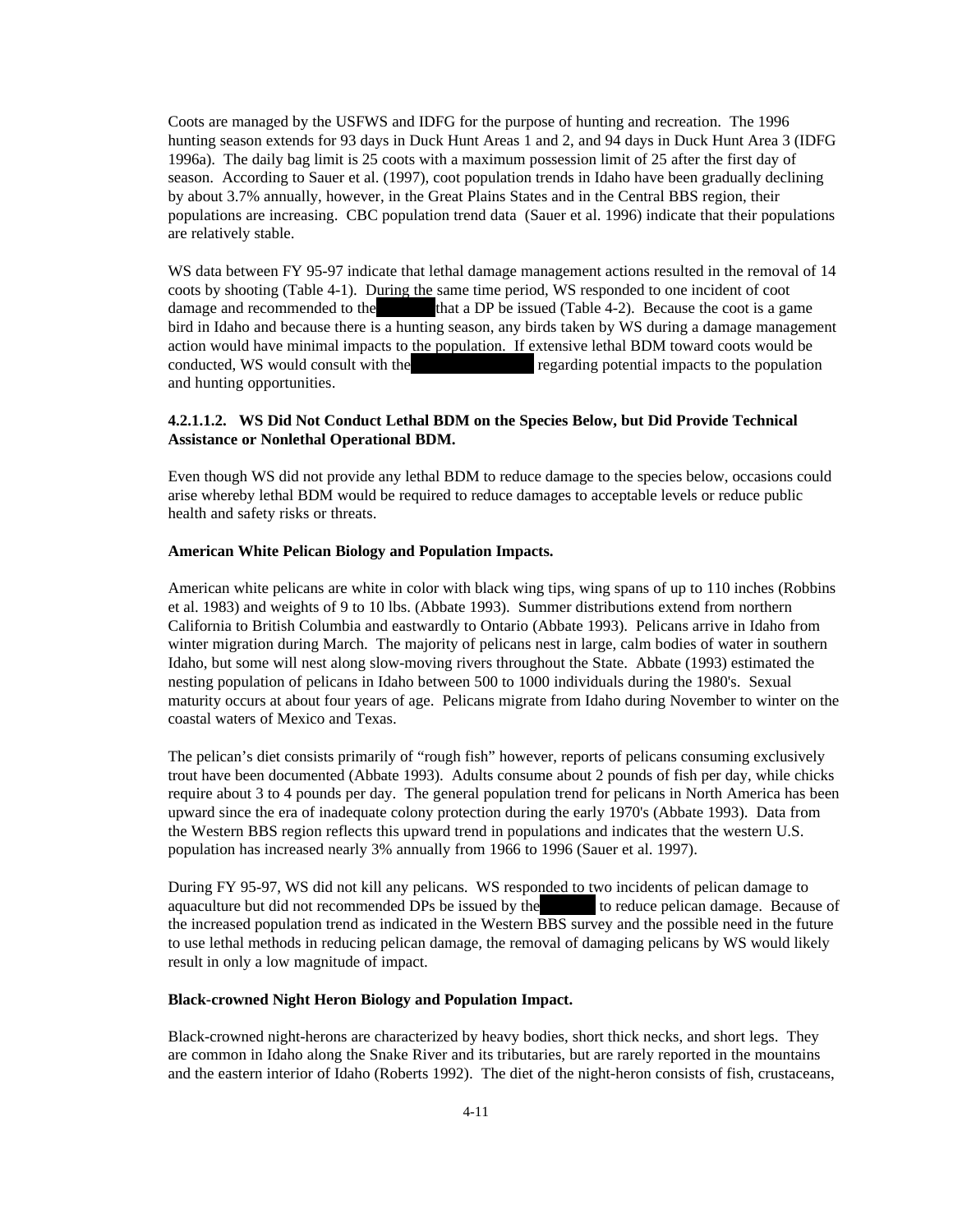Coots are managed by the USFWS and IDFG for the purpose of hunting and recreation. The 1996 hunting season extends for 93 days in Duck Hunt Areas 1 and 2, and 94 days in Duck Hunt Area 3 (IDFG 1996a). The daily bag limit is 25 coots with a maximum possession limit of 25 after the first day of season. According to Sauer et al. (1997), coot population trends in Idaho have been gradually declining by about 3.7% annually, however, in the Great Plains States and in the Central BBS region, their populations are increasing. CBC population trend data (Sauer et al. 1996) indicate that their populations are relatively stable.

WS data between FY 95-97 indicate that lethal damage management actions resulted in the removal of 14 coots by shooting (Table 4-1). During the same time period, WS responded to one incident of coot damage and recommended to the that a DP be issued (Table 4-2). Because the coot is a game bird in Idaho and because there is a hunting season, any birds taken by WS during a damage management action would have minimal impacts to the population. If extensive lethal BDM toward coots would be conducted, WS would consult with the Tegarding potential impacts to the population and hunting opportunities.

## **4.2.1.1.2. WS Did Not Conduct Lethal BDM on the Species Below, but Did Provide Technical Assistance or Nonlethal Operational BDM.**

Even though WS did not provide any lethal BDM to reduce damage to the species below, occasions could arise whereby lethal BDM would be required to reduce damages to acceptable levels or reduce public health and safety risks or threats.

#### **American White Pelican Biology and Population Impacts.**

American white pelicans are white in color with black wing tips, wing spans of up to 110 inches (Robbins et al. 1983) and weights of 9 to 10 lbs. (Abbate 1993). Summer distributions extend from northern California to British Columbia and eastwardly to Ontario (Abbate 1993). Pelicans arrive in Idaho from winter migration during March. The majority of pelicans nest in large, calm bodies of water in southern Idaho, but some will nest along slow-moving rivers throughout the State. Abbate (1993) estimated the nesting population of pelicans in Idaho between 500 to 1000 individuals during the 1980's. Sexual maturity occurs at about four years of age. Pelicans migrate from Idaho during November to winter on the coastal waters of Mexico and Texas.

The pelican's diet consists primarily of "rough fish" however, reports of pelicans consuming exclusively trout have been documented (Abbate 1993). Adults consume about 2 pounds of fish per day, while chicks require about 3 to 4 pounds per day. The general population trend for pelicans in North America has been upward since the era of inadequate colony protection during the early 1970's (Abbate 1993). Data from the Western BBS region reflects this upward trend in populations and indicates that the western U.S. population has increased nearly 3% annually from 1966 to 1996 (Sauer et al. 1997).

During FY 95-97, WS did not kill any pelicans. WS responded to two incidents of pelican damage to aquaculture but did not recommended DPs be issued by the to reduce pelican damage. Because of the increased population trend as indicated in the Western BBS survey and the possible need in the future to use lethal methods in reducing pelican damage, the removal of damaging pelicans by WS would likely result in only a low magnitude of impact.

## **Black-crowned Night Heron Biology and Population Impact.**

Black-crowned night-herons are characterized by heavy bodies, short thick necks, and short legs. They are common in Idaho along the Snake River and its tributaries, but are rarely reported in the mountains and the eastern interior of Idaho (Roberts 1992). The diet of the night-heron consists of fish, crustaceans,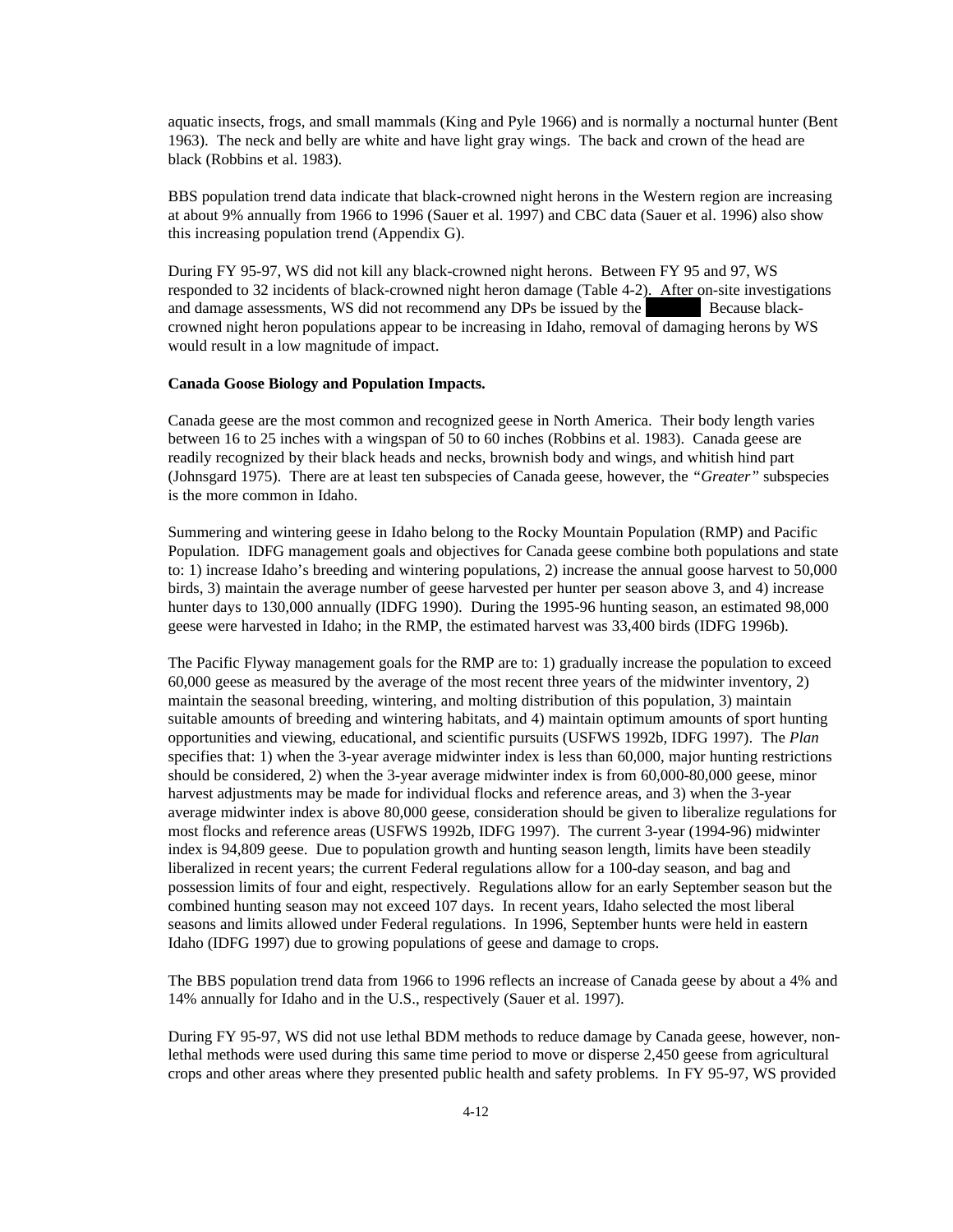aquatic insects, frogs, and small mammals (King and Pyle 1966) and is normally a nocturnal hunter (Bent 1963). The neck and belly are white and have light gray wings. The back and crown of the head are black (Robbins et al. 1983).

BBS population trend data indicate that black-crowned night herons in the Western region are increasing at about 9% annually from 1966 to 1996 (Sauer et al. 1997) and CBC data (Sauer et al. 1996) also show this increasing population trend (Appendix G).

During FY 95-97, WS did not kill any black-crowned night herons. Between FY 95 and 97, WS responded to 32 incidents of black-crowned night heron damage (Table 4-2). After on-site investigations and damage assessments, WS did not recommend any DPs be issued by the Because blackcrowned night heron populations appear to be increasing in Idaho, removal of damaging herons by WS would result in a low magnitude of impact.

## **Canada Goose Biology and Population Impacts.**

Canada geese are the most common and recognized geese in North America. Their body length varies between 16 to 25 inches with a wingspan of 50 to 60 inches (Robbins et al. 1983). Canada geese are readily recognized by their black heads and necks, brownish body and wings, and whitish hind part (Johnsgard 1975). There are at least ten subspecies of Canada geese, however, the *"Greater"* subspecies is the more common in Idaho.

Summering and wintering geese in Idaho belong to the Rocky Mountain Population (RMP) and Pacific Population. IDFG management goals and objectives for Canada geese combine both populations and state to: 1) increase Idaho's breeding and wintering populations, 2) increase the annual goose harvest to 50,000 birds, 3) maintain the average number of geese harvested per hunter per season above 3, and 4) increase hunter days to 130,000 annually (IDFG 1990). During the 1995-96 hunting season, an estimated 98,000 geese were harvested in Idaho; in the RMP, the estimated harvest was 33,400 birds (IDFG 1996b).

The Pacific Flyway management goals for the RMP are to: 1) gradually increase the population to exceed 60,000 geese as measured by the average of the most recent three years of the midwinter inventory, 2) maintain the seasonal breeding, wintering, and molting distribution of this population, 3) maintain suitable amounts of breeding and wintering habitats, and 4) maintain optimum amounts of sport hunting opportunities and viewing, educational, and scientific pursuits (USFWS 1992b, IDFG 1997). The *Plan* specifies that: 1) when the 3-year average midwinter index is less than 60,000, major hunting restrictions should be considered, 2) when the 3-year average midwinter index is from 60,000-80,000 geese, minor harvest adjustments may be made for individual flocks and reference areas, and 3) when the 3-year average midwinter index is above 80,000 geese, consideration should be given to liberalize regulations for most flocks and reference areas (USFWS 1992b, IDFG 1997). The current 3-year (1994-96) midwinter index is 94,809 geese. Due to population growth and hunting season length, limits have been steadily liberalized in recent years; the current Federal regulations allow for a 100-day season, and bag and possession limits of four and eight, respectively. Regulations allow for an early September season but the combined hunting season may not exceed 107 days. In recent years, Idaho selected the most liberal seasons and limits allowed under Federal regulations. In 1996, September hunts were held in eastern Idaho (IDFG 1997) due to growing populations of geese and damage to crops.

The BBS population trend data from 1966 to 1996 reflects an increase of Canada geese by about a 4% and 14% annually for Idaho and in the U.S., respectively (Sauer et al. 1997).

During FY 95-97, WS did not use lethal BDM methods to reduce damage by Canada geese, however, nonlethal methods were used during this same time period to move or disperse 2,450 geese from agricultural crops and other areas where they presented public health and safety problems. In FY 95-97, WS provided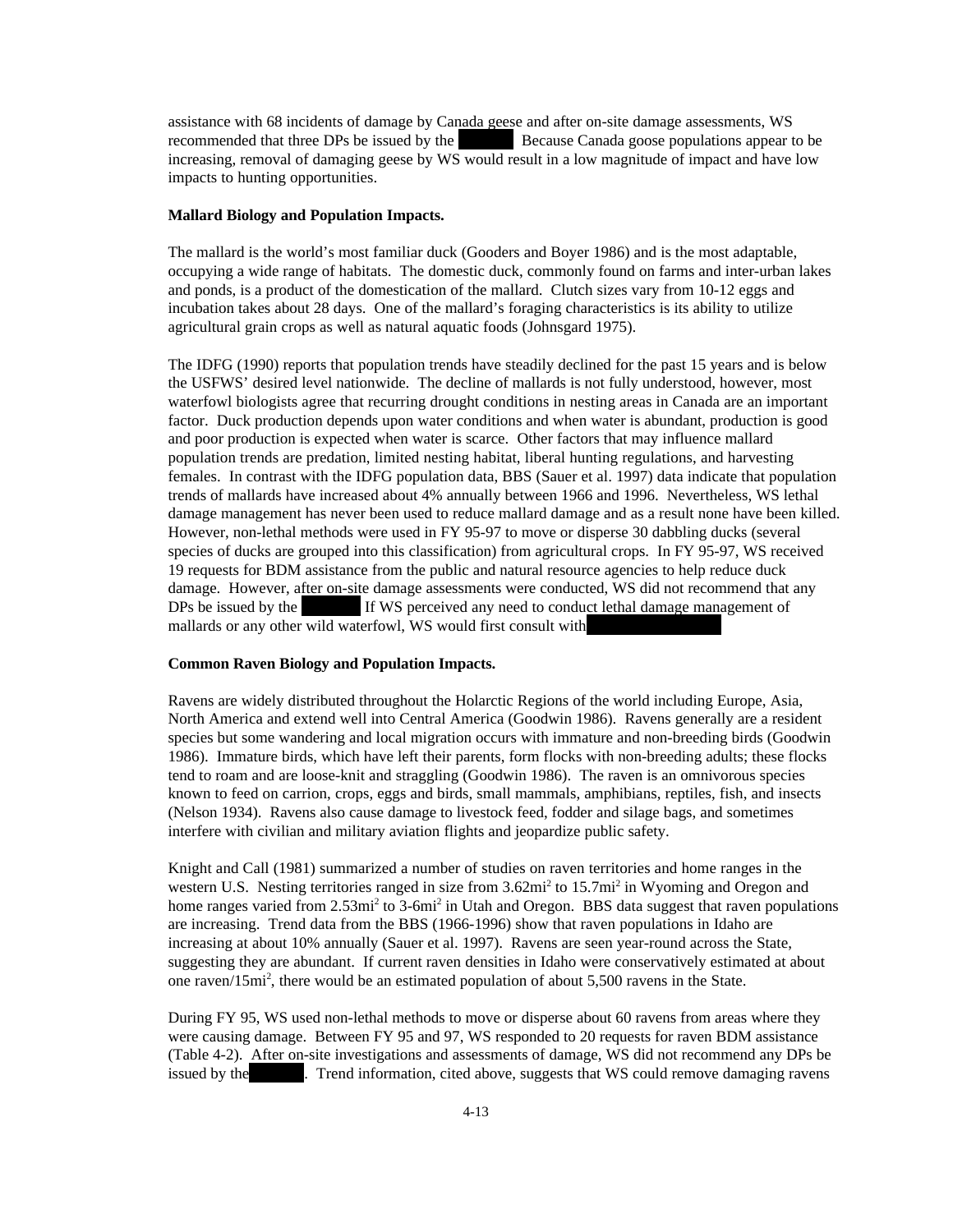assistance with 68 incidents of damage by Canada geese and after on-site damage assessments, WS recommended that three DPs be issued by the Because Canada goose populations appear to be increasing, removal of damaging geese by WS would result in a low magnitude of impact and have low impacts to hunting opportunities.

## **Mallard Biology and Population Impacts.**

The mallard is the world's most familiar duck (Gooders and Boyer 1986) and is the most adaptable, occupying a wide range of habitats. The domestic duck, commonly found on farms and inter-urban lakes and ponds, is a product of the domestication of the mallard. Clutch sizes vary from 10-12 eggs and incubation takes about 28 days. One of the mallard's foraging characteristics is its ability to utilize agricultural grain crops as well as natural aquatic foods (Johnsgard 1975).

The IDFG (1990) reports that population trends have steadily declined for the past 15 years and is below the USFWS' desired level nationwide. The decline of mallards is not fully understood, however, most waterfowl biologists agree that recurring drought conditions in nesting areas in Canada are an important factor. Duck production depends upon water conditions and when water is abundant, production is good and poor production is expected when water is scarce. Other factors that may influence mallard population trends are predation, limited nesting habitat, liberal hunting regulations, and harvesting females. In contrast with the IDFG population data, BBS (Sauer et al. 1997) data indicate that population trends of mallards have increased about 4% annually between 1966 and 1996. Nevertheless, WS lethal damage management has never been used to reduce mallard damage and as a result none have been killed. However, non-lethal methods were used in FY 95-97 to move or disperse 30 dabbling ducks (several species of ducks are grouped into this classification) from agricultural crops. In FY 95-97, WS received 19 requests for BDM assistance from the public and natural resource agencies to help reduce duck damage. However, after on-site damage assessments were conducted, WS did not recommend that any DPs be issued by the If WS perceived any need to conduct lethal damage management of mallards or any other wild waterfowl, WS would first consult with

#### **Common Raven Biology and Population Impacts.**

Ravens are widely distributed throughout the Holarctic Regions of the world including Europe, Asia, North America and extend well into Central America (Goodwin 1986). Ravens generally are a resident species but some wandering and local migration occurs with immature and non-breeding birds (Goodwin 1986). Immature birds, which have left their parents, form flocks with non-breeding adults; these flocks tend to roam and are loose-knit and straggling (Goodwin 1986). The raven is an omnivorous species known to feed on carrion, crops, eggs and birds, small mammals, amphibians, reptiles, fish, and insects (Nelson 1934). Ravens also cause damage to livestock feed, fodder and silage bags, and sometimes interfere with civilian and military aviation flights and jeopardize public safety.

Knight and Call (1981) summarized a number of studies on raven territories and home ranges in the western U.S. Nesting territories ranged in size from 3.62mi<sup>2</sup> to 15.7mi<sup>2</sup> in Wyoming and Oregon and home ranges varied from 2.53mi<sup>2</sup> to 3-6mi<sup>2</sup> in Utah and Oregon. BBS data suggest that raven populations are increasing. Trend data from the BBS (1966-1996) show that raven populations in Idaho are increasing at about 10% annually (Sauer et al. 1997). Ravens are seen year-round across the State, suggesting they are abundant. If current raven densities in Idaho were conservatively estimated at about one raven/15mi<sup>2</sup>, there would be an estimated population of about 5,500 ravens in the State.

During FY 95, WS used non-lethal methods to move or disperse about 60 ravens from areas where they were causing damage. Between FY 95 and 97, WS responded to 20 requests for raven BDM assistance (Table 4-2). After on-site investigations and assessments of damage, WS did not recommend any DPs be issued by the Trend information, cited above, suggests that WS could remove damaging ravens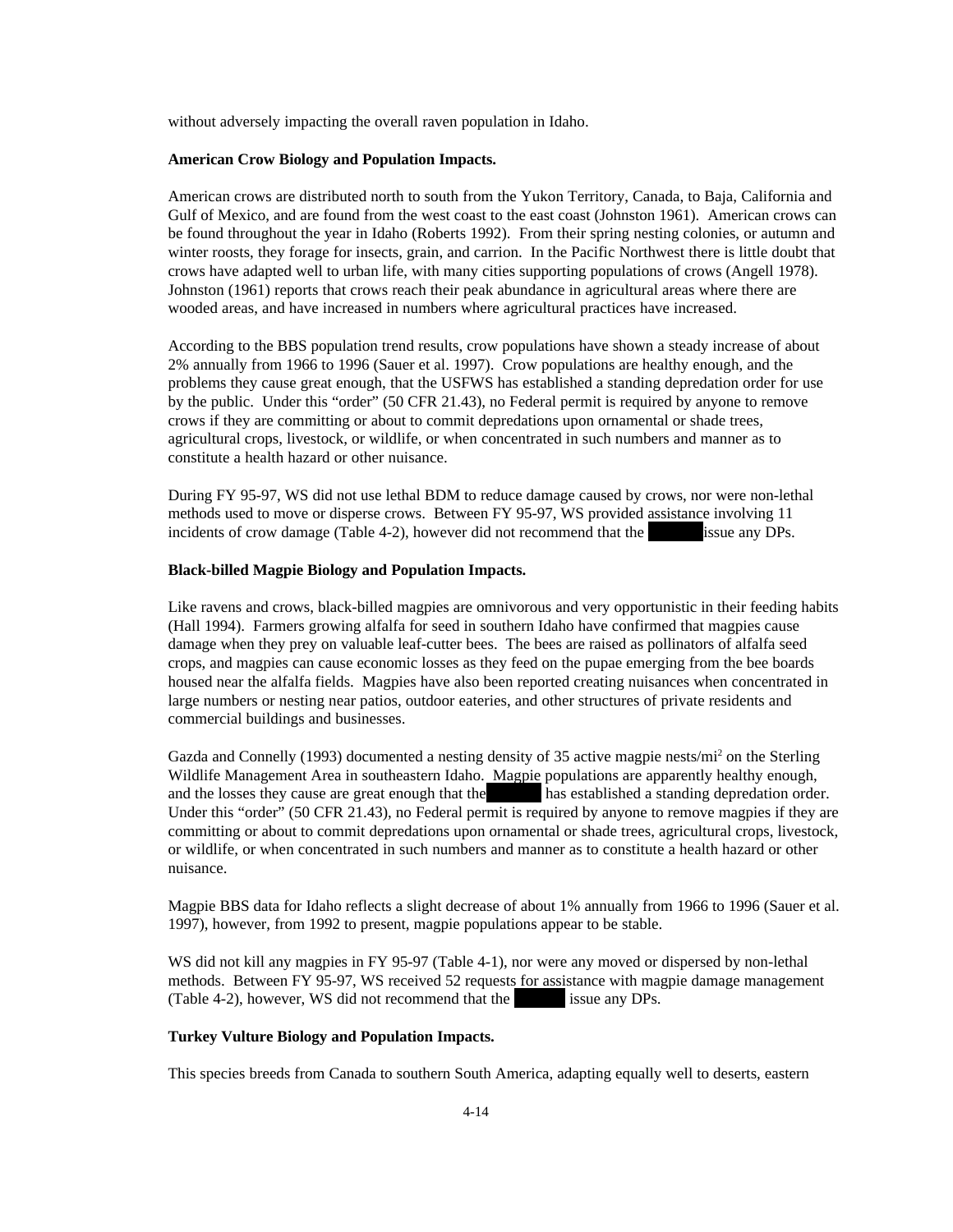without adversely impacting the overall raven population in Idaho.

#### **American Crow Biology and Population Impacts.**

American crows are distributed north to south from the Yukon Territory, Canada, to Baja, California and Gulf of Mexico, and are found from the west coast to the east coast (Johnston 1961). American crows can be found throughout the year in Idaho (Roberts 1992). From their spring nesting colonies, or autumn and winter roosts, they forage for insects, grain, and carrion. In the Pacific Northwest there is little doubt that crows have adapted well to urban life, with many cities supporting populations of crows (Angell 1978). Johnston (1961) reports that crows reach their peak abundance in agricultural areas where there are wooded areas, and have increased in numbers where agricultural practices have increased.

According to the BBS population trend results, crow populations have shown a steady increase of about 2% annually from 1966 to 1996 (Sauer et al. 1997). Crow populations are healthy enough, and the problems they cause great enough, that the USFWS has established a standing depredation order for use by the public. Under this "order" (50 CFR 21.43), no Federal permit is required by anyone to remove crows if they are committing or about to commit depredations upon ornamental or shade trees, agricultural crops, livestock, or wildlife, or when concentrated in such numbers and manner as to constitute a health hazard or other nuisance.

During FY 95-97, WS did not use lethal BDM to reduce damage caused by crows, nor were non-lethal methods used to move or disperse crows. Between FY 95-97, WS provided assistance involving 11 incidents of crow damage (Table 4-2), however did not recommend that the  $\sim$  issue any DPs.

#### **Black-billed Magpie Biology and Population Impacts.**

Like ravens and crows, black-billed magpies are omnivorous and very opportunistic in their feeding habits (Hall 1994). Farmers growing alfalfa for seed in southern Idaho have confirmed that magpies cause damage when they prey on valuable leaf-cutter bees. The bees are raised as pollinators of alfalfa seed crops, and magpies can cause economic losses as they feed on the pupae emerging from the bee boards housed near the alfalfa fields. Magpies have also been reported creating nuisances when concentrated in large numbers or nesting near patios, outdoor eateries, and other structures of private residents and commercial buildings and businesses.

Gazda and Connelly (1993) documented a nesting density of 35 active magpie nests/mi<sup>2</sup> on the Sterling Wildlife Management Area in southeastern Idaho. Magpie populations are apparently healthy enough, and the losses they cause are great enough that the losses that is a stablished a standing depredation order. Under this "order" (50 CFR 21.43), no Federal permit is required by anyone to remove magpies if they are committing or about to commit depredations upon ornamental or shade trees, agricultural crops, livestock, or wildlife, or when concentrated in such numbers and manner as to constitute a health hazard or other nuisance.

Magpie BBS data for Idaho reflects a slight decrease of about 1% annually from 1966 to 1996 (Sauer et al. 1997), however, from 1992 to present, magpie populations appear to be stable.

WS did not kill any magpies in FY 95-97 (Table 4-1), nor were any moved or dispersed by non-lethal methods. Between FY 95-97, WS received 52 requests for assistance with magpie damage management (Table 4-2), however, WS did not recommend that the issue any DPs.

## **Turkey Vulture Biology and Population Impacts.**

This species breeds from Canada to southern South America, adapting equally well to deserts, eastern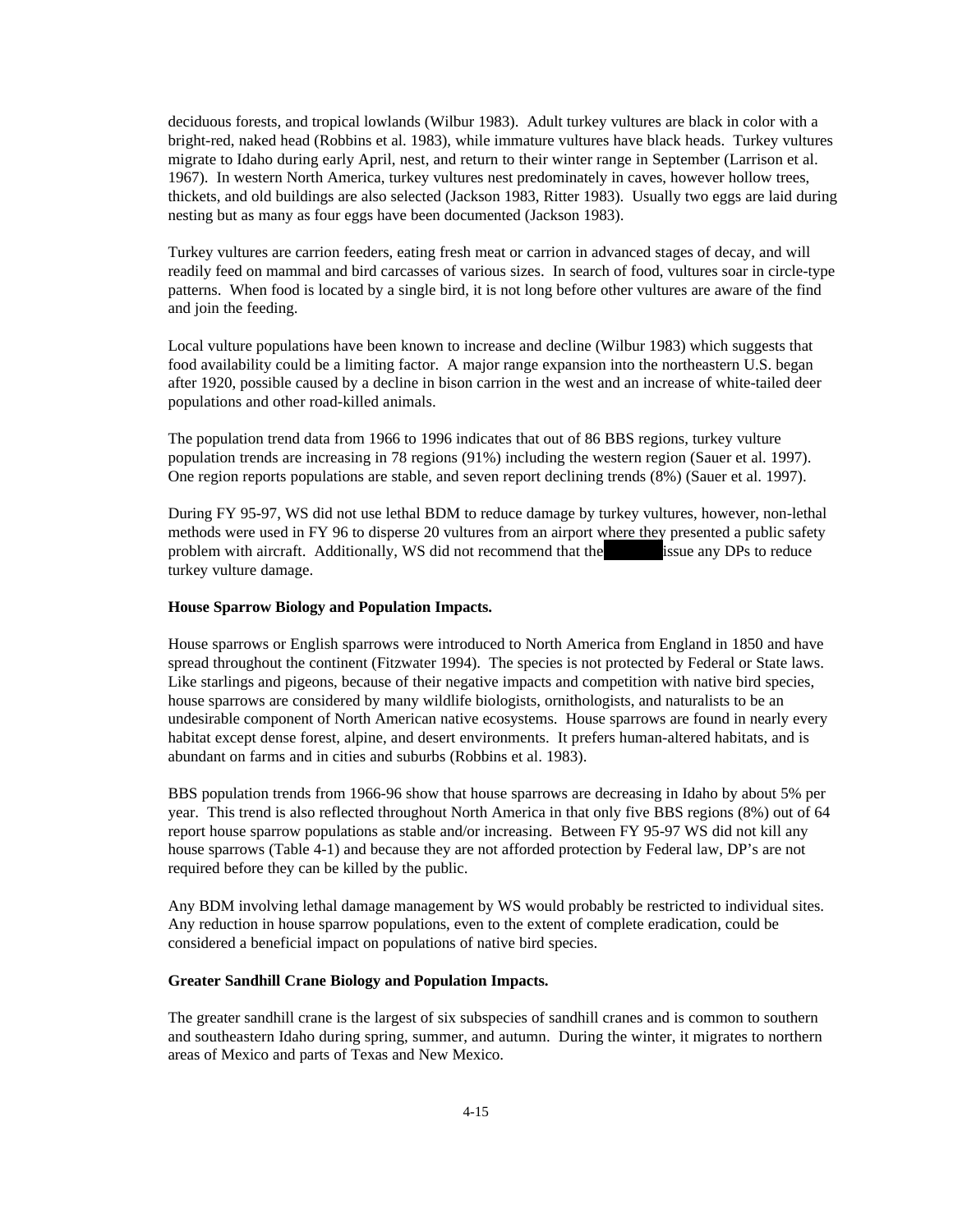deciduous forests, and tropical lowlands (Wilbur 1983). Adult turkey vultures are black in color with a bright-red, naked head (Robbins et al. 1983), while immature vultures have black heads. Turkey vultures migrate to Idaho during early April, nest, and return to their winter range in September (Larrison et al. 1967). In western North America, turkey vultures nest predominately in caves, however hollow trees, thickets, and old buildings are also selected (Jackson 1983, Ritter 1983). Usually two eggs are laid during nesting but as many as four eggs have been documented (Jackson 1983).

Turkey vultures are carrion feeders, eating fresh meat or carrion in advanced stages of decay, and will readily feed on mammal and bird carcasses of various sizes. In search of food, vultures soar in circle-type patterns. When food is located by a single bird, it is not long before other vultures are aware of the find and join the feeding.

Local vulture populations have been known to increase and decline (Wilbur 1983) which suggests that food availability could be a limiting factor. A major range expansion into the northeastern U.S. began after 1920, possible caused by a decline in bison carrion in the west and an increase of white-tailed deer populations and other road-killed animals.

The population trend data from 1966 to 1996 indicates that out of 86 BBS regions, turkey vulture population trends are increasing in 78 regions (91%) including the western region (Sauer et al. 1997). One region reports populations are stable, and seven report declining trends (8%) (Sauer et al. 1997).

During FY 95-97, WS did not use lethal BDM to reduce damage by turkey vultures, however, non-lethal methods were used in FY 96 to disperse 20 vultures from an airport where they presented a public safety problem with aircraft. Additionally, WS did not recommend that the usual issue any DPs to reduce turkey vulture damage.

#### **House Sparrow Biology and Population Impacts.**

House sparrows or English sparrows were introduced to North America from England in 1850 and have spread throughout the continent (Fitzwater 1994). The species is not protected by Federal or State laws. Like starlings and pigeons, because of their negative impacts and competition with native bird species, house sparrows are considered by many wildlife biologists, ornithologists, and naturalists to be an undesirable component of North American native ecosystems. House sparrows are found in nearly every habitat except dense forest, alpine, and desert environments. It prefers human-altered habitats, and is abundant on farms and in cities and suburbs (Robbins et al. 1983).

BBS population trends from 1966-96 show that house sparrows are decreasing in Idaho by about 5% per year. This trend is also reflected throughout North America in that only five BBS regions (8%) out of 64 report house sparrow populations as stable and/or increasing. Between FY 95-97 WS did not kill any house sparrows (Table 4-1) and because they are not afforded protection by Federal law, DP's are not required before they can be killed by the public.

Any BDM involving lethal damage management by WS would probably be restricted to individual sites. Any reduction in house sparrow populations, even to the extent of complete eradication, could be considered a beneficial impact on populations of native bird species.

#### **Greater Sandhill Crane Biology and Population Impacts.**

The greater sandhill crane is the largest of six subspecies of sandhill cranes and is common to southern and southeastern Idaho during spring, summer, and autumn. During the winter, it migrates to northern areas of Mexico and parts of Texas and New Mexico.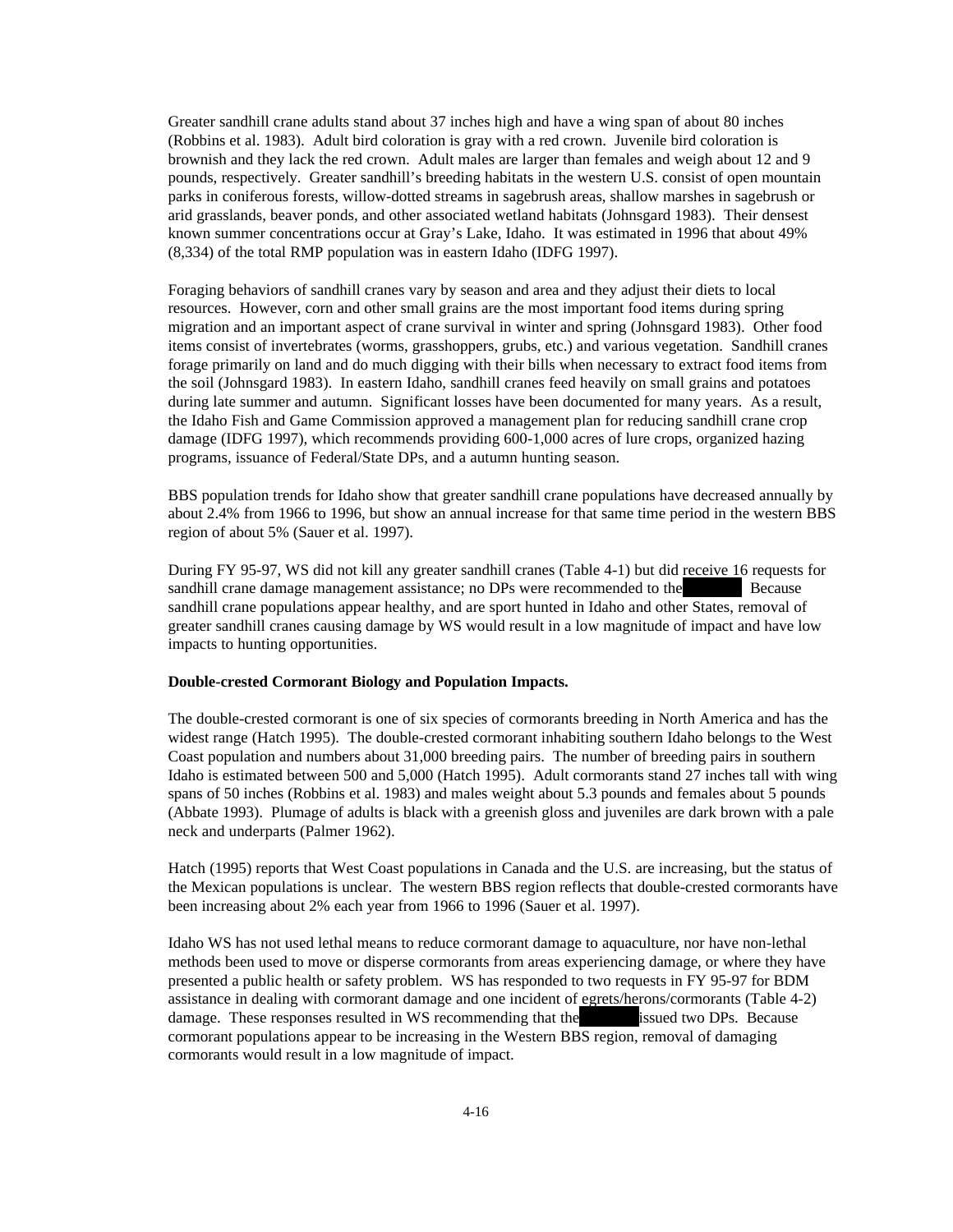Greater sandhill crane adults stand about 37 inches high and have a wing span of about 80 inches (Robbins et al. 1983). Adult bird coloration is gray with a red crown. Juvenile bird coloration is brownish and they lack the red crown. Adult males are larger than females and weigh about 12 and 9 pounds, respectively. Greater sandhill's breeding habitats in the western U.S. consist of open mountain parks in coniferous forests, willow-dotted streams in sagebrush areas, shallow marshes in sagebrush or arid grasslands, beaver ponds, and other associated wetland habitats (Johnsgard 1983). Their densest known summer concentrations occur at Gray's Lake, Idaho. It was estimated in 1996 that about 49% (8,334) of the total RMP population was in eastern Idaho (IDFG 1997).

Foraging behaviors of sandhill cranes vary by season and area and they adjust their diets to local resources. However, corn and other small grains are the most important food items during spring migration and an important aspect of crane survival in winter and spring (Johnsgard 1983). Other food items consist of invertebrates (worms, grasshoppers, grubs, etc.) and various vegetation. Sandhill cranes forage primarily on land and do much digging with their bills when necessary to extract food items from the soil (Johnsgard 1983). In eastern Idaho, sandhill cranes feed heavily on small grains and potatoes during late summer and autumn. Significant losses have been documented for many years. As a result, the Idaho Fish and Game Commission approved a management plan for reducing sandhill crane crop damage (IDFG 1997), which recommends providing 600-1,000 acres of lure crops, organized hazing programs, issuance of Federal/State DPs, and a autumn hunting season.

BBS population trends for Idaho show that greater sandhill crane populations have decreased annually by about 2.4% from 1966 to 1996, but show an annual increase for that same time period in the western BBS region of about 5% (Sauer et al. 1997).

During FY 95-97, WS did not kill any greater sandhill cranes (Table 4-1) but did receive 16 requests for sandhill crane damage management assistance; no DPs were recommended to the Because sandhill crane populations appear healthy, and are sport hunted in Idaho and other States, removal of greater sandhill cranes causing damage by WS would result in a low magnitude of impact and have low impacts to hunting opportunities.

#### **Double-crested Cormorant Biology and Population Impacts.**

The double-crested cormorant is one of six species of cormorants breeding in North America and has the widest range (Hatch 1995). The double-crested cormorant inhabiting southern Idaho belongs to the West Coast population and numbers about 31,000 breeding pairs. The number of breeding pairs in southern Idaho is estimated between 500 and 5,000 (Hatch 1995). Adult cormorants stand 27 inches tall with wing spans of 50 inches (Robbins et al. 1983) and males weight about 5.3 pounds and females about 5 pounds (Abbate 1993). Plumage of adults is black with a greenish gloss and juveniles are dark brown with a pale neck and underparts (Palmer 1962).

Hatch (1995) reports that West Coast populations in Canada and the U.S. are increasing, but the status of the Mexican populations is unclear. The western BBS region reflects that double-crested cormorants have been increasing about 2% each year from 1966 to 1996 (Sauer et al. 1997).

Idaho WS has not used lethal means to reduce cormorant damage to aquaculture, nor have non-lethal methods been used to move or disperse cormorants from areas experiencing damage, or where they have presented a public health or safety problem. WS has responded to two requests in FY 95-97 for BDM assistance in dealing with cormorant damage and one incident of egrets/herons/cormorants (Table 4-2) damage. These responses resulted in WS recommending that the usual issued two DPs. Because cormorant populations appear to be increasing in the Western BBS region, removal of damaging cormorants would result in a low magnitude of impact.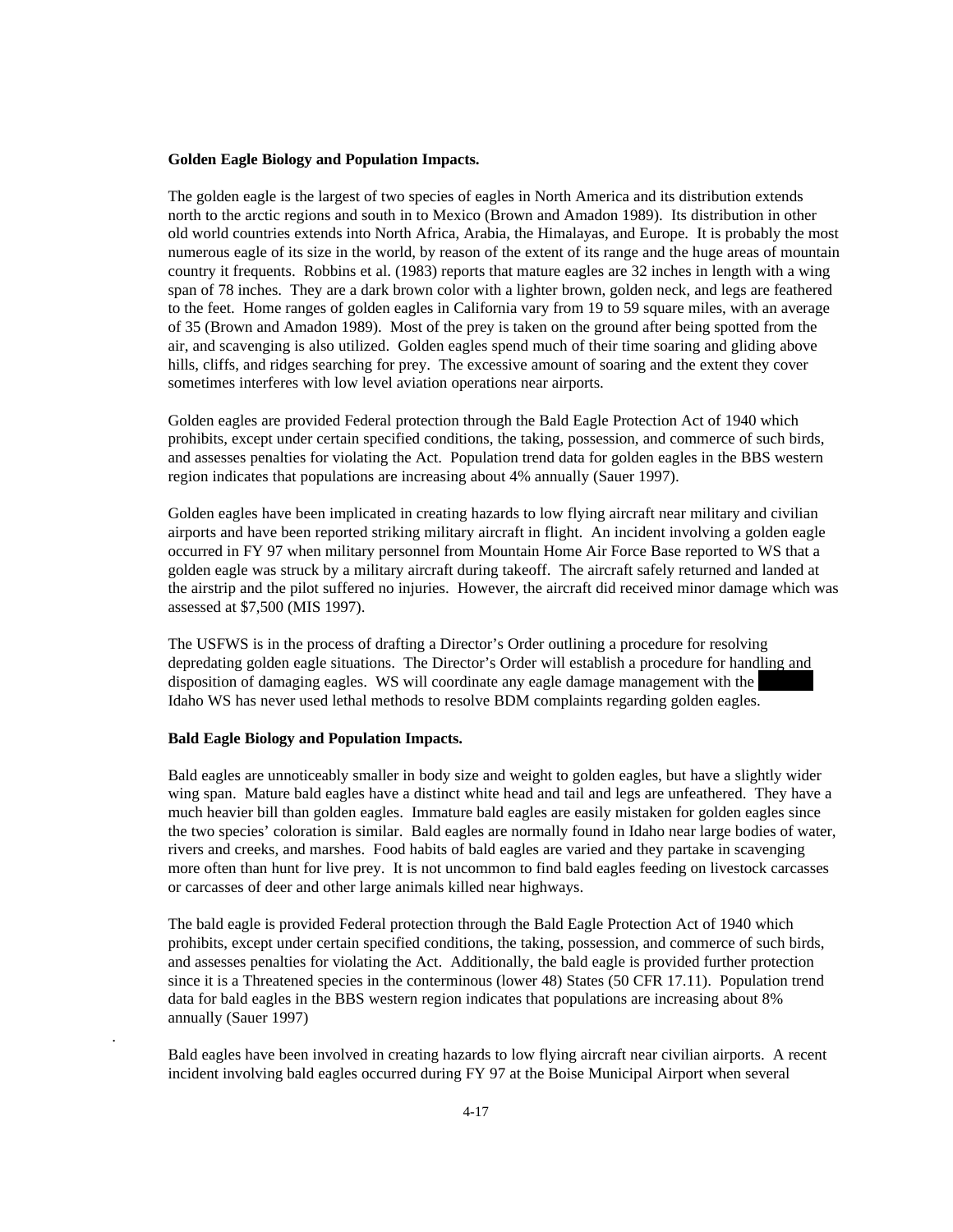#### **Golden Eagle Biology and Population Impacts.**

The golden eagle is the largest of two species of eagles in North America and its distribution extends north to the arctic regions and south in to Mexico (Brown and Amadon 1989). Its distribution in other old world countries extends into North Africa, Arabia, the Himalayas, and Europe. It is probably the most numerous eagle of its size in the world, by reason of the extent of its range and the huge areas of mountain country it frequents. Robbins et al. (1983) reports that mature eagles are 32 inches in length with a wing span of 78 inches. They are a dark brown color with a lighter brown, golden neck, and legs are feathered to the feet. Home ranges of golden eagles in California vary from 19 to 59 square miles, with an average of 35 (Brown and Amadon 1989). Most of the prey is taken on the ground after being spotted from the air, and scavenging is also utilized. Golden eagles spend much of their time soaring and gliding above hills, cliffs, and ridges searching for prey. The excessive amount of soaring and the extent they cover sometimes interferes with low level aviation operations near airports.

Golden eagles are provided Federal protection through the Bald Eagle Protection Act of 1940 which prohibits, except under certain specified conditions, the taking, possession, and commerce of such birds, and assesses penalties for violating the Act. Population trend data for golden eagles in the BBS western region indicates that populations are increasing about 4% annually (Sauer 1997).

Golden eagles have been implicated in creating hazards to low flying aircraft near military and civilian airports and have been reported striking military aircraft in flight. An incident involving a golden eagle occurred in FY 97 when military personnel from Mountain Home Air Force Base reported to WS that a golden eagle was struck by a military aircraft during takeoff. The aircraft safely returned and landed at the airstrip and the pilot suffered no injuries. However, the aircraft did received minor damage which was assessed at \$7,500 (MIS 1997).

The USFWS is in the process of drafting a Director's Order outlining a procedure for resolving depredating golden eagle situations. The Director's Order will establish a procedure for handling and disposition of damaging eagles. WS will coordinate any eagle damage management with the Idaho WS has never used lethal methods to resolve BDM complaints regarding golden eagles.

#### **Bald Eagle Biology and Population Impacts.**

.

Bald eagles are unnoticeably smaller in body size and weight to golden eagles, but have a slightly wider wing span. Mature bald eagles have a distinct white head and tail and legs are unfeathered. They have a much heavier bill than golden eagles. Immature bald eagles are easily mistaken for golden eagles since the two species' coloration is similar. Bald eagles are normally found in Idaho near large bodies of water, rivers and creeks, and marshes. Food habits of bald eagles are varied and they partake in scavenging more often than hunt for live prey. It is not uncommon to find bald eagles feeding on livestock carcasses or carcasses of deer and other large animals killed near highways.

The bald eagle is provided Federal protection through the Bald Eagle Protection Act of 1940 which prohibits, except under certain specified conditions, the taking, possession, and commerce of such birds, and assesses penalties for violating the Act. Additionally, the bald eagle is provided further protection since it is a Threatened species in the conterminous (lower 48) States (50 CFR 17.11). Population trend data for bald eagles in the BBS western region indicates that populations are increasing about 8% annually (Sauer 1997)

Bald eagles have been involved in creating hazards to low flying aircraft near civilian airports. A recent incident involving bald eagles occurred during FY 97 at the Boise Municipal Airport when several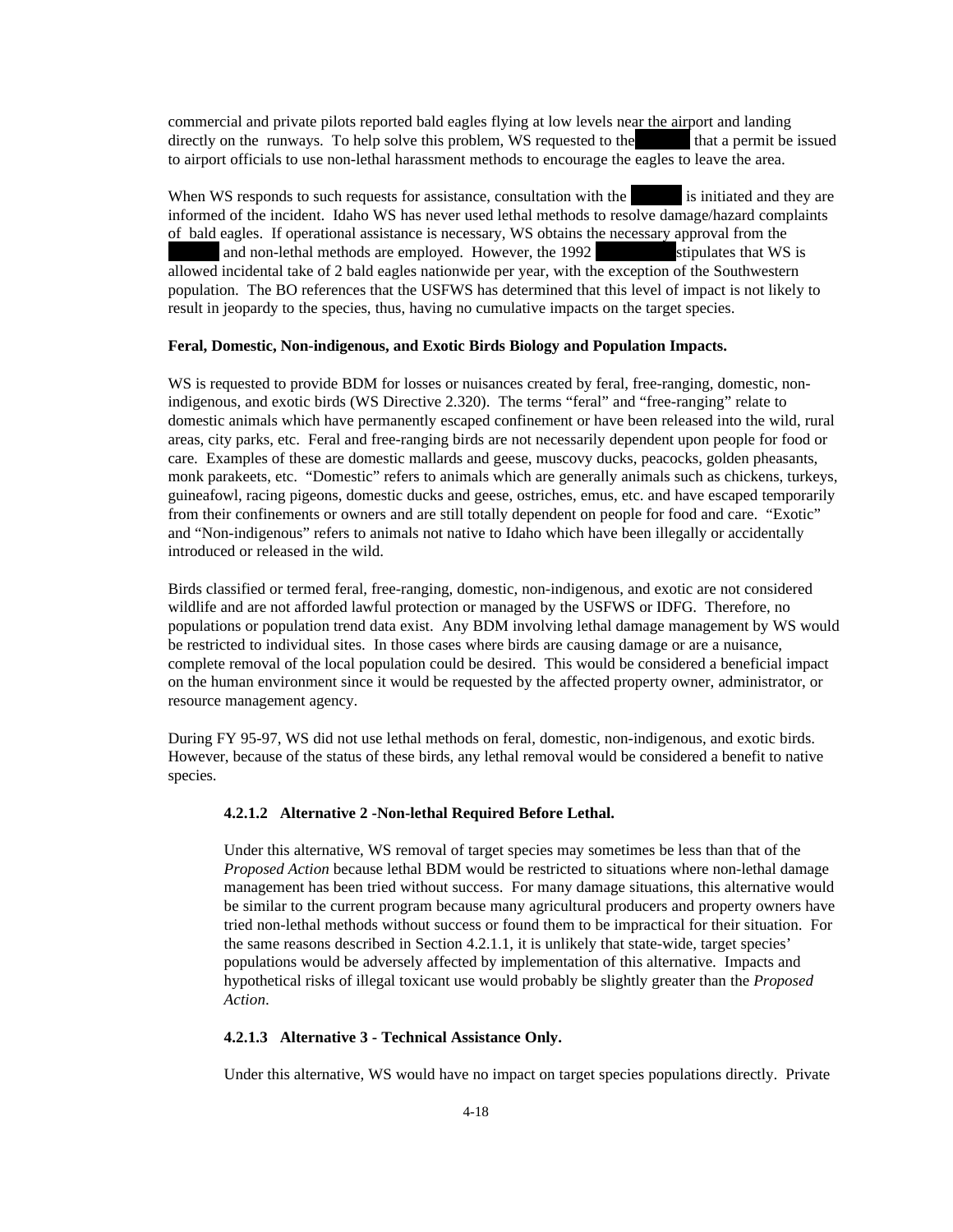commercial and private pilots reported bald eagles flying at low levels near the airport and landing directly on the runways. To help solve this problem, WS requested to the that a permit be issued to airport officials to use non-lethal harassment methods to encourage the eagles to leave the area.

When WS responds to such requests for assistance, consultation with the is initiated and they are informed of the incident. Idaho WS has never used lethal methods to resolve damage/hazard complaints of bald eagles. If operational assistance is necessary, WS obtains the necessary approval from the and non-lethal methods are employed. However, the 1992 stipulates that WS is allowed incidental take of 2 bald eagles nationwide per year, with the exception of the Southwestern population. The BO references that the USFWS has determined that this level of impact is not likely to result in jeopardy to the species, thus, having no cumulative impacts on the target species.

#### **Feral, Domestic, Non-indigenous, and Exotic Birds Biology and Population Impacts.**

WS is requested to provide BDM for losses or nuisances created by feral, free-ranging, domestic, nonindigenous, and exotic birds (WS Directive 2.320). The terms "feral" and "free-ranging" relate to domestic animals which have permanently escaped confinement or have been released into the wild, rural areas, city parks, etc. Feral and free-ranging birds are not necessarily dependent upon people for food or care. Examples of these are domestic mallards and geese, muscovy ducks, peacocks, golden pheasants, monk parakeets, etc. "Domestic" refers to animals which are generally animals such as chickens, turkeys, guineafowl, racing pigeons, domestic ducks and geese, ostriches, emus, etc. and have escaped temporarily from their confinements or owners and are still totally dependent on people for food and care. "Exotic" and "Non-indigenous" refers to animals not native to Idaho which have been illegally or accidentally introduced or released in the wild.

Birds classified or termed feral, free-ranging, domestic, non-indigenous, and exotic are not considered wildlife and are not afforded lawful protection or managed by the USFWS or IDFG. Therefore, no populations or population trend data exist. Any BDM involving lethal damage management by WS would be restricted to individual sites. In those cases where birds are causing damage or are a nuisance, complete removal of the local population could be desired. This would be considered a beneficial impact on the human environment since it would be requested by the affected property owner, administrator, or resource management agency.

During FY 95-97, WS did not use lethal methods on feral, domestic, non-indigenous, and exotic birds. However, because of the status of these birds, any lethal removal would be considered a benefit to native species.

#### **4.2.1.2 Alternative 2 -Non-lethal Required Before Lethal.**

Under this alternative, WS removal of target species may sometimes be less than that of the *Proposed Action* because lethal BDM would be restricted to situations where non-lethal damage management has been tried without success. For many damage situations, this alternative would be similar to the current program because many agricultural producers and property owners have tried non-lethal methods without success or found them to be impractical for their situation. For the same reasons described in Section 4.2.1.1, it is unlikely that state-wide, target species' populations would be adversely affected by implementation of this alternative. Impacts and hypothetical risks of illegal toxicant use would probably be slightly greater than the *Proposed Action*.

#### **4.2.1.3 Alternative 3 - Technical Assistance Only.**

Under this alternative, WS would have no impact on target species populations directly. Private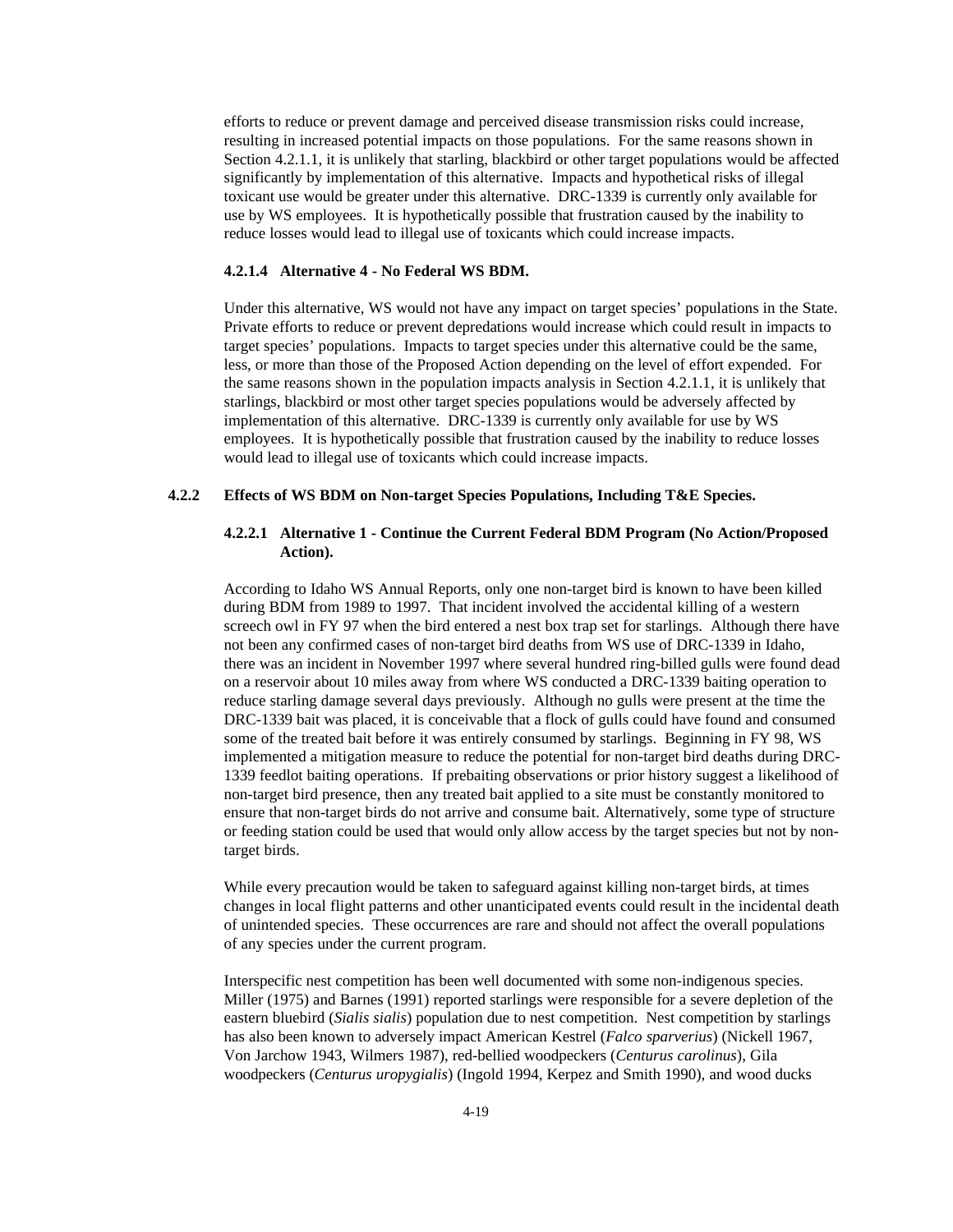efforts to reduce or prevent damage and perceived disease transmission risks could increase, resulting in increased potential impacts on those populations. For the same reasons shown in Section 4.2.1.1, it is unlikely that starling, blackbird or other target populations would be affected significantly by implementation of this alternative. Impacts and hypothetical risks of illegal toxicant use would be greater under this alternative. DRC-1339 is currently only available for use by WS employees. It is hypothetically possible that frustration caused by the inability to reduce losses would lead to illegal use of toxicants which could increase impacts.

#### **4.2.1.4 Alternative 4 - No Federal WS BDM.**

Under this alternative, WS would not have any impact on target species' populations in the State. Private efforts to reduce or prevent depredations would increase which could result in impacts to target species' populations. Impacts to target species under this alternative could be the same, less, or more than those of the Proposed Action depending on the level of effort expended. For the same reasons shown in the population impacts analysis in Section 4.2.1.1, it is unlikely that starlings, blackbird or most other target species populations would be adversely affected by implementation of this alternative. DRC-1339 is currently only available for use by WS employees. It is hypothetically possible that frustration caused by the inability to reduce losses would lead to illegal use of toxicants which could increase impacts.

## **4.2.2 Effects of WS BDM on Non-target Species Populations, Including T&E Species.**

## **4.2.2.1 Alternative 1 - Continue the Current Federal BDM Program (No Action/Proposed Action).**

According to Idaho WS Annual Reports, only one non-target bird is known to have been killed during BDM from 1989 to 1997. That incident involved the accidental killing of a western screech owl in FY 97 when the bird entered a nest box trap set for starlings. Although there have not been any confirmed cases of non-target bird deaths from WS use of DRC-1339 in Idaho, there was an incident in November 1997 where several hundred ring-billed gulls were found dead on a reservoir about 10 miles away from where WS conducted a DRC-1339 baiting operation to reduce starling damage several days previously. Although no gulls were present at the time the DRC-1339 bait was placed, it is conceivable that a flock of gulls could have found and consumed some of the treated bait before it was entirely consumed by starlings. Beginning in FY 98, WS implemented a mitigation measure to reduce the potential for non-target bird deaths during DRC-1339 feedlot baiting operations. If prebaiting observations or prior history suggest a likelihood of non-target bird presence, then any treated bait applied to a site must be constantly monitored to ensure that non-target birds do not arrive and consume bait. Alternatively, some type of structure or feeding station could be used that would only allow access by the target species but not by nontarget birds.

While every precaution would be taken to safeguard against killing non-target birds, at times changes in local flight patterns and other unanticipated events could result in the incidental death of unintended species. These occurrences are rare and should not affect the overall populations of any species under the current program.

Interspecific nest competition has been well documented with some non-indigenous species. Miller (1975) and Barnes (1991) reported starlings were responsible for a severe depletion of the eastern bluebird (*Sialis sialis*) population due to nest competition. Nest competition by starlings has also been known to adversely impact American Kestrel (*Falco sparverius*) (Nickell 1967, Von Jarchow 1943, Wilmers 1987), red-bellied woodpeckers (*Centurus carolinus*), Gila woodpeckers (*Centurus uropygialis*) (Ingold 1994, Kerpez and Smith 1990), and wood ducks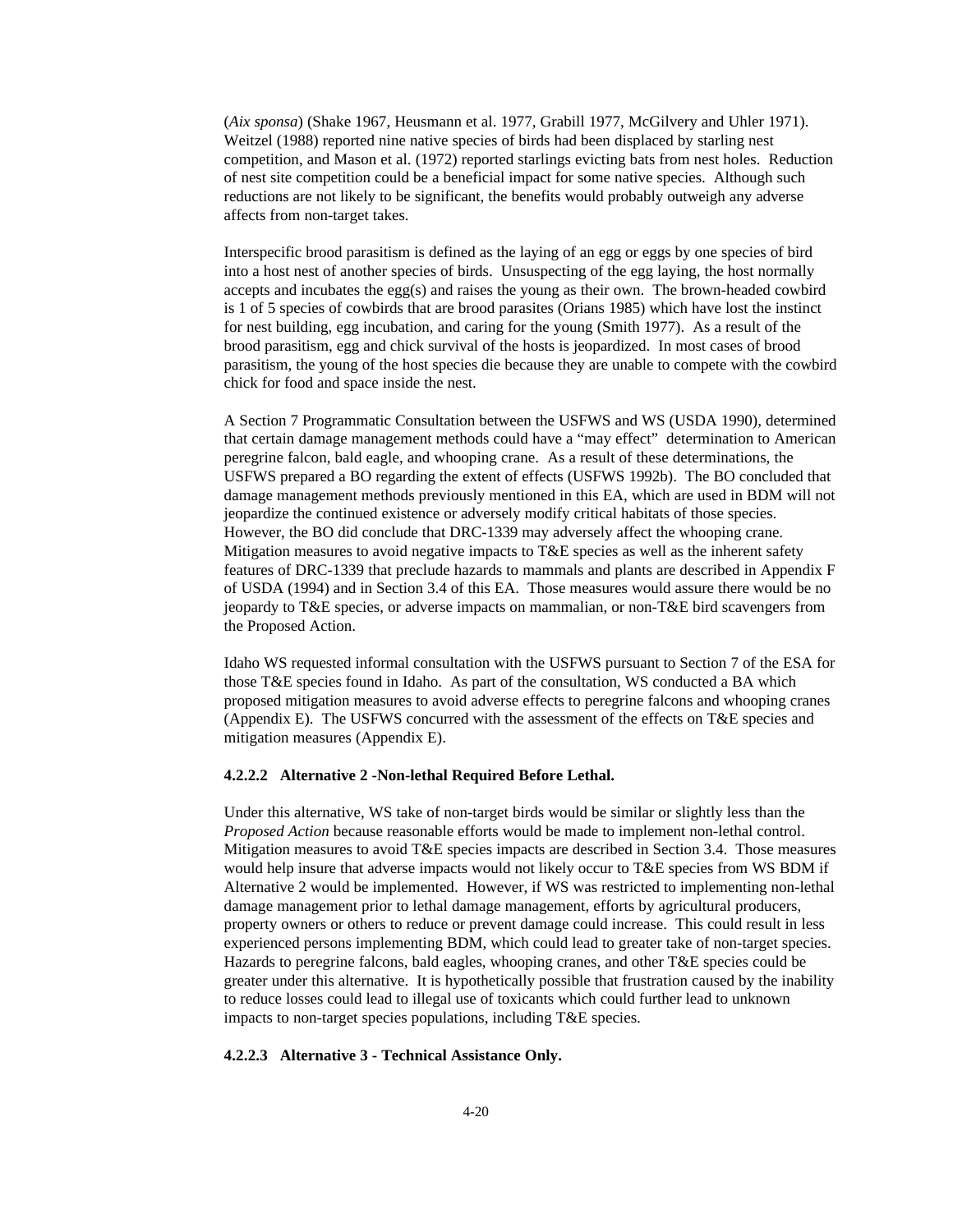(*Aix sponsa*) (Shake 1967, Heusmann et al. 1977, Grabill 1977, McGilvery and Uhler 1971). Weitzel (1988) reported nine native species of birds had been displaced by starling nest competition, and Mason et al. (1972) reported starlings evicting bats from nest holes. Reduction of nest site competition could be a beneficial impact for some native species. Although such reductions are not likely to be significant, the benefits would probably outweigh any adverse affects from non-target takes.

Interspecific brood parasitism is defined as the laying of an egg or eggs by one species of bird into a host nest of another species of birds. Unsuspecting of the egg laying, the host normally accepts and incubates the egg(s) and raises the young as their own. The brown-headed cowbird is 1 of 5 species of cowbirds that are brood parasites (Orians 1985) which have lost the instinct for nest building, egg incubation, and caring for the young (Smith 1977). As a result of the brood parasitism, egg and chick survival of the hosts is jeopardized. In most cases of brood parasitism, the young of the host species die because they are unable to compete with the cowbird chick for food and space inside the nest.

A Section 7 Programmatic Consultation between the USFWS and WS (USDA 1990), determined that certain damage management methods could have a "may effect" determination to American peregrine falcon, bald eagle, and whooping crane. As a result of these determinations, the USFWS prepared a BO regarding the extent of effects (USFWS 1992b). The BO concluded that damage management methods previously mentioned in this EA, which are used in BDM will not jeopardize the continued existence or adversely modify critical habitats of those species. However, the BO did conclude that DRC-1339 may adversely affect the whooping crane. Mitigation measures to avoid negative impacts to T&E species as well as the inherent safety features of DRC-1339 that preclude hazards to mammals and plants are described in Appendix F of USDA (1994) and in Section 3.4 of this EA. Those measures would assure there would be no jeopardy to T&E species, or adverse impacts on mammalian, or non-T&E bird scavengers from the Proposed Action.

Idaho WS requested informal consultation with the USFWS pursuant to Section 7 of the ESA for those T&E species found in Idaho. As part of the consultation, WS conducted a BA which proposed mitigation measures to avoid adverse effects to peregrine falcons and whooping cranes (Appendix E). The USFWS concurred with the assessment of the effects on T&E species and mitigation measures (Appendix E).

#### **4.2.2.2 Alternative 2 -Non-lethal Required Before Lethal.**

Under this alternative, WS take of non-target birds would be similar or slightly less than the *Proposed Action* because reasonable efforts would be made to implement non-lethal control. Mitigation measures to avoid T&E species impacts are described in Section 3.4. Those measures would help insure that adverse impacts would not likely occur to T&E species from WS BDM if Alternative 2 would be implemented. However, if WS was restricted to implementing non-lethal damage management prior to lethal damage management, efforts by agricultural producers, property owners or others to reduce or prevent damage could increase. This could result in less experienced persons implementing BDM, which could lead to greater take of non-target species. Hazards to peregrine falcons, bald eagles, whooping cranes, and other T&E species could be greater under this alternative. It is hypothetically possible that frustration caused by the inability to reduce losses could lead to illegal use of toxicants which could further lead to unknown impacts to non-target species populations, including T&E species.

#### **4.2.2.3 Alternative 3 - Technical Assistance Only.**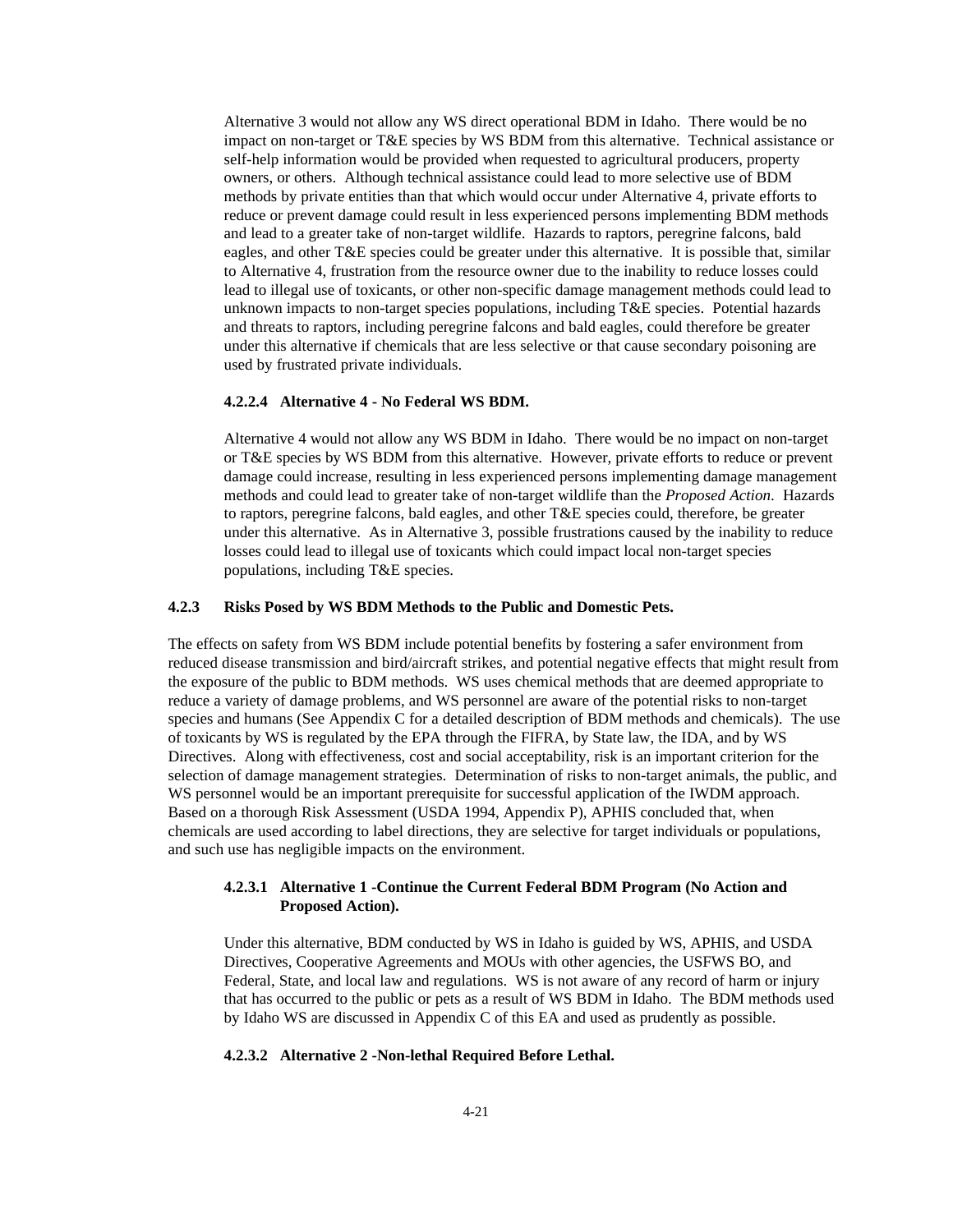Alternative 3 would not allow any WS direct operational BDM in Idaho. There would be no impact on non-target or T&E species by WS BDM from this alternative. Technical assistance or self-help information would be provided when requested to agricultural producers, property owners, or others. Although technical assistance could lead to more selective use of BDM methods by private entities than that which would occur under Alternative 4, private efforts to reduce or prevent damage could result in less experienced persons implementing BDM methods and lead to a greater take of non-target wildlife. Hazards to raptors, peregrine falcons, bald eagles, and other T&E species could be greater under this alternative. It is possible that, similar to Alternative 4, frustration from the resource owner due to the inability to reduce losses could lead to illegal use of toxicants, or other non-specific damage management methods could lead to unknown impacts to non-target species populations, including T&E species. Potential hazards and threats to raptors, including peregrine falcons and bald eagles, could therefore be greater under this alternative if chemicals that are less selective or that cause secondary poisoning are used by frustrated private individuals.

#### **4.2.2.4 Alternative 4 - No Federal WS BDM.**

Alternative 4 would not allow any WS BDM in Idaho. There would be no impact on non-target or T&E species by WS BDM from this alternative. However, private efforts to reduce or prevent damage could increase, resulting in less experienced persons implementing damage management methods and could lead to greater take of non-target wildlife than the *Proposed Action*. Hazards to raptors, peregrine falcons, bald eagles, and other T&E species could, therefore, be greater under this alternative. As in Alternative 3, possible frustrations caused by the inability to reduce losses could lead to illegal use of toxicants which could impact local non-target species populations, including T&E species.

## **4.2.3 Risks Posed by WS BDM Methods to the Public and Domestic Pets.**

The effects on safety from WS BDM include potential benefits by fostering a safer environment from reduced disease transmission and bird/aircraft strikes, and potential negative effects that might result from the exposure of the public to BDM methods. WS uses chemical methods that are deemed appropriate to reduce a variety of damage problems, and WS personnel are aware of the potential risks to non-target species and humans (See Appendix C for a detailed description of BDM methods and chemicals). The use of toxicants by WS is regulated by the EPA through the FIFRA, by State law, the IDA, and by WS Directives. Along with effectiveness, cost and social acceptability, risk is an important criterion for the selection of damage management strategies. Determination of risks to non-target animals, the public, and WS personnel would be an important prerequisite for successful application of the IWDM approach. Based on a thorough Risk Assessment (USDA 1994, Appendix P), APHIS concluded that, when chemicals are used according to label directions, they are selective for target individuals or populations, and such use has negligible impacts on the environment.

## **4.2.3.1 Alternative 1 -Continue the Current Federal BDM Program (No Action and Proposed Action).**

Under this alternative, BDM conducted by WS in Idaho is guided by WS, APHIS, and USDA Directives, Cooperative Agreements and MOUs with other agencies, the USFWS BO, and Federal, State, and local law and regulations. WS is not aware of any record of harm or injury that has occurred to the public or pets as a result of WS BDM in Idaho. The BDM methods used by Idaho WS are discussed in Appendix C of this EA and used as prudently as possible.

#### **4.2.3.2 Alternative 2 -Non-lethal Required Before Lethal.**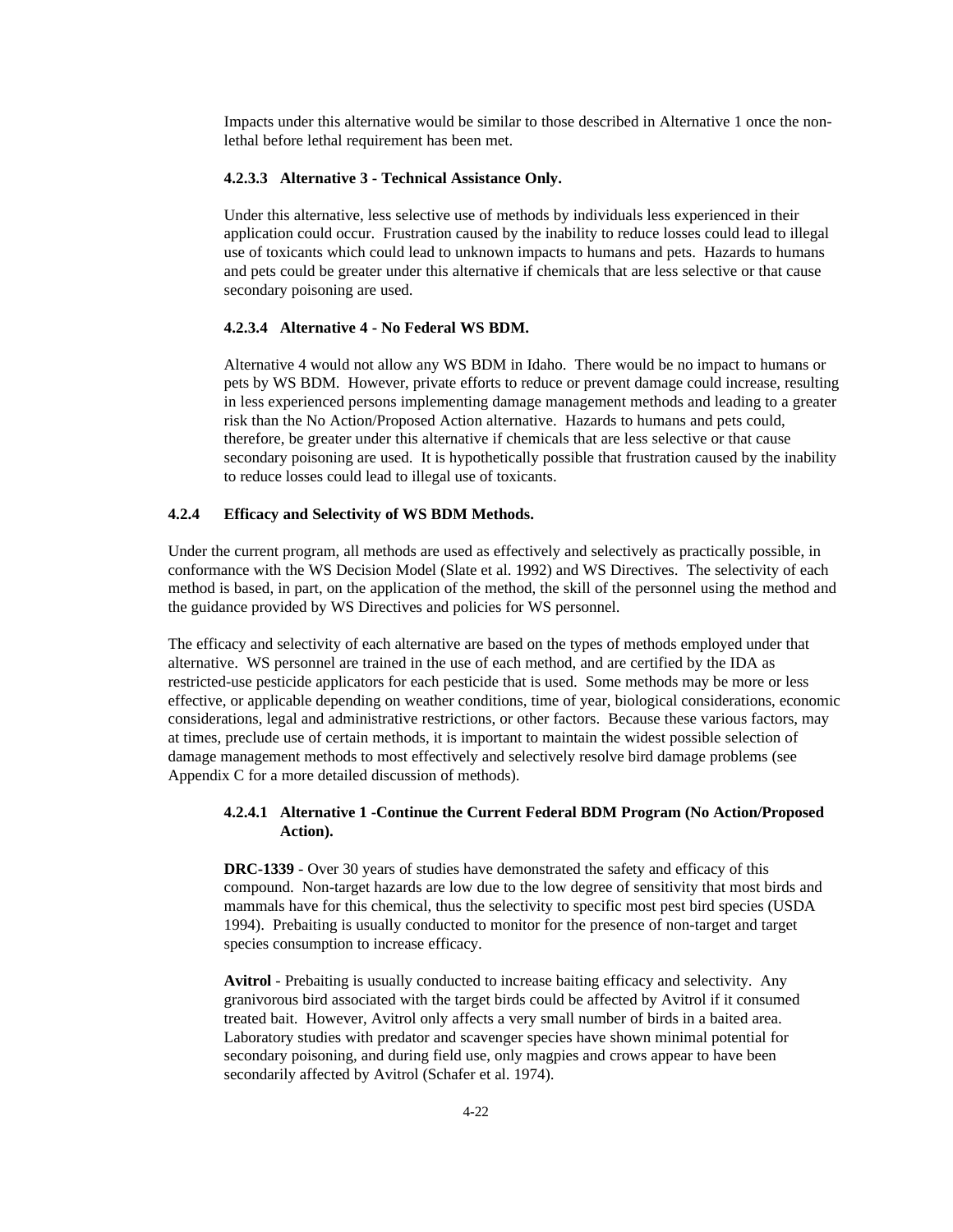Impacts under this alternative would be similar to those described in Alternative 1 once the nonlethal before lethal requirement has been met.

## **4.2.3.3 Alternative 3 - Technical Assistance Only.**

Under this alternative, less selective use of methods by individuals less experienced in their application could occur. Frustration caused by the inability to reduce losses could lead to illegal use of toxicants which could lead to unknown impacts to humans and pets. Hazards to humans and pets could be greater under this alternative if chemicals that are less selective or that cause secondary poisoning are used.

#### **4.2.3.4 Alternative 4 - No Federal WS BDM.**

Alternative 4 would not allow any WS BDM in Idaho. There would be no impact to humans or pets by WS BDM. However, private efforts to reduce or prevent damage could increase, resulting in less experienced persons implementing damage management methods and leading to a greater risk than the No Action/Proposed Action alternative. Hazards to humans and pets could, therefore, be greater under this alternative if chemicals that are less selective or that cause secondary poisoning are used. It is hypothetically possible that frustration caused by the inability to reduce losses could lead to illegal use of toxicants.

## **4.2.4 Efficacy and Selectivity of WS BDM Methods.**

Under the current program, all methods are used as effectively and selectively as practically possible, in conformance with the WS Decision Model (Slate et al. 1992) and WS Directives. The selectivity of each method is based, in part, on the application of the method, the skill of the personnel using the method and the guidance provided by WS Directives and policies for WS personnel.

The efficacy and selectivity of each alternative are based on the types of methods employed under that alternative. WS personnel are trained in the use of each method, and are certified by the IDA as restricted-use pesticide applicators for each pesticide that is used. Some methods may be more or less effective, or applicable depending on weather conditions, time of year, biological considerations, economic considerations, legal and administrative restrictions, or other factors. Because these various factors, may at times, preclude use of certain methods, it is important to maintain the widest possible selection of damage management methods to most effectively and selectively resolve bird damage problems (see Appendix C for a more detailed discussion of methods).

## **4.2.4.1 Alternative 1 -Continue the Current Federal BDM Program (No Action/Proposed Action).**

**DRC-1339** - Over 30 years of studies have demonstrated the safety and efficacy of this compound. Non-target hazards are low due to the low degree of sensitivity that most birds and mammals have for this chemical, thus the selectivity to specific most pest bird species (USDA 1994). Prebaiting is usually conducted to monitor for the presence of non-target and target species consumption to increase efficacy.

**Avitrol** - Prebaiting is usually conducted to increase baiting efficacy and selectivity. Any granivorous bird associated with the target birds could be affected by Avitrol if it consumed treated bait. However, Avitrol only affects a very small number of birds in a baited area. Laboratory studies with predator and scavenger species have shown minimal potential for secondary poisoning, and during field use, only magpies and crows appear to have been secondarily affected by Avitrol (Schafer et al. 1974).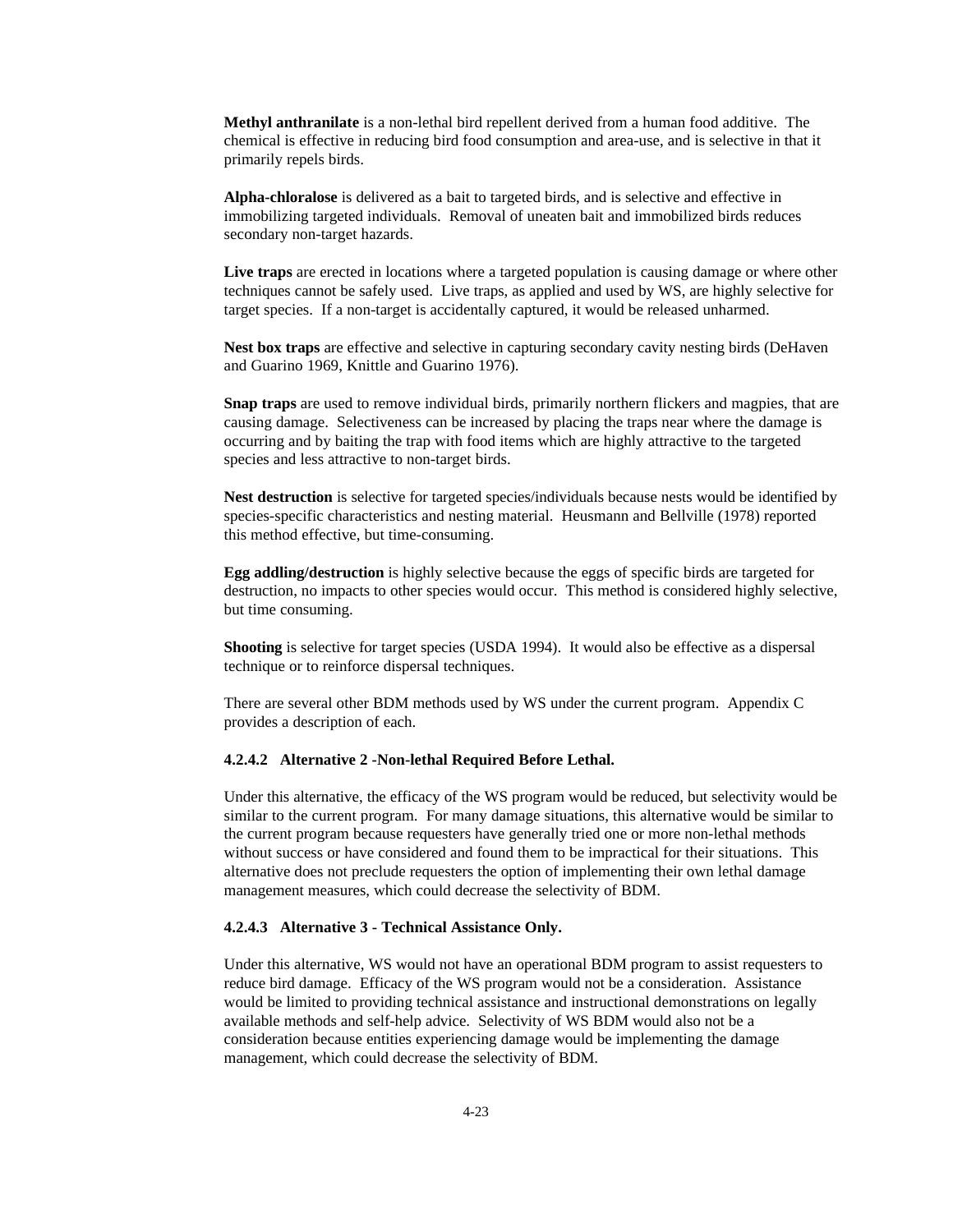**Methyl anthranilate** is a non-lethal bird repellent derived from a human food additive. The chemical is effective in reducing bird food consumption and area-use, and is selective in that it primarily repels birds.

**Alpha-chloralose** is delivered as a bait to targeted birds, and is selective and effective in immobilizing targeted individuals. Removal of uneaten bait and immobilized birds reduces secondary non-target hazards.

**Live traps** are erected in locations where a targeted population is causing damage or where other techniques cannot be safely used. Live traps, as applied and used by WS, are highly selective for target species. If a non-target is accidentally captured, it would be released unharmed.

**Nest box traps** are effective and selective in capturing secondary cavity nesting birds (DeHaven and Guarino 1969, Knittle and Guarino 1976).

**Snap traps** are used to remove individual birds, primarily northern flickers and magpies, that are causing damage. Selectiveness can be increased by placing the traps near where the damage is occurring and by baiting the trap with food items which are highly attractive to the targeted species and less attractive to non-target birds.

**Nest destruction** is selective for targeted species/individuals because nests would be identified by species-specific characteristics and nesting material. Heusmann and Bellville (1978) reported this method effective, but time-consuming.

**Egg addling/destruction** is highly selective because the eggs of specific birds are targeted for destruction, no impacts to other species would occur. This method is considered highly selective, but time consuming.

**Shooting** is selective for target species (USDA 1994). It would also be effective as a dispersal technique or to reinforce dispersal techniques.

There are several other BDM methods used by WS under the current program. Appendix C provides a description of each.

#### **4.2.4.2 Alternative 2 -Non-lethal Required Before Lethal.**

Under this alternative, the efficacy of the WS program would be reduced, but selectivity would be similar to the current program. For many damage situations, this alternative would be similar to the current program because requesters have generally tried one or more non-lethal methods without success or have considered and found them to be impractical for their situations. This alternative does not preclude requesters the option of implementing their own lethal damage management measures, which could decrease the selectivity of BDM.

#### **4.2.4.3 Alternative 3 - Technical Assistance Only.**

Under this alternative, WS would not have an operational BDM program to assist requesters to reduce bird damage. Efficacy of the WS program would not be a consideration. Assistance would be limited to providing technical assistance and instructional demonstrations on legally available methods and self-help advice. Selectivity of WS BDM would also not be a consideration because entities experiencing damage would be implementing the damage management, which could decrease the selectivity of BDM.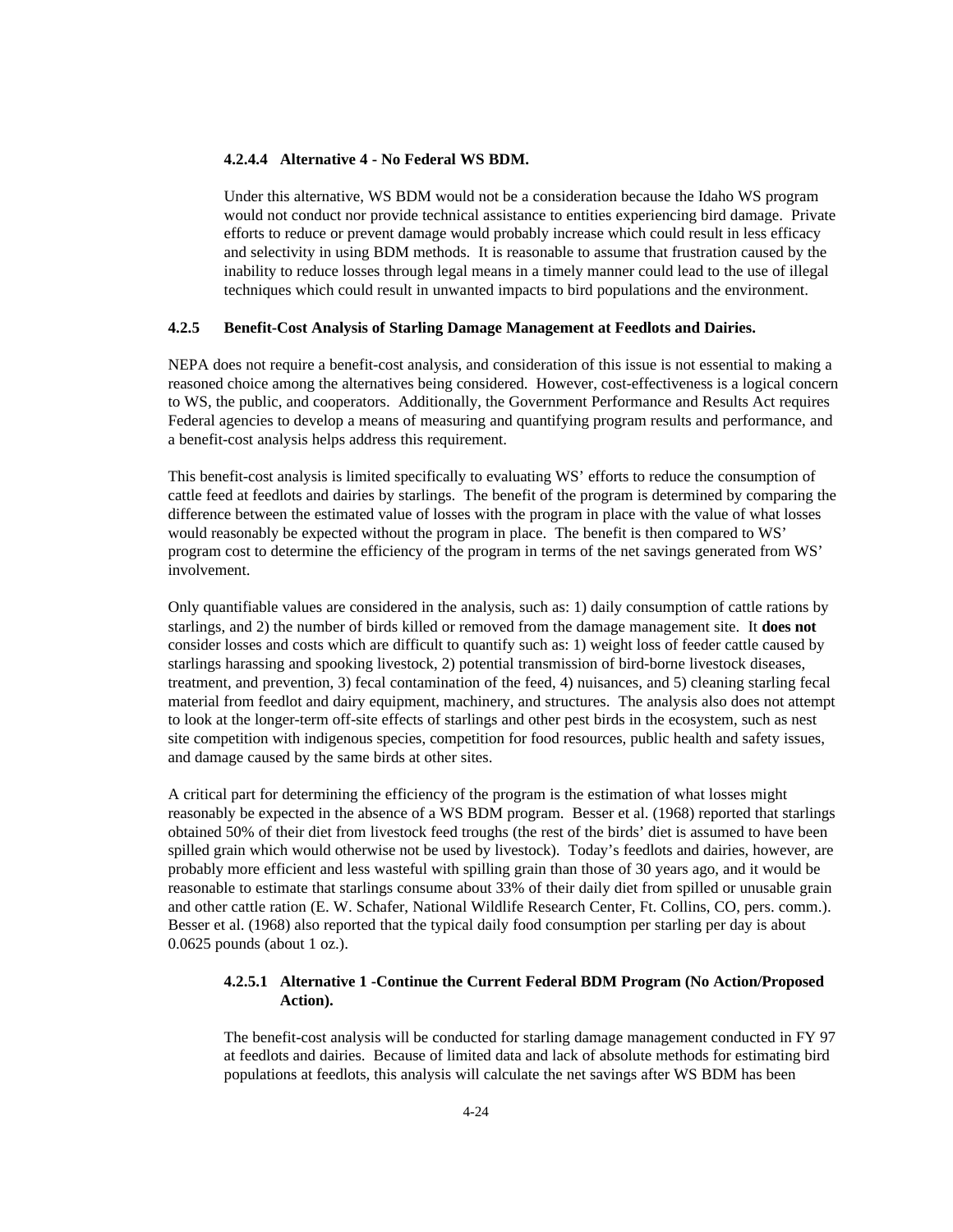#### **4.2.4.4 Alternative 4 - No Federal WS BDM.**

Under this alternative, WS BDM would not be a consideration because the Idaho WS program would not conduct nor provide technical assistance to entities experiencing bird damage. Private efforts to reduce or prevent damage would probably increase which could result in less efficacy and selectivity in using BDM methods. It is reasonable to assume that frustration caused by the inability to reduce losses through legal means in a timely manner could lead to the use of illegal techniques which could result in unwanted impacts to bird populations and the environment.

## **4.2.5 Benefit-Cost Analysis of Starling Damage Management at Feedlots and Dairies.**

NEPA does not require a benefit-cost analysis, and consideration of this issue is not essential to making a reasoned choice among the alternatives being considered. However, cost-effectiveness is a logical concern to WS, the public, and cooperators. Additionally, the Government Performance and Results Act requires Federal agencies to develop a means of measuring and quantifying program results and performance, and a benefit-cost analysis helps address this requirement.

This benefit-cost analysis is limited specifically to evaluating WS' efforts to reduce the consumption of cattle feed at feedlots and dairies by starlings. The benefit of the program is determined by comparing the difference between the estimated value of losses with the program in place with the value of what losses would reasonably be expected without the program in place. The benefit is then compared to WS' program cost to determine the efficiency of the program in terms of the net savings generated from WS' involvement.

Only quantifiable values are considered in the analysis, such as: 1) daily consumption of cattle rations by starlings, and 2) the number of birds killed or removed from the damage management site. It **does not**  consider losses and costs which are difficult to quantify such as: 1) weight loss of feeder cattle caused by starlings harassing and spooking livestock, 2) potential transmission of bird-borne livestock diseases, treatment, and prevention, 3) fecal contamination of the feed, 4) nuisances, and 5) cleaning starling fecal material from feedlot and dairy equipment, machinery, and structures. The analysis also does not attempt to look at the longer-term off-site effects of starlings and other pest birds in the ecosystem, such as nest site competition with indigenous species, competition for food resources, public health and safety issues, and damage caused by the same birds at other sites.

A critical part for determining the efficiency of the program is the estimation of what losses might reasonably be expected in the absence of a WS BDM program. Besser et al. (1968) reported that starlings obtained 50% of their diet from livestock feed troughs (the rest of the birds' diet is assumed to have been spilled grain which would otherwise not be used by livestock). Today's feedlots and dairies, however, are probably more efficient and less wasteful with spilling grain than those of 30 years ago, and it would be reasonable to estimate that starlings consume about 33% of their daily diet from spilled or unusable grain and other cattle ration (E. W. Schafer, National Wildlife Research Center, Ft. Collins, CO, pers. comm.). Besser et al. (1968) also reported that the typical daily food consumption per starling per day is about 0.0625 pounds (about 1 oz.).

## **4.2.5.1 Alternative 1 -Continue the Current Federal BDM Program (No Action/Proposed Action).**

The benefit-cost analysis will be conducted for starling damage management conducted in FY 97 at feedlots and dairies. Because of limited data and lack of absolute methods for estimating bird populations at feedlots, this analysis will calculate the net savings after WS BDM has been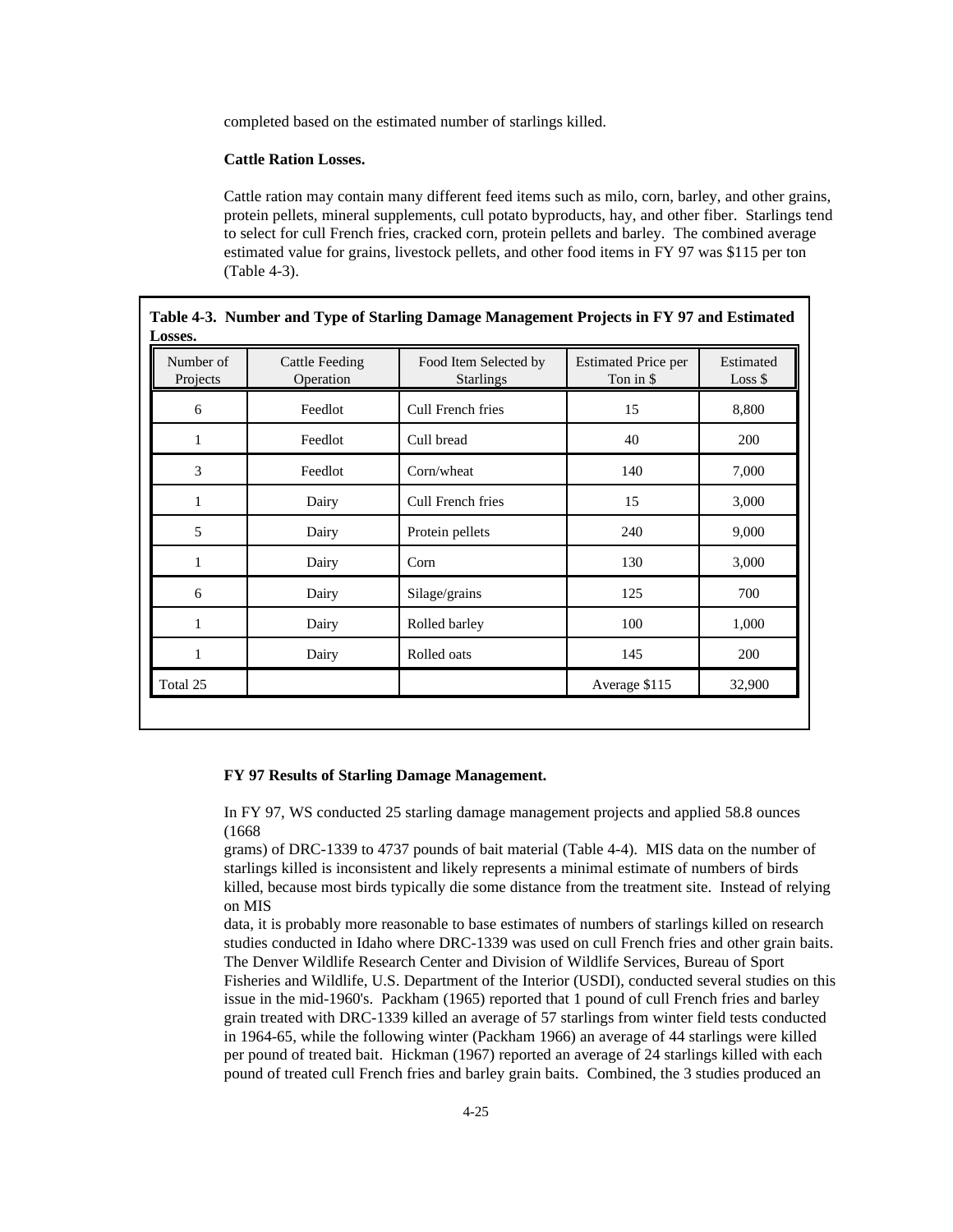completed based on the estimated number of starlings killed.

### **Cattle Ration Losses.**

Cattle ration may contain many different feed items such as milo, corn, barley, and other grains, protein pellets, mineral supplements, cull potato byproducts, hay, and other fiber. Starlings tend to select for cull French fries, cracked corn, protein pellets and barley. The combined average estimated value for grains, livestock pellets, and other food items in FY 97 was \$115 per ton (Table 4-3).

| Number of<br>Projects | <b>Cattle Feeding</b><br>Operation | Food Item Selected by<br><b>Starlings</b> | <b>Estimated Price per</b><br>Ton in \$ | Estimated<br>$Loss$ \$ |
|-----------------------|------------------------------------|-------------------------------------------|-----------------------------------------|------------------------|
| 6                     | Feedlot                            | Cull French fries                         | 15                                      | 8,800                  |
| $\mathbf{1}$          | Feedlot                            | Cull bread                                | 40                                      | 200                    |
| 3                     | Feedlot                            | Corn/wheat                                | 140                                     | 7,000                  |
| 1                     | Dairy                              | Cull French fries                         | 15                                      | 3,000                  |
| 5                     | Dairy                              | Protein pellets                           | 240                                     | 9,000                  |
| 1                     | Dairy                              | Corn                                      | 130                                     | 3,000                  |
| 6                     | Dairy                              | Silage/grains                             | 125                                     | 700                    |
| 1                     | Dairy                              | Rolled barley                             | 100                                     | 1,000                  |
| 1                     | Dairy                              | Rolled oats                               | 145                                     | 200                    |
| Total 25              |                                    |                                           | Average \$115                           | 32,900                 |

# **Table 4-3. Number and Type of Starling Damage Management Projects in FY 97 and Estimated**

#### **FY 97 Results of Starling Damage Management.**

In FY 97, WS conducted 25 starling damage management projects and applied 58.8 ounces (1668

grams) of DRC-1339 to 4737 pounds of bait material (Table 4-4). MIS data on the number of starlings killed is inconsistent and likely represents a minimal estimate of numbers of birds killed, because most birds typically die some distance from the treatment site. Instead of relying on MIS

data, it is probably more reasonable to base estimates of numbers of starlings killed on research studies conducted in Idaho where DRC-1339 was used on cull French fries and other grain baits. The Denver Wildlife Research Center and Division of Wildlife Services, Bureau of Sport Fisheries and Wildlife, U.S. Department of the Interior (USDI), conducted several studies on this issue in the mid-1960's. Packham (1965) reported that 1 pound of cull French fries and barley grain treated with DRC-1339 killed an average of 57 starlings from winter field tests conducted in 1964-65, while the following winter (Packham 1966) an average of 44 starlings were killed per pound of treated bait. Hickman (1967) reported an average of 24 starlings killed with each pound of treated cull French fries and barley grain baits. Combined, the 3 studies produced an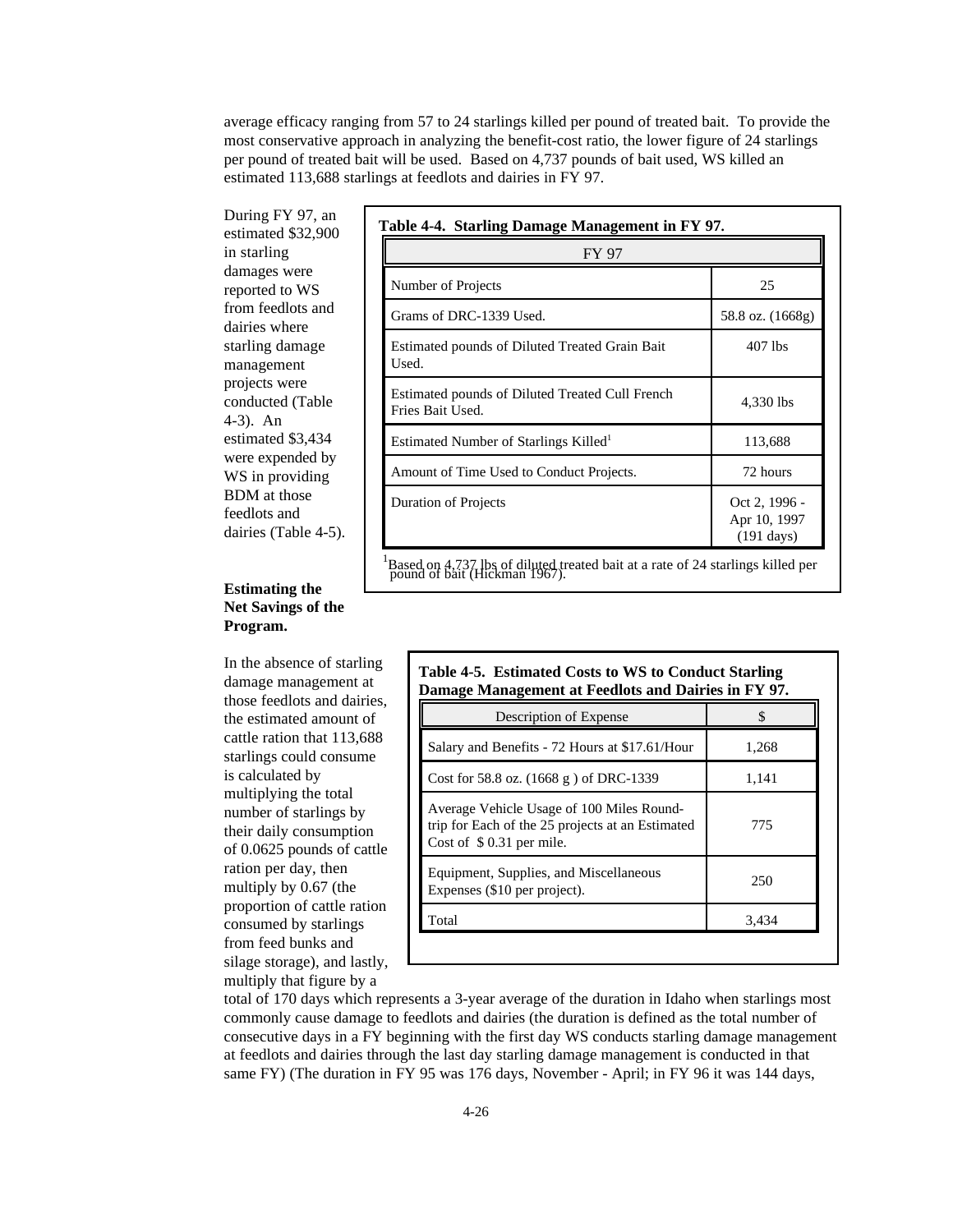average efficacy ranging from 57 to 24 starlings killed per pound of treated bait. To provide the most conservative approach in analyzing the benefit-cost ratio, the lower figure of 24 starlings per pound of treated bait will be used. Based on 4,737 pounds of bait used, WS killed an estimated 113,688 starlings at feedlots and dairies in FY 97.

During FY 97, an estimated \$32,900 in starling damages were reported to WS from feedlots and dairies where starling damage management projects were conducted (Table 4-3). An estimated \$3,434 were expended by WS in providing BDM at those feedlots and dairies (Table 4-5).

# **Estimating the Net Savings of the Program.**

In the absence of starling damage management at those feedlots and dairies, the estimated amount of cattle ration that 113,688 starlings could consume is calculated by multiplying the total number of starlings by their daily consumption of 0.0625 pounds of cattle ration per day, then multiply by 0.67 (the proportion of cattle ration consumed by starlings from feed bunks and silage storage), and lastly, multiply that figure by a

| FY 97                                                               |                                                       |
|---------------------------------------------------------------------|-------------------------------------------------------|
| Number of Projects                                                  | 25                                                    |
| Grams of DRC-1339 Used.                                             | 58.8 oz. (1668g)                                      |
| Estimated pounds of Diluted Treated Grain Bait<br>Used.             | 407 lbs                                               |
| Estimated pounds of Diluted Treated Cull French<br>Fries Bait Used. | 4,330 lbs                                             |
| Estimated Number of Starlings Killed <sup>1</sup>                   | 113,688                                               |
| Amount of Time Used to Conduct Projects.                            | 72 hours                                              |
| Duration of Projects                                                | Oct 2, 1996 -<br>Apr 10, 1997<br>$(191 \text{ days})$ |

<sup>1</sup>Based on 4,737 lbs of diluted treated bait at a rate of 24 starlings killed per pound of bait (Hickman 1967).

| Description of Expense                                                                                                     | S     |
|----------------------------------------------------------------------------------------------------------------------------|-------|
| Salary and Benefits - 72 Hours at \$17.61/Hour                                                                             | 1,268 |
| Cost for 58.8 oz. $(1668 g)$ of DRC-1339                                                                                   | 1,141 |
| Average Vehicle Usage of 100 Miles Round-<br>trip for Each of the 25 projects at an Estimated<br>Cost of $$0.31$ per mile. | 775   |
| Equipment, Supplies, and Miscellaneous<br>Expenses (\$10 per project).                                                     | 250   |
| Total                                                                                                                      | 3,434 |

total of 170 days which represents a 3-year average of the duration in Idaho when starlings most commonly cause damage to feedlots and dairies (the duration is defined as the total number of consecutive days in a FY beginning with the first day WS conducts starling damage management at feedlots and dairies through the last day starling damage management is conducted in that same FY) (The duration in FY 95 was 176 days, November - April; in FY 96 it was 144 days,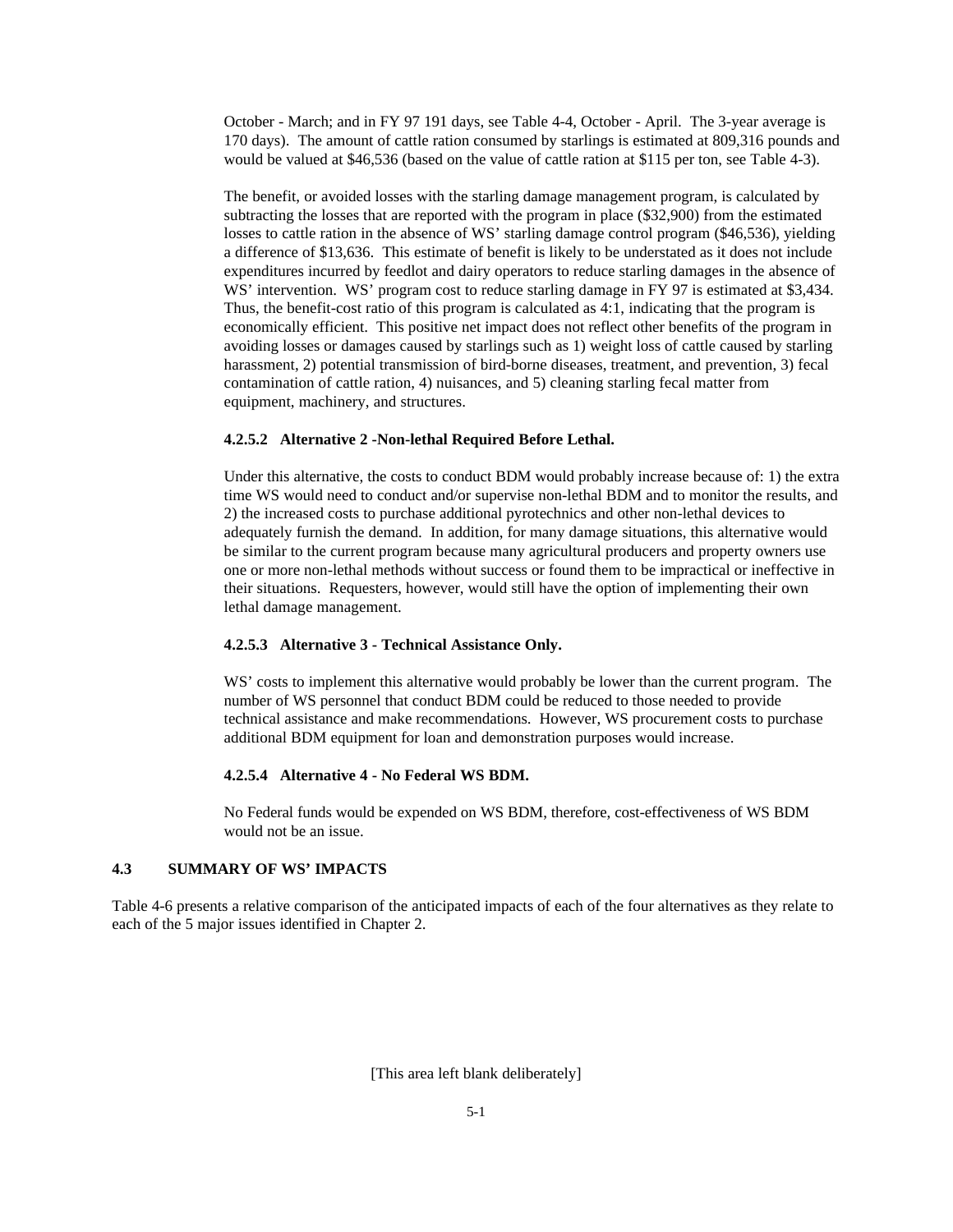October - March; and in FY 97 191 days, see Table 4-4, October - April. The 3-year average is 170 days). The amount of cattle ration consumed by starlings is estimated at 809,316 pounds and would be valued at \$46,536 (based on the value of cattle ration at \$115 per ton, see Table 4-3).

The benefit, or avoided losses with the starling damage management program, is calculated by subtracting the losses that are reported with the program in place (\$32,900) from the estimated losses to cattle ration in the absence of WS' starling damage control program (\$46,536), yielding a difference of \$13,636. This estimate of benefit is likely to be understated as it does not include expenditures incurred by feedlot and dairy operators to reduce starling damages in the absence of WS' intervention. WS' program cost to reduce starling damage in FY 97 is estimated at \$3,434. Thus, the benefit-cost ratio of this program is calculated as 4:1, indicating that the program is economically efficient. This positive net impact does not reflect other benefits of the program in avoiding losses or damages caused by starlings such as 1) weight loss of cattle caused by starling harassment, 2) potential transmission of bird-borne diseases, treatment, and prevention, 3) fecal contamination of cattle ration, 4) nuisances, and 5) cleaning starling fecal matter from equipment, machinery, and structures.

#### **4.2.5.2 Alternative 2 -Non-lethal Required Before Lethal.**

Under this alternative, the costs to conduct BDM would probably increase because of: 1) the extra time WS would need to conduct and/or supervise non-lethal BDM and to monitor the results, and 2) the increased costs to purchase additional pyrotechnics and other non-lethal devices to adequately furnish the demand. In addition, for many damage situations, this alternative would be similar to the current program because many agricultural producers and property owners use one or more non-lethal methods without success or found them to be impractical or ineffective in their situations. Requesters, however, would still have the option of implementing their own lethal damage management.

#### **4.2.5.3 Alternative 3 - Technical Assistance Only.**

WS' costs to implement this alternative would probably be lower than the current program. The number of WS personnel that conduct BDM could be reduced to those needed to provide technical assistance and make recommendations. However, WS procurement costs to purchase additional BDM equipment for loan and demonstration purposes would increase.

#### **4.2.5.4 Alternative 4 - No Federal WS BDM.**

No Federal funds would be expended on WS BDM, therefore, cost-effectiveness of WS BDM would not be an issue.

## **4.3 SUMMARY OF WS' IMPACTS**

Table 4-6 presents a relative comparison of the anticipated impacts of each of the four alternatives as they relate to each of the 5 major issues identified in Chapter 2.

[This area left blank deliberately]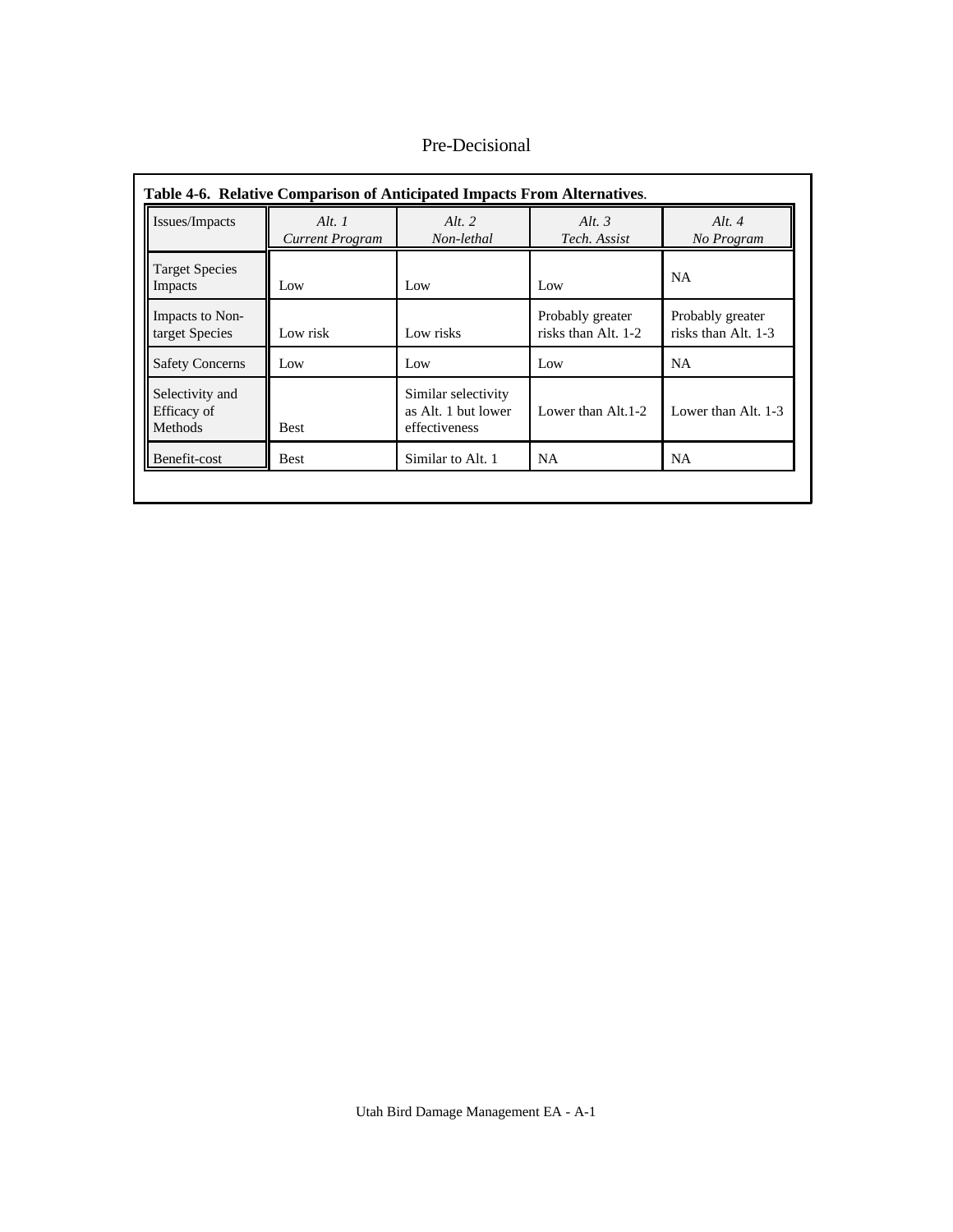| Issues/Impacts                                   | Alt. $1$<br>Current Program | Alt. $2$<br>Non-lethal                                      | Alt. $3$<br>Tech. Assist                | Alt. $4$<br>No Program                  |
|--------------------------------------------------|-----------------------------|-------------------------------------------------------------|-----------------------------------------|-----------------------------------------|
| <b>Target Species</b><br>Impacts                 | Low                         | Low                                                         | Low                                     | <b>NA</b>                               |
| Impacts to Non-<br>target Species                | Low risk                    | Low risks                                                   | Probably greater<br>risks than Alt. 1-2 | Probably greater<br>risks than Alt. 1-3 |
| <b>Safety Concerns</b>                           | Low                         | Low                                                         | Low                                     | <b>NA</b>                               |
| Selectivity and<br>Efficacy of<br><b>Methods</b> | <b>Best</b>                 | Similar selectivity<br>as Alt. 1 but lower<br>effectiveness | Lower than Alt. 1-2                     | Lower than Alt. $1-3$                   |
| Benefit-cost                                     | <b>Best</b>                 | Similar to Alt. 1                                           | <b>NA</b>                               | <b>NA</b>                               |

Pre-Decisional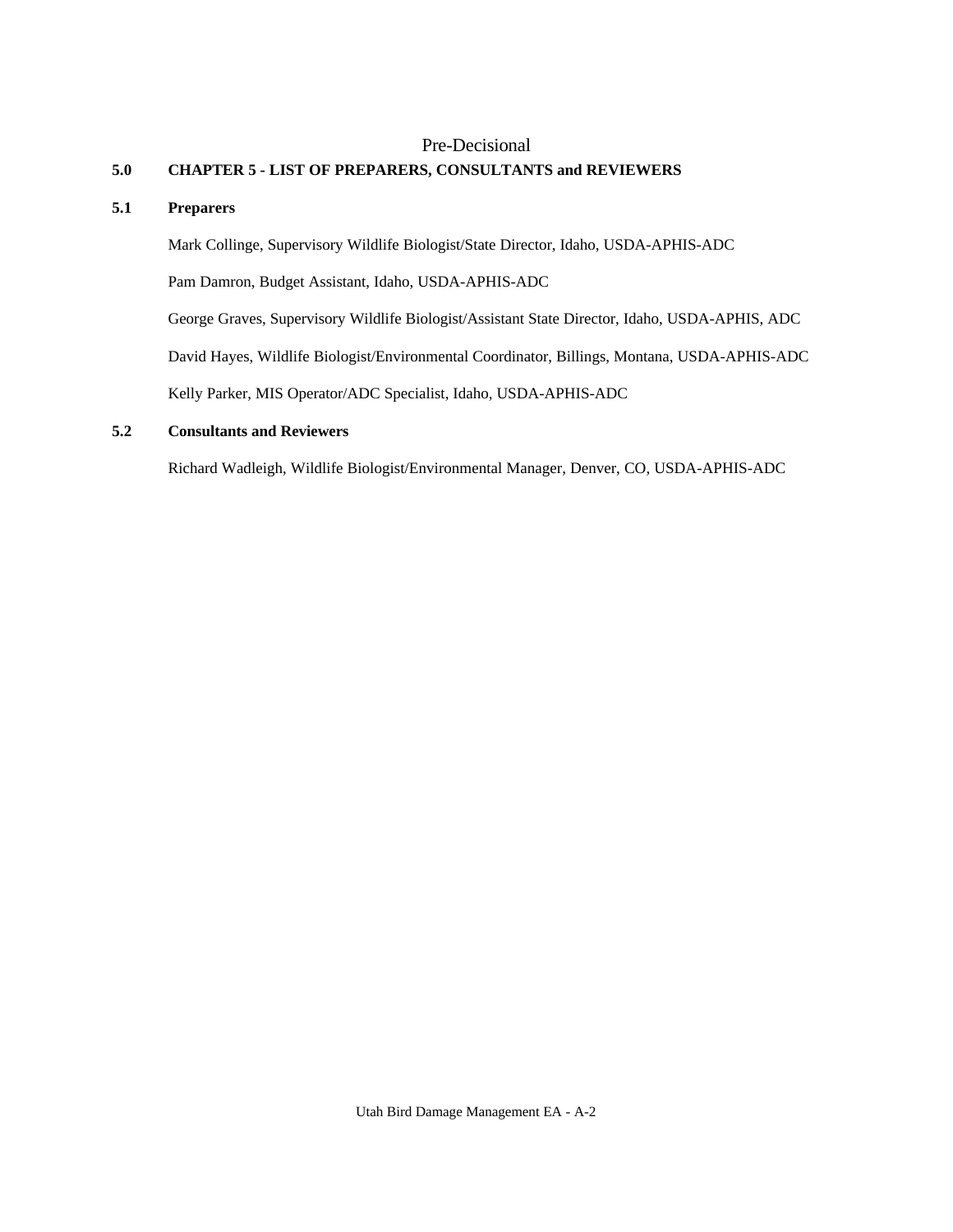# Pre-Decisional

# **5.0 CHAPTER 5 - LIST OF PREPARERS, CONSULTANTS and REVIEWERS**

# **5.1 Preparers**

Mark Collinge, Supervisory Wildlife Biologist/State Director, Idaho, USDA-APHIS-ADC

Pam Damron, Budget Assistant, Idaho, USDA-APHIS-ADC

George Graves, Supervisory Wildlife Biologist/Assistant State Director, Idaho, USDA-APHIS, ADC

David Hayes, Wildlife Biologist/Environmental Coordinator, Billings, Montana, USDA-APHIS-ADC

Kelly Parker, MIS Operator/ADC Specialist, Idaho, USDA-APHIS-ADC

# **5.2 Consultants and Reviewers**

Richard Wadleigh, Wildlife Biologist/Environmental Manager, Denver, CO, USDA-APHIS-ADC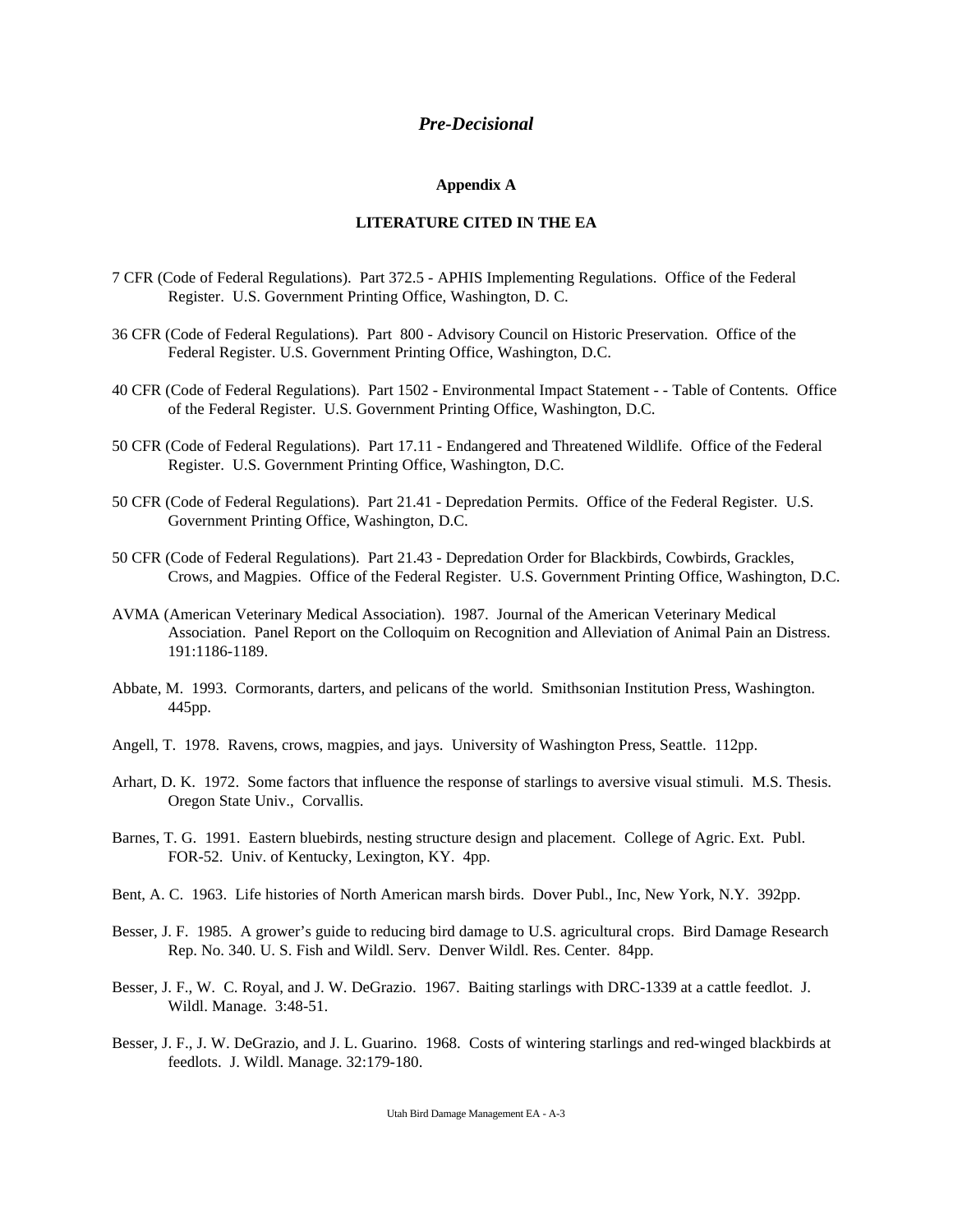# *Pre-Decisional*

#### **Appendix A**

## **LITERATURE CITED IN THE EA**

- 7 CFR (Code of Federal Regulations). Part 372.5 APHIS Implementing Regulations. Office of the Federal Register. U.S. Government Printing Office, Washington, D. C.
- 36 CFR (Code of Federal Regulations). Part 800 Advisory Council on Historic Preservation. Office of the Federal Register. U.S. Government Printing Office, Washington, D.C.
- 40 CFR (Code of Federal Regulations). Part 1502 Environmental Impact Statement - Table of Contents. Office of the Federal Register. U.S. Government Printing Office, Washington, D.C.
- 50 CFR (Code of Federal Regulations). Part 17.11 Endangered and Threatened Wildlife. Office of the Federal Register. U.S. Government Printing Office, Washington, D.C.
- 50 CFR (Code of Federal Regulations). Part 21.41 Depredation Permits. Office of the Federal Register. U.S. Government Printing Office, Washington, D.C.
- 50 CFR (Code of Federal Regulations). Part 21.43 Depredation Order for Blackbirds, Cowbirds, Grackles, Crows, and Magpies. Office of the Federal Register. U.S. Government Printing Office, Washington, D.C.
- AVMA (American Veterinary Medical Association). 1987. Journal of the American Veterinary Medical Association. Panel Report on the Colloquim on Recognition and Alleviation of Animal Pain an Distress. 191:1186-1189.
- Abbate, M. 1993. Cormorants, darters, and pelicans of the world. Smithsonian Institution Press, Washington. 445pp.
- Angell, T. 1978. Ravens, crows, magpies, and jays. University of Washington Press, Seattle. 112pp.
- Arhart, D. K. 1972. Some factors that influence the response of starlings to aversive visual stimuli. M.S. Thesis. Oregon State Univ., Corvallis.
- Barnes, T. G. 1991. Eastern bluebirds, nesting structure design and placement. College of Agric. Ext. Publ. FOR-52. Univ. of Kentucky, Lexington, KY. 4pp.
- Bent, A. C. 1963. Life histories of North American marsh birds. Dover Publ., Inc, New York, N.Y. 392pp.
- Besser, J. F. 1985. A grower's guide to reducing bird damage to U.S. agricultural crops. Bird Damage Research Rep. No. 340. U. S. Fish and Wildl. Serv. Denver Wildl. Res. Center. 84pp.
- Besser, J. F., W. C. Royal, and J. W. DeGrazio. 1967. Baiting starlings with DRC-1339 at a cattle feedlot. J. Wildl. Manage. 3:48-51.
- Besser, J. F., J. W. DeGrazio, and J. L. Guarino. 1968. Costs of wintering starlings and red-winged blackbirds at feedlots. J. Wildl. Manage. 32:179-180.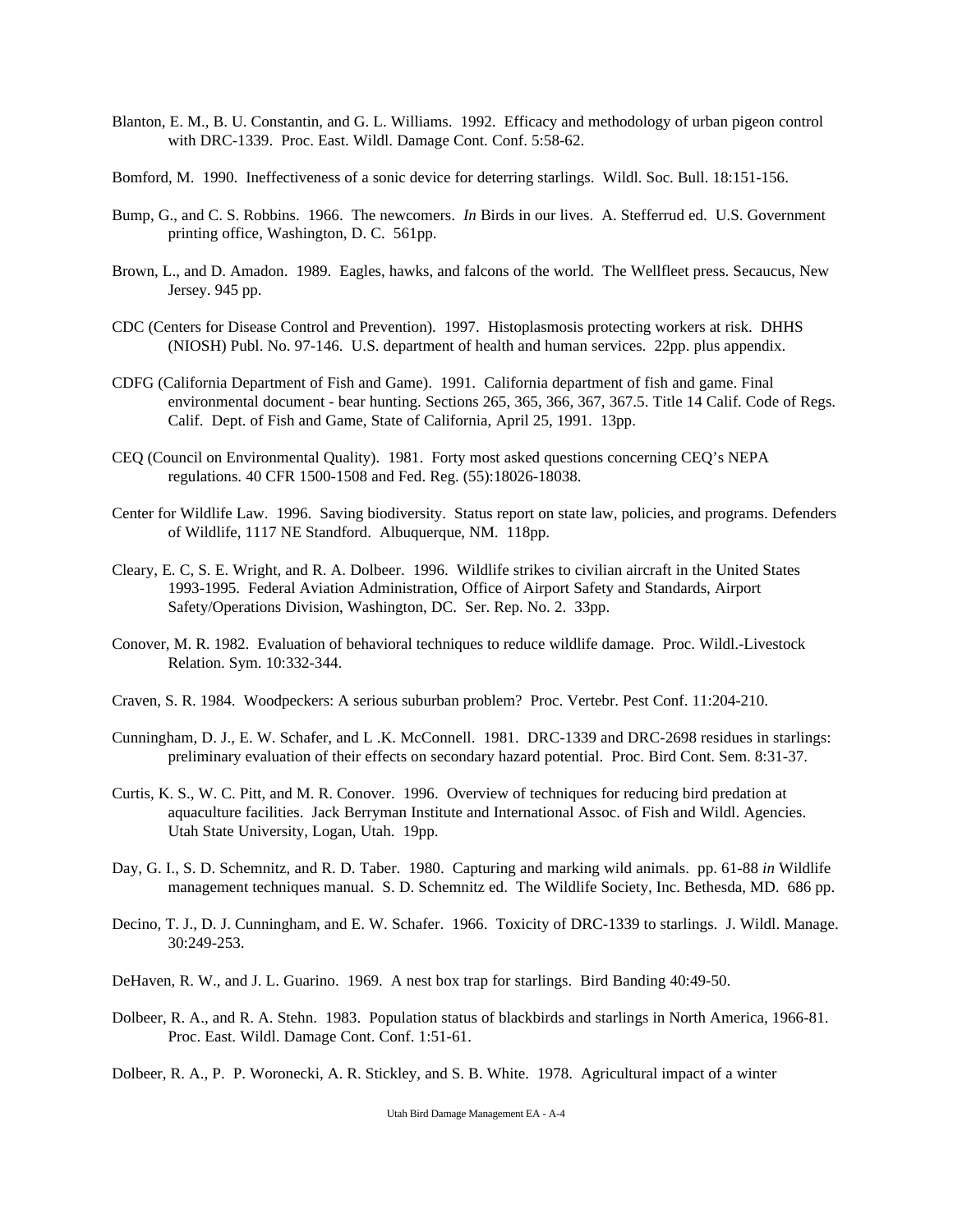- Blanton, E. M., B. U. Constantin, and G. L. Williams. 1992. Efficacy and methodology of urban pigeon control with DRC-1339. Proc. East. Wildl. Damage Cont. Conf. 5:58-62.
- Bomford, M. 1990. Ineffectiveness of a sonic device for deterring starlings. Wildl. Soc. Bull. 18:151-156.
- Bump, G., and C. S. Robbins. 1966. The newcomers. *In* Birds in our lives. A. Stefferrud ed. U.S. Government printing office, Washington, D. C. 561pp.
- Brown, L., and D. Amadon. 1989. Eagles, hawks, and falcons of the world. The Wellfleet press. Secaucus, New Jersey. 945 pp.
- CDC (Centers for Disease Control and Prevention). 1997. Histoplasmosis protecting workers at risk. DHHS (NIOSH) Publ. No. 97-146. U.S. department of health and human services. 22pp. plus appendix.
- CDFG (California Department of Fish and Game). 1991. California department of fish and game. Final environmental document - bear hunting. Sections 265, 365, 366, 367, 367.5. Title 14 Calif. Code of Regs. Calif. Dept. of Fish and Game, State of California, April 25, 1991. 13pp.
- CEQ (Council on Environmental Quality). 1981. Forty most asked questions concerning CEQ's NEPA regulations. 40 CFR 1500-1508 and Fed. Reg. (55):18026-18038.
- Center for Wildlife Law. 1996. Saving biodiversity. Status report on state law, policies, and programs. Defenders of Wildlife, 1117 NE Standford. Albuquerque, NM. 118pp.
- Cleary, E. C, S. E. Wright, and R. A. Dolbeer. 1996. Wildlife strikes to civilian aircraft in the United States 1993-1995. Federal Aviation Administration, Office of Airport Safety and Standards, Airport Safety/Operations Division, Washington, DC. Ser. Rep. No. 2. 33pp.
- Conover, M. R. 1982. Evaluation of behavioral techniques to reduce wildlife damage. Proc. Wildl.-Livestock Relation. Sym. 10:332-344.
- Craven, S. R. 1984. Woodpeckers: A serious suburban problem? Proc. Vertebr. Pest Conf. 11:204-210.
- Cunningham, D. J., E. W. Schafer, and L .K. McConnell. 1981. DRC-1339 and DRC-2698 residues in starlings: preliminary evaluation of their effects on secondary hazard potential. Proc. Bird Cont. Sem. 8:31-37.
- Curtis, K. S., W. C. Pitt, and M. R. Conover. 1996. Overview of techniques for reducing bird predation at aquaculture facilities. Jack Berryman Institute and International Assoc. of Fish and Wildl. Agencies. Utah State University, Logan, Utah. 19pp.
- Day, G. I., S. D. Schemnitz, and R. D. Taber. 1980. Capturing and marking wild animals. pp. 61-88 *in* Wildlife management techniques manual. S. D. Schemnitz ed. The Wildlife Society, Inc. Bethesda, MD. 686 pp.
- Decino, T. J., D. J. Cunningham, and E. W. Schafer. 1966. Toxicity of DRC-1339 to starlings. J. Wildl. Manage. 30:249-253.
- DeHaven, R. W., and J. L. Guarino. 1969. A nest box trap for starlings. Bird Banding 40:49-50.
- Dolbeer, R. A., and R. A. Stehn. 1983. Population status of blackbirds and starlings in North America, 1966-81. Proc. East. Wildl. Damage Cont. Conf. 1:51-61.
- Dolbeer, R. A., P. P. Woronecki, A. R. Stickley, and S. B. White. 1978. Agricultural impact of a winter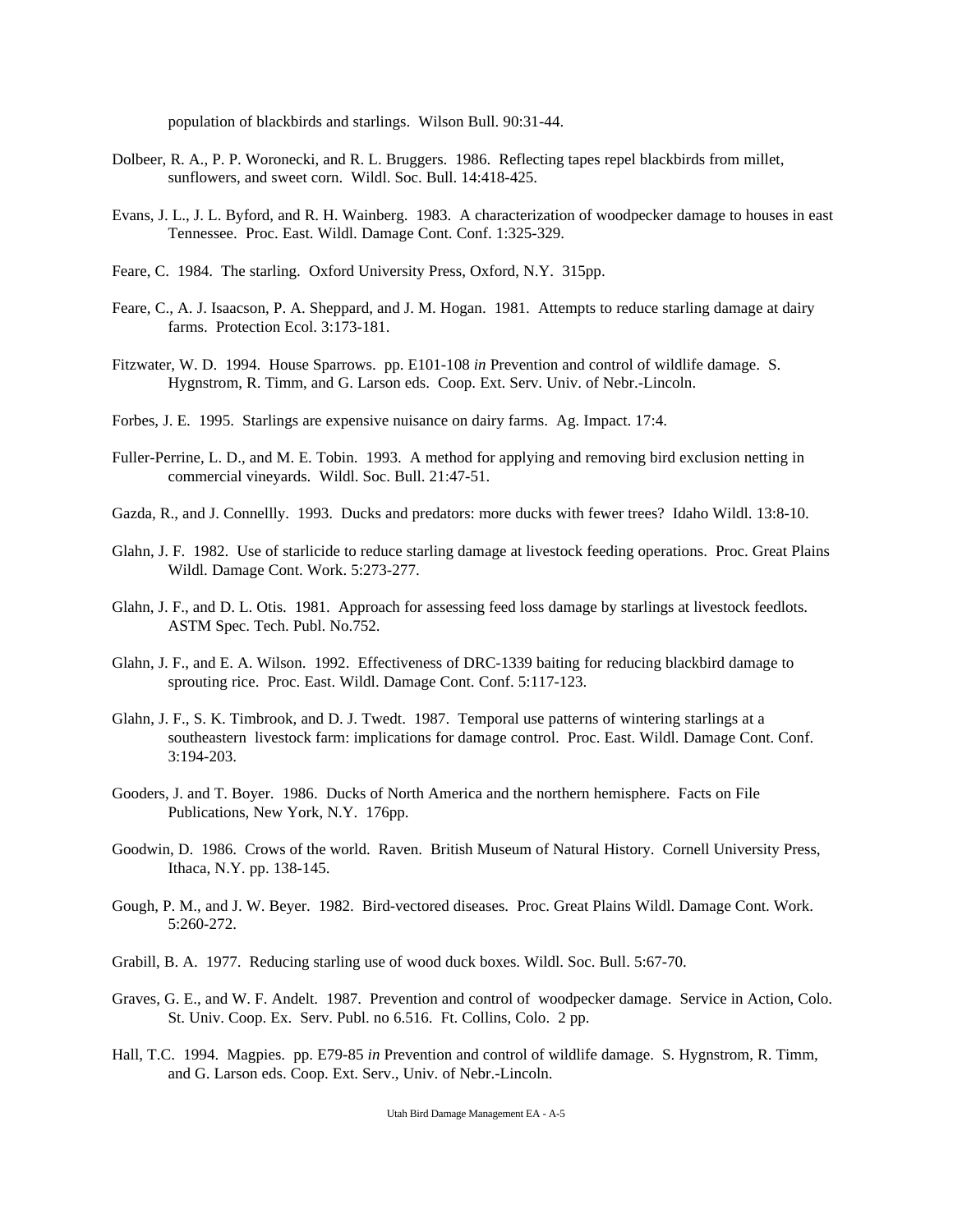population of blackbirds and starlings. Wilson Bull. 90:31-44.

- Dolbeer, R. A., P. P. Woronecki, and R. L. Bruggers. 1986. Reflecting tapes repel blackbirds from millet, sunflowers, and sweet corn. Wildl. Soc. Bull. 14:418-425.
- Evans, J. L., J. L. Byford, and R. H. Wainberg. 1983. A characterization of woodpecker damage to houses in east Tennessee. Proc. East. Wildl. Damage Cont. Conf. 1:325-329.
- Feare, C. 1984. The starling. Oxford University Press, Oxford, N.Y. 315pp.
- Feare, C., A. J. Isaacson, P. A. Sheppard, and J. M. Hogan. 1981. Attempts to reduce starling damage at dairy farms. Protection Ecol. 3:173-181.
- Fitzwater, W. D. 1994. House Sparrows. pp. E101-108 *in* Prevention and control of wildlife damage. S. Hygnstrom, R. Timm, and G. Larson eds. Coop. Ext. Serv. Univ. of Nebr.-Lincoln.
- Forbes, J. E. 1995. Starlings are expensive nuisance on dairy farms. Ag. Impact. 17:4.
- Fuller-Perrine, L. D., and M. E. Tobin. 1993. A method for applying and removing bird exclusion netting in commercial vineyards. Wildl. Soc. Bull. 21:47-51.
- Gazda, R., and J. Connellly. 1993. Ducks and predators: more ducks with fewer trees? Idaho Wildl. 13:8-10.
- Glahn, J. F. 1982. Use of starlicide to reduce starling damage at livestock feeding operations. Proc. Great Plains Wildl. Damage Cont. Work. 5:273-277.
- Glahn, J. F., and D. L. Otis. 1981. Approach for assessing feed loss damage by starlings at livestock feedlots. ASTM Spec. Tech. Publ. No.752.
- Glahn, J. F., and E. A. Wilson. 1992. Effectiveness of DRC-1339 baiting for reducing blackbird damage to sprouting rice. Proc. East. Wildl. Damage Cont. Conf. 5:117-123.
- Glahn, J. F., S. K. Timbrook, and D. J. Twedt. 1987. Temporal use patterns of wintering starlings at a southeastern livestock farm: implications for damage control. Proc. East. Wildl. Damage Cont. Conf. 3:194-203.
- Gooders, J. and T. Boyer. 1986. Ducks of North America and the northern hemisphere. Facts on File Publications, New York, N.Y. 176pp.
- Goodwin, D. 1986. Crows of the world. Raven. British Museum of Natural History. Cornell University Press, Ithaca, N.Y. pp. 138-145.
- Gough, P. M., and J. W. Beyer. 1982. Bird-vectored diseases. Proc. Great Plains Wildl. Damage Cont. Work. 5:260-272.
- Grabill, B. A. 1977. Reducing starling use of wood duck boxes. Wildl. Soc. Bull. 5:67-70.
- Graves, G. E., and W. F. Andelt. 1987. Prevention and control of woodpecker damage. Service in Action, Colo. St. Univ. Coop. Ex. Serv. Publ. no 6.516. Ft. Collins, Colo. 2 pp.
- Hall, T.C. 1994. Magpies. pp. E79-85 *in* Prevention and control of wildlife damage. S. Hygnstrom, R. Timm, and G. Larson eds. Coop. Ext. Serv., Univ. of Nebr.-Lincoln.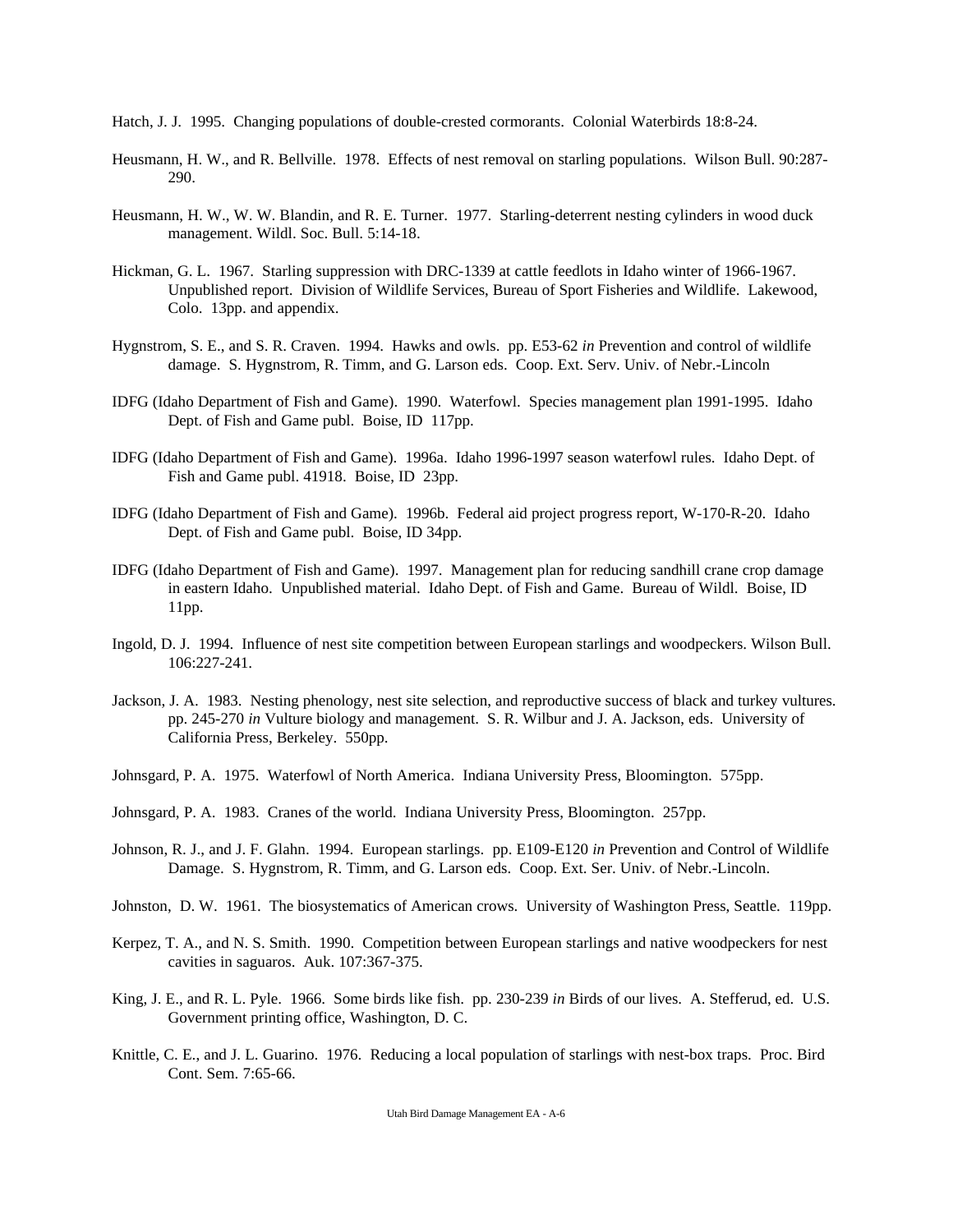- Hatch, J. J. 1995. Changing populations of double-crested cormorants. Colonial Waterbirds 18:8-24.
- Heusmann, H. W., and R. Bellville. 1978. Effects of nest removal on starling populations. Wilson Bull. 90:287- 290.
- Heusmann, H. W., W. W. Blandin, and R. E. Turner. 1977. Starling-deterrent nesting cylinders in wood duck management. Wildl. Soc. Bull. 5:14-18.
- Hickman, G. L. 1967. Starling suppression with DRC-1339 at cattle feedlots in Idaho winter of 1966-1967. Unpublished report. Division of Wildlife Services, Bureau of Sport Fisheries and Wildlife. Lakewood, Colo. 13pp. and appendix.
- Hygnstrom, S. E., and S. R. Craven. 1994. Hawks and owls. pp. E53-62 *in* Prevention and control of wildlife damage. S. Hygnstrom, R. Timm, and G. Larson eds. Coop. Ext. Serv. Univ. of Nebr.-Lincoln
- IDFG (Idaho Department of Fish and Game). 1990. Waterfowl. Species management plan 1991-1995. Idaho Dept. of Fish and Game publ. Boise, ID 117pp.
- IDFG (Idaho Department of Fish and Game). 1996a. Idaho 1996-1997 season waterfowl rules. Idaho Dept. of Fish and Game publ. 41918. Boise, ID 23pp.
- IDFG (Idaho Department of Fish and Game). 1996b. Federal aid project progress report, W-170-R-20. Idaho Dept. of Fish and Game publ. Boise, ID 34pp.
- IDFG (Idaho Department of Fish and Game). 1997. Management plan for reducing sandhill crane crop damage in eastern Idaho. Unpublished material. Idaho Dept. of Fish and Game. Bureau of Wildl. Boise, ID 11pp.
- Ingold, D. J. 1994. Influence of nest site competition between European starlings and woodpeckers. Wilson Bull. 106:227-241.
- Jackson, J. A. 1983. Nesting phenology, nest site selection, and reproductive success of black and turkey vultures. pp. 245-270 *in* Vulture biology and management. S. R. Wilbur and J. A. Jackson, eds. University of California Press, Berkeley. 550pp.
- Johnsgard, P. A. 1975. Waterfowl of North America. Indiana University Press, Bloomington. 575pp.
- Johnsgard, P. A. 1983. Cranes of the world. Indiana University Press, Bloomington. 257pp.
- Johnson, R. J., and J. F. Glahn. 1994. European starlings. pp. E109-E120 *in* Prevention and Control of Wildlife Damage. S. Hygnstrom, R. Timm, and G. Larson eds. Coop. Ext. Ser. Univ. of Nebr.-Lincoln.
- Johnston, D. W. 1961. The biosystematics of American crows. University of Washington Press, Seattle. 119pp.
- Kerpez, T. A., and N. S. Smith. 1990. Competition between European starlings and native woodpeckers for nest cavities in saguaros. Auk. 107:367-375.
- King, J. E., and R. L. Pyle. 1966. Some birds like fish. pp. 230-239 *in* Birds of our lives. A. Stefferud, ed. U.S. Government printing office, Washington, D. C.
- Knittle, C. E., and J. L. Guarino. 1976. Reducing a local population of starlings with nest-box traps. Proc. Bird Cont. Sem. 7:65-66.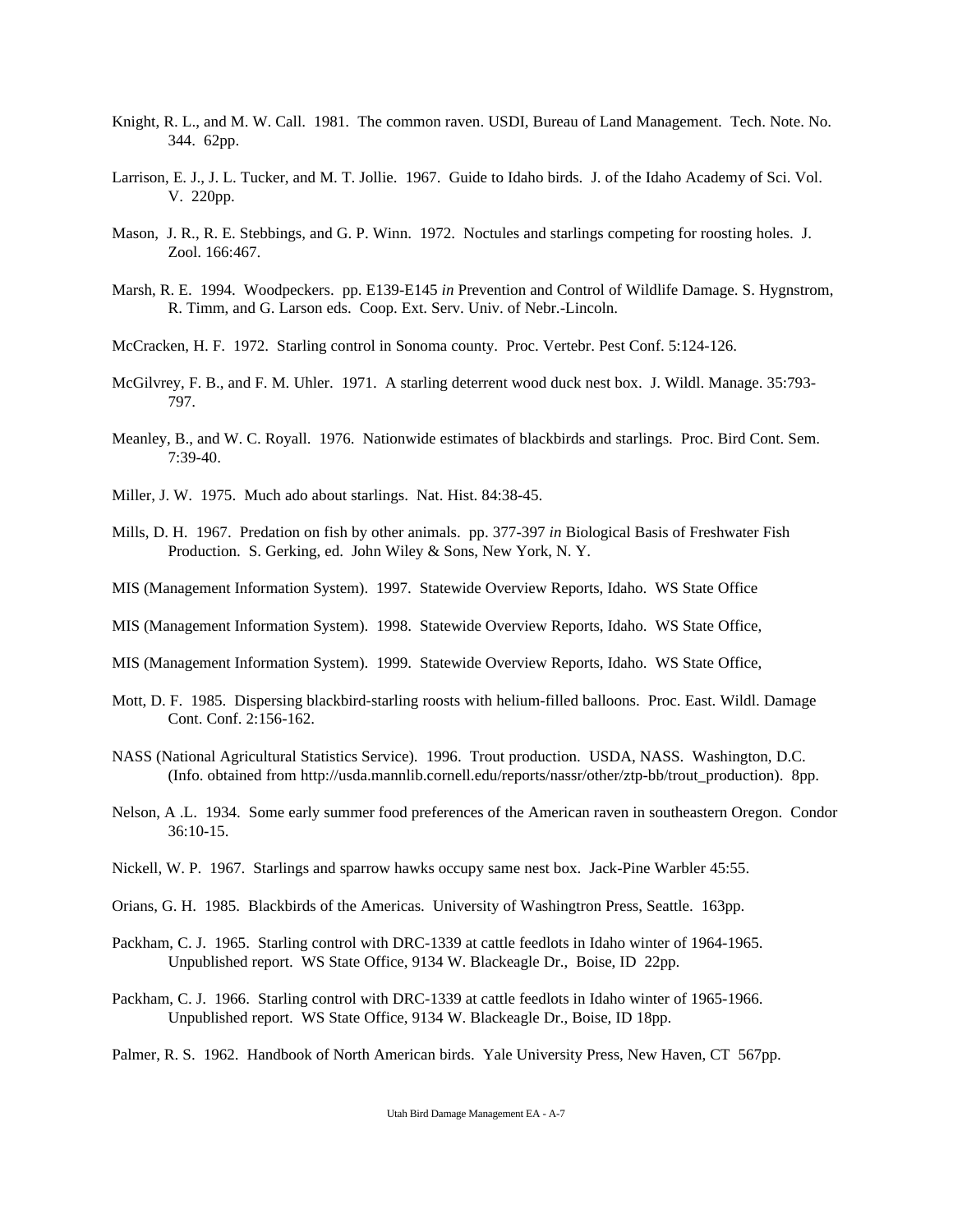- Knight, R. L., and M. W. Call. 1981. The common raven. USDI, Bureau of Land Management. Tech. Note. No. 344. 62pp.
- Larrison, E. J., J. L. Tucker, and M. T. Jollie. 1967. Guide to Idaho birds. J. of the Idaho Academy of Sci. Vol. V. 220pp.
- Mason, J. R., R. E. Stebbings, and G. P. Winn. 1972. Noctules and starlings competing for roosting holes. J. Zool. 166:467.
- Marsh, R. E. 1994. Woodpeckers. pp. E139-E145 *in* Prevention and Control of Wildlife Damage. S. Hygnstrom, R. Timm, and G. Larson eds. Coop. Ext. Serv. Univ. of Nebr.-Lincoln.
- McCracken, H. F. 1972. Starling control in Sonoma county. Proc. Vertebr. Pest Conf. 5:124-126.
- McGilvrey, F. B., and F. M. Uhler. 1971. A starling deterrent wood duck nest box. J. Wildl. Manage. 35:793- 797.
- Meanley, B., and W. C. Royall. 1976. Nationwide estimates of blackbirds and starlings. Proc. Bird Cont. Sem. 7:39-40.
- Miller, J. W. 1975. Much ado about starlings. Nat. Hist. 84:38-45.
- Mills, D. H. 1967. Predation on fish by other animals. pp. 377-397 *in* Biological Basis of Freshwater Fish Production. S. Gerking, ed. John Wiley & Sons, New York, N. Y.
- MIS (Management Information System). 1997. Statewide Overview Reports, Idaho. WS State Office
- MIS (Management Information System). 1998. Statewide Overview Reports, Idaho. WS State Office,
- MIS (Management Information System). 1999. Statewide Overview Reports, Idaho. WS State Office,
- Mott, D. F. 1985. Dispersing blackbird-starling roosts with helium-filled balloons. Proc. East. Wildl. Damage Cont. Conf. 2:156-162.
- NASS (National Agricultural Statistics Service). 1996. Trout production. USDA, NASS. Washington, D.C. (Info. obtained from http://usda.mannlib.cornell.edu/reports/nassr/other/ztp-bb/trout\_production). 8pp.
- Nelson, A .L. 1934. Some early summer food preferences of the American raven in southeastern Oregon. Condor 36:10-15.
- Nickell, W. P. 1967. Starlings and sparrow hawks occupy same nest box. Jack-Pine Warbler 45:55.
- Orians, G. H. 1985. Blackbirds of the Americas. University of Washingtron Press, Seattle. 163pp.
- Packham, C. J. 1965. Starling control with DRC-1339 at cattle feedlots in Idaho winter of 1964-1965. Unpublished report. WS State Office, 9134 W. Blackeagle Dr., Boise, ID 22pp.
- Packham, C. J. 1966. Starling control with DRC-1339 at cattle feedlots in Idaho winter of 1965-1966. Unpublished report. WS State Office, 9134 W. Blackeagle Dr., Boise, ID 18pp.
- Palmer, R. S. 1962. Handbook of North American birds. Yale University Press, New Haven, CT 567pp.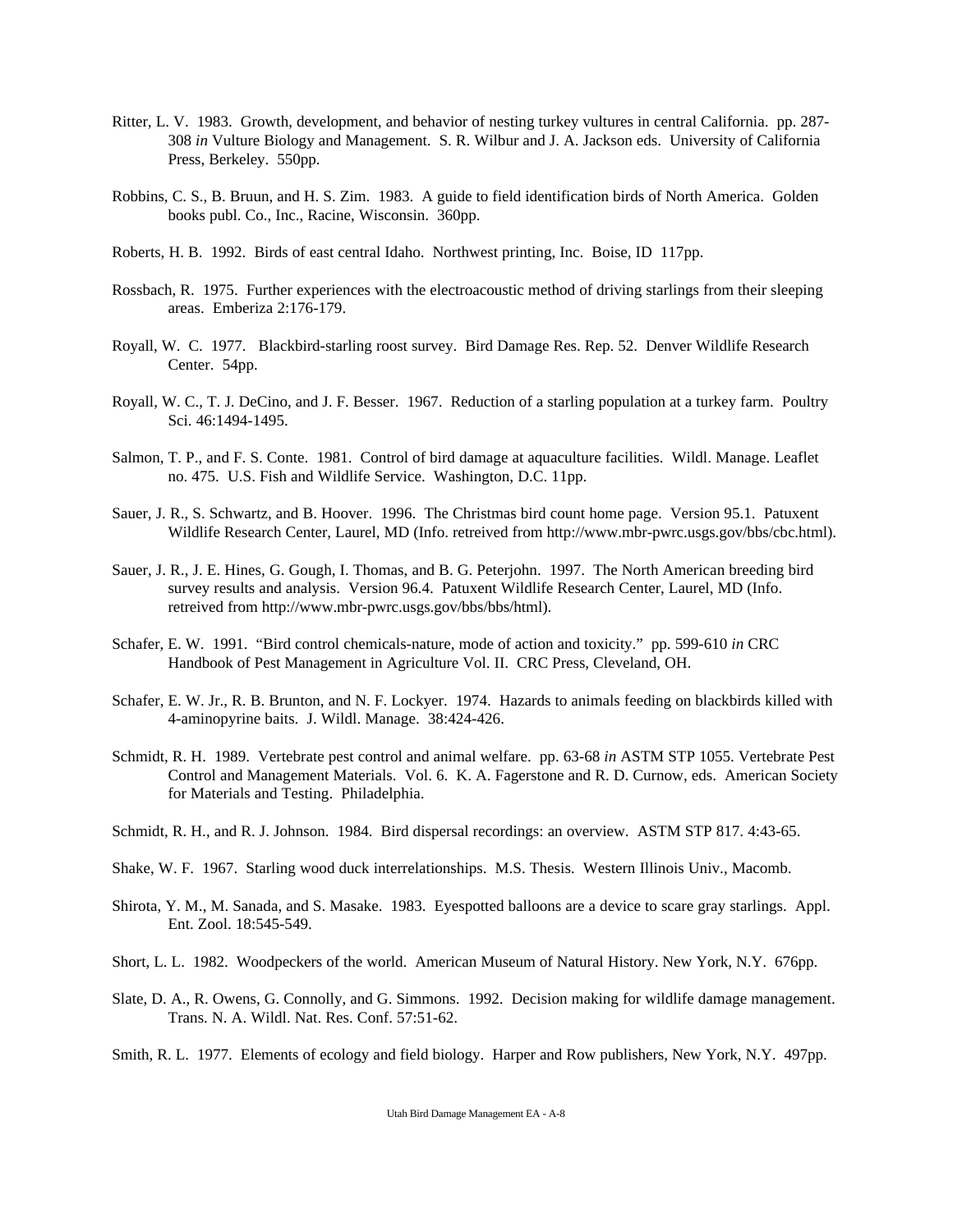- Ritter, L. V. 1983. Growth, development, and behavior of nesting turkey vultures in central California. pp. 287- 308 *in* Vulture Biology and Management. S. R. Wilbur and J. A. Jackson eds. University of California Press, Berkeley. 550pp.
- Robbins, C. S., B. Bruun, and H. S. Zim. 1983. A guide to field identification birds of North America. Golden books publ. Co., Inc., Racine, Wisconsin. 360pp.
- Roberts, H. B. 1992. Birds of east central Idaho. Northwest printing, Inc. Boise, ID 117pp.
- Rossbach, R. 1975. Further experiences with the electroacoustic method of driving starlings from their sleeping areas. Emberiza 2:176-179.
- Royall, W. C. 1977. Blackbird-starling roost survey. Bird Damage Res. Rep. 52. Denver Wildlife Research Center. 54pp.
- Royall, W. C., T. J. DeCino, and J. F. Besser. 1967. Reduction of a starling population at a turkey farm. Poultry Sci. 46:1494-1495.
- Salmon, T. P., and F. S. Conte. 1981. Control of bird damage at aquaculture facilities. Wildl. Manage. Leaflet no. 475. U.S. Fish and Wildlife Service. Washington, D.C. 11pp.
- Sauer, J. R., S. Schwartz, and B. Hoover. 1996. The Christmas bird count home page. Version 95.1. Patuxent Wildlife Research Center, Laurel, MD (Info. retreived from http://www.mbr-pwrc.usgs.gov/bbs/cbc.html).
- Sauer, J. R., J. E. Hines, G. Gough, I. Thomas, and B. G. Peterjohn. 1997. The North American breeding bird survey results and analysis. Version 96.4. Patuxent Wildlife Research Center, Laurel, MD (Info. retreived from http://www.mbr-pwrc.usgs.gov/bbs/bbs/html).
- Schafer, E. W. 1991. "Bird control chemicals-nature, mode of action and toxicity." pp. 599-610 *in* CRC Handbook of Pest Management in Agriculture Vol. II. CRC Press, Cleveland, OH.
- Schafer, E. W. Jr., R. B. Brunton, and N. F. Lockyer. 1974. Hazards to animals feeding on blackbirds killed with 4-aminopyrine baits. J. Wildl. Manage. 38:424-426.
- Schmidt, R. H. 1989. Vertebrate pest control and animal welfare. pp. 63-68 *in* ASTM STP 1055. Vertebrate Pest Control and Management Materials. Vol. 6. K. A. Fagerstone and R. D. Curnow, eds. American Society for Materials and Testing. Philadelphia.
- Schmidt, R. H., and R. J. Johnson. 1984. Bird dispersal recordings: an overview. ASTM STP 817. 4:43-65.
- Shake, W. F. 1967. Starling wood duck interrelationships. M.S. Thesis. Western Illinois Univ., Macomb.
- Shirota, Y. M., M. Sanada, and S. Masake. 1983. Eyespotted balloons are a device to scare gray starlings. Appl. Ent. Zool. 18:545-549.
- Short, L. L. 1982. Woodpeckers of the world. American Museum of Natural History. New York, N.Y. 676pp.
- Slate, D. A., R. Owens, G. Connolly, and G. Simmons. 1992. Decision making for wildlife damage management. Trans. N. A. Wildl. Nat. Res. Conf. 57:51-62.
- Smith, R. L. 1977. Elements of ecology and field biology. Harper and Row publishers, New York, N.Y. 497pp.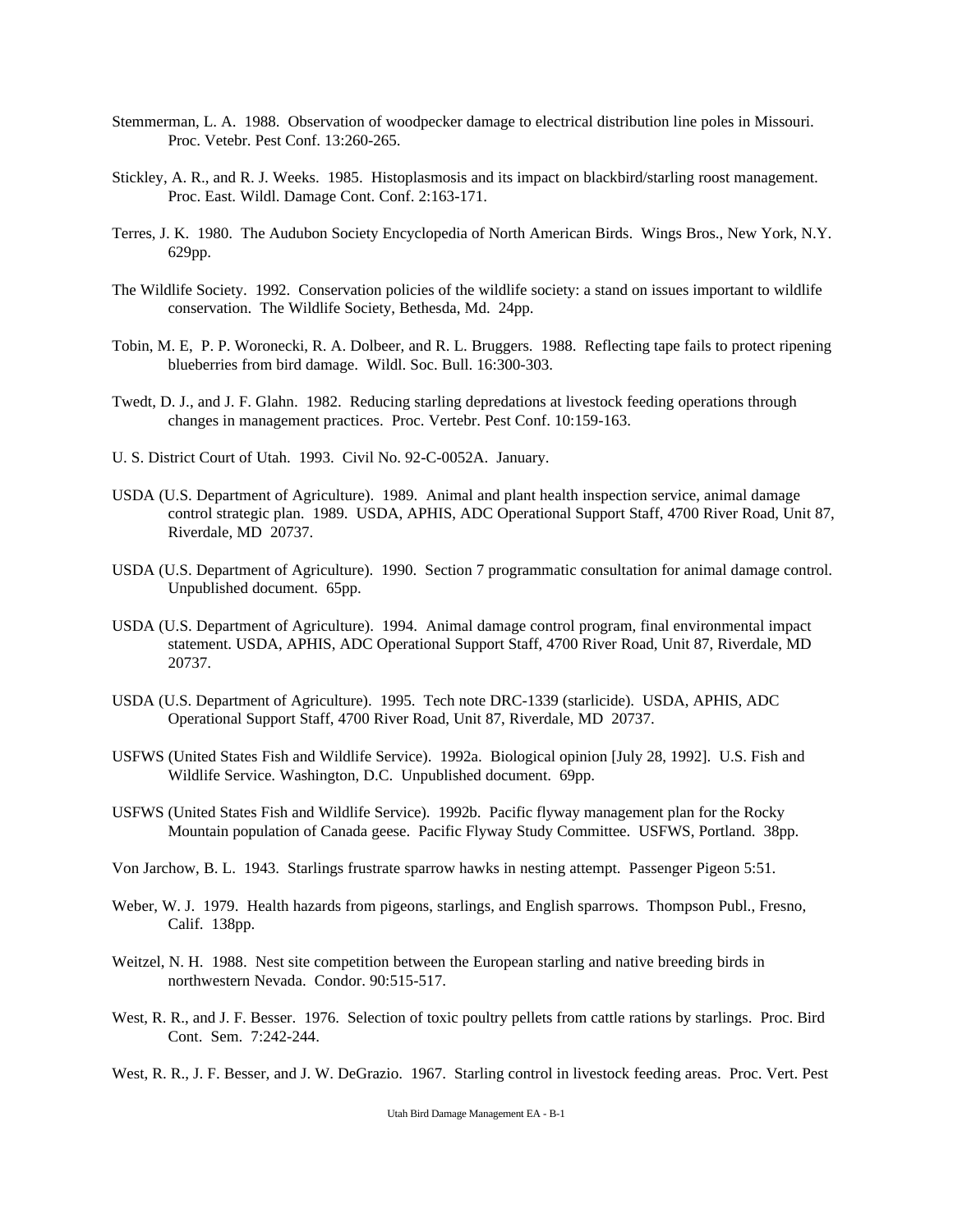- Stemmerman, L. A. 1988. Observation of woodpecker damage to electrical distribution line poles in Missouri. Proc. Vetebr. Pest Conf. 13:260-265.
- Stickley, A. R., and R. J. Weeks. 1985. Histoplasmosis and its impact on blackbird/starling roost management. Proc. East. Wildl. Damage Cont. Conf. 2:163-171.
- Terres, J. K. 1980. The Audubon Society Encyclopedia of North American Birds. Wings Bros., New York, N.Y. 629pp.
- The Wildlife Society. 1992. Conservation policies of the wildlife society: a stand on issues important to wildlife conservation. The Wildlife Society, Bethesda, Md. 24pp.
- Tobin, M. E, P. P. Woronecki, R. A. Dolbeer, and R. L. Bruggers. 1988. Reflecting tape fails to protect ripening blueberries from bird damage. Wildl. Soc. Bull. 16:300-303.
- Twedt, D. J., and J. F. Glahn. 1982. Reducing starling depredations at livestock feeding operations through changes in management practices. Proc. Vertebr. Pest Conf. 10:159-163.
- U. S. District Court of Utah. 1993. Civil No. 92-C-0052A. January.
- USDA (U.S. Department of Agriculture). 1989. Animal and plant health inspection service, animal damage control strategic plan. 1989. USDA, APHIS, ADC Operational Support Staff, 4700 River Road, Unit 87, Riverdale, MD 20737.
- USDA (U.S. Department of Agriculture). 1990. Section 7 programmatic consultation for animal damage control. Unpublished document. 65pp.
- USDA (U.S. Department of Agriculture). 1994. Animal damage control program, final environmental impact statement. USDA, APHIS, ADC Operational Support Staff, 4700 River Road, Unit 87, Riverdale, MD 20737.
- USDA (U.S. Department of Agriculture). 1995. Tech note DRC-1339 (starlicide). USDA, APHIS, ADC Operational Support Staff, 4700 River Road, Unit 87, Riverdale, MD 20737.
- USFWS (United States Fish and Wildlife Service). 1992a. Biological opinion [July 28, 1992]. U.S. Fish and Wildlife Service. Washington, D.C. Unpublished document. 69pp.
- USFWS (United States Fish and Wildlife Service). 1992b. Pacific flyway management plan for the Rocky Mountain population of Canada geese. Pacific Flyway Study Committee. USFWS, Portland. 38pp.
- Von Jarchow, B. L. 1943. Starlings frustrate sparrow hawks in nesting attempt. Passenger Pigeon 5:51.
- Weber, W. J. 1979. Health hazards from pigeons, starlings, and English sparrows. Thompson Publ., Fresno, Calif. 138pp.
- Weitzel, N. H. 1988. Nest site competition between the European starling and native breeding birds in northwestern Nevada. Condor. 90:515-517.
- West, R. R., and J. F. Besser. 1976. Selection of toxic poultry pellets from cattle rations by starlings. Proc. Bird Cont. Sem. 7:242-244.
- West, R. R., J. F. Besser, and J. W. DeGrazio. 1967. Starling control in livestock feeding areas. Proc. Vert. Pest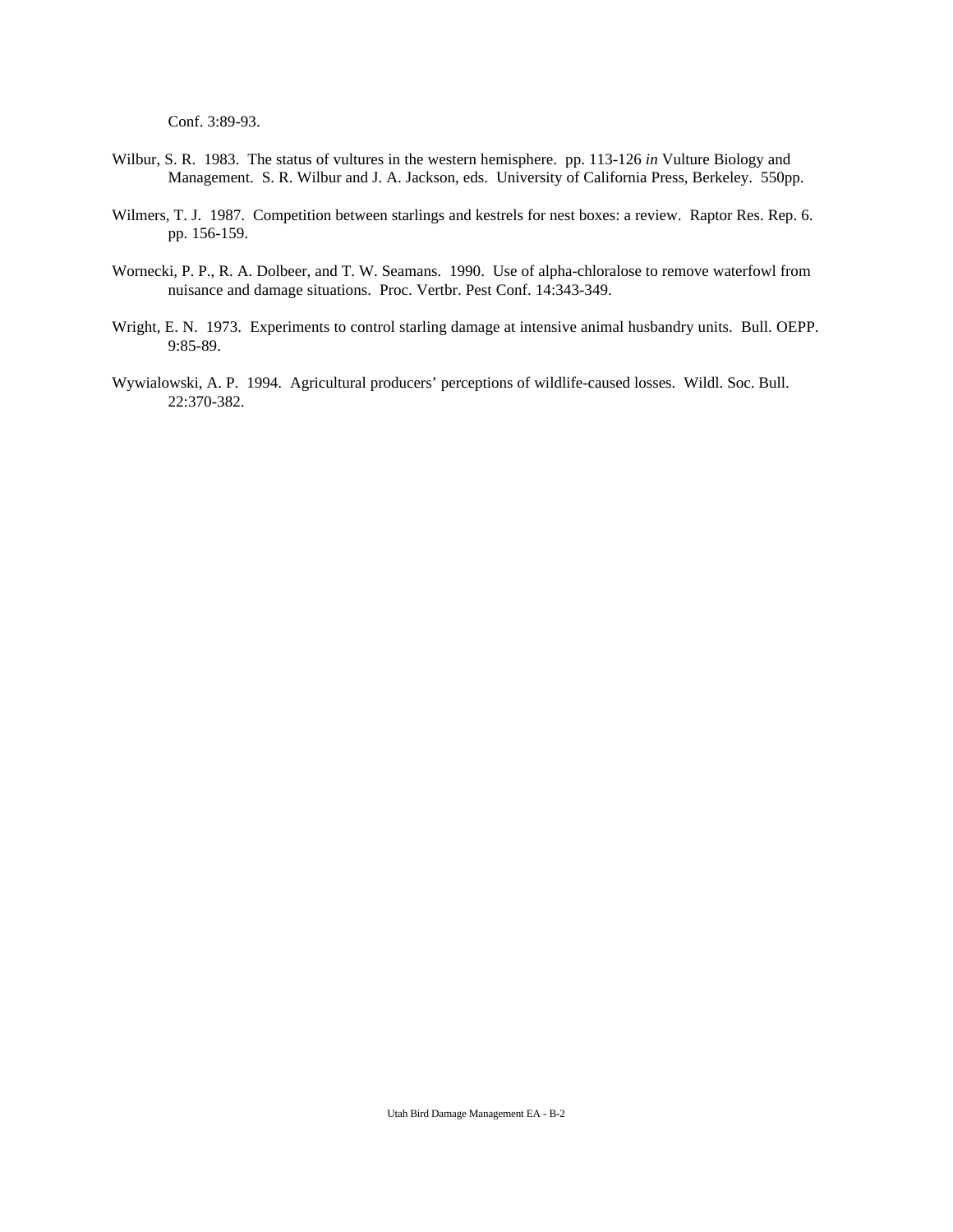Conf. 3:89-93.

- Wilbur, S. R. 1983. The status of vultures in the western hemisphere. pp. 113-126 *in* Vulture Biology and Management. S. R. Wilbur and J. A. Jackson, eds. University of California Press, Berkeley. 550pp.
- Wilmers, T. J. 1987. Competition between starlings and kestrels for nest boxes: a review. Raptor Res. Rep. 6. pp. 156-159.
- Wornecki, P. P., R. A. Dolbeer, and T. W. Seamans. 1990. Use of alpha-chloralose to remove waterfowl from nuisance and damage situations. Proc. Vertbr. Pest Conf. 14:343-349.
- Wright, E. N. 1973. Experiments to control starling damage at intensive animal husbandry units. Bull. OEPP. 9:85-89.
- Wywialowski, A. P. 1994. Agricultural producers' perceptions of wildlife-caused losses. Wildl. Soc. Bull. 22:370-382.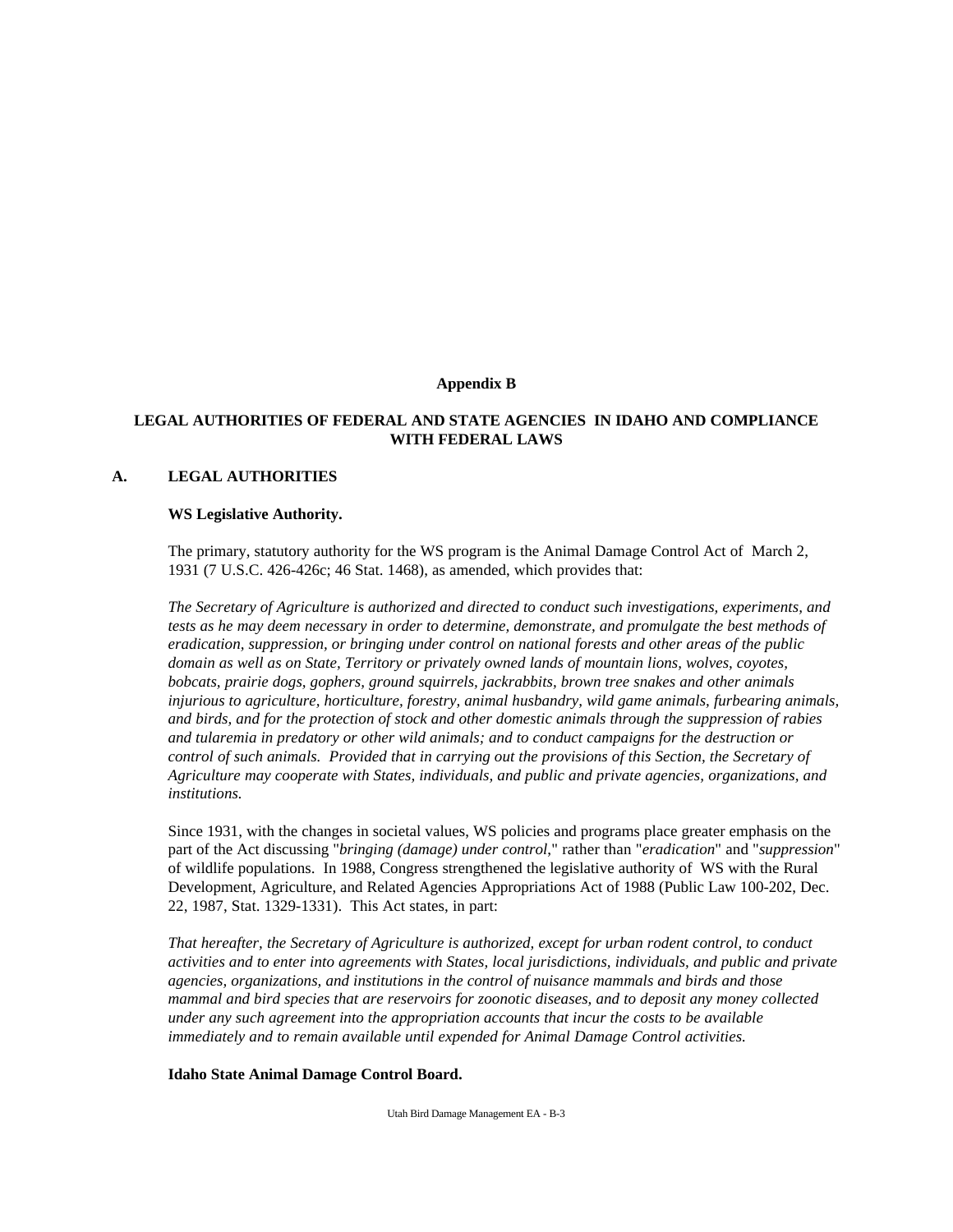## **Appendix B**

## **LEGAL AUTHORITIES OF FEDERAL AND STATE AGENCIES IN IDAHO AND COMPLIANCE WITH FEDERAL LAWS**

## **A. LEGAL AUTHORITIES**

#### **WS Legislative Authority.**

The primary, statutory authority for the WS program is the Animal Damage Control Act of March 2, 1931 (7 U.S.C. 426-426c; 46 Stat. 1468), as amended, which provides that:

*The Secretary of Agriculture is authorized and directed to conduct such investigations, experiments, and tests as he may deem necessary in order to determine, demonstrate, and promulgate the best methods of eradication, suppression, or bringing under control on national forests and other areas of the public domain as well as on State, Territory or privately owned lands of mountain lions, wolves, coyotes, bobcats, prairie dogs, gophers, ground squirrels, jackrabbits, brown tree snakes and other animals injurious to agriculture, horticulture, forestry, animal husbandry, wild game animals, furbearing animals, and birds, and for the protection of stock and other domestic animals through the suppression of rabies and tularemia in predatory or other wild animals; and to conduct campaigns for the destruction or control of such animals. Provided that in carrying out the provisions of this Section, the Secretary of Agriculture may cooperate with States, individuals, and public and private agencies, organizations, and institutions.*

Since 1931, with the changes in societal values, WS policies and programs place greater emphasis on the part of the Act discussing "*bringing (damage) under control*," rather than "*eradication*" and "*suppression*" of wildlife populations. In 1988, Congress strengthened the legislative authority of WS with the Rural Development, Agriculture, and Related Agencies Appropriations Act of 1988 (Public Law 100-202, Dec. 22, 1987, Stat. 1329-1331). This Act states, in part:

*That hereafter, the Secretary of Agriculture is authorized, except for urban rodent control, to conduct activities and to enter into agreements with States, local jurisdictions, individuals, and public and private agencies, organizations, and institutions in the control of nuisance mammals and birds and those mammal and bird species that are reservoirs for zoonotic diseases, and to deposit any money collected under any such agreement into the appropriation accounts that incur the costs to be available immediately and to remain available until expended for Animal Damage Control activities.*

## **Idaho State Animal Damage Control Board.**

Utah Bird Damage Management EA - B-3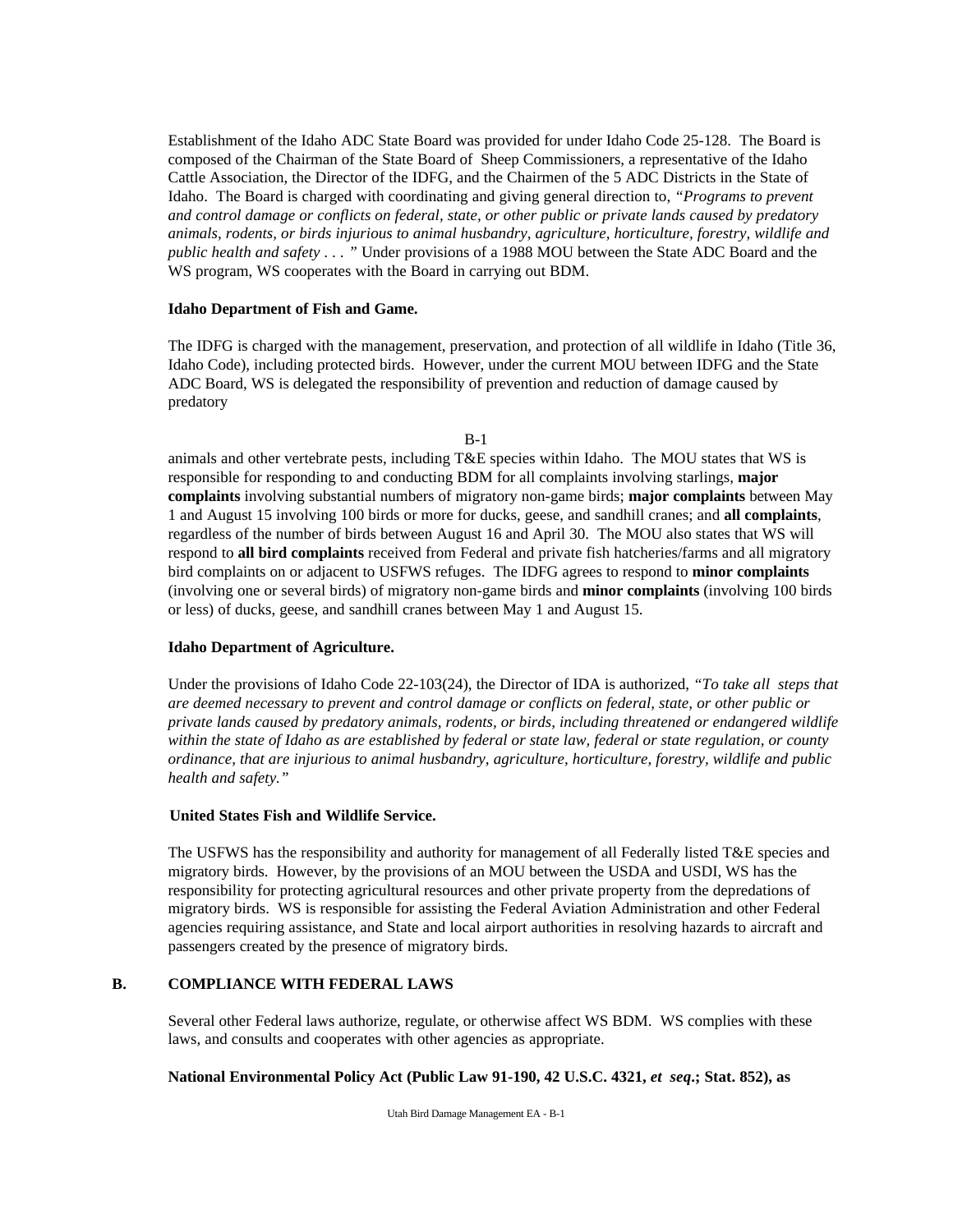Establishment of the Idaho ADC State Board was provided for under Idaho Code 25-128. The Board is composed of the Chairman of the State Board of Sheep Commissioners, a representative of the Idaho Cattle Association, the Director of the IDFG, and the Chairmen of the 5 ADC Districts in the State of Idaho. The Board is charged with coordinating and giving general direction to, *"Programs to prevent and control damage or conflicts on federal, state, or other public or private lands caused by predatory animals, rodents, or birds injurious to animal husbandry, agriculture, horticulture, forestry, wildlife and public health and safety . . . "* Under provisions of a 1988 MOU between the State ADC Board and the WS program, WS cooperates with the Board in carrying out BDM.

## **Idaho Department of Fish and Game.**

The IDFG is charged with the management, preservation, and protection of all wildlife in Idaho (Title 36, Idaho Code), including protected birds. However, under the current MOU between IDFG and the State ADC Board, WS is delegated the responsibility of prevention and reduction of damage caused by predatory

| i<br>۰, |
|---------|
|---------|

animals and other vertebrate pests, including T&E species within Idaho. The MOU states that WS is responsible for responding to and conducting BDM for all complaints involving starlings, **major complaints** involving substantial numbers of migratory non-game birds; **major complaints** between May 1 and August 15 involving 100 birds or more for ducks, geese, and sandhill cranes; and **all complaints**, regardless of the number of birds between August 16 and April 30. The MOU also states that WS will respond to **all bird complaints** received from Federal and private fish hatcheries/farms and all migratory bird complaints on or adjacent to USFWS refuges. The IDFG agrees to respond to **minor complaints** (involving one or several birds) of migratory non-game birds and **minor complaints** (involving 100 birds or less) of ducks, geese, and sandhill cranes between May 1 and August 15.

## **Idaho Department of Agriculture.**

Under the provisions of Idaho Code 22-103(24), the Director of IDA is authorized, *"To take all steps that are deemed necessary to prevent and control damage or conflicts on federal, state, or other public or private lands caused by predatory animals, rodents, or birds, including threatened or endangered wildlife within the state of Idaho as are established by federal or state law, federal or state regulation, or county ordinance, that are injurious to animal husbandry, agriculture, horticulture, forestry, wildlife and public health and safety."* 

## **United States Fish and Wildlife Service.**

The USFWS has the responsibility and authority for management of all Federally listed T&E species and migratory birds. However, by the provisions of an MOU between the USDA and USDI, WS has the responsibility for protecting agricultural resources and other private property from the depredations of migratory birds. WS is responsible for assisting the Federal Aviation Administration and other Federal agencies requiring assistance, and State and local airport authorities in resolving hazards to aircraft and passengers created by the presence of migratory birds.

## **B. COMPLIANCE WITH FEDERAL LAWS**

Several other Federal laws authorize, regulate, or otherwise affect WS BDM. WS complies with these laws, and consults and cooperates with other agencies as appropriate.

## **National Environmental Policy Act (Public Law 91-190, 42 U.S.C. 4321,** *et seq***.; Stat. 852), as**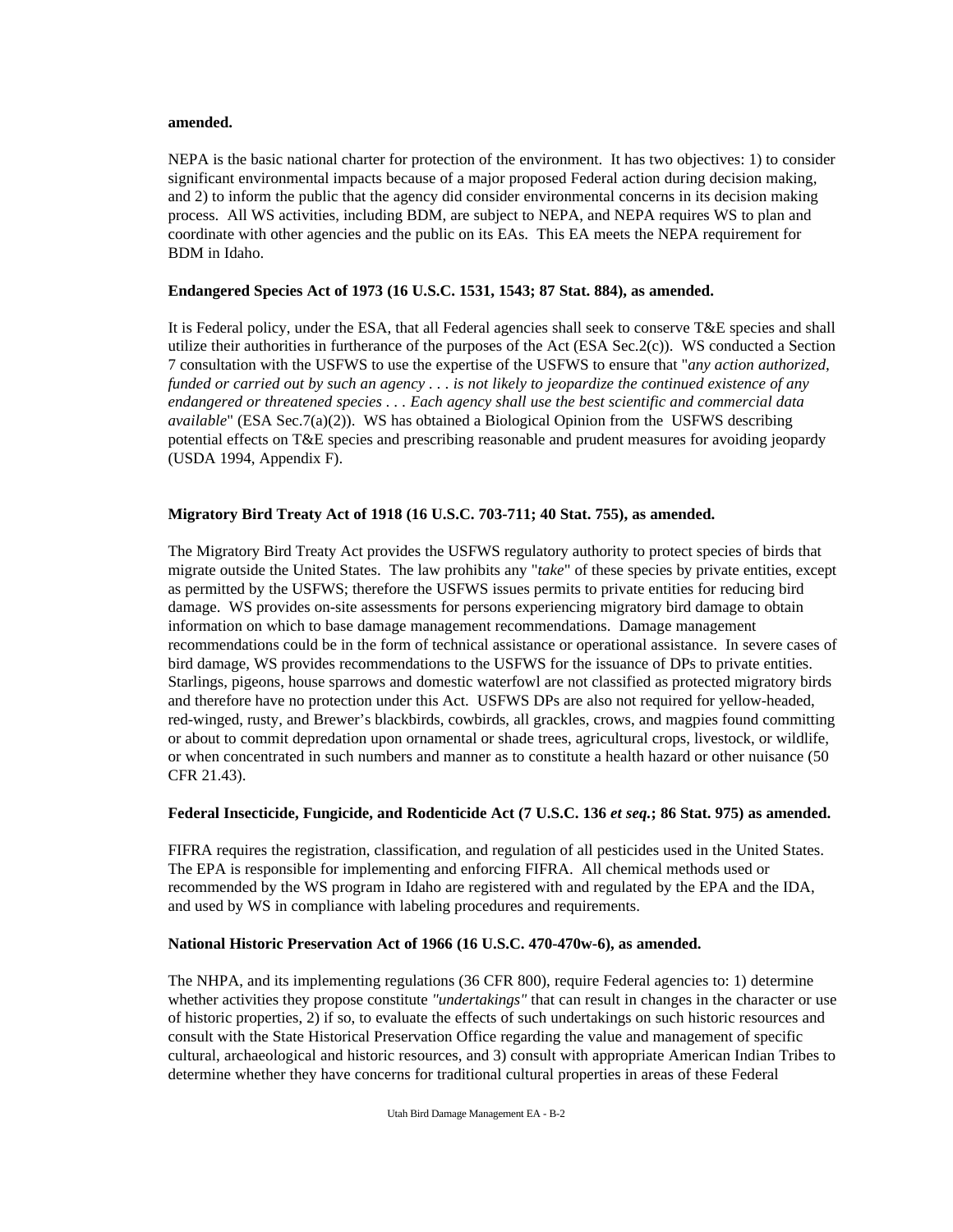## **amended.**

NEPA is the basic national charter for protection of the environment. It has two objectives: 1) to consider significant environmental impacts because of a major proposed Federal action during decision making, and 2) to inform the public that the agency did consider environmental concerns in its decision making process. All WS activities, including BDM, are subject to NEPA, and NEPA requires WS to plan and coordinate with other agencies and the public on its EAs. This EA meets the NEPA requirement for BDM in Idaho.

## **Endangered Species Act of 1973 (16 U.S.C. 1531, 1543; 87 Stat. 884), as amended.**

It is Federal policy, under the ESA, that all Federal agencies shall seek to conserve T&E species and shall utilize their authorities in furtherance of the purposes of the Act (ESA Sec.2(c)). WS conducted a Section 7 consultation with the USFWS to use the expertise of the USFWS to ensure that "*any action authorized, funded or carried out by such an agency . . . is not likely to jeopardize the continued existence of any endangered or threatened species . . . Each agency shall use the best scientific and commercial data available*" (ESA Sec.7(a)(2)). WS has obtained a Biological Opinion from the USFWS describing potential effects on T&E species and prescribing reasonable and prudent measures for avoiding jeopardy (USDA 1994, Appendix F).

## **Migratory Bird Treaty Act of 1918 (16 U.S.C. 703-711; 40 Stat. 755), as amended.**

The Migratory Bird Treaty Act provides the USFWS regulatory authority to protect species of birds that migrate outside the United States. The law prohibits any "*take*" of these species by private entities, except as permitted by the USFWS; therefore the USFWS issues permits to private entities for reducing bird damage. WS provides on-site assessments for persons experiencing migratory bird damage to obtain information on which to base damage management recommendations. Damage management recommendations could be in the form of technical assistance or operational assistance. In severe cases of bird damage, WS provides recommendations to the USFWS for the issuance of DPs to private entities. Starlings, pigeons, house sparrows and domestic waterfowl are not classified as protected migratory birds and therefore have no protection under this Act. USFWS DPs are also not required for yellow-headed, red-winged, rusty, and Brewer's blackbirds, cowbirds, all grackles, crows, and magpies found committing or about to commit depredation upon ornamental or shade trees, agricultural crops, livestock, or wildlife, or when concentrated in such numbers and manner as to constitute a health hazard or other nuisance (50 CFR 21.43).

## **Federal Insecticide, Fungicide, and Rodenticide Act (7 U.S.C. 136** *et seq.***; 86 Stat. 975) as amended.**

FIFRA requires the registration, classification, and regulation of all pesticides used in the United States. The EPA is responsible for implementing and enforcing FIFRA. All chemical methods used or recommended by the WS program in Idaho are registered with and regulated by the EPA and the IDA, and used by WS in compliance with labeling procedures and requirements.

## **National Historic Preservation Act of 1966 (16 U.S.C. 470-470w-6), as amended.**

The NHPA, and its implementing regulations (36 CFR 800), require Federal agencies to: 1) determine whether activities they propose constitute *"undertakings"* that can result in changes in the character or use of historic properties, 2) if so, to evaluate the effects of such undertakings on such historic resources and consult with the State Historical Preservation Office regarding the value and management of specific cultural, archaeological and historic resources, and 3) consult with appropriate American Indian Tribes to determine whether they have concerns for traditional cultural properties in areas of these Federal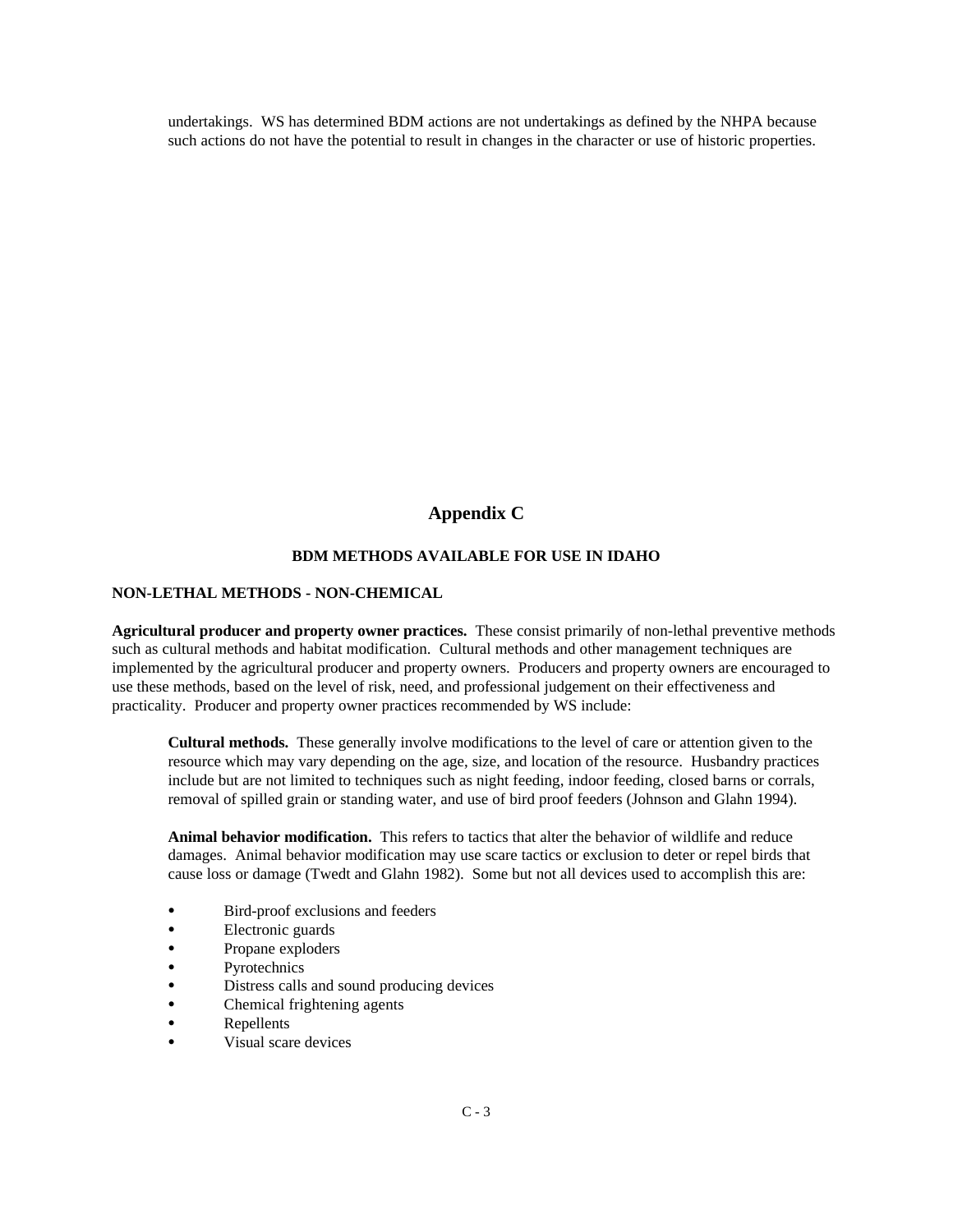undertakings. WS has determined BDM actions are not undertakings as defined by the NHPA because such actions do not have the potential to result in changes in the character or use of historic properties.

# **Appendix C**

## **BDM METHODS AVAILABLE FOR USE IN IDAHO**

## **NON-LETHAL METHODS - NON-CHEMICAL**

**Agricultural producer and property owner practices.** These consist primarily of non-lethal preventive methods such as cultural methods and habitat modification. Cultural methods and other management techniques are implemented by the agricultural producer and property owners. Producers and property owners are encouraged to use these methods, based on the level of risk, need, and professional judgement on their effectiveness and practicality. Producer and property owner practices recommended by WS include:

**Cultural methods.** These generally involve modifications to the level of care or attention given to the resource which may vary depending on the age, size, and location of the resource. Husbandry practices include but are not limited to techniques such as night feeding, indoor feeding, closed barns or corrals, removal of spilled grain or standing water, and use of bird proof feeders (Johnson and Glahn 1994).

**Animal behavior modification.** This refers to tactics that alter the behavior of wildlife and reduce damages. Animal behavior modification may use scare tactics or exclusion to deter or repel birds that cause loss or damage (Twedt and Glahn 1982). Some but not all devices used to accomplish this are:

- Bird-proof exclusions and feeders
- Electronic guards
- Propane exploders
- Pyrotechnics
- Distress calls and sound producing devices
- Chemical frightening agents
- Repellents
- Visual scare devices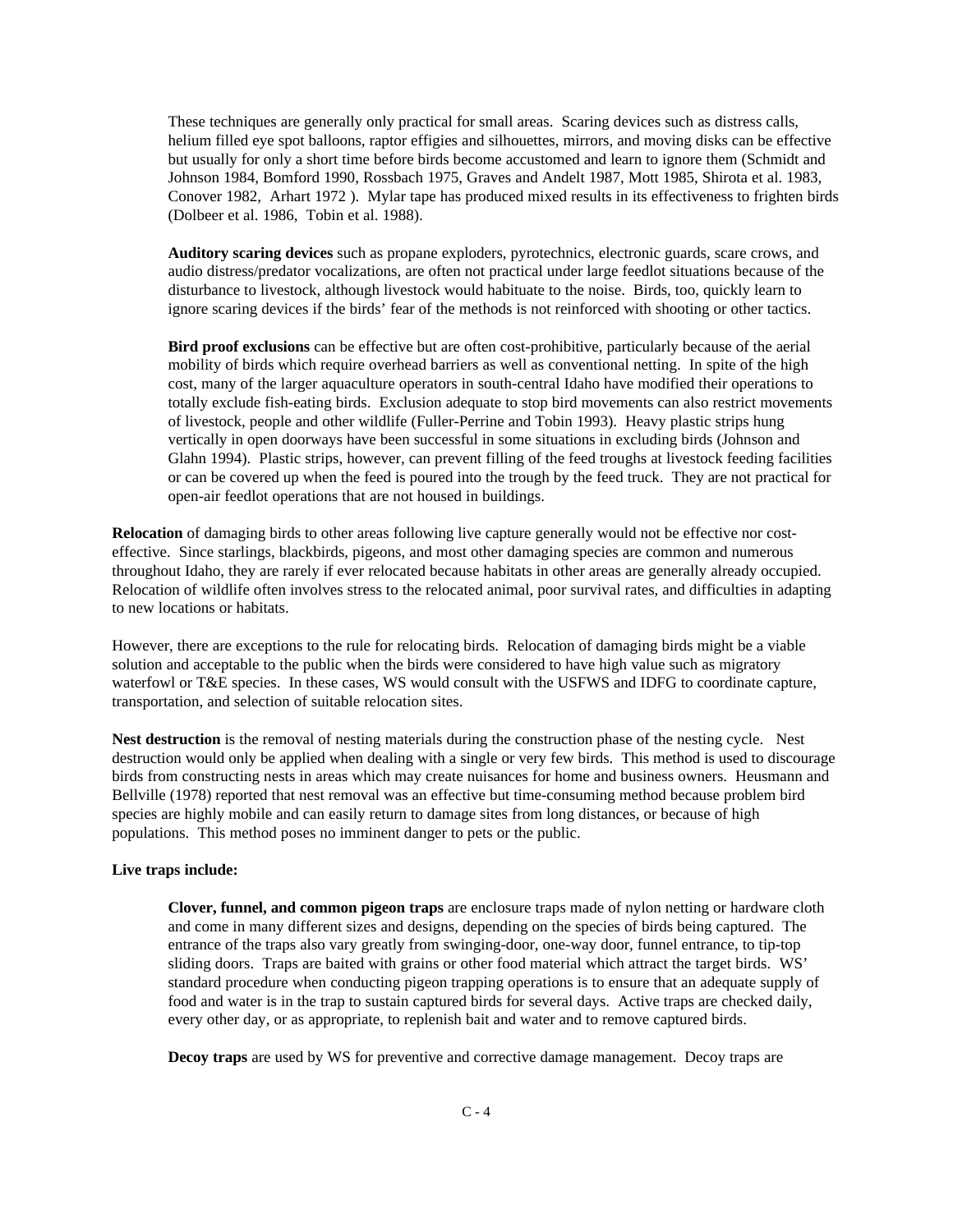These techniques are generally only practical for small areas. Scaring devices such as distress calls, helium filled eye spot balloons, raptor effigies and silhouettes, mirrors, and moving disks can be effective but usually for only a short time before birds become accustomed and learn to ignore them (Schmidt and Johnson 1984, Bomford 1990, Rossbach 1975, Graves and Andelt 1987, Mott 1985, Shirota et al. 1983, Conover 1982, Arhart 1972 ). Mylar tape has produced mixed results in its effectiveness to frighten birds (Dolbeer et al. 1986, Tobin et al. 1988).

**Auditory scaring devices** such as propane exploders, pyrotechnics, electronic guards, scare crows, and audio distress/predator vocalizations, are often not practical under large feedlot situations because of the disturbance to livestock, although livestock would habituate to the noise. Birds, too, quickly learn to ignore scaring devices if the birds' fear of the methods is not reinforced with shooting or other tactics.

**Bird proof exclusions** can be effective but are often cost-prohibitive, particularly because of the aerial mobility of birds which require overhead barriers as well as conventional netting. In spite of the high cost, many of the larger aquaculture operators in south-central Idaho have modified their operations to totally exclude fish-eating birds. Exclusion adequate to stop bird movements can also restrict movements of livestock, people and other wildlife (Fuller-Perrine and Tobin 1993). Heavy plastic strips hung vertically in open doorways have been successful in some situations in excluding birds (Johnson and Glahn 1994). Plastic strips, however, can prevent filling of the feed troughs at livestock feeding facilities or can be covered up when the feed is poured into the trough by the feed truck. They are not practical for open-air feedlot operations that are not housed in buildings.

**Relocation** of damaging birds to other areas following live capture generally would not be effective nor costeffective. Since starlings, blackbirds, pigeons, and most other damaging species are common and numerous throughout Idaho, they are rarely if ever relocated because habitats in other areas are generally already occupied. Relocation of wildlife often involves stress to the relocated animal, poor survival rates, and difficulties in adapting to new locations or habitats.

However, there are exceptions to the rule for relocating birds. Relocation of damaging birds might be a viable solution and acceptable to the public when the birds were considered to have high value such as migratory waterfowl or T&E species. In these cases, WS would consult with the USFWS and IDFG to coordinate capture, transportation, and selection of suitable relocation sites.

**Nest destruction** is the removal of nesting materials during the construction phase of the nesting cycle. Nest destruction would only be applied when dealing with a single or very few birds. This method is used to discourage birds from constructing nests in areas which may create nuisances for home and business owners. Heusmann and Bellville (1978) reported that nest removal was an effective but time-consuming method because problem bird species are highly mobile and can easily return to damage sites from long distances, or because of high populations. This method poses no imminent danger to pets or the public.

### **Live traps include:**

**Clover, funnel, and common pigeon traps** are enclosure traps made of nylon netting or hardware cloth and come in many different sizes and designs, depending on the species of birds being captured. The entrance of the traps also vary greatly from swinging-door, one-way door, funnel entrance, to tip-top sliding doors. Traps are baited with grains or other food material which attract the target birds. WS' standard procedure when conducting pigeon trapping operations is to ensure that an adequate supply of food and water is in the trap to sustain captured birds for several days. Active traps are checked daily, every other day, or as appropriate, to replenish bait and water and to remove captured birds.

**Decoy traps** are used by WS for preventive and corrective damage management. Decoy traps are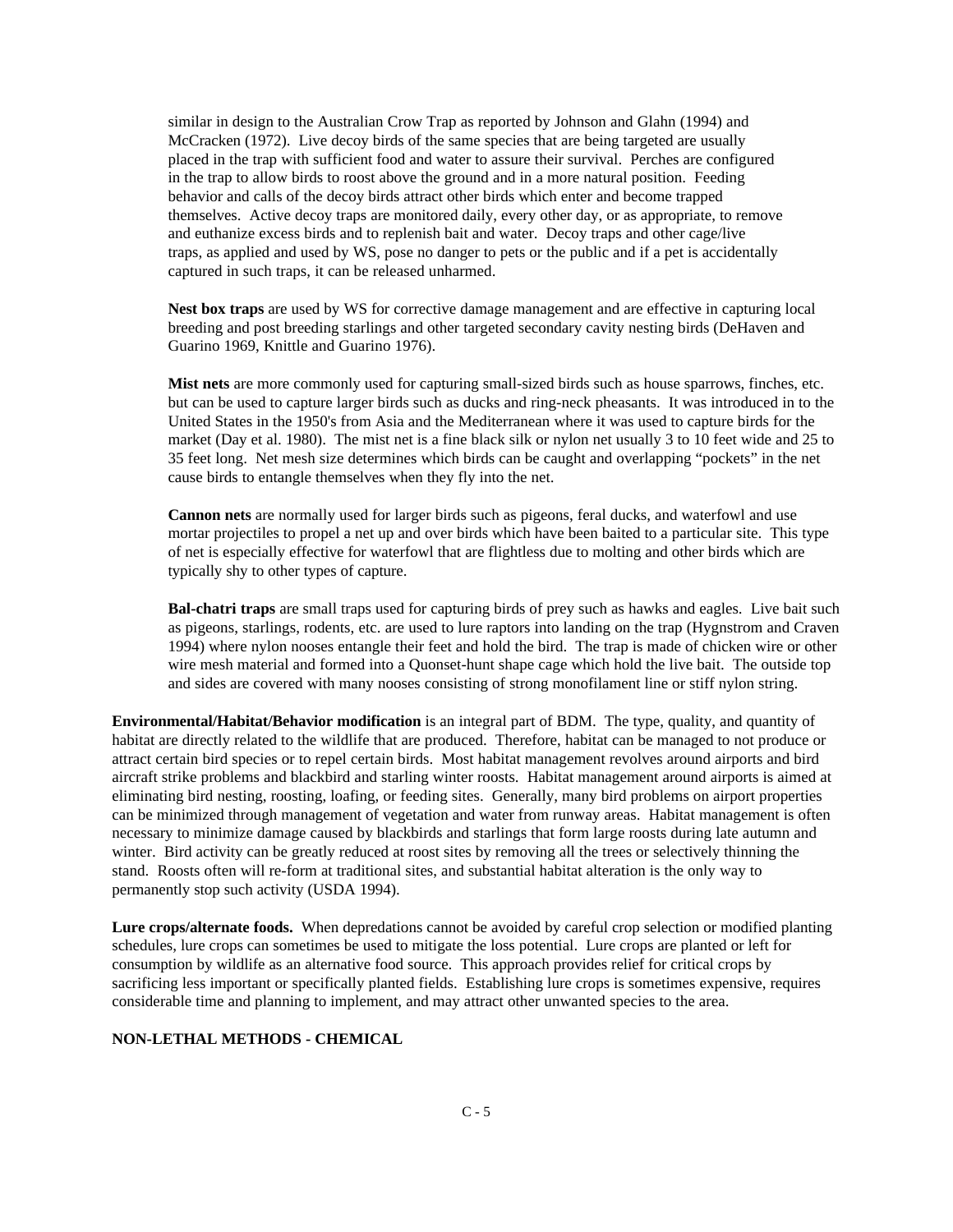similar in design to the Australian Crow Trap as reported by Johnson and Glahn (1994) and McCracken (1972). Live decoy birds of the same species that are being targeted are usually placed in the trap with sufficient food and water to assure their survival. Perches are configured in the trap to allow birds to roost above the ground and in a more natural position. Feeding behavior and calls of the decoy birds attract other birds which enter and become trapped themselves. Active decoy traps are monitored daily, every other day, or as appropriate, to remove and euthanize excess birds and to replenish bait and water. Decoy traps and other cage/live traps, as applied and used by WS, pose no danger to pets or the public and if a pet is accidentally captured in such traps, it can be released unharmed.

**Nest box traps** are used by WS for corrective damage management and are effective in capturing local breeding and post breeding starlings and other targeted secondary cavity nesting birds (DeHaven and Guarino 1969, Knittle and Guarino 1976).

**Mist nets** are more commonly used for capturing small-sized birds such as house sparrows, finches, etc. but can be used to capture larger birds such as ducks and ring-neck pheasants. It was introduced in to the United States in the 1950's from Asia and the Mediterranean where it was used to capture birds for the market (Day et al. 1980). The mist net is a fine black silk or nylon net usually 3 to 10 feet wide and 25 to 35 feet long. Net mesh size determines which birds can be caught and overlapping "pockets" in the net cause birds to entangle themselves when they fly into the net.

**Cannon nets** are normally used for larger birds such as pigeons, feral ducks, and waterfowl and use mortar projectiles to propel a net up and over birds which have been baited to a particular site. This type of net is especially effective for waterfowl that are flightless due to molting and other birds which are typically shy to other types of capture.

**Bal-chatri traps** are small traps used for capturing birds of prey such as hawks and eagles. Live bait such as pigeons, starlings, rodents, etc. are used to lure raptors into landing on the trap (Hygnstrom and Craven 1994) where nylon nooses entangle their feet and hold the bird. The trap is made of chicken wire or other wire mesh material and formed into a Quonset-hunt shape cage which hold the live bait. The outside top and sides are covered with many nooses consisting of strong monofilament line or stiff nylon string.

**Environmental/Habitat/Behavior modification** is an integral part of BDM. The type, quality, and quantity of habitat are directly related to the wildlife that are produced. Therefore, habitat can be managed to not produce or attract certain bird species or to repel certain birds. Most habitat management revolves around airports and bird aircraft strike problems and blackbird and starling winter roosts. Habitat management around airports is aimed at eliminating bird nesting, roosting, loafing, or feeding sites. Generally, many bird problems on airport properties can be minimized through management of vegetation and water from runway areas. Habitat management is often necessary to minimize damage caused by blackbirds and starlings that form large roosts during late autumn and winter. Bird activity can be greatly reduced at roost sites by removing all the trees or selectively thinning the stand. Roosts often will re-form at traditional sites, and substantial habitat alteration is the only way to permanently stop such activity (USDA 1994).

**Lure crops/alternate foods.** When depredations cannot be avoided by careful crop selection or modified planting schedules, lure crops can sometimes be used to mitigate the loss potential. Lure crops are planted or left for consumption by wildlife as an alternative food source. This approach provides relief for critical crops by sacrificing less important or specifically planted fields. Establishing lure crops is sometimes expensive, requires considerable time and planning to implement, and may attract other unwanted species to the area.

#### **NON-LETHAL METHODS - CHEMICAL**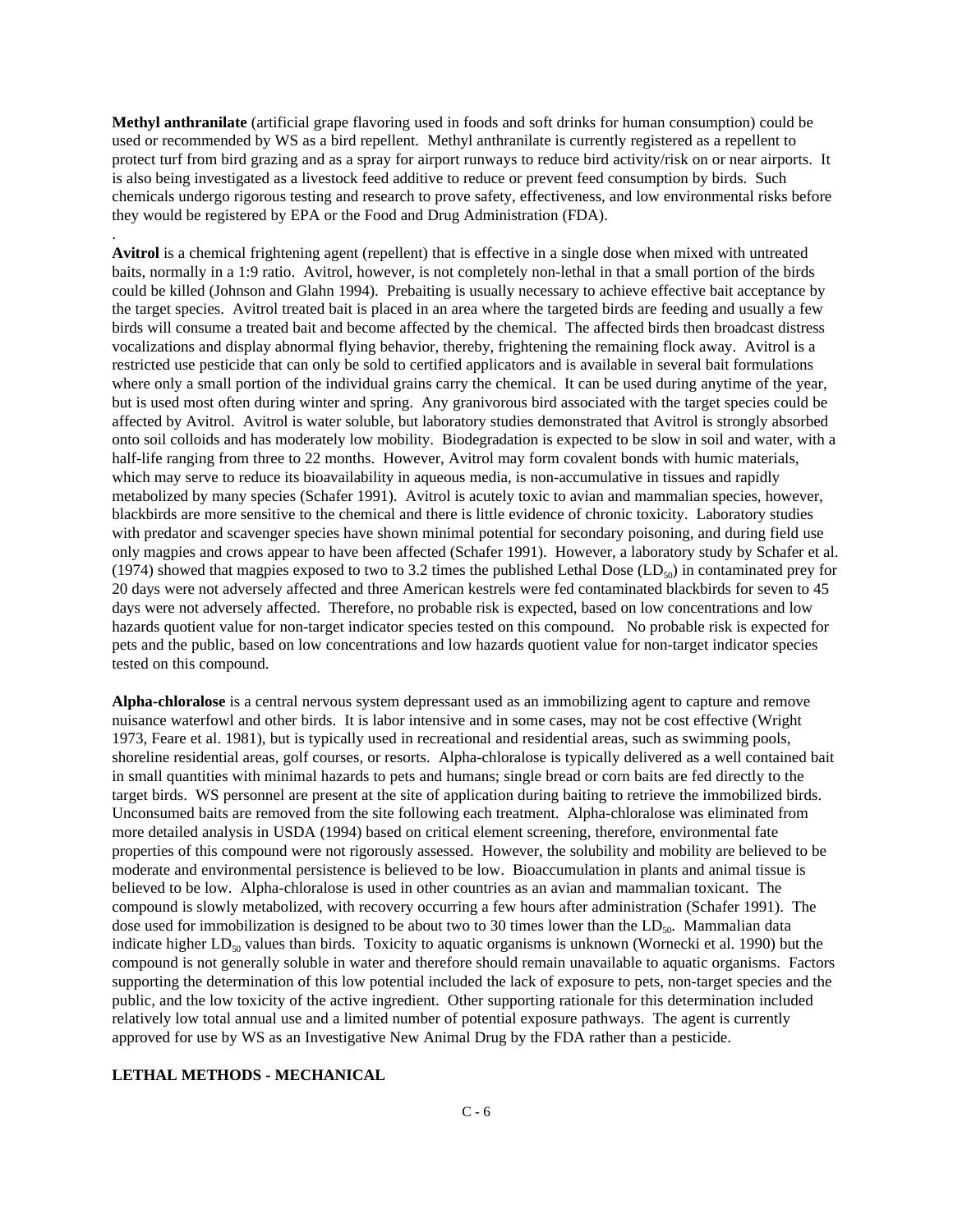**Methyl anthranilate** (artificial grape flavoring used in foods and soft drinks for human consumption) could be used or recommended by WS as a bird repellent. Methyl anthranilate is currently registered as a repellent to protect turf from bird grazing and as a spray for airport runways to reduce bird activity/risk on or near airports. It is also being investigated as a livestock feed additive to reduce or prevent feed consumption by birds. Such chemicals undergo rigorous testing and research to prove safety, effectiveness, and low environmental risks before they would be registered by EPA or the Food and Drug Administration (FDA).

**Avitrol** is a chemical frightening agent (repellent) that is effective in a single dose when mixed with untreated baits, normally in a 1:9 ratio. Avitrol, however, is not completely non-lethal in that a small portion of the birds could be killed (Johnson and Glahn 1994). Prebaiting is usually necessary to achieve effective bait acceptance by the target species. Avitrol treated bait is placed in an area where the targeted birds are feeding and usually a few birds will consume a treated bait and become affected by the chemical. The affected birds then broadcast distress vocalizations and display abnormal flying behavior, thereby, frightening the remaining flock away. Avitrol is a restricted use pesticide that can only be sold to certified applicators and is available in several bait formulations where only a small portion of the individual grains carry the chemical. It can be used during anytime of the year, but is used most often during winter and spring. Any granivorous bird associated with the target species could be affected by Avitrol. Avitrol is water soluble, but laboratory studies demonstrated that Avitrol is strongly absorbed onto soil colloids and has moderately low mobility. Biodegradation is expected to be slow in soil and water, with a half-life ranging from three to 22 months. However, Avitrol may form covalent bonds with humic materials, which may serve to reduce its bioavailability in aqueous media, is non-accumulative in tissues and rapidly metabolized by many species (Schafer 1991). Avitrol is acutely toxic to avian and mammalian species, however, blackbirds are more sensitive to the chemical and there is little evidence of chronic toxicity. Laboratory studies with predator and scavenger species have shown minimal potential for secondary poisoning, and during field use only magpies and crows appear to have been affected (Schafer 1991). However, a laboratory study by Schafer et al. (1974) showed that magpies exposed to two to 3.2 times the published Lethal Dose (LD<sub>50</sub>) in contaminated prey for 20 days were not adversely affected and three American kestrels were fed contaminated blackbirds for seven to 45 days were not adversely affected. Therefore, no probable risk is expected, based on low concentrations and low hazards quotient value for non-target indicator species tested on this compound. No probable risk is expected for pets and the public, based on low concentrations and low hazards quotient value for non-target indicator species tested on this compound.

**Alpha-chloralose** is a central nervous system depressant used as an immobilizing agent to capture and remove nuisance waterfowl and other birds. It is labor intensive and in some cases, may not be cost effective (Wright 1973, Feare et al. 1981), but is typically used in recreational and residential areas, such as swimming pools, shoreline residential areas, golf courses, or resorts. Alpha-chloralose is typically delivered as a well contained bait in small quantities with minimal hazards to pets and humans; single bread or corn baits are fed directly to the target birds. WS personnel are present at the site of application during baiting to retrieve the immobilized birds. Unconsumed baits are removed from the site following each treatment. Alpha-chloralose was eliminated from more detailed analysis in USDA (1994) based on critical element screening, therefore, environmental fate properties of this compound were not rigorously assessed. However, the solubility and mobility are believed to be moderate and environmental persistence is believed to be low. Bioaccumulation in plants and animal tissue is believed to be low. Alpha-chloralose is used in other countries as an avian and mammalian toxicant. The compound is slowly metabolized, with recovery occurring a few hours after administration (Schafer 1991). The dose used for immobilization is designed to be about two to 30 times lower than the  $LD_{50}$ . Mammalian data indicate higher  $LD_{50}$  values than birds. Toxicity to aquatic organisms is unknown (Wornecki et al. 1990) but the compound is not generally soluble in water and therefore should remain unavailable to aquatic organisms. Factors supporting the determination of this low potential included the lack of exposure to pets, non-target species and the public, and the low toxicity of the active ingredient. Other supporting rationale for this determination included relatively low total annual use and a limited number of potential exposure pathways. The agent is currently approved for use by WS as an Investigative New Animal Drug by the FDA rather than a pesticide.

#### **LETHAL METHODS - MECHANICAL**

.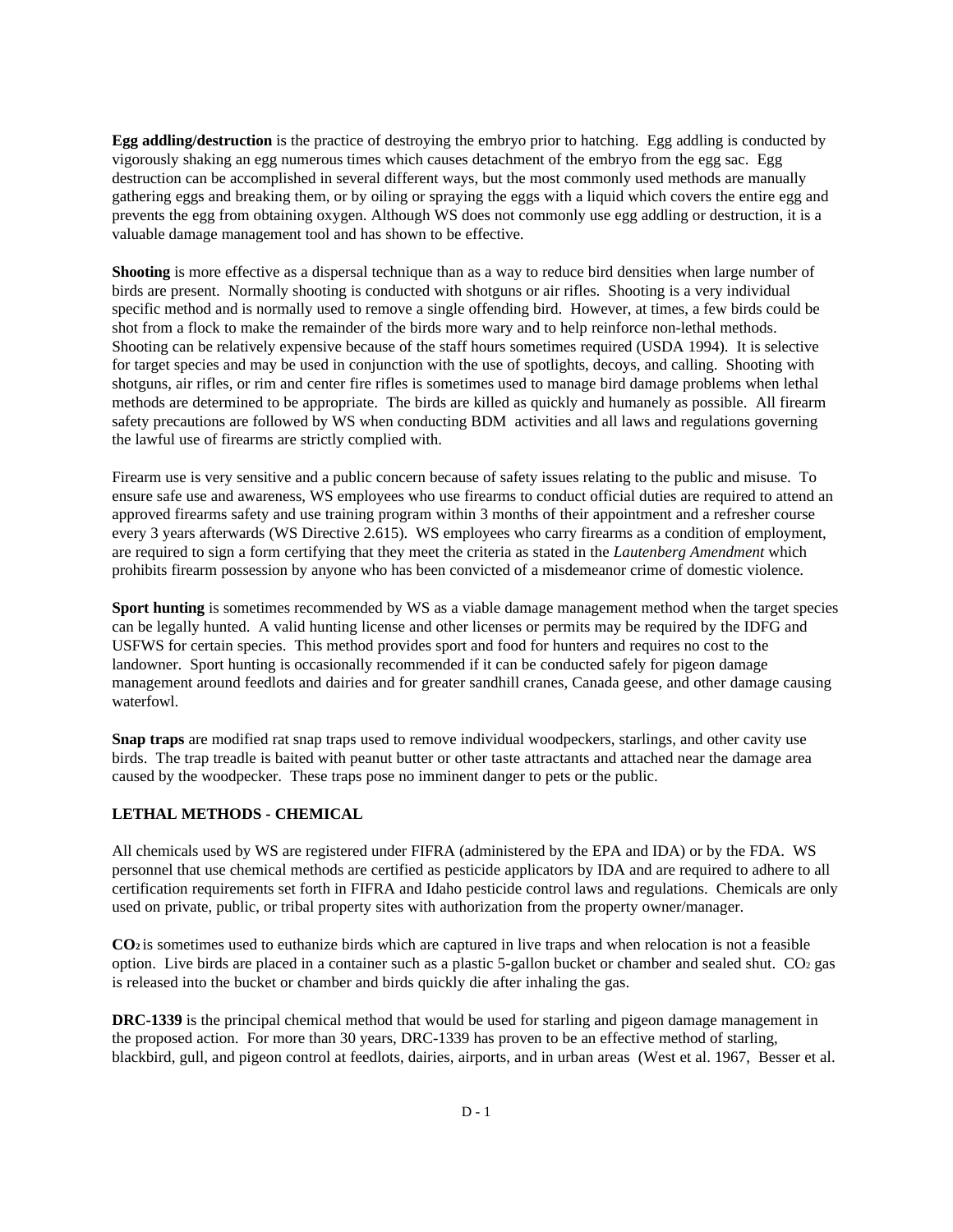**Egg addling/destruction** is the practice of destroying the embryo prior to hatching. Egg addling is conducted by vigorously shaking an egg numerous times which causes detachment of the embryo from the egg sac. Egg destruction can be accomplished in several different ways, but the most commonly used methods are manually gathering eggs and breaking them, or by oiling or spraying the eggs with a liquid which covers the entire egg and prevents the egg from obtaining oxygen. Although WS does not commonly use egg addling or destruction, it is a valuable damage management tool and has shown to be effective.

**Shooting** is more effective as a dispersal technique than as a way to reduce bird densities when large number of birds are present. Normally shooting is conducted with shotguns or air rifles. Shooting is a very individual specific method and is normally used to remove a single offending bird. However, at times, a few birds could be shot from a flock to make the remainder of the birds more wary and to help reinforce non-lethal methods. Shooting can be relatively expensive because of the staff hours sometimes required (USDA 1994). It is selective for target species and may be used in conjunction with the use of spotlights, decoys, and calling. Shooting with shotguns, air rifles, or rim and center fire rifles is sometimes used to manage bird damage problems when lethal methods are determined to be appropriate. The birds are killed as quickly and humanely as possible. All firearm safety precautions are followed by WS when conducting BDM activities and all laws and regulations governing the lawful use of firearms are strictly complied with.

Firearm use is very sensitive and a public concern because of safety issues relating to the public and misuse. To ensure safe use and awareness, WS employees who use firearms to conduct official duties are required to attend an approved firearms safety and use training program within 3 months of their appointment and a refresher course every 3 years afterwards (WS Directive 2.615). WS employees who carry firearms as a condition of employment, are required to sign a form certifying that they meet the criteria as stated in the *Lautenberg Amendment* which prohibits firearm possession by anyone who has been convicted of a misdemeanor crime of domestic violence.

**Sport hunting** is sometimes recommended by WS as a viable damage management method when the target species can be legally hunted. A valid hunting license and other licenses or permits may be required by the IDFG and USFWS for certain species. This method provides sport and food for hunters and requires no cost to the landowner. Sport hunting is occasionally recommended if it can be conducted safely for pigeon damage management around feedlots and dairies and for greater sandhill cranes, Canada geese, and other damage causing waterfowl.

**Snap traps** are modified rat snap traps used to remove individual woodpeckers, starlings, and other cavity use birds. The trap treadle is baited with peanut butter or other taste attractants and attached near the damage area caused by the woodpecker. These traps pose no imminent danger to pets or the public.

### **LETHAL METHODS - CHEMICAL**

All chemicals used by WS are registered under FIFRA (administered by the EPA and IDA) or by the FDA. WS personnel that use chemical methods are certified as pesticide applicators by IDA and are required to adhere to all certification requirements set forth in FIFRA and Idaho pesticide control laws and regulations. Chemicals are only used on private, public, or tribal property sites with authorization from the property owner/manager.

**CO2** is sometimes used to euthanize birds which are captured in live traps and when relocation is not a feasible option. Live birds are placed in a container such as a plastic 5-gallon bucket or chamber and sealed shut. CO2 gas is released into the bucket or chamber and birds quickly die after inhaling the gas.

**DRC-1339** is the principal chemical method that would be used for starling and pigeon damage management in the proposed action. For more than 30 years, DRC-1339 has proven to be an effective method of starling, blackbird, gull, and pigeon control at feedlots, dairies, airports, and in urban areas (West et al. 1967, Besser et al.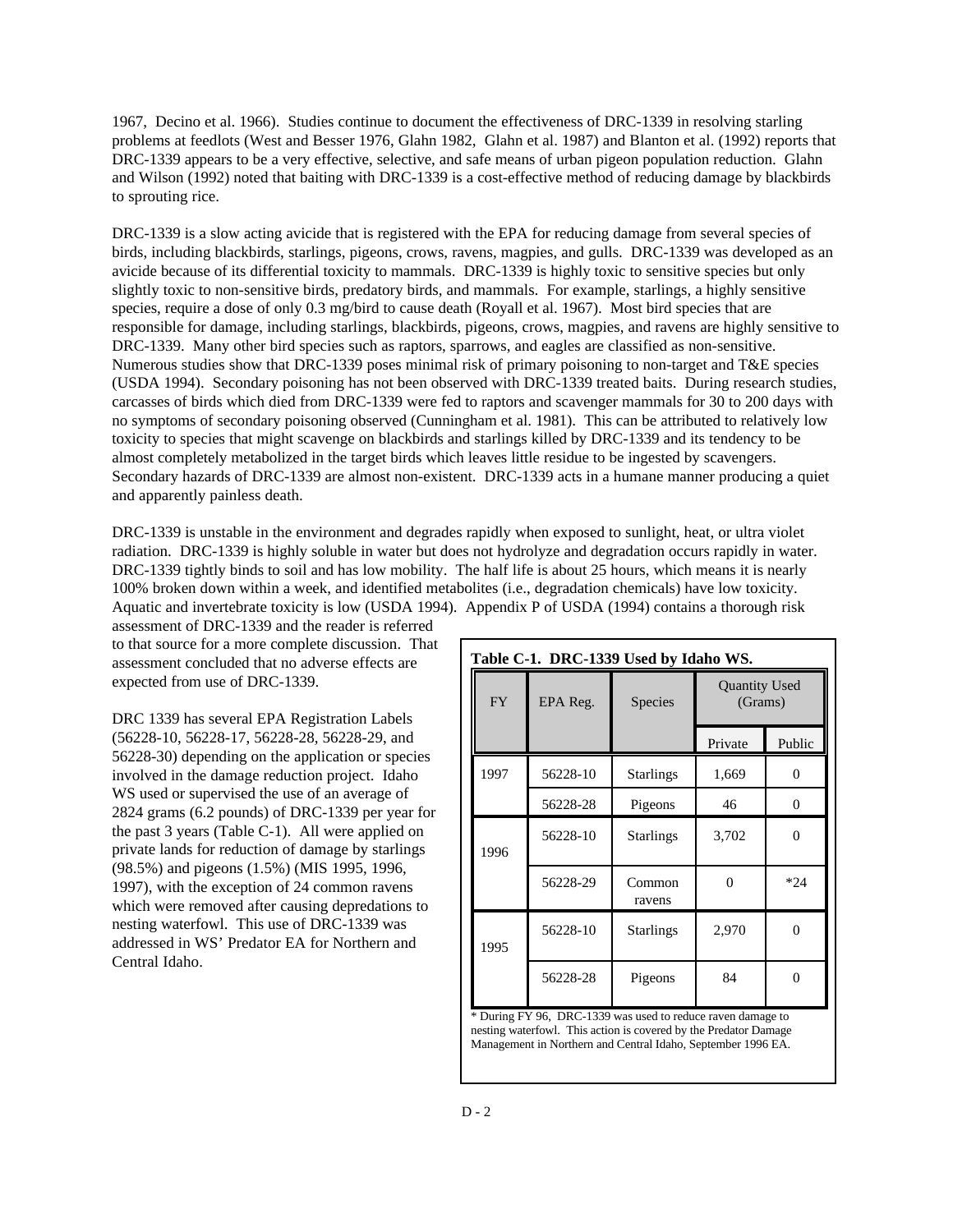1967, Decino et al. 1966). Studies continue to document the effectiveness of DRC-1339 in resolving starling problems at feedlots (West and Besser 1976, Glahn 1982, Glahn et al. 1987) and Blanton et al. (1992) reports that DRC-1339 appears to be a very effective, selective, and safe means of urban pigeon population reduction. Glahn and Wilson (1992) noted that baiting with DRC-1339 is a cost-effective method of reducing damage by blackbirds to sprouting rice.

DRC-1339 is a slow acting avicide that is registered with the EPA for reducing damage from several species of birds, including blackbirds, starlings, pigeons, crows, ravens, magpies, and gulls. DRC-1339 was developed as an avicide because of its differential toxicity to mammals. DRC-1339 is highly toxic to sensitive species but only slightly toxic to non-sensitive birds, predatory birds, and mammals. For example, starlings, a highly sensitive species, require a dose of only 0.3 mg/bird to cause death (Royall et al. 1967). Most bird species that are responsible for damage, including starlings, blackbirds, pigeons, crows, magpies, and ravens are highly sensitive to DRC-1339. Many other bird species such as raptors, sparrows, and eagles are classified as non-sensitive. Numerous studies show that DRC-1339 poses minimal risk of primary poisoning to non-target and T&E species (USDA 1994). Secondary poisoning has not been observed with DRC-1339 treated baits. During research studies, carcasses of birds which died from DRC-1339 were fed to raptors and scavenger mammals for 30 to 200 days with no symptoms of secondary poisoning observed (Cunningham et al. 1981). This can be attributed to relatively low toxicity to species that might scavenge on blackbirds and starlings killed by DRC-1339 and its tendency to be almost completely metabolized in the target birds which leaves little residue to be ingested by scavengers. Secondary hazards of DRC-1339 are almost non-existent. DRC-1339 acts in a humane manner producing a quiet and apparently painless death.

DRC-1339 is unstable in the environment and degrades rapidly when exposed to sunlight, heat, or ultra violet radiation. DRC-1339 is highly soluble in water but does not hydrolyze and degradation occurs rapidly in water. DRC-1339 tightly binds to soil and has low mobility. The half life is about 25 hours, which means it is nearly 100% broken down within a week, and identified metabolites (i.e., degradation chemicals) have low toxicity. Aquatic and invertebrate toxicity is low (USDA 1994). Appendix P of USDA (1994) contains a thorough risk

assessment of DRC-1339 and the reader is referred to that source for a more complete discussion. That assessment concluded that no adverse effects are expected from use of DRC-1339.

DRC 1339 has several EPA Registration Labels (56228-10, 56228-17, 56228-28, 56228-29, and 56228-30) depending on the application or species involved in the damage reduction project. Idaho WS used or supervised the use of an average of 2824 grams (6.2 pounds) of DRC-1339 per year for the past 3 years (Table C-1). All were applied on private lands for reduction of damage by starlings (98.5%) and pigeons (1.5%) (MIS 1995, 1996, 1997), with the exception of 24 common ravens which were removed after causing depredations to nesting waterfowl. This use of DRC-1339 was addressed in WS' Predator EA for Northern and Central Idaho.

| Table C-1. DRC-1339 Used by Idaho WS. |          |                  |                                 |                |  |
|---------------------------------------|----------|------------------|---------------------------------|----------------|--|
| <b>FY</b>                             | EPA Reg. | Species          | <b>Quantity Used</b><br>(Grams) |                |  |
|                                       |          |                  | Private                         | Public         |  |
| 1997                                  | 56228-10 | <b>Starlings</b> | 1,669                           | 0              |  |
|                                       | 56228-28 | Pigeons          | 46                              | $\overline{0}$ |  |
| 1996                                  | 56228-10 | <b>Starlings</b> | 3,702                           | 0              |  |
|                                       | 56228-29 | Common<br>ravens |                                 | $*24$          |  |
| 1995                                  | 56228-10 | <b>Starlings</b> | 2,970                           | 0              |  |
|                                       | 56228-28 | Pigeons          | 84                              | $\Omega$       |  |

\* During FY 96, DRC-1339 was used to reduce raven damage to nesting waterfowl. This action is covered by the Predator Damage Management in Northern and Central Idaho, September 1996 EA.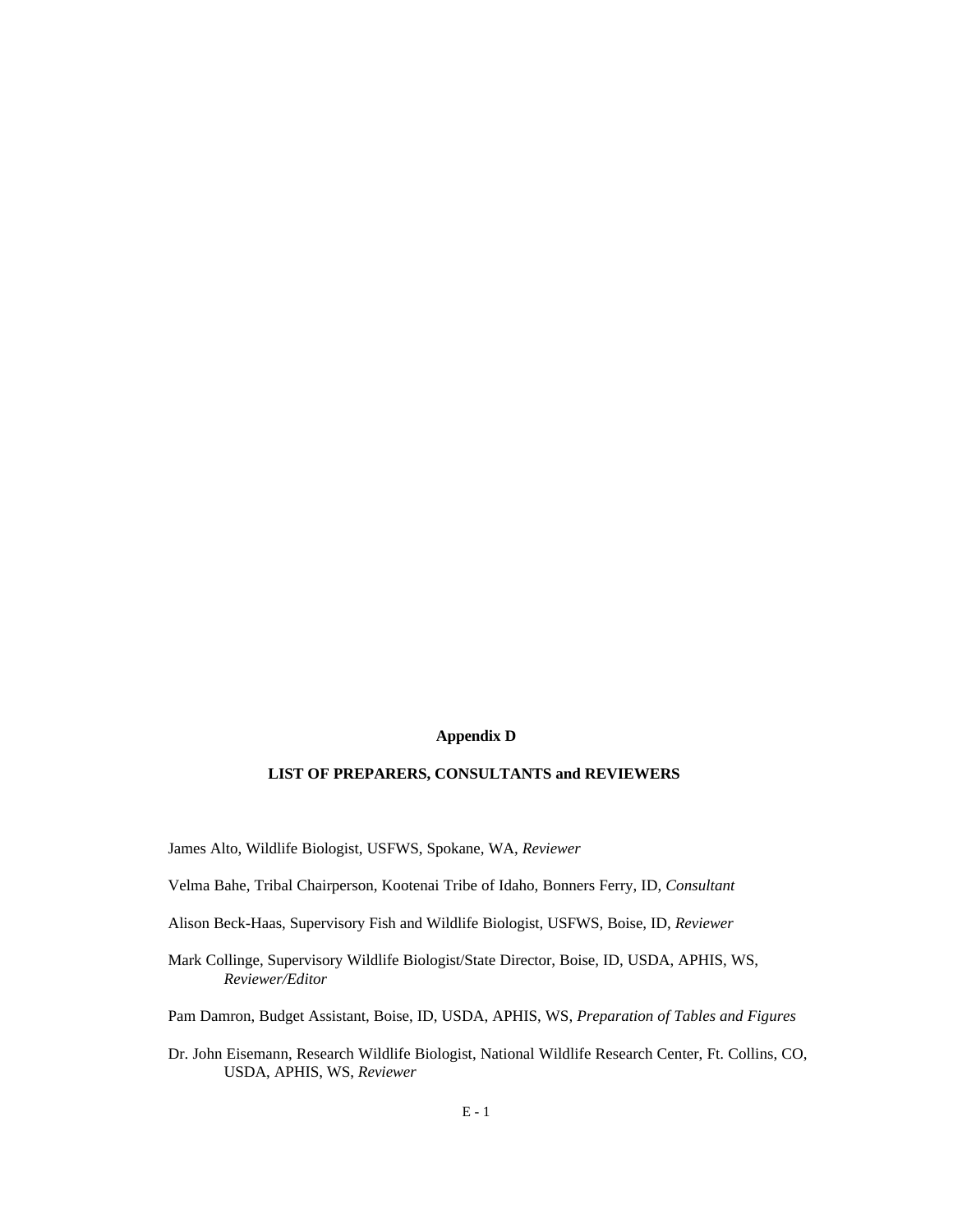### **Appendix D**

### **LIST OF PREPARERS, CONSULTANTS and REVIEWERS**

- James Alto, Wildlife Biologist, USFWS, Spokane, WA, *Reviewer*
- Velma Bahe, Tribal Chairperson, Kootenai Tribe of Idaho, Bonners Ferry, ID, *Consultant*
- Alison Beck-Haas, Supervisory Fish and Wildlife Biologist, USFWS, Boise, ID, *Reviewer*
- Mark Collinge, Supervisory Wildlife Biologist/State Director, Boise, ID, USDA, APHIS, WS, *Reviewer/Editor*
- Pam Damron, Budget Assistant, Boise, ID, USDA, APHIS, WS, *Preparation of Tables and Figures*
- Dr. John Eisemann, Research Wildlife Biologist, National Wildlife Research Center, Ft. Collins, CO, USDA, APHIS, WS, *Reviewer*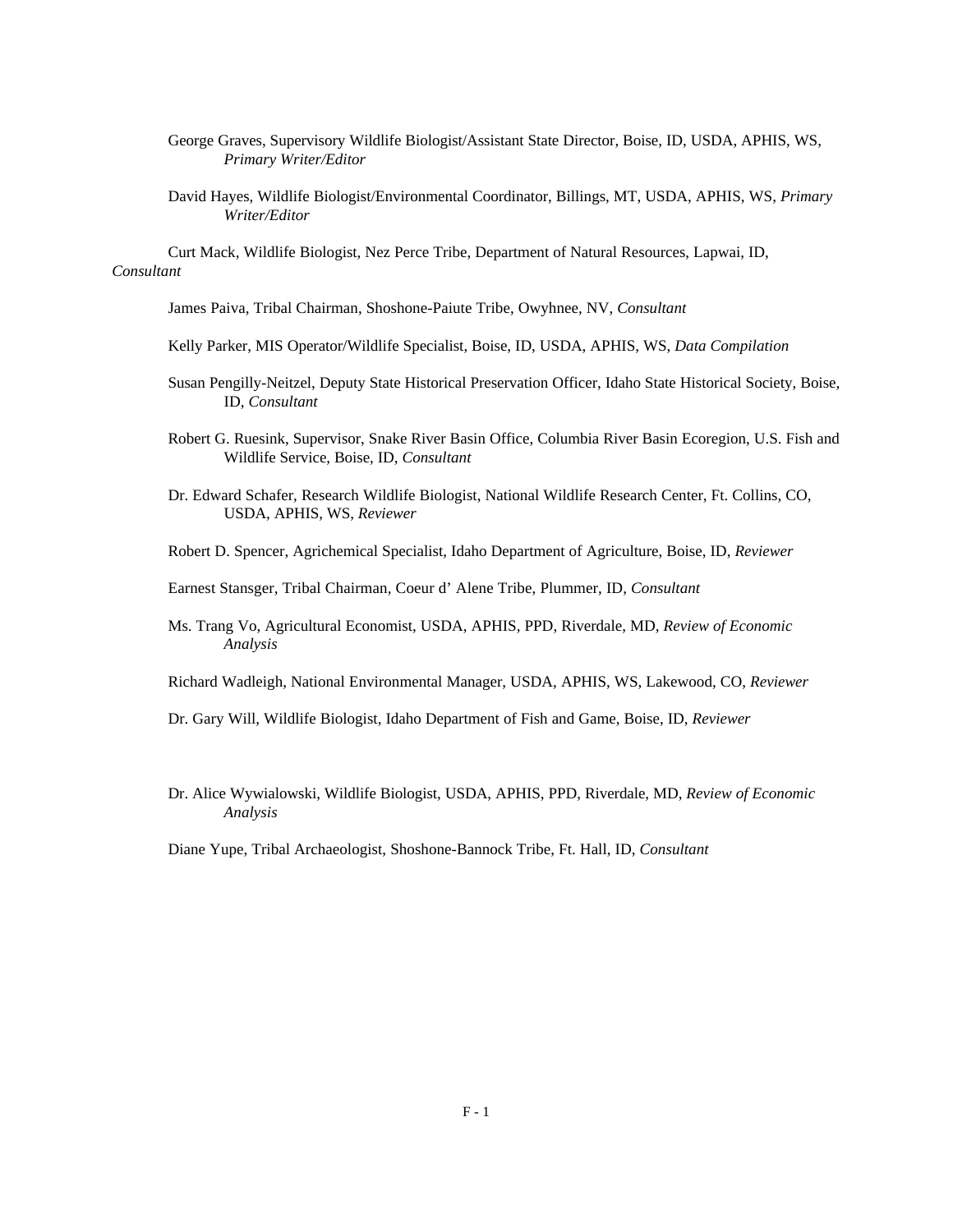- George Graves, Supervisory Wildlife Biologist/Assistant State Director, Boise, ID, USDA, APHIS, WS, *Primary Writer/Editor*
- David Hayes, Wildlife Biologist/Environmental Coordinator, Billings, MT, USDA, APHIS, WS, *Primary Writer/Editor*

Curt Mack, Wildlife Biologist, Nez Perce Tribe, Department of Natural Resources, Lapwai, ID, *Consultant*

- James Paiva, Tribal Chairman, Shoshone-Paiute Tribe, Owyhnee, NV, *Consultant*
- Kelly Parker, MIS Operator/Wildlife Specialist, Boise, ID, USDA, APHIS, WS, *Data Compilation*
- Susan Pengilly-Neitzel, Deputy State Historical Preservation Officer, Idaho State Historical Society, Boise, ID, *Consultant*
- Robert G. Ruesink, Supervisor, Snake River Basin Office, Columbia River Basin Ecoregion, U.S. Fish and Wildlife Service, Boise, ID, *Consultant*
- Dr. Edward Schafer, Research Wildlife Biologist, National Wildlife Research Center, Ft. Collins, CO, USDA, APHIS, WS, *Reviewer*
- Robert D. Spencer, Agrichemical Specialist, Idaho Department of Agriculture, Boise, ID, *Reviewer*
- Earnest Stansger, Tribal Chairman, Coeur d' Alene Tribe, Plummer, ID, *Consultant*
- Ms. Trang Vo, Agricultural Economist, USDA, APHIS, PPD, Riverdale, MD, *Review of Economic Analysis*
- Richard Wadleigh, National Environmental Manager, USDA, APHIS, WS, Lakewood, CO, *Reviewer*
- Dr. Gary Will, Wildlife Biologist, Idaho Department of Fish and Game, Boise, ID, *Reviewer*
- Dr. Alice Wywialowski, Wildlife Biologist, USDA, APHIS, PPD, Riverdale, MD, *Review of Economic Analysis*

Diane Yupe, Tribal Archaeologist, Shoshone-Bannock Tribe, Ft. Hall, ID, *Consultant*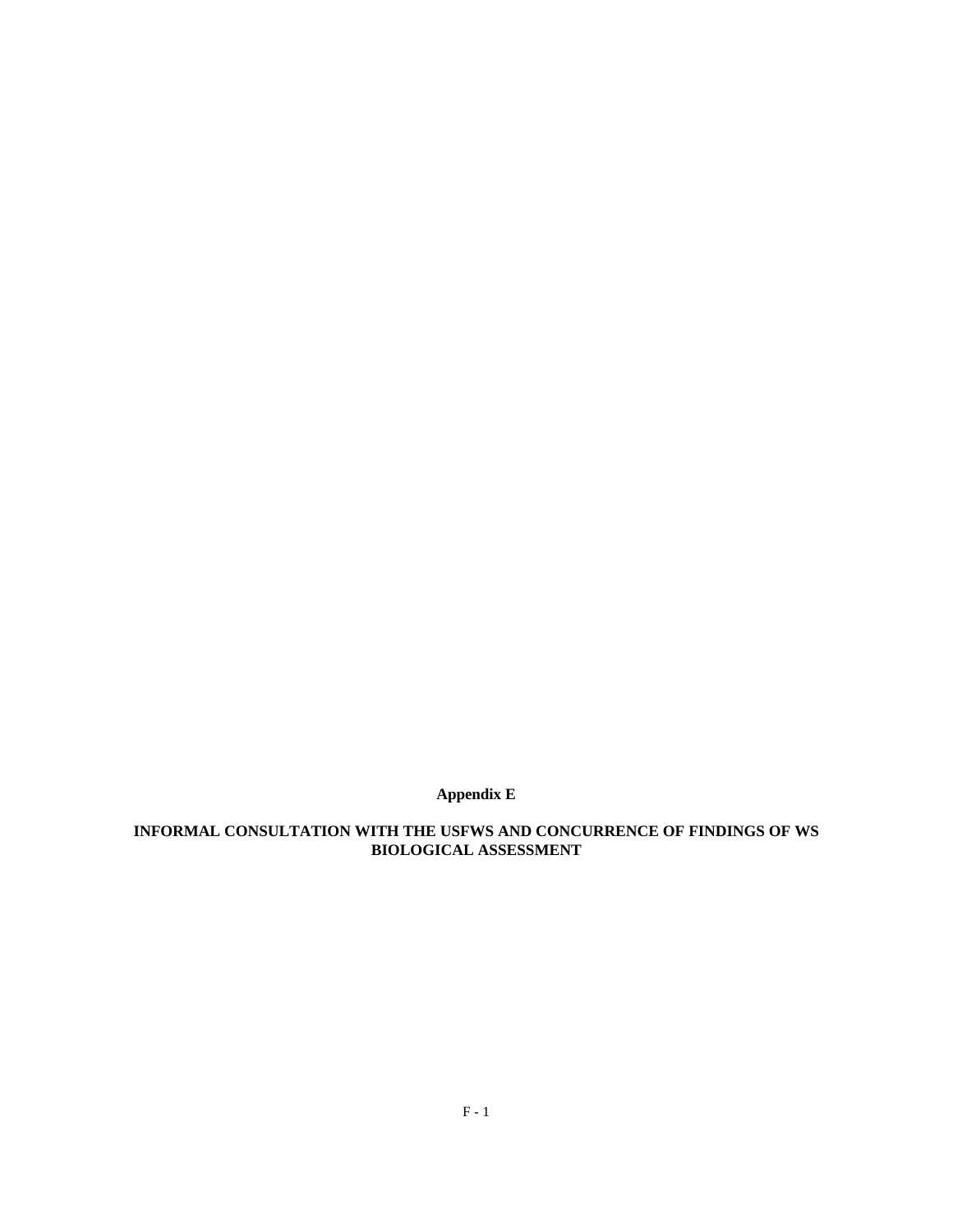**Appendix E**

## **INFORMAL CONSULTATION WITH THE USFWS AND CONCURRENCE OF FINDINGS OF WS BIOLOGICAL ASSESSMENT**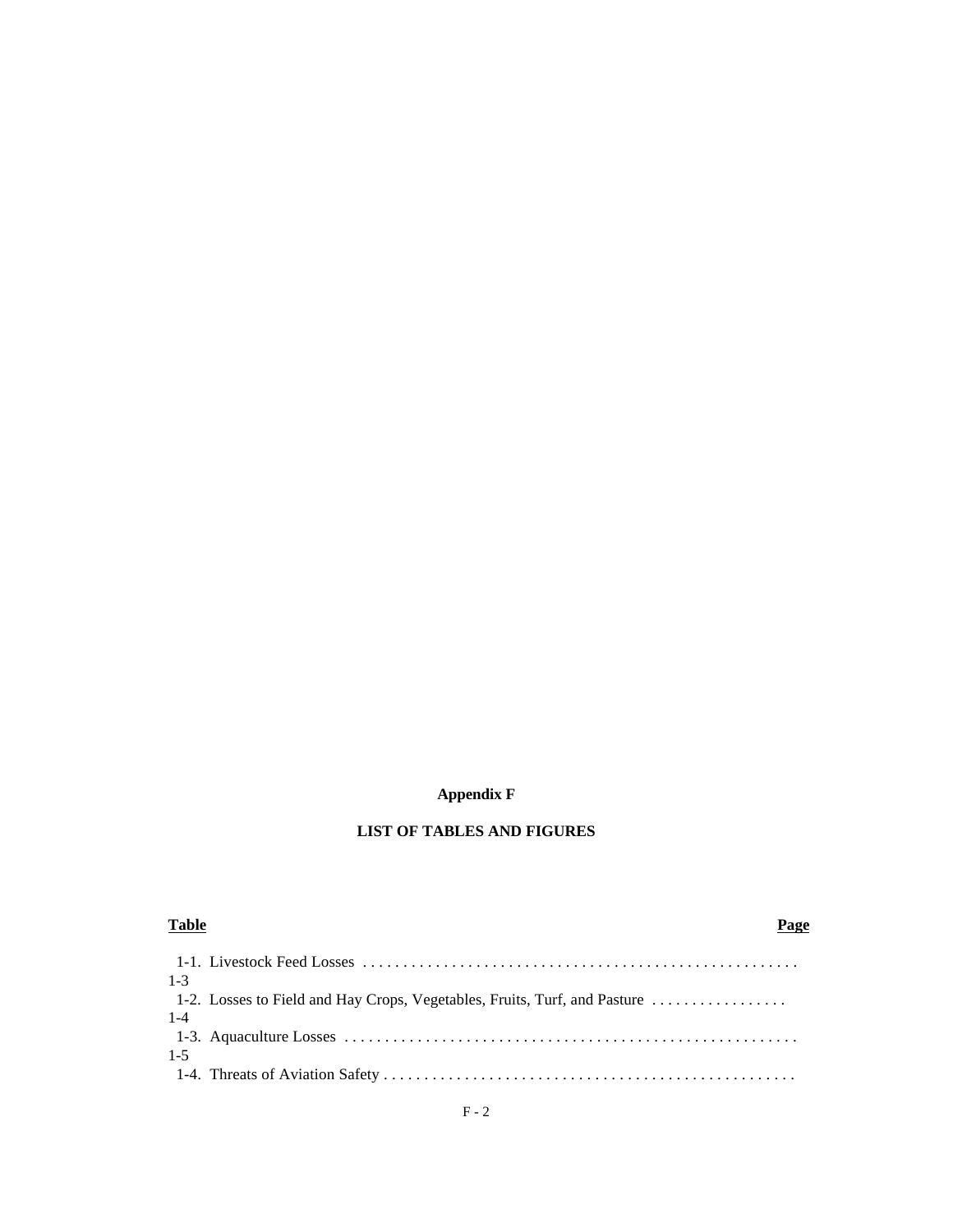### **Appendix F**

## **LIST OF TABLES AND FIGURES**

| <b>Table</b>                                                                                                                                     | Page |
|--------------------------------------------------------------------------------------------------------------------------------------------------|------|
| $1 - 3$                                                                                                                                          |      |
| 1-2. Losses to Field and Hay Crops, Vegetables, Fruits, Turf, and Pasture                                                                        |      |
| $1 - 4$<br>1-3. Aquaculture Losses $\dots \dots \dots \dots \dots \dots \dots \dots \dots \dots \dots \dots \dots \dots \dots \dots \dots \dots$ |      |
| $1 - 5$                                                                                                                                          |      |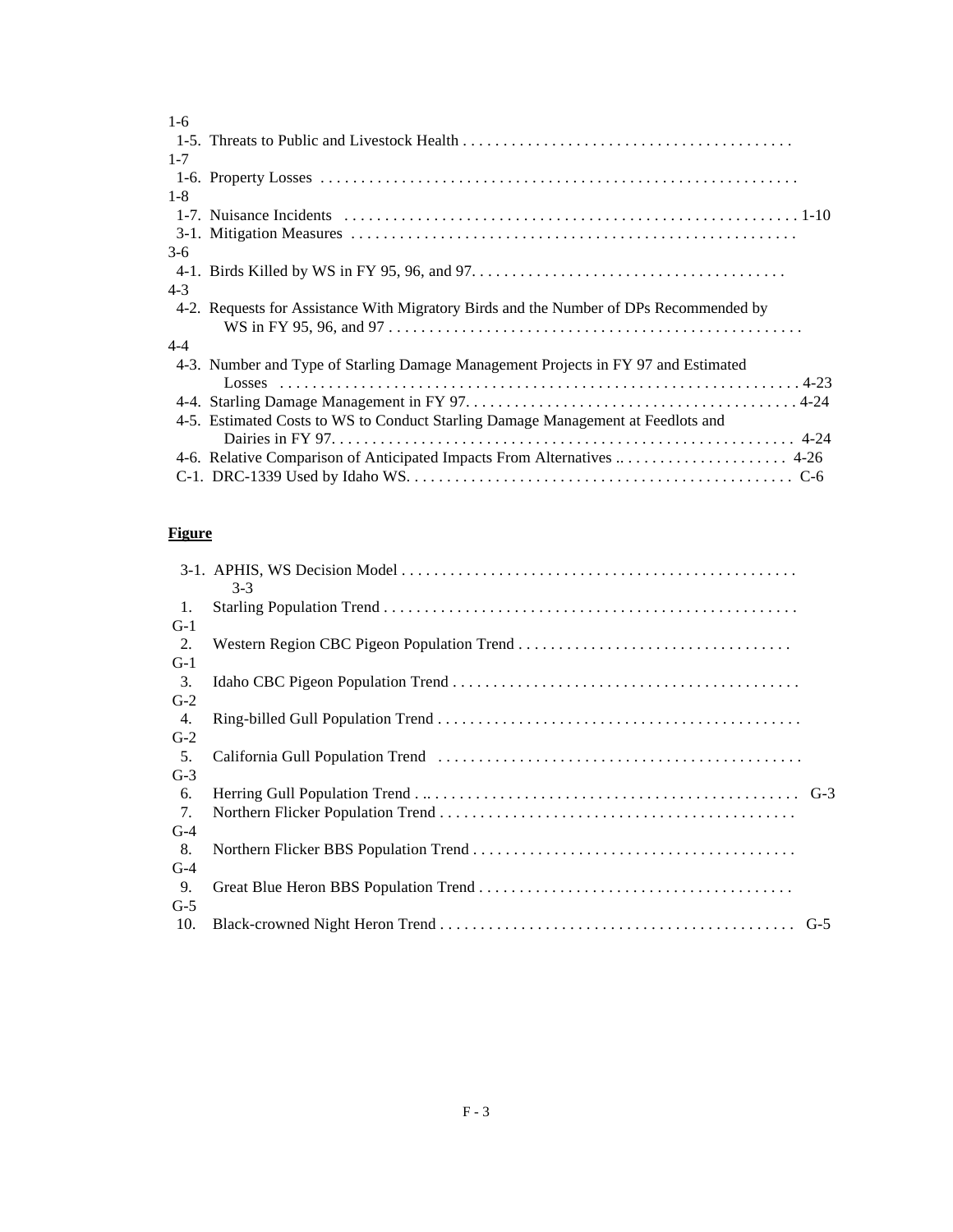| $1-6$   |                                                                                        |
|---------|----------------------------------------------------------------------------------------|
|         |                                                                                        |
| $1 - 7$ |                                                                                        |
|         |                                                                                        |
| $1 - 8$ |                                                                                        |
|         |                                                                                        |
|         |                                                                                        |
| $3-6$   |                                                                                        |
|         |                                                                                        |
| $4 - 3$ |                                                                                        |
|         | 4-2. Requests for Assistance With Migratory Birds and the Number of DPs Recommended by |
| $4 - 4$ |                                                                                        |
|         | 4-3. Number and Type of Starling Damage Management Projects in FY 97 and Estimated     |
|         |                                                                                        |
|         | 4-5. Estimated Costs to WS to Conduct Starling Damage Management at Feedlots and       |
|         | 4-6. Relative Comparison of Anticipated Impacts From Alternatives  4-26                |
|         |                                                                                        |
|         |                                                                                        |

# **Figure**

|       | $3-3$ |
|-------|-------|
| 1.    |       |
| $G-1$ |       |
| 2.    |       |
| $G-1$ |       |
| 3.    |       |
| $G-2$ |       |
| 4.    |       |
| $G-2$ |       |
| 5.    |       |
| $G-3$ |       |
| 6.    |       |
| 7.    |       |
| $G-4$ |       |
| 8.    |       |
| $G-4$ |       |
| 9.    |       |
| $G-5$ |       |
| 10.   |       |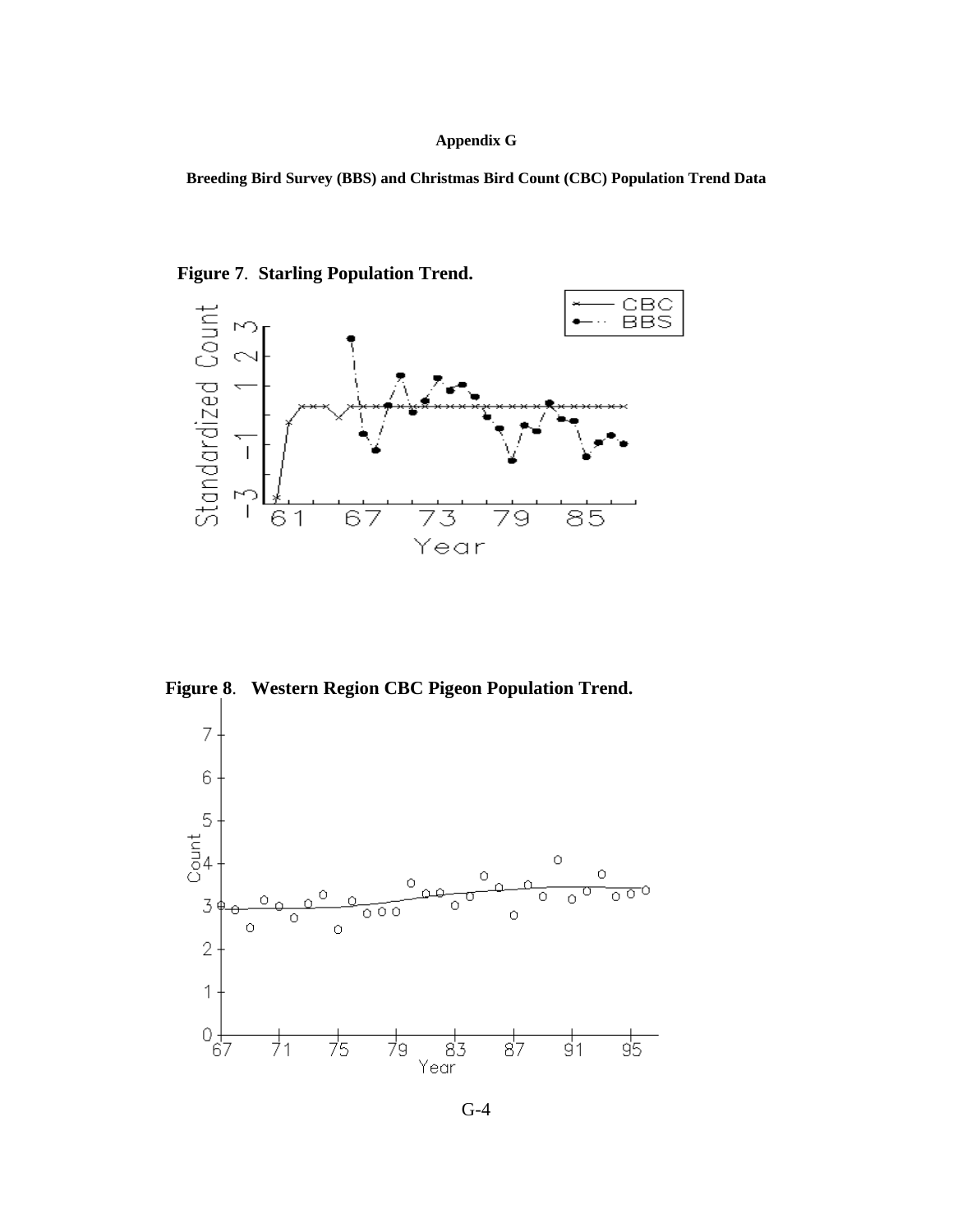### **Appendix G**

**Breeding Bird Survey (BBS) and Christmas Bird Count (CBC) Population Trend Data**



**Figure 7**. **Starling Population Trend.**

**Figure 8**. **Western Region CBC Pigeon Population Trend.**



G-4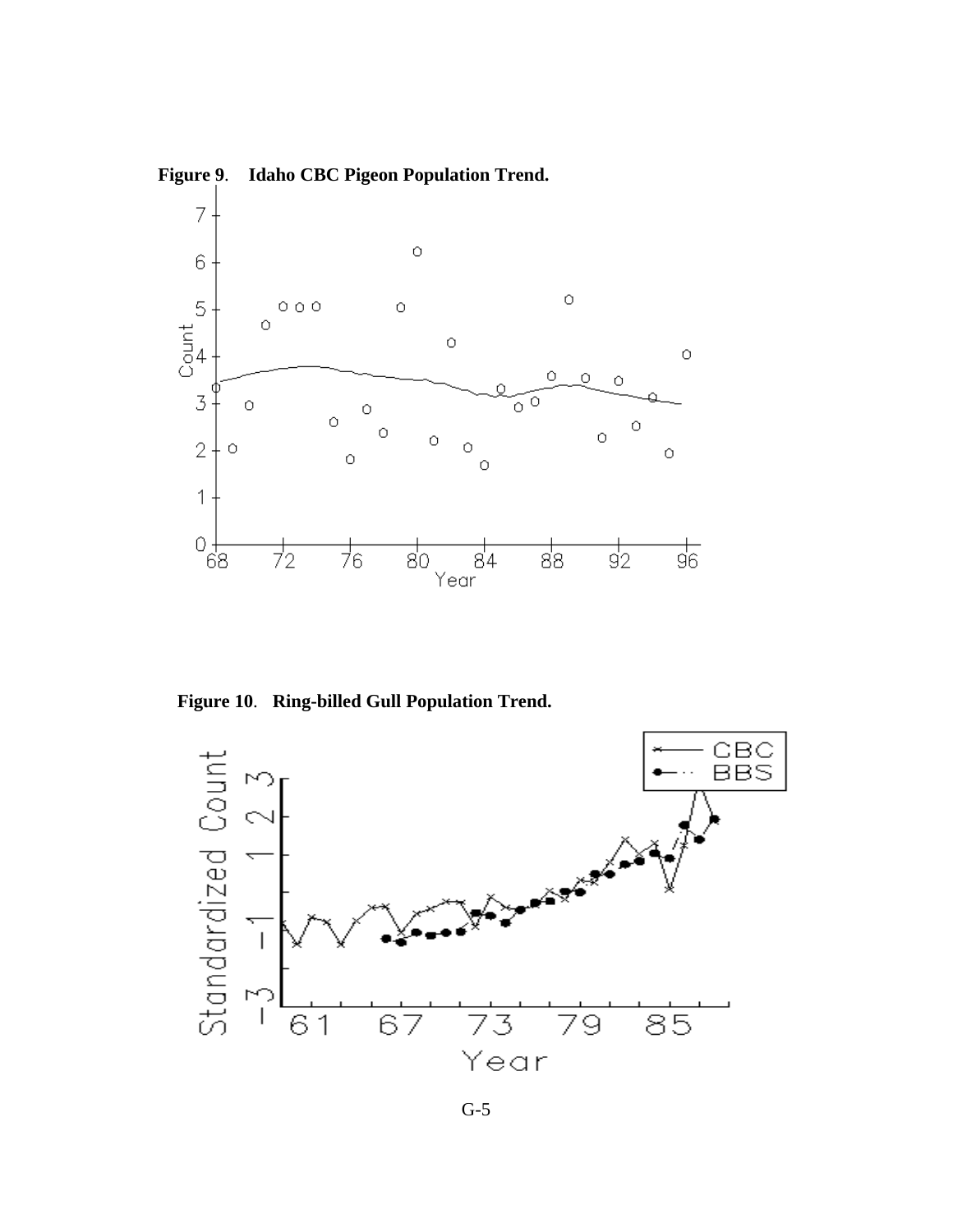

**Figure 9**. **Idaho CBC Pigeon Population Trend.**

**Figure 10**. **Ring-billed Gull Population Trend.**

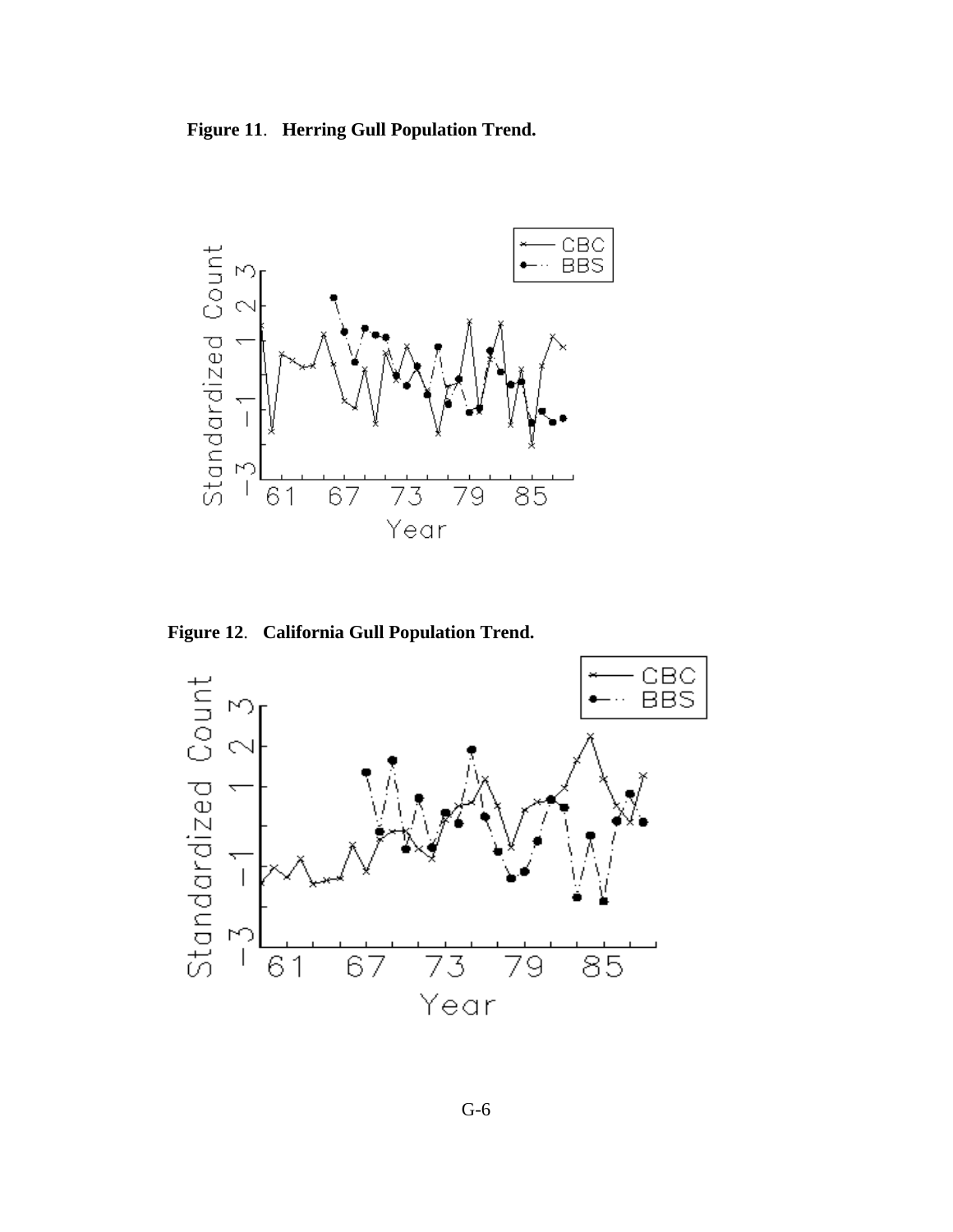**Figure 11**. **Herring Gull Population Trend.**



**Figure 12**. **California Gull Population Trend.**

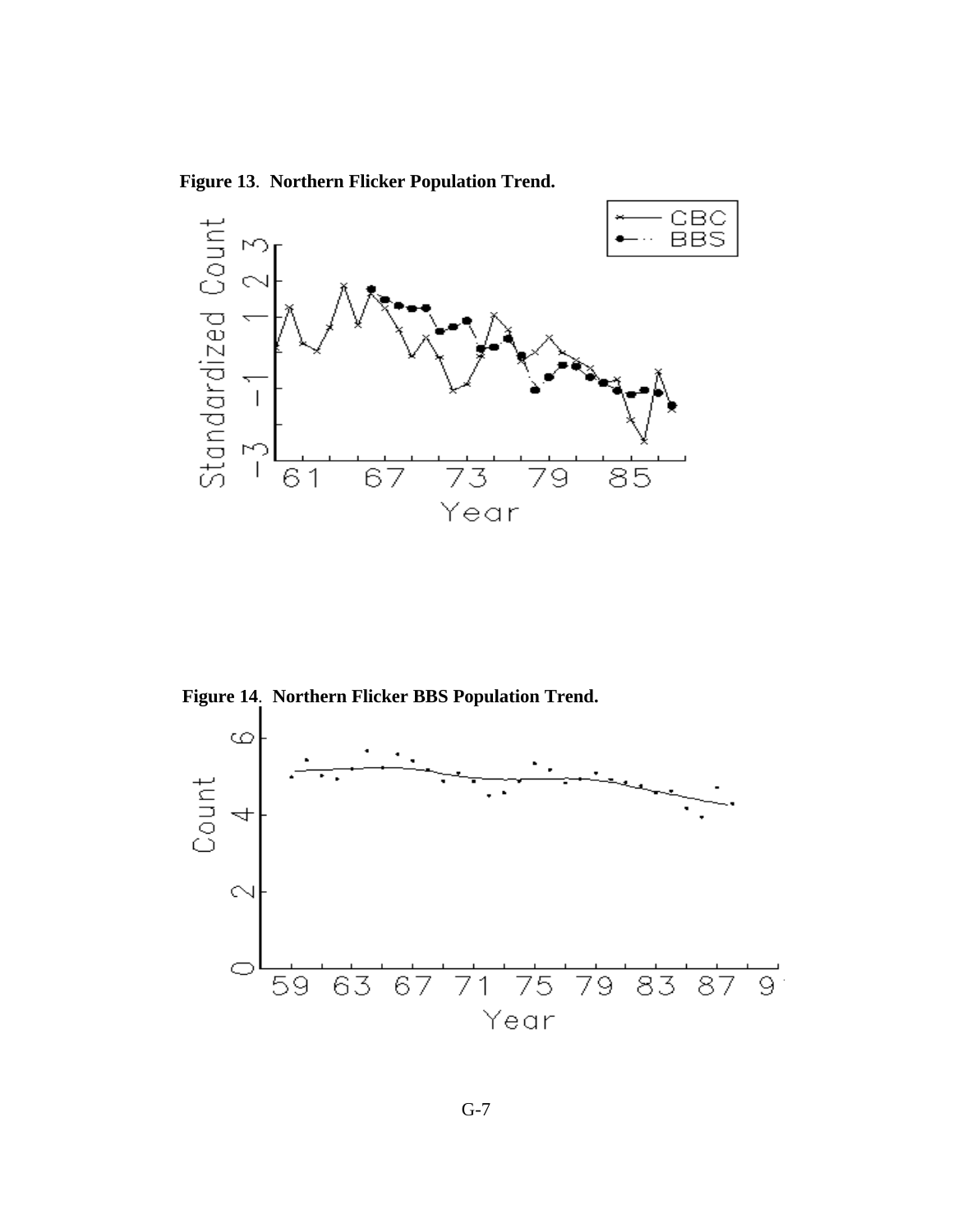**Figure 13**. **Northern Flicker Population Trend.**



**Figure 14**. **Northern Flicker BBS Population Trend.**